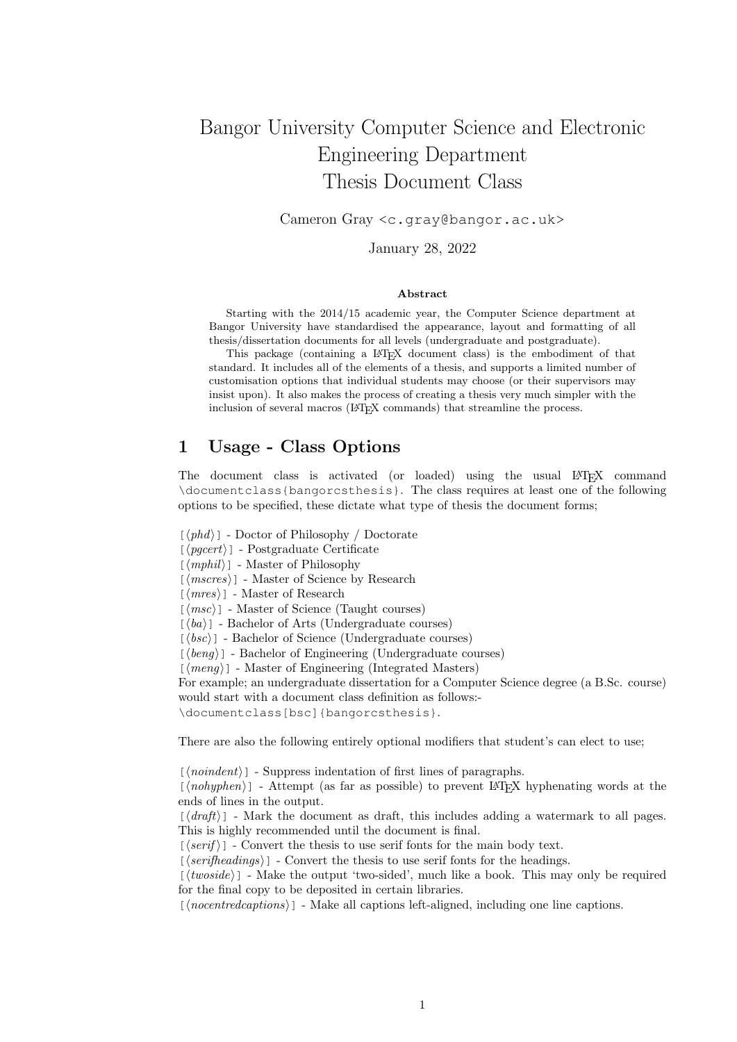# Bangor University Computer Science and Electronic Engineering Department Thesis Document Class

Cameron Gray <c.gray@bangor.ac.uk>

January 28, 2022

#### Abstract

Starting with the 2014/15 academic year, the Computer Science department at Bangor University have standardised the appearance, layout and formatting of all thesis/dissertation documents for all levels (undergraduate and postgraduate).

This package (containing a L<sup>AT</sup>EX document class) is the embodiment of that standard. It includes all of the elements of a thesis, and supports a limited number of customisation options that individual students may choose (or their supervisors may insist upon). It also makes the process of creating a thesis very much simpler with the inclusion of several macros (LAT<sub>EX</sub> commands) that streamline the process.

### 1 Usage - Class Options

The document class is activated (or loaded) using the usual LATEX command \documentclass{bangorcsthesis}. The class requires at least one of the following options to be specified, these dictate what type of thesis the document forms;

 $[\langle phd \rangle]$  - Doctor of Philosophy / Doctorate

 $[\langle pgcert \rangle]$  - Postgraduate Certificate

 $\lceil \langle mphil \rangle \rceil$  - Master of Philosophy

 $\lceil \langle \textit{mscres} \rangle \rceil$  - Master of Science by Research

 $\lceil \langle mres \rangle \rceil$  - Master of Research

 $\lceil \langle \textit{msc} \rangle \rceil$  - Master of Science (Taught courses)

 $\lceil \langle ba \rangle \rceil$  - Bachelor of Arts (Undergraduate courses)

 $\lceil \langle bsc \rangle \rceil$  - Bachelor of Science (Undergraduate courses)

 $\lceil \langle \text{b} \text{en} \text{q} \rangle \rceil$  - Bachelor of Engineering (Undergraduate courses)

 $[\langle \text{meng} \rangle]$  - Master of Engineering (Integrated Masters)

For example; an undergraduate dissertation for a Computer Science degree (a B.Sc. course) would start with a document class definition as follows:-

\documentclass[bsc]{bangorcsthesis}.

There are also the following entirely optional modifiers that student's can elect to use;

 $[\langle n \text{o} \text{indent} \rangle]$  - Suppress indentation of first lines of paragraphs.

 $[\langle nobyphen\rangle]$  - Attempt (as far as possible) to prevent LATEX hyphenating words at the ends of lines in the output.

 $\left[\langle \text{draff} \rangle \right]$  - Mark the document as draft, this includes adding a watermark to all pages. This is highly recommended until the document is final.

 $[\langle script \rangle]$  - Convert the thesis to use serif fonts for the main body text.

 $\lceil \langle \mathit{serifheads} \rangle \rceil$  - Convert the thesis to use serif fonts for the headings.

 $\lceil \langle \mathit{twoside} \rangle \rceil$  - Make the output 'two-sided', much like a book. This may only be required for the final copy to be deposited in certain libraries.

 $\lceil$   $\langle$  nocentredcaptions  $\rangle$  ] - Make all captions left-aligned, including one line captions.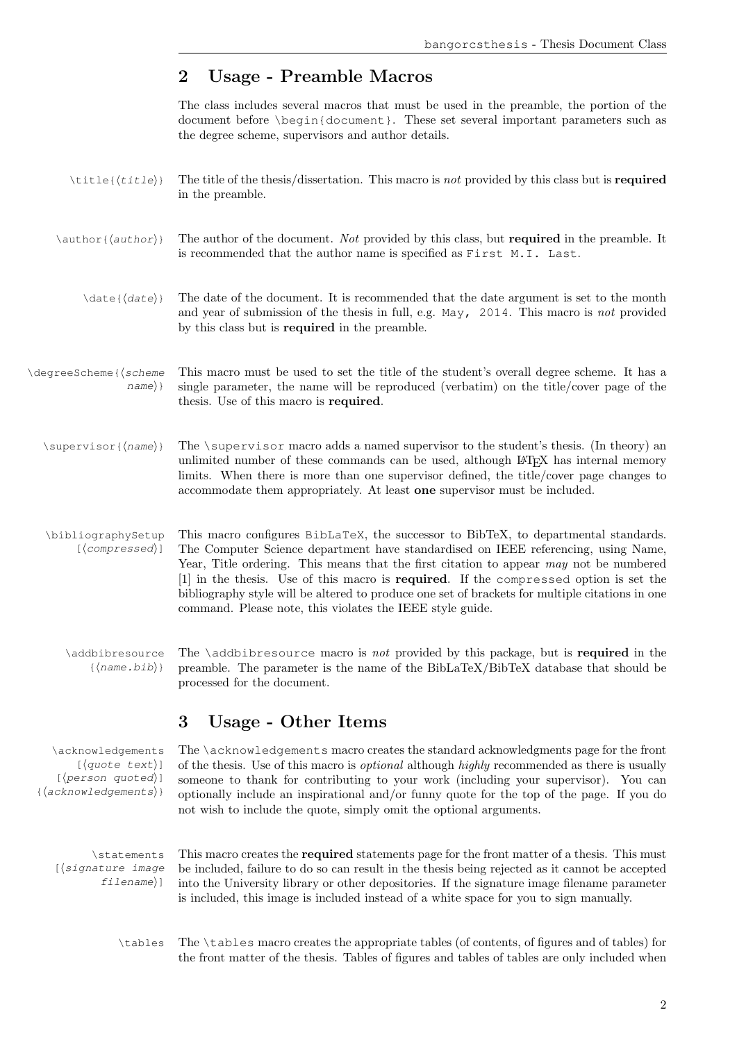## 2 Usage - Preamble Macros

The class includes several macros that must be used in the preamble, the portion of the document before \begin{document}. These set several important parameters such as the degree scheme, supervisors and author details.

- $\text{title}({title})$  The title of the thesis/dissertation. This macro is not provided by this class but is **required** in the preamble.
- \author{ $\{author\}$ } The author of the document. Not provided by this class, but required in the preamble. It is recommended that the author name is specified as First M.I. Last.
	- $\langle \text{data}\rangle$  The date of the document. It is recommended that the date argument is set to the month and year of submission of the thesis in full, e.g. May, 2014. This macro is not provided by this class but is required in the preamble.

### \degreeScheme{⟨scheme This macro must be used to set the title of the student's overall degree scheme. It has a name) single parameter, the name will be reproduced (verbatim) on the title/cover page of the thesis. Use of this macro is required.

- \supervisor{⟨name⟩} The \supervisor macro adds a named supervisor to the student's thesis. (In theory) an unlimited number of these commands can be used, although LATEX has internal memory limits. When there is more than one supervisor defined, the title/cover page changes to accommodate them appropriately. At least one supervisor must be included.
- \bibliographySetup This macro configures BibLaTeX, the successor to BibTeX, to departmental standards. [ $\langle$ *compressed*}] The Computer Science department have standardised on IEEE referencing, using Name, Year, Title ordering. This means that the first citation to appear may not be numbered [1] in the thesis. Use of this macro is required. If the compressed option is set the bibliography style will be altered to produce one set of brackets for multiple citations in one command. Please note, this violates the IEEE style guide.
	- \addbibresource The \addbibresource macro is not provided by this package, but is required in the {⟨name.bib⟩} preamble. The parameter is the name of the BibLaTeX/BibTeX database that should be processed for the document.

## 3 Usage - Other Items

\acknowledgements The \acknowledgements macro creates the standard acknowledgments page for the front [⟨quote text⟩] [⟨person quoted⟩] {⟨acknowledgements⟩} of the thesis. Use of this macro is optional although highly recommended as there is usually someone to thank for contributing to your work (including your supervisor). You can optionally include an inspirational and/or funny quote for the top of the page. If you do not wish to include the quote, simply omit the optional arguments.

[⟨signature image filename⟩]

\statements This macro creates the required statements page for the front matter of a thesis. This must be included, failure to do so can result in the thesis being rejected as it cannot be accepted into the University library or other depositories. If the signature image filename parameter is included, this image is included instead of a white space for you to sign manually.

\tables The \tables macro creates the appropriate tables (of contents, of figures and of tables) for the front matter of the thesis. Tables of figures and tables of tables are only included when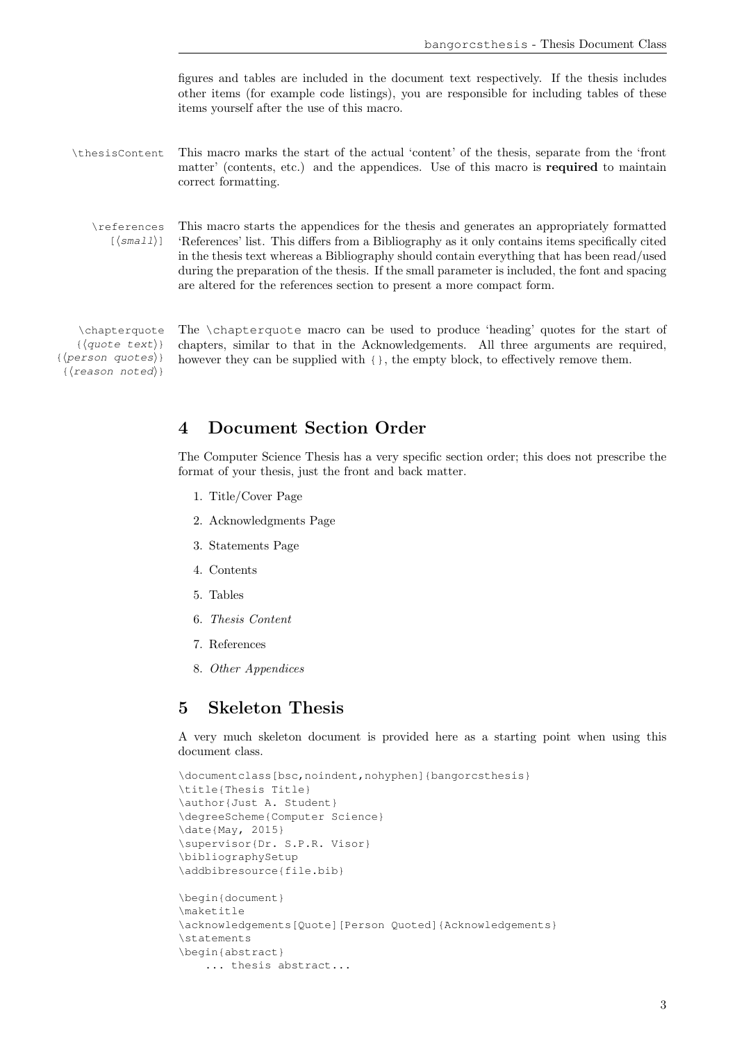figures and tables are included in the document text respectively. If the thesis includes other items (for example code listings), you are responsible for including tables of these items yourself after the use of this macro.

\thesisContent This macro marks the start of the actual 'content' of the thesis, separate from the 'front matter' (contents, etc.) and the appendices. Use of this macro is required to maintain correct formatting.

\references This macro starts the appendices for the thesis and generates an appropriately formatted [ $\langle \text{small} \rangle$ ] 'References' list. This differs from a Bibliography as it only contains items specifically cited in the thesis text whereas a Bibliography should contain everything that has been read/used during the preparation of the thesis. If the small parameter is included, the font and spacing are altered for the references section to present a more compact form.

```
{⟨quote text⟩}
{⟨person quotes⟩}
 {⟨reason noted⟩}
```
\chapterquote The \chapterquote macro can be used to produce 'heading' quotes for the start of chapters, similar to that in the Acknowledgements. All three arguments are required, however they can be supplied with  $\{\}$ , the empty block, to effectively remove them.

### 4 Document Section Order

The Computer Science Thesis has a very specific section order; this does not prescribe the format of your thesis, just the front and back matter.

- 1. Title/Cover Page
- 2. Acknowledgments Page
- 3. Statements Page
- 4. Contents
- 5. Tables
- 6. Thesis Content
- 7. References
- 8. Other Appendices

### 5 Skeleton Thesis

A very much skeleton document is provided here as a starting point when using this document class.

```
\documentclass[bsc,noindent,nohyphen]{bangorcsthesis}
\title{Thesis Title}
\author{Just A. Student}
\degreeScheme{Computer Science}
\date{May, 2015}
\supervisor{Dr. S.P.R. Visor}
\bibliographySetup
\addbibresource{file.bib}
\begin{document}
\maketitle
\acknowledgements[Quote][Person Quoted]{Acknowledgements}
\statements
\begin{abstract}
    ... thesis abstract...
```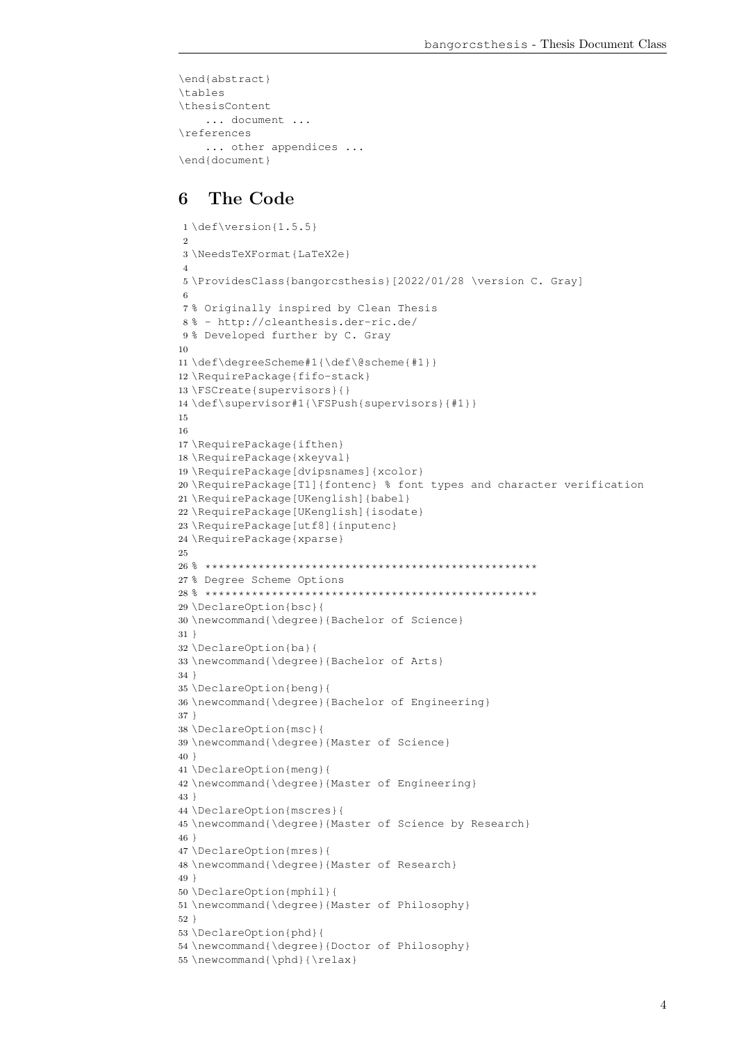```
\end{abstract}
\tables
\thesisContent
    ... document ...
\references
   ... other appendices ...
\end{document}
```
### 6 The Code

```
1 \def\version{1.5.5}
2
3 \NeedsTeXFormat{LaTeX2e}
4
5 \ProvidesClass{bangorcsthesis}[2022/01/28 \version C. Gray]
6
7 % Originally inspired by Clean Thesis
8 % - http://cleanthesis.der-ric.de/
9% Developed further by C. Gray
10
11 \def\degreeScheme#1{\def\@scheme{#1}}
12 \RequirePackage{fifo-stack}
13 \FSCreate{supervisors}{}
14 \def\supervisor#1{\FSPush{supervisors}{#1}}
15
16
17 \RequirePackage{ifthen}
18 \RequirePackage{xkeyval}
19 \RequirePackage[dvipsnames]{xcolor}
20 \RequirePackage[T1]{fontenc} % font types and character verification
21 \RequirePackage[UKenglish]{babel}
22 \RequirePackage[UKenglish]{isodate}
23 \RequirePackage[utf8]{inputenc}
24 \RequirePackage{xparse}
25
26 % **************************************************
27 % Degree Scheme Options
28 % **************************************************
29 \DeclareOption{bsc}{
30 \newcommand{\degree}{Bachelor of Science}
31 }
32 \DeclareOption{ba}{
33 \newcommand{\degree}{Bachelor of Arts}
34 }
35 \DeclareOption{beng}{
36 \newcommand{\degree}{Bachelor of Engineering}
37 }
38 \DeclareOption{msc}{
39 \newcommand{\degree}{Master of Science}
40 }
41 \DeclareOption{meng}{
42 \newcommand{\degree}{Master of Engineering}
43 }
44 \DeclareOption{mscres}{
45 \newcommand{\degree}{Master of Science by Research}
46 }
47 \DeclareOption{mres}{
48 \newcommand{\degree}{Master of Research}
49 }
50 \DeclareOption{mphil}{
51 \newcommand{\degree}{Master of Philosophy}
52 }
53 \DeclareOption{phd}{
54 \newcommand{\degree}{Doctor of Philosophy}
55 \newcommand{\phd}{\relax}
```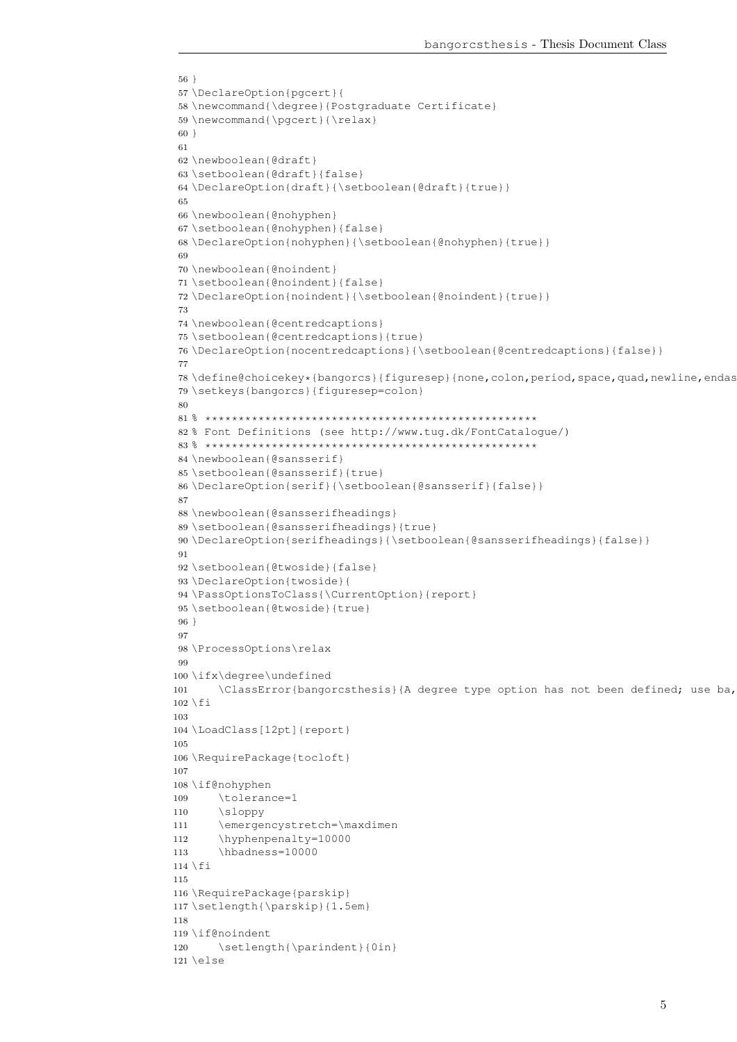```
56 }
57 \DeclareOption{pgcert}{
58 \newcommand{\degree}{Postgraduate Certificate}
59 \newcommand{\pgcert}{\relax}
60 }
61
62 \newboolean{@draft}
63 \setboolean{@draft}{false}
64 \DeclareOption{draft}{\setboolean{@draft}{true}}
65
66 \newboolean{@nohyphen}
67 \setboolean{@nohyphen}{false}
68 \DeclareOption{nohyphen}{\setboolean{@nohyphen}{true}}
69
70 \newboolean{@noindent}
71 \setboolean{@noindent}{false}
72 \DeclareOption{noindent}{\setboolean{@noindent}{true}}
73
74 \newboolean{@centredcaptions}
75 \setboolean{@centredcaptions}{true}
76 \DeclareOption{nocentredcaptions}{\setboolean{@centredcaptions}{false}}
77
78 \define@choicekey*{bangorcs}{figuresep}{none,colon,period,space,quad,newline,endas
79 \setkeys{bangorcs}{figuresep=colon}
80
81 % **************************************************
82 % Font Definitions (see http://www.tug.dk/FontCatalogue/)
83 % **************************************************
84 \newboolean{@sansserif}
85 \setboolean{@sansserif}{true}
86 \DeclareOption{serif}{\setboolean{@sansserif}{false}}
87
88 \newboolean{@sansserifheadings}
89 \setboolean{@sansserifheadings}{true}
90 \DeclareOption{serifheadings}{\setboolean{@sansserifheadings}{false}}
91
92 \setboolean{@twoside}{false}
93 \DeclareOption{twoside}{
94 \PassOptionsToClass{\CurrentOption}{report}
95 \setboolean{@twoside}{true}
96 }
97
98 \ProcessOptions\relax
99
100 \ifx\degree\undefined
101 \ClassError{bangorcsthesis}{A degree type option has not been defined; use ba,
102 \text{ } \text{ } 56103
104 \LoadClass[12pt]{report}
105
106 \RequirePackage{tocloft}
107
108 \if@nohyphen
109 \tolerance=1
110 \sloppy
111 \emergencystretch=\maxdimen
112 \hyphenpenalty=10000
113 \hbadness=10000
114 \fi
115
116 \RequirePackage{parskip}
117 \setlength{\parskip}{1.5em}
118
119 \if@noindent
120 \setlength{\parindent}{0in}
121 \else
```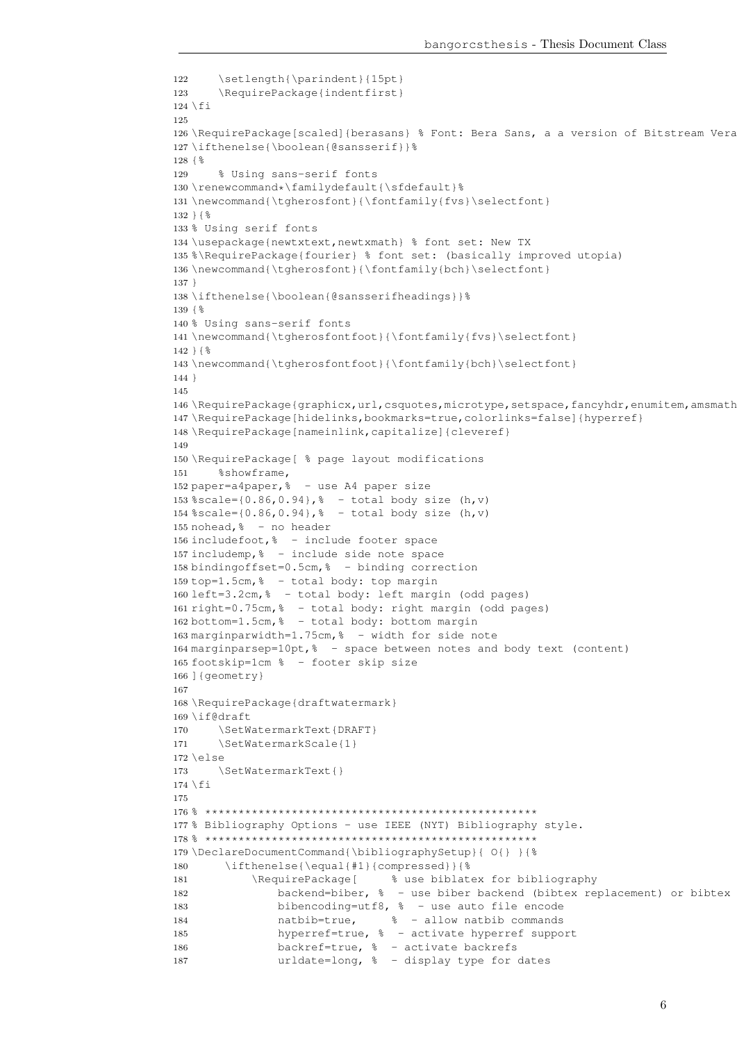```
122 \setlength{\parindent}{15pt}
123 \RequirePackage{indentfirst}
124 \fi
125
126 \RequirePackage[scaled]{berasans} % Font: Bera Sans, a a version of Bitstream Vera
127 \ifthenelse{\boolean{@sansserif}}%
128 {%
129 % Using sans-serif fonts
130 \renewcommand*\familydefault{\sfdefault}%
131 \newcommand{\tgherosfont}{\fontfamily{fvs}\selectfont}
132 }{%
133 % Using serif fonts
134 \usepackage{newtxtext,newtxmath} % font set: New TX
135 %\RequirePackage{fourier} % font set: (basically improved utopia)
136 \newcommand{\tgherosfont}{\fontfamily{bch}\selectfont}
137 }
138 \ifthenelse{\boolean{@sansserifheadings}}%
139 {%
140 % Using sans-serif fonts
141 \newcommand{\tgherosfontfoot}{\fontfamily{fvs}\selectfont}
142 } \{143 \newcommand{\tgherosfontfoot}{\fontfamily{bch}\selectfont}
144 }
145
146 \RequirePackage{graphicx,url,csquotes,microtype,setspace,fancyhdr,enumitem,amsmath
147 \RequirePackage[hidelinks,bookmarks=true,colorlinks=false]{hyperref}
148 \RequirePackage[nameinlink,capitalize]{cleveref}
149
150 \RequirePackage[ % page layout modifications
151 %showframe,
152 paper=a4paper,% - use A4 paper size
153 %scale={0.86, 0.94}, % - total body size (h, v)154 %scale=\{0.86, 0.94\}, % - total body size (h, v)155 nohead,% - no header
156 includefoot,% - include footer space
157 includemp,% - include side note space
158 bindingoffset=0.5cm,% - binding correction
159 top=1.5cm,% - total body: top margin
160 left=3.2cm,% - total body: left margin (odd pages)
161 right=0.75cm,% - total body: right margin (odd pages)
162 bottom=1.5cm,% - total body: bottom margin
163 marginparwidth=1.75cm,% - width for side note
164 marginparsep=10pt,% - space between notes and body text (content)
165 footskip=1cm % - footer skip size
166 ] {geometry}
167
168 \RequirePackage{draftwatermark}
169 \if@draft
170 \SetWatermarkText{DRAFT}
171 \SetWatermarkScale{1}
172 \else
173 \SetWatermarkText{}
174 \fi
175
176 % **************************************************
177 % Bibliography Options - use IEEE (NYT) Bibliography style.
178 % **************************************************
179 \DeclareDocumentCommand{\bibliographySetup}{ O{} }{%
180 \ifthenelse{\equal{#1}{compressed}}{%
181 \RequirePackage[ % use biblatex for bibliography
182 backend=biber, % - use biber backend (bibtex replacement) or bibtex
183 bibencoding=utf8, % - use auto file encode
184 natbib=true, % - allow natbib commands
185 hyperref=true, % - activate hyperref support
186 backref=true, % - activate backrefs
187 urldate=long, % - display type for dates
```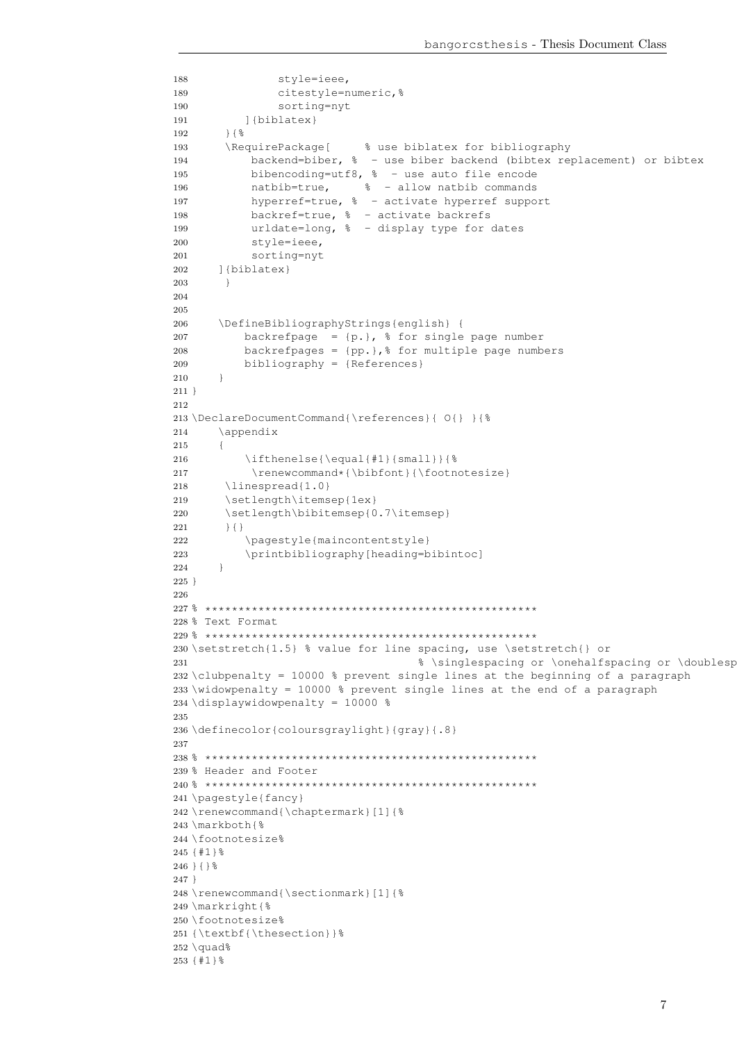```
188 style=ieee,
189 citestyle=numeric, %
190 sorting=nyt
191 ] {biblatex}
192 } { \frac{6}{5}193 \RequirePackage[ % use biblatex for bibliography
194 backend=biber, % - use biber backend (bibtex replacement) or bibtex
195 bibencoding=utf8, % - use auto file encode
196 natbib=true, % - allow natbib commands
197 hyperref=true, % - activate hyperref support
198 backref=true, % - activate backrefs
199 urldate=long, % - display type for dates
200 style=ieee,
201 sorting=nyt
202 ]{biblatex}
203 \qquad \qquad \}204
205
206 \DefineBibliographyStrings{english} {
207 backrefpage = {p.}, % for single page number
208 backrefpages = {pp.},% for multiple page numbers
209 bibliography = {References}
210 }
211 }
212
213 \DeclareDocumentCommand{\references}{ O{} }{%
214 \appendix
215 {
216 \ifthenelse{\equal{#1}{small}}{8
217 \renewcommand*{\bibfont}{\footnotesize}
218 \linespread{1.0}
219 \setlength\itemsep{1ex}
220 \setlength\bibitemsep{0.7\itemsep}
221 } { }
222 \pagestyle{maincontentstyle}
223 \printbibliography[heading=bibintoc]
224 }
225 }
226
227 % **************************************************
228 % Text Format
229 % **************************************************
230 \setstretch{1.5} % value for line spacing, use \setstretch{} or
231 31 31 3 and 231 3 and 231 3 and 231 3 and 231 3 and 231 3 and 231 3 and 231 3 and 231 3 and 231 3 and 231 3 and 231 3 and 231 3 and 231 3 and 231 3 and 231 3 and 231 3 and 231 3 and 231 3 and 231 3 and 231 3 and 231 3 
232 \clubpenalty = 10000 % prevent single lines at the beginning of a paragraph
233 \widowpenalty = 10000 % prevent single lines at the end of a paragraph
234 \displaywidowpenalty = 10000 %
235
236 \definecolor{coloursgraylight}{gray}{.8}
237
238 % **************************************************
239 % Header and Footer
240 % **************************************************
241 \pagestyle{fancy}
242 \renewcommand{\chaptermark}[1] {%
243 \markboth{%
244 \footnotesize%
245 {#1}%
246 } { } \frac{6}{6}247 }
248 \renewcommand{\sectionmark}[1]{%
249 \markright{%
250 \footnotesize%
251 {\textbf{\thesection}}%
252 \text{ quad}\253 {#1}%
```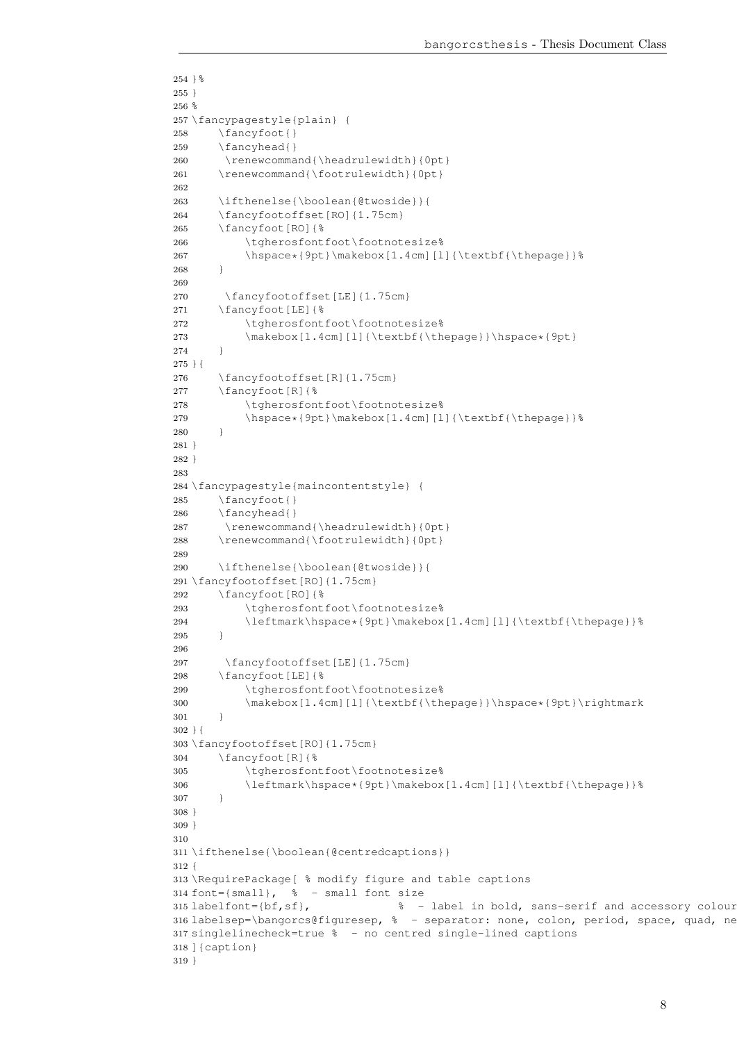```
254 } %255 }
256 %
257 \fancypagestyle{plain} {
258 \fancyfoot{}
259 \fancyhead{}
260 \renewcommand{\headrulewidth}{0pt}
261 \renewcommand{\footrulewidth}{0pt}
262
263 \ifthenelse{\boolean{@twoside}}{
264 \fancyfootoffset[RO]{1.75cm}
265 \fancyfoot[RO]{%
266 \tgherosfontfoot\footnotesize%
267 \hspace*{9pt}\makebox[1.4cm][l]{\textbf{\thepage}}%
268 }
269
270 \fancyfootoffset[LE]{1.75cm}
271 \fancyfoot[LE]{%
272 \tgherosfontfoot\footnotesize%
273 \makebox[1.4cm][l]{\textbf{\thepage}}\hspace*{9pt}
274 }
275 }{
276 \fancyfootoffset[R]{1.75cm}
277 \fancyfoot[R]{%
278 \tgherosfontfoot\footnotesize%
279 \hspace*{9pt}\makebox[1.4cm][l]{\textbf{\thepage}}%
280 }
281 }
282 }
283
284 \fancypagestyle{maincontentstyle} {
285 \fancyfoot{}
286 \fancyhead{}
287 \renewcommand{\headrulewidth}{0pt}
288 \renewcommand{\footrulewidth}{0pt}
289
290 \ifthenelse{\boolean{@twoside}}{
291 \fancyfootoffset[RO]{1.75cm}
292 \fancyfoot[RO]{%
293 \tgherosfontfoot\footnotesize%
294 \leftmark\hspace*{9pt}\makebox[1.4cm][l]{\textbf{\thepage}}%
295 }
296
297 \fancyfootoffset[LE]{1.75cm}
298 \fancyfoot[LE]{%
299 \tgherosfontfoot\footnotesize%
300 \makebox[1.4cm][l]{\textbf{\thepage}}\hspace*{9pt}\rightmark
301 \qquad \qquad302 }{
303 \fancyfootoffset[RO]{1.75cm}
304 \fancyfoot[R]{%
305 \tgherosfontfoot\footnotesize%
306 \leftmark\hspace*{9pt}\makebox[1.4cm][l]{\textbf{\thepage}}%
307 }
308 }
309 }
310
311 \ifthenelse{\boolean{@centredcaptions}}
312 {
313 \RequirePackage[ % modify figure and table captions
314 font={small}, % - small font size
315 labelfont={bf,sf}, % - label in bold, sans-serif and accessory colour
316 labelsep=\bangorcs@figuresep, % - separator: none, colon, period, space, quad, ne
317 singlelinecheck=true % - no centred single-lined captions
318 ]{caption}
319 }
```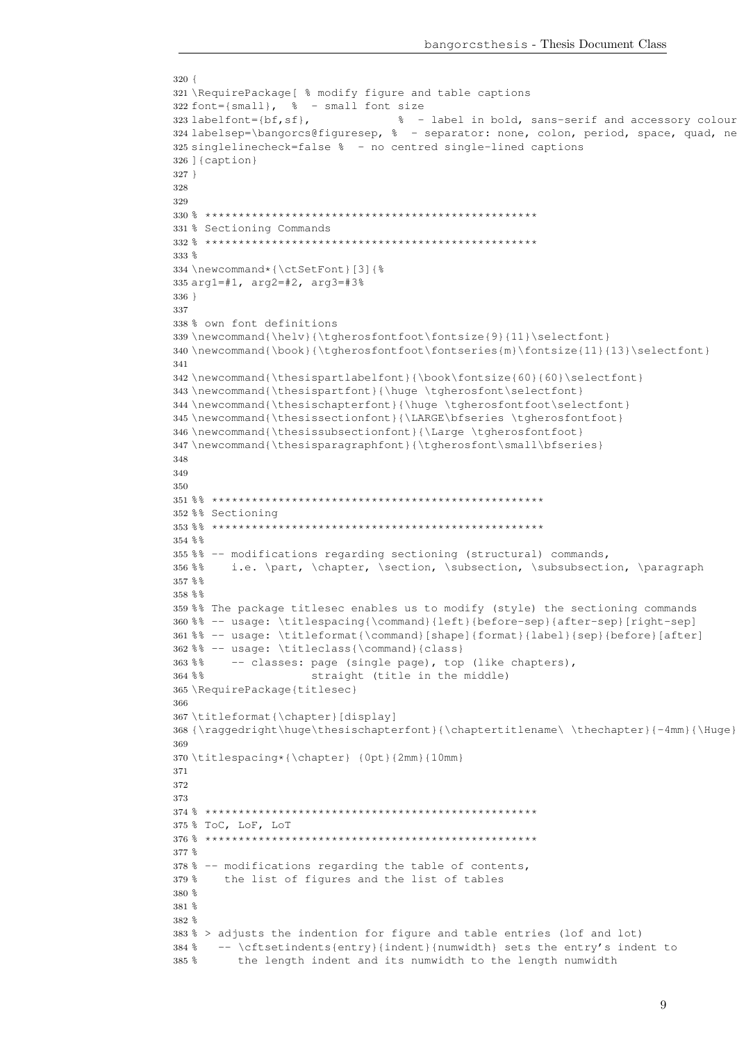```
320 {
321 \RequirePackage[ % modify figure and table captions
322 font={small}, % - small font size
323 labelfont={bf,sf}, % - label in bold, sans-serif and accessory colour
324 labelsep=\bangorcs@figuresep, % - separator: none, colon, period, space, quad, ne
325 singlelinecheck=false % - no centred single-lined captions
326 ]{caption}
327 }
328
329
330 % **************************************************
331 % Sectioning Commands
332 % **************************************************
333 %
334 \newcommand*{\ctSetFont}[3]{%
335 arg1=#1, arg2=#2, arg3=#3%
336 }
337
338 % own font definitions
339 \newcommand{\helv}{\tgherosfontfoot\fontsize{9}{11}\selectfont}
340 \newcommand{\book}{\tgherosfontfoot\fontseries{m}\fontsize{11}{13}\selectfont}
341
342 \newcommand{\thesispartlabelfont}{\book\fontsize{60}{60}\selectfont}
343 \newcommand{\thesispartfont}{\huge \tgherosfont\selectfont}
344 \newcommand{\thesischapterfont}{\huge \tgherosfontfoot\selectfont}
345 \newcommand{\thesissectionfont}{\LARGE\bfseries \tgherosfontfoot}
346 \newcommand{\thesissubsectionfont}{\Large \tgherosfontfoot}
347 \newcommand{\thesisparagraphfont}{\tgherosfont\small\bfseries}
348
349
350
351 %% **************************************************
352 %% Sectioning
353 %% **************************************************
354 %%
355 %% -- modifications regarding sectioning (structural) commands,
356 %% i.e. \part, \chapter, \section, \subsection, \subsubsection, \paragraph
357 %%
358%359 %% The package titlesec enables us to modify (style) the sectioning commands
360 %% -- usage: \titlespacing{\command}{left}{before-sep}{after-sep}[right-sep]
361 %% -- usage: \titleformat{\command}[shape]{format}{label}{sep}{before}[after]
362 %% -- usage: \titleclass{\command}{class}
363 %% -- classes: page (single page), top (like chapters),
364 %% straight (title in the middle)
365 \RequirePackage{titlesec}
366
367 \titleformat{\chapter}[display]
368 {\raggedright\huge\thesischapterfont}{\chaptertitlename\ \thechapter}{-4mm}{\Huge}
369
370 \titlespacing*{\chapter} {0pt}{2mm}{10mm}
371
372
373
374 % **************************************************
375 % ToC, LoF, LoT
376 % **************************************************
377 %
378 % -- modifications regarding the table of contents,
379 % the list of figures and the list of tables
380 %
381 %
382 %
383 % > adjusts the indention for figure and table entries (lof and lot)
384 % -- \cftsetindents{entry}{indent}{numwidth} sets the entry's indent to
385 % the length indent and its numwidth to the length numwidth
```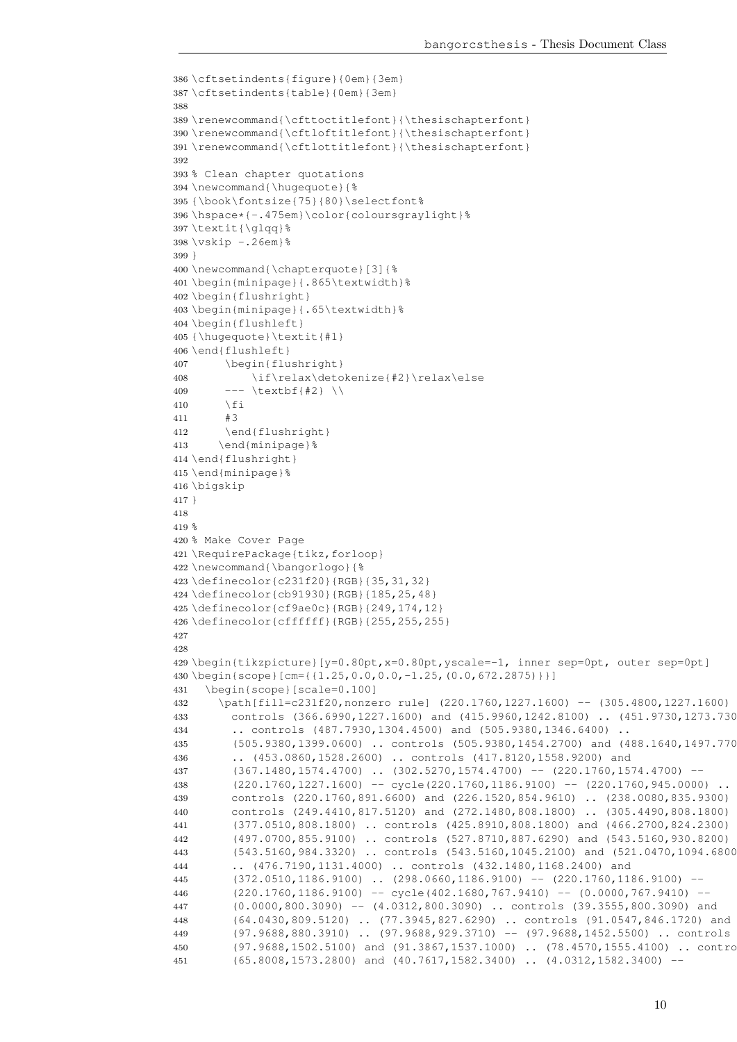```
386 \cftsetindents{figure}{0em}{3em}
387 \cftsetindents{table}{0em}{3em}
388
389 \renewcommand{\cfttoctitlefont}{\thesischapterfont}
390 \renewcommand{\cftloftitlefont}{\thesischapterfont}
391 \renewcommand{\cftlottitlefont}{\thesischapterfont}
392
393 % Clean chapter quotations
394 \newcommand{\hugequote}{%
395 {\book\fontsize{75}{80}\selectfont%
396 \hspace*{-.475em}\color{coloursgraylight}%
397 \textit{\glqq}%
398 \forall x \in -26em}%
399 }
400 \newcommand{\chapterquote}[3]{%
401 \begin{minipage}{.865\textwidth}%
402 \begin{flushright}
403 \begin{minipage}{.65\textwidth}%
404 \begin{flushleft}
405 {\hugequote}\textit{#1}
406 \end{flushleft}
407 \begin{flushright}
408 \if\relax\detokenize{#2}\relax\else
409 --- \text{textbf{#2}} \ \ \ \ \ \410 \fi
411 #3412 \end{flushright}
413 \end{minipage}%
414 \end{flushright}
415 \end{minipage}%
416 \bigskip
417 }
418
419*420 % Make Cover Page
421 \RequirePackage{tikz,forloop}
422 \newcommand{\bangorlogo}{%
423 \definecolor{c231f20}{RGB}{35,31,32}
424 \definecolor{cb91930}{RGB}{185,25,48}
425 \definecolor{cf9ae0c}{RGB}{249,174,12}
426 \definecolor{cffffff}{RGB}{255,255,255}
427
428
429 \begin{tikzpicture}[y=0.80pt,x=0.80pt,yscale=-1, inner sep=0pt, outer sep=0pt]
430 \begin{scope}[cm={{1.25,0.0,0.0,-1.25,(0.0,672.2875)}}]
431 \begin{scope}[scale=0.100]
432 \path[fill=c231f20,nonzero rule] (220.1760,1227.1600) -- (305.4800,1227.1600)
433 controls (366.6990,1227.1600) and (415.9960,1242.8100) .. (451.9730,1273.730
434 .. controls (487.7930,1304.4500) and (505.9380,1346.6400) ..
435 (505.9380,1399.0600) .. controls (505.9380,1454.2700) and (488.1640,1497.7700)
436 .. (453.0860,1528.2600) .. controls (417.8120,1558.9200) and
437 (367.1480,1574.4700) .. (302.5270,1574.4700) -- (220.1760,1574.4700) --
438 (220.1760,1227.1600) -- cycle(220.1760,1186.9100) -- (220.1760,945.0000) ..
439 controls (220.1760,891.6600) and (226.1520,854.9610) .. (238.0080,835.9300)
440 controls (249.4410,817.5120) and (272.1480,808.1800) .. (305.4490,808.1800)
441 (377.0510,808.1800) .. controls (425.8910,808.1800) and (466.2700,824.2300) ..
442 (497.0700,855.9100) .. controls (527.8710,887.6290) and (543.5160,930.8200) ..
443 (543.5160,984.3320) .. controls (543.5160,1045.2100) and (521.0470,1094.6800)
444 .. (476.7190,1131.4000) .. controls (432.1480,1168.2400) and
445 (372.0510,1186.9100) .. (298.0660,1186.9100) -- (220.1760,1186.9100) --
446 (220.1760,1186.9100) -- cycle(402.1680,767.9410) -- (0.0000,767.9410) --
447 (0.0000,800.3090) -- (4.0312,800.3090) .. controls (39.3555,800.3090) and
448 (64.0430,809.5120) .. (77.3945,827.6290) .. controls (91.0547,846.1720) and
449 (97.9688,880.3910) .. (97.9688,929.3710) -- (97.9688,1452.5500) .. controls
450 (97.9688,1502.5100) and (91.3867,1537.1000) .. (78.4570,1555.4100) .. contro
451 (65.8008,1573.2800) and (40.7617,1582.3400) .. (4.0312,1582.3400) --
```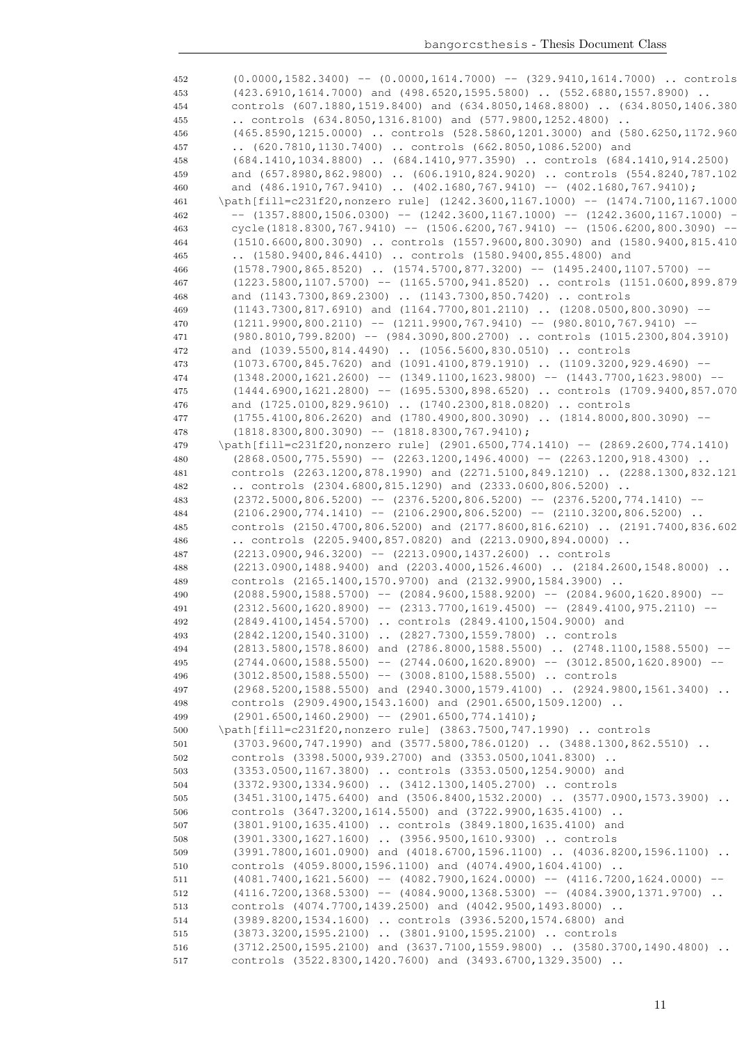(0.0000,1582.3400) -- (0.0000,1614.7000) -- (329.9410,1614.7000) .. controls (423.6910,1614.7000) and (498.6520,1595.5800) .. (552.6880,1557.8900) .. controls (607.1880,1519.8400) and (634.8050,1468.8800) .. (634.8050,1406.3800) .. controls (634.8050,1316.8100) and (577.9800,1252.4800) .. 456 (465.8590,1215.0000) .. controls (528.5860,1201.3000) and (580.6250,1172.960 .. (620.7810,1130.7400) .. controls (662.8050,1086.5200) and (684.1410,1034.8800) .. (684.1410,977.3590) .. controls (684.1410,914.2500) 459 and (657.8980,862.9800) .. (606.1910,824.9020) .. controls (554.8240,787.102 460 and (486.1910,767.9410) .. (402.1680,767.9410) -- (402.1680,767.9410); \path[fill=c231f20,nonzero rule] (1242.3600,1167.1000) -- (1474.7100,1167.1000) -- (1357.8800,1506.0300) -- (1242.3600,1167.1000) -- (1242.3600,1167.1000) -- cycle(1818.8300,767.9410) -- (1506.6200,767.9410) -- (1506.6200,800.3090) -- (1510.6600,800.3090) .. controls (1557.9600,800.3090) and (1580.9400,815.4100) .. (1580.9400,846.4410) .. controls (1580.9400,855.4800) and (1578.7900,865.8520) .. (1574.5700,877.3200) -- (1495.2400,1107.5700) -- 467 (1223.5800,1107.5700) -- (1165.5700,941.8520) .. controls (1151.0600,899.879 and (1143.7300,869.2300) .. (1143.7300,850.7420) .. controls (1143.7300,817.6910) and (1164.7700,801.2110) .. (1208.0500,800.3090) --  $(1211.9900, 800.2110)$  --  $(1211.9900, 767.9410)$  --  $(980.8010, 767.9410)$  -- (980.8010,799.8200) -- (984.3090,800.2700) .. controls (1015.2300,804.3910) and (1039.5500,814.4490) .. (1056.5600,830.0510) .. controls (1073.6700,845.7620) and (1091.4100,879.1910) .. (1109.3200,929.4690) -- (1348.2000,1621.2600) -- (1349.1100,1623.9800) -- (1443.7700,1623.9800) -- (1444.6900,1621.2800) -- (1695.5300,898.6520) .. controls (1709.9400,857.0700) and (1725.0100,829.9610) .. (1740.2300,818.0820) .. controls (1755.4100,806.2620) and (1780.4900,800.3090) .. (1814.8000,800.3090) -- (1818.8300,800.3090) -- (1818.8300,767.9410); 479 \path[fill=c231f20,nonzero rule] (2901.6500,774.1410) -- (2869.2600,774.1410) (2868.0500,775.5590) -- (2263.1200,1496.4000) -- (2263.1200,918.4300) .. controls (2263.1200,878.1990) and (2271.5100,849.1210) .. (2288.1300,832.1210) .. controls (2304.6800,815.1290) and (2333.0600,806.5200) .. 483 (2372.5000,806.5200) -- (2376.5200,806.5200) -- (2376.5200,774.1410) -- (2106.2900,774.1410) -- (2106.2900,806.5200) -- (2110.3200,806.5200) 485 controls (2150.4700,806.5200) and (2177.8600,816.6210) .. (2191.7400,836.602 .. controls (2205.9400,857.0820) and (2213.0900,894.0000) .. (2213.0900,946.3200) -- (2213.0900,1437.2600) .. controls (2213.0900,1488.9400) and (2203.4000,1526.4600) .. (2184.2600,1548.8000) .. controls (2165.1400,1570.9700) and (2132.9900,1584.3900) .. (2088.5900,1588.5700) -- (2084.9600,1588.9200) -- (2084.9600,1620.8900) -- (2312.5600,1620.8900) -- (2313.7700,1619.4500) -- (2849.4100,975.2110) -- (2849.4100,1454.5700) .. controls (2849.4100,1504.9000) and (2842.1200,1540.3100) .. (2827.7300,1559.7800) .. controls (2813.5800,1578.8600) and (2786.8000,1588.5500) .. (2748.1100,1588.5500) -- (2744.0600,1588.5500) -- (2744.0600,1620.8900) -- (3012.8500,1620.8900) -- (3012.8500,1588.5500) -- (3008.8100,1588.5500) .. controls (2968.5200,1588.5500) and (2940.3000,1579.4100) .. (2924.9800,1561.3400) .. controls (2909.4900,1543.1600) and (2901.6500,1509.1200) ..  $(2901.6500, 1460.2900)$  --  $(2901.6500, 774.1410)$ ; \path[fill=c231f20,nonzero rule] (3863.7500,747.1990) .. controls (3703.9600,747.1990) and (3577.5800,786.0120) .. (3488.1300,862.5510) .. controls (3398.5000,939.2700) and (3353.0500,1041.8300) .. (3353.0500,1167.3800) .. controls (3353.0500,1254.9000) and (3372.9300,1334.9600) .. (3412.1300,1405.2700) .. controls (3451.3100,1475.6400) and (3506.8400,1532.2000) .. (3577.0900,1573.3900) .. controls (3647.3200,1614.5500) and (3722.9900,1635.4100) .. (3801.9100,1635.4100) .. controls (3849.1800,1635.4100) and (3901.3300,1627.1600) .. (3956.9500,1610.9300) .. controls (3991.7800,1601.0900) and (4018.6700,1596.1100) .. (4036.8200,1596.1100) .. controls (4059.8000,1596.1100) and (4074.4900,1604.4100) .. (4081.7400,1621.5600) -- (4082.7900,1624.0000) -- (4116.7200,1624.0000) -- (4116.7200,1368.5300) -- (4084.9000,1368.5300) -- (4084.3900,1371.9700) .. controls (4074.7700,1439.2500) and (4042.9500,1493.8000) .. (3989.8200,1534.1600) .. controls (3936.5200,1574.6800) and (3873.3200,1595.2100) .. (3801.9100,1595.2100) .. controls (3712.2500,1595.2100) and (3637.7100,1559.9800) .. (3580.3700,1490.4800) .. controls (3522.8300,1420.7600) and (3493.6700,1329.3500) ..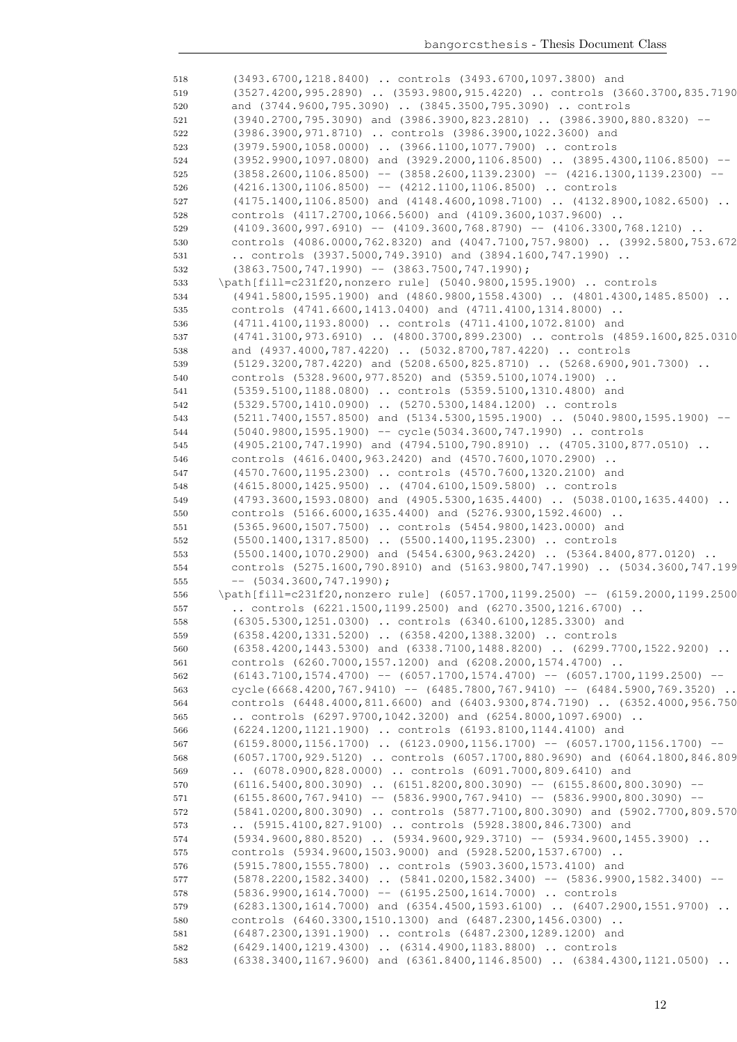(3493.6700,1218.8400) .. controls (3493.6700,1097.3800) and (3527.4200,995.2890) .. (3593.9800,915.4220) .. controls (3660.3700,835.7190) and (3744.9600,795.3090) .. (3845.3500,795.3090) .. controls (3940.2700,795.3090) and (3986.3900,823.2810) .. (3986.3900,880.8320) -- (3986.3900,971.8710) .. controls (3986.3900,1022.3600) and (3979.5900,1058.0000) .. (3966.1100,1077.7900) .. controls (3952.9900,1097.0800) and (3929.2000,1106.8500) .. (3895.4300,1106.8500) -- (3858.2600,1106.8500) -- (3858.2600,1139.2300) -- (4216.1300,1139.2300) -- (4216.1300,1106.8500) -- (4212.1100,1106.8500) .. controls (4175.1400,1106.8500) and (4148.4600,1098.7100) .. (4132.8900,1082.6500) .. controls (4117.2700,1066.5600) and (4109.3600,1037.9600) .. (4109.3600,997.6910) -- (4109.3600,768.8790) -- (4106.3300,768.1210) .. 530 controls (4086.0000,762.8320) and (4047.7100,757.9800) .. (3992.5800,753.672 .. controls (3937.5000,749.3910) and (3894.1600,747.1990) .. 532 (3863.7500,747.1990) -- (3863.7500,747.1990); \path[fill=c231f20,nonzero rule] (5040.9800,1595.1900) .. controls 534 (4941.5800,1595.1900) and (4860.9800,1558.4300) .. (4801.4300,1485.8500) .. controls (4741.6600,1413.0400) and (4711.4100,1314.8000) .. (4711.4100,1193.8000) .. controls (4711.4100,1072.8100) and (4741.3100,973.6910) .. (4800.3700,899.2300) .. controls (4859.1600,825.0310) and (4937.4000,787.4220) .. (5032.8700,787.4220) .. controls 539 (5129.3200,787.4220) and (5208.6500,825.8710) .. (5268.6900,901.7300) .. controls (5328.9600,977.8520) and (5359.5100,1074.1900) .. (5359.5100,1188.0800) .. controls (5359.5100,1310.4800) and (5329.5700,1410.0900) .. (5270.5300,1484.1200) .. controls 543 (5211.7400,1557.8500) and (5134.5300,1595.1900) .. (5040.9800,1595.1900) (5040.9800,1595.1900) -- cycle(5034.3600,747.1990) .. controls (4905.2100,747.1990) and (4794.5100,790.8910) .. (4705.3100,877.0510) .. controls (4616.0400,963.2420) and (4570.7600,1070.2900) .. (4570.7600,1195.2300) .. controls (4570.7600,1320.2100) and (4615.8000,1425.9500) .. (4704.6100,1509.5800) .. controls (4793.3600,1593.0800) and (4905.5300,1635.4400) .. (5038.0100,1635.4400) .. controls (5166.6000,1635.4400) and (5276.9300,1592.4600) .. (5365.9600,1507.7500) .. controls (5454.9800,1423.0000) and (5500.1400,1317.8500) .. (5500.1400,1195.2300) .. controls 553 (5500.1400,1070.2900) and (5454.6300,963.2420) .. (5364.8400,877.0120) .. 554 controls (5275.1600,790.8910) and (5163.9800,747.1990) .. (5034.3600,747.199 --  $(5034.3600, 747.1990)$ ; \path[fill=c231f20,nonzero rule] (6057.1700,1199.2500) -- (6159.2000,1199.2500) .. controls (6221.1500,1199.2500) and (6270.3500,1216.6700) .. (6305.5300,1251.0300) .. controls (6340.6100,1285.3300) and (6358.4200,1331.5200) .. (6358.4200,1388.3200) .. controls (6358.4200,1443.5300) and (6338.7100,1488.8200) .. (6299.7700,1522.9200) .. controls (6260.7000,1557.1200) and (6208.2000,1574.4700) .. (6143.7100,1574.4700) -- (6057.1700,1574.4700) -- (6057.1700,1199.2500) -- cycle(6668.4200,767.9410) -- (6485.7800,767.9410) -- (6484.5900,769.3520) .. controls (6448.4000,811.6600) and (6403.9300,874.7190) .. (6352.4000,956.7500) .. controls (6297.9700,1042.3200) and (6254.8000,1097.6900) .. (6224.1200,1121.1900) .. controls (6193.8100,1144.4100) and 567 (6159.8000,1156.1700) .. (6123.0900,1156.1700) -- (6057.1700,1156.1700) -- (6057.1700,929.5120) .. controls (6057.1700,880.9690) and (6064.1800,846.8090) .. (6078.0900,828.0000) .. controls (6091.7000,809.6410) and 570 (6116.5400,800.3090) .. (6151.8200,800.3090) -- (6155.8600,800.3090) -- (6155.8600,767.9410) -- (5836.9900,767.9410) -- (5836.9900,800.3090) -- (5841.0200,800.3090) .. controls (5877.7100,800.3090) and (5902.7700,809.5700) .. (5915.4100,827.9100) .. controls (5928.3800,846.7300) and 574 (5934.9600,880.8520) .. (5934.9600,929.3710) -- (5934.9600,1455.3900) .. controls (5934.9600,1503.9000) and (5928.5200,1537.6700) .. (5915.7800,1555.7800) .. controls (5903.3600,1573.4100) and 577 (5878.2200,1582.3400) .. (5841.0200,1582.3400) -- (5836.9900,1582.3400) (5836.9900,1614.7000) -- (6195.2500,1614.7000) .. controls (6283.1300,1614.7000) and (6354.4500,1593.6100) .. (6407.2900,1551.9700) .. controls (6460.3300,1510.1300) and (6487.2300,1456.0300) .. (6487.2300,1391.1900) .. controls (6487.2300,1289.1200) and (6429.1400,1219.4300) .. (6314.4900,1183.8800) .. controls 583 (6338.3400,1167.9600) and (6361.8400,1146.8500) .. (6384.4300,1121.0500) ..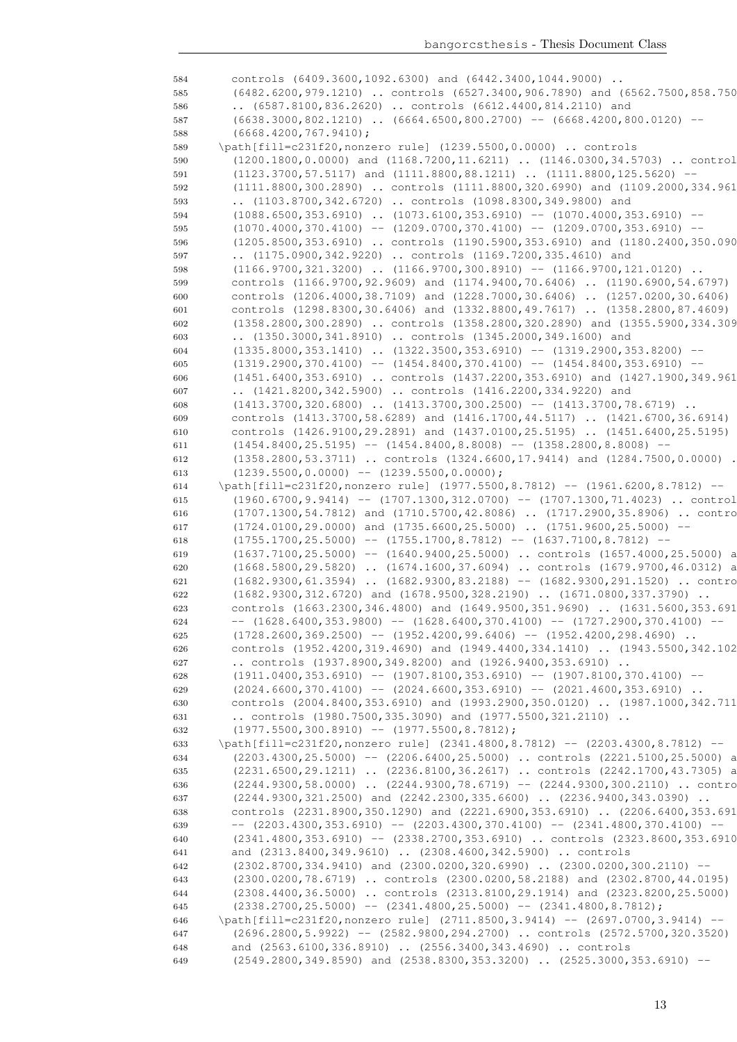584 controls (6409.3600,1092.6300) and (6442.3400,1044.9000) .. 585 (6482.6200,979.1210) .. controls (6527.3400,906.7890) and (6562.7500,858.7500) 586 .. (6587.8100,836.2620) .. controls (6612.4400,814.2110) and 587 (6638.3000,802.1210) .. (6664.6500,800.2700) -- (6668.4200,800.0120) --588 (6668.4200,767.9410); 589 \path[fill=c231f20,nonzero rule] (1239.5500,0.0000) .. controls 590 (1200.1800,0.0000) and (1168.7200,11.6211) .. (1146.0300,34.5703) .. controls 591 (1123.3700,57.5117) and (1111.8800,88.1211) .. (1111.8800,125.5620) -- 592 (1111.8800,300.2890) .. controls (1111.8800,320.6990) and (1109.2000,334.961 593 .. (1103.8700,342.6720) .. controls (1098.8300,349.9800) and 594 (1088.6500,353.6910) .. (1073.6100,353.6910) -- (1070.4000,353.6910) -- $595$  (1070.4000,370.4100) -- (1209.0700,370.4100) -- (1209.0700,353.6910) --596 (1205.8500,353.6910) .. controls (1190.5900,353.6910) and (1180.2400,350.090 597 .. (1175.0900,342.9220) .. controls (1169.7200,335.4610) and 598 (1166.9700,321.3200) .. (1166.9700,300.8910) -- (1166.9700,121.0120) .. 599 controls (1166.9700,92.9609) and (1174.9400,70.6406) .. (1190.6900,54.6797) 600 controls (1206.4000,38.7109) and (1228.7000,30.6406) .. (1257.0200,30.6406) .. 601 controls (1298.8300.30.6406) and (1332.8800.49.7617) .. (1358.2800.87.4609) 602 (1358.2800,300.2890) .. controls (1358.2800,320.2890) and (1355.5900,334.3090) 603 .. (1350.3000,341.8910) .. controls (1345.2000,349.1600) and 604 (1335.8000,353.1410) .. (1322.3500,353.6910) -- (1319.2900,353.8200) --605 (1319.2900,370.4100) -- (1454.8400,370.4100) -- (1454.8400,353.6910) --606 (1451.6400,353.6910) .. controls (1437.2200,353.6910) and (1427.1900,349.9610) 607 .. (1421.8200,342.5900) .. controls (1416.2200,334.9220) and 608 (1413.3700,320.6800) .. (1413.3700,300.2500) -- (1413.3700,78.6719) .. 609 controls (1413.3700,58.6289) and (1416.1700,44.5117) .. (1421.6700,36.6914) 610 controls (1426.9100,29.2891) and (1437.0100,25.5195) .. (1451.6400,25.5195) 611 (1454.8400,25.5195) -- (1454.8400,8.8008) -- (1358.2800,8.8008) --612 (1358.2800,53.3711) .. controls (1324.6600,17.9414) and (1284.7500,0.0000) .. 613  $(1239.5500, 0.0000)$  --  $(1239.5500, 0.0000)$ ; 614 \path[fill=c231f20,nonzero rule] (1977.5500,8.7812) -- (1961.6200,8.7812) -- 615 (1960.6700,9.9414) -- (1707.1300,312.0700) -- (1707.1300,71.4023) .. control 616 (1707.1300,54.7812) and (1710.5700,42.8086) . (1717.2900,35.8906) . contro 617 (1724.0100,29.0000) and (1735.6600,25.5000) .. (1751.9600,25.5000) -- 618 (1755.1700,25.5000) -- (1755.1700,8.7812) -- (1637.7100,8.7812) --619 (1637.7100,25.5000) -- (1640.9400,25.5000) .. controls (1657.4000,25.5000) a 620 (1668.5800,29.5820) .. (1674.1600,37.6094) .. controls (1679.9700,46.0312) a 621 (1682.9300,61.3594) .. (1682.9300,83.2188) -- (1682.9300,291.1520) .. contro 622 (1682.9300,312.6720) and (1678.9500,328.2190) .. (1671.0800,337.3790) .. 623 controls (1663.2300,346.4800) and (1649.9500,351.9690) .. (1631.5600,353.691 624 -- (1628.6400,353.9800) -- (1628.6400,370.4100) -- (1727.2900,370.4100) --625 (1728.2600,369.2500) -- (1952.4200,99.6406) -- (1952.4200,298.4690) .. 626 controls (1952.4200,319.4690) and (1949.4400,334.1410) .. (1943.5500,342.102 627 .. controls (1937.8900,349.8200) and (1926.9400,353.6910) .. 628 (1911.0400,353.6910) -- (1907.8100,353.6910) -- (1907.8100,370.4100) --629  $(2024.6600, 370.4100)$  --  $(2024.6600, 353.6910)$  --  $(2021.4600, 353.6910)$  .. 630 controls (2004.8400,353.6910) and (1993.2900,350.0120) .. (1987.1000,342.7110) 631 .. controls (1980.7500,335.3090) and (1977.5500,321.2110) .. 632 (1977.5500,300.8910) -- (1977.5500,8.7812); 633 \path[fill=c231f20,nonzero rule] (2341.4800,8.7812) -- (2203.4300,8.7812) -- 634 (2203.4300,25.5000) -- (2206.6400,25.5000) .. controls (2221.5100,25.5000) a 635 (2231.6500,29.1211) .. (2236.8100,36.2617) .. controls (2242.1700,43.7305) a 636 (2244.9300,58.0000) .. (2244.9300,78.6719) -- (2244.9300,300.2110) .. contro 637 (2244.9300,321.2500) and (2242.2300,335.6600) .. (2236.9400,343.0390) .. 638 controls (2231.8900,350.1290) and (2221.6900,353.6910) .. (2206.6400,353.6910) 639 --  $(2203.4300,353.6910)$  --  $(2203.4300,370.4100)$  --  $(2341.4800,370.4100)$  --640 (2341.4800,353.6910) -- (2338.2700,353.6910) .. controls (2323.8600,353.6910) 641 and (2313.8400,349.9610) .. (2308.4600,342.5900) .. controls 642 (2302.8700,334.9410) and (2300.0200,320.6990) .. (2300.0200,300.2110) -- 643 (2300.0200,78.6719) .. controls (2300.0200,58.2188) and (2302.8700,44.0195) .. 644 (2308.4400,36.5000) .. controls (2313.8100,29.1914) and (2323.8200,25.5000) .. 645 (2338.2700,25.5000) -- (2341.4800,25.5000) -- (2341.4800,8.7812); 646 \path[fill=c231f20,nonzero rule] (2711.8500,3.9414) -- (2697.0700,3.9414) -- 647 (2696.2800,5.9922) -- (2582.9800,294.2700) .. controls (2572.5700,320.3520) 648 and (2563.6100,336.8910) .. (2556.3400,343.4690) .. controls 649 (2549.2800,349.8590) and (2538.8300,353.3200) .. (2525.3000,353.6910) --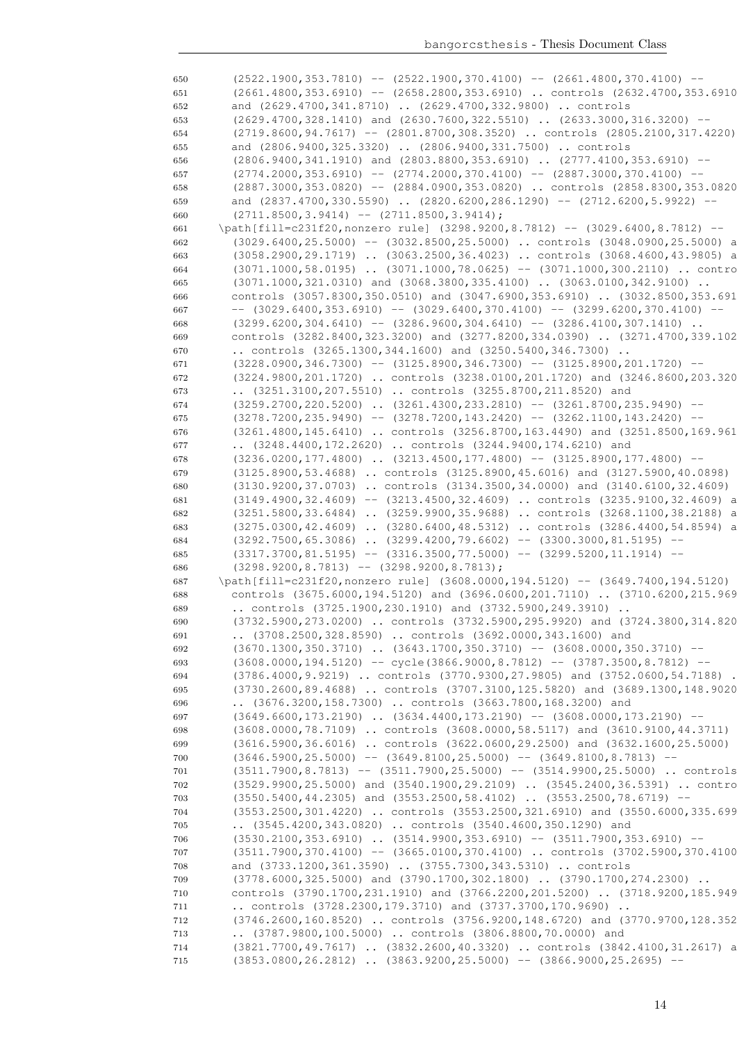$(2522.1900,353.7810)$  --  $(2522.1900,370.4100)$  --  $(2661.4800,370.4100)$  -- (2661.4800,353.6910) -- (2658.2800,353.6910) .. controls (2632.4700,353.6910) and (2629.4700,341.8710) .. (2629.4700,332.9800) .. controls (2629.4700,328.1410) and (2630.7600,322.5510) .. (2633.3000,316.3200) -- (2719.8600,94.7617) -- (2801.8700,308.3520) .. controls (2805.2100,317.4220) and (2806.9400,325.3320) .. (2806.9400,331.7500) .. controls (2806.9400,341.1910) and (2803.8800,353.6910) .. (2777.4100,353.6910) -- 657 (2774.2000,353.6910) -- (2774.2000,370.4100) -- (2887.3000,370.4100) -- (2887.3000,353.0820) -- (2884.0900,353.0820) .. controls (2858.8300,353.0820) 659 and (2837.4700,330.5590) .. (2820.6200,286.1290) -- (2712.6200,5.9922) -- $(2711.8500, 3.9414)$  --  $(2711.8500, 3.9414)$ ; \path[fill=c231f20,nonzero rule] (3298.9200,8.7812) -- (3029.6400,8.7812) -- (3029.6400,25.5000) -- (3032.8500,25.5000) .. controls (3048.0900,25.5000) and (3058.2900,29.1719) .. (3063.2500,36.4023) .. controls (3068.4600,43.9805) and 664 (3071.1000,58.0195) .. (3071.1000,78.0625) -- (3071.1000,300.2110) .. contro (3071.1000,321.0310) and (3068.3800,335.4100) .. (3063.0100,342.9100) .. controls (3057.8300,350.0510) and (3047.6900,353.6910) .. (3032.8500,353.6910) 667 --  $(3029.6400.353.6910)$  --  $(3029.6400.370.4100)$  --  $(3299.6200.370.4100)$  --668 (3299.6200,304.6410) -- (3286.9600,304.6410) -- (3286.4100,307.1410) .. controls (3282.8400,323.3200) and (3277.8200,334.0390) .. (3271.4700,339.1020) .. controls (3265.1300,344.1600) and (3250.5400,346.7300) .. 671 (3228.0900,346.7300) -- (3125.8900,346.7300) -- (3125.8900,201.1720) -- (3224.9800,201.1720) .. controls (3238.0100,201.1720) and (3246.8600,203.3200) .. (3251.3100,207.5510) .. controls (3255.8700,211.8520) and 674 (3259.2700,220.5200) .. (3261.4300,233.2810) -- (3261.8700,235.9490) --675 (3278.7200,235.9490) -- (3278.7200,143.2420) -- (3262.1100,143.2420) --676 (3261.4800,145.6410) .. controls (3256.8700,163.4490) and (3251.8500,169.961 .. (3248.4400,172.2620) .. controls (3244.9400,174.6210) and 678 (3236.0200,177.4800) .. (3213.4500,177.4800) -- (3125.8900,177.4800) -- (3125.8900,53.4688) .. controls (3125.8900,45.6016) and (3127.5900,40.0898) .. 680 (3130.9200,37.0703) .. controls (3134.3500,34.0000) and (3140.6100,32.4609) 681 (3149.4900,32.4609) -- (3213.4500,32.4609) .. controls (3235.9100,32.4609) and 682 (3251.5800,33.6484) .. (3259.9900,35.9688) .. controls (3268.1100,38.2188) a 683 (3275.0300,42.4609) .. (3280.6400,48.5312) .. controls (3286.4400,54.8594) and (3292.7500,65.3086) .. (3299.4200,79.6602) -- (3300.3000,81.5195) -- 685 (3317.3700,81.5195) -- (3316.3500,77.5000) -- (3299.5200,11.1914) -- (3298.9200,8.7813) -- (3298.9200,8.7813); 687 \path[fill=c231f20,nonzero rule]  $(3608.0000,194.5120)$  --  $(3649.7400,194.5120)$ 688 controls (3675.6000,194.5120) and (3696.0600,201.7110) .. (3710.6200,215.969 .. controls (3725.1900,230.1910) and (3732.5900,249.3910) .. (3732.5900,273.0200) .. controls (3732.5900,295.9920) and (3724.3800,314.8200) .. (3708.2500,328.8590) .. controls (3692.0000,343.1600) and (3670.1300,350.3710) .. (3643.1700,350.3710) -- (3608.0000,350.3710) -- 693 (3608.0000,194.5120) -- cycle(3866.9000,8.7812) -- (3787.3500,8.7812) -- (3786.4000,9.9219) .. controls (3770.9300,27.9805) and (3752.0600,54.7188) .. (3730.2600,89.4688) .. controls (3707.3100,125.5820) and (3689.1300,148.9020) .. (3676.3200,158.7300) .. controls (3663.7800,168.3200) and (3649.6600,173.2190) .. (3634.4400,173.2190) -- (3608.0000,173.2190) -- 698 (3608.0000,78.7109) .. controls (3608.0000,58.5117) and (3610.9100,44.3711) 699 (3616.5900,36.6016) .. controls (3622.0600,29.2500) and (3632.1600,25.5000) (3646.5900,25.5000) -- (3649.8100,25.5000) -- (3649.8100,8.7813) -- (3511.7900,8.7813) -- (3511.7900,25.5000) -- (3514.9900,25.5000) .. controls 702 (3529.9900,25.5000) and (3540.1900,29.2109) .. (3545.2400,36.5391) .. contro (3550.5400,44.2305) and (3553.2500,58.4102) .. (3553.2500,78.6719) -- (3553.2500,301.4220) .. controls (3553.2500,321.6910) and (3550.6000,335.6990) .. (3545.4200,343.0820) .. controls (3540.4600,350.1290) and 706 (3530.2100,353.6910) .. (3514.9900,353.6910) -- (3511.7900,353.6910) -- (3511.7900,370.4100) -- (3665.0100,370.4100) .. controls (3702.5900,370.4100) and (3733.1200,361.3590) .. (3755.7300,343.5310) .. controls (3778.6000,325.5000) and (3790.1700,302.1800) .. (3790.1700,274.2300) .. controls (3790.1700,231.1910) and (3766.2200,201.5200) .. (3718.9200,185.9490) .. controls (3728.2300,179.3710) and (3737.3700,170.9690) .. (3746.2600,160.8520) .. controls (3756.9200,148.6720) and (3770.9700,128.3520) .. (3787.9800,100.5000) .. controls (3806.8800,70.0000) and 714 (3821.7700,49.7617) .. (3832.2600,40.3320) .. controls (3842.4100,31.2617) a (3853.0800,26.2812) .. (3863.9200,25.5000) -- (3866.9000,25.2695) --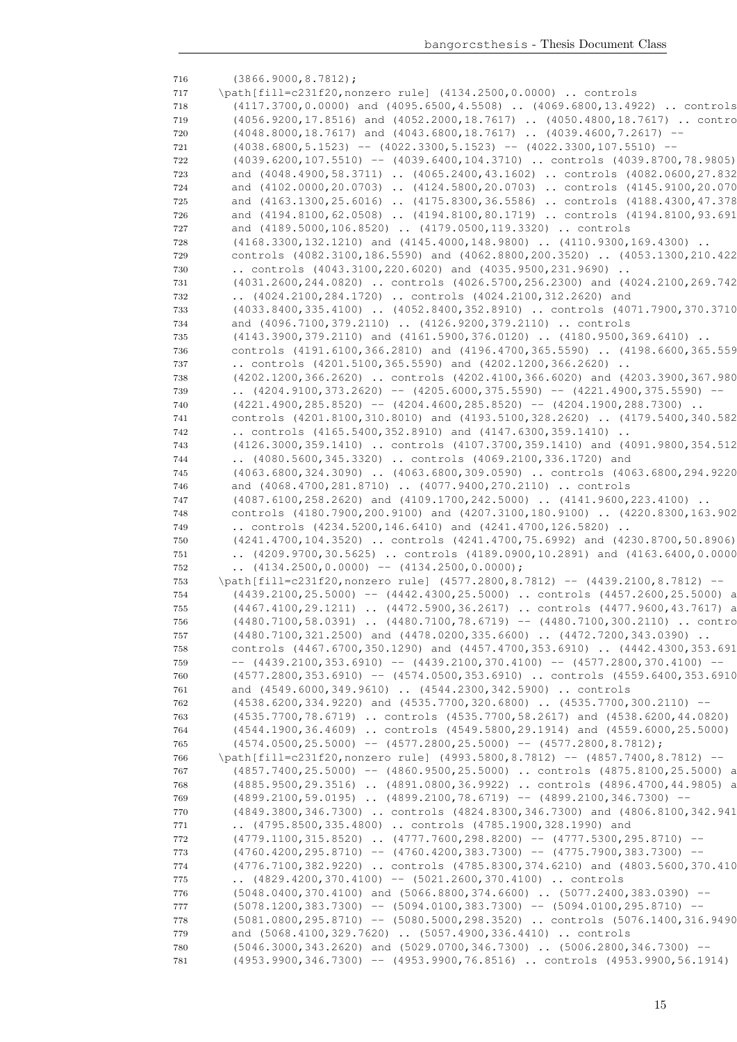| 716 | $(3866.9000, 8.7812)$ ;                                                            |
|-----|------------------------------------------------------------------------------------|
| 717 | \path[fill=c231f20, nonzero rule] (4134.2500, 0.0000)  controls                    |
| 718 | (4117.3700,0.0000) and (4095.6500,4.5508)  (4069.6800,13.4922)  controls           |
| 719 | (4056.9200,17.8516) and (4052.2000,18.7617)  (4050.4800,18.7617)  contro           |
| 720 | (4048.8000,18.7617) and (4043.6800,18.7617)  (4039.4600,7.2617) --                 |
| 721 | $(4038.6800, 5.1523)$ -- $(4022.3300, 5.1523)$ -- $(4022.3300, 107.5510)$ --       |
| 722 | (4039.6200,107.5510) -- (4039.6400,104.3710)  controls (4039.8700,78.9805)         |
| 723 | and (4048.4900,58.3711)  (4065.2400,43.1602)  controls (4082.0600,27.832           |
| 724 | and (4102.0000,20.0703)  (4124.5800,20.0703)  controls (4145.9100,20.070           |
| 725 | and (4163.1300,25.6016)  (4175.8300,36.5586)  controls (4188.4300,47.378           |
| 726 | and (4194.8100,62.0508)  (4194.8100,80.1719)  controls (4194.8100,93.691           |
| 727 | and (4189.5000,106.8520)  (4179.0500,119.3320)  controls                           |
| 728 | (4168.3300,132.1210) and (4145.4000,148.9800)  (4110.9300,169.4300)                |
| 729 | controls (4082.3100,186.5590) and (4062.8800,200.3520)  (4053.1300,210.422         |
| 730 | controls $(4043.3100, 220.6020)$ and $(4035.9500, 231.9690)$ .                     |
| 731 | (4031.2600,244.0820)  controls (4026.5700,256.2300) and (4024.2100,269.742         |
| 732 | (4024.2100,284.1720)  controls (4024.2100,312.2620) and                            |
| 733 | (4033.8400,335.4100)  (4052.8400,352.8910)  controls (4071.7900,370.3710           |
| 734 | and (4096.7100,379.2110)  (4126.9200,379.2110)  controls                           |
| 735 | $(4143.3900, 379.2110)$ and $(4161.5900, 376.0120)$ $(4180.9500, 369.6410)$        |
| 736 | controls (4191.6100,366.2810) and (4196.4700,365.5590)  (4198.6600,365.559         |
| 737 | controls (4201.5100,365.5590) and (4202.1200,366.2620)                             |
| 738 | (4202.1200,366.2620)  controls (4202.4100,366.6020) and (4203.3900,367.980         |
| 739 | $(4204.9100, 373.2620)$ -- $(4205.6000, 375.5590)$ -- $(4221.4900, 375.5590)$ --   |
| 740 | $(4221.4900, 285.8520)$ -- $(4204.4600, 285.8520)$ -- $(4204.1900, 288.7300)$      |
| 741 | controls (4201.8100,310.8010) and (4193.5100,328.2620)  (4179.5400,340.582         |
| 742 | controls $(4165.5400, 352.8910)$ and $(4147.6300, 359.1410)$                       |
| 743 | (4126.3000,359.1410)  controls (4107.3700,359.1410) and (4091.9800,354.512         |
| 744 | (4080.5600,345.3320)  controls (4069.2100,336.1720) and                            |
| 745 | (4063.6800,324.3090)  (4063.6800,309.0590)  controls (4063.6800,294.9220           |
| 746 | and (4068.4700,281.8710)  (4077.9400,270.2110)  controls                           |
| 747 | (4087.6100,258.2620) and (4109.1700,242.5000)  (4141.9600,223.4100)                |
| 748 | controls (4180.7900,200.9100) and (4207.3100,180.9100)  (4220.8300,163.902         |
| 749 | controls $(4234.5200, 146.6410)$ and $(4241.4700, 126.5820)$ .                     |
| 750 | (4241.4700,104.3520)  controls (4241.4700,75.6992) and (4230.8700,50.8906)         |
| 751 | (4209.9700,30.5625)  controls (4189.0900,10.2891) and (4163.6400,0.0000            |
| 752 | $(4134.2500, 0.0000)$ -- $(4134.2500, 0.0000)$ ;                                   |
| 753 | \path[fill=c231f20, nonzero rule] (4577.2800, 8.7812) -- (4439.2100, 8.7812) --    |
| 754 | (4439.2100,25.5000) -- (4442.4300,25.5000)  controls (4457.2600,25.5000) a         |
| 755 | (4467.4100,29.1211)  (4472.5900,36.2617)  controls (4477.9600,43.7617) a           |
| 756 | (4480.7100,58.0391)  (4480.7100,78.6719) -- (4480.7100,300.2110)  contro           |
| 757 | (4480.7100,321.2500) and (4478.0200,335.6600)  (4472.7200,343.0390)                |
| 758 | controls (4467.6700,350.1290) and (4457.4700,353.6910)  (4442.4300,353.691         |
| 759 | $-$ (4439.2100,353.6910) $-$ (4439.2100,370.4100) $-$ (4577.2800,370.4100) $-$     |
| 760 | (4577.2800,353.6910) -- (4574.0500,353.6910)  controls (4559.6400,353.6910         |
| 761 | and (4549.6000,349.9610)  (4544.2300,342.5900)  controls                           |
| 762 | (4538.6200,334.9220) and (4535.7700,320.6800)  (4535.7700,300.2110) --             |
| 763 | (4535.7700,78.6719)  controls (4535.7700,58.2617) and (4538.6200,44.0820)          |
| 764 | (4544.1900,36.4609)  controls (4549.5800,29.1914) and (4559.6000,25.5000)          |
| 765 | $(4574.0500, 25.5000)$ -- $(4577.2800, 25.5000)$ -- $(4577.2800, 8.7812)$ ;        |
| 766 | \path[fill=c231f20, nonzero rule] (4993.5800, 8.7812) -- (4857.7400, 8.7812) --    |
| 767 | $(4857.7400, 25.5000)$ -- $(4860.9500, 25.5000)$ controls $(4875.8100, 25.5000)$ a |
| 768 | (4885.9500,29.3516)  (4891.0800,36.9922)  controls (4896.4700,44.9805) a           |
| 769 | $(4899.2100, 59.0195)$ $(4899.2100, 78.6719)$ -- $(4899.2100, 346.7300)$ --        |
| 770 | (4849.3800,346.7300)  controls (4824.8300,346.7300) and (4806.8100,342.941         |
| 771 | (4795.8500,335.4800)  controls (4785.1900,328.1990) and                            |
| 772 | $(4779.1100, 315.8520)$ $(4777.7600, 298.8200)$ -- $(4777.5300, 295.8710)$ --      |
| 773 | $(4760.4200, 295.8710)$ -- $(4760.4200, 383.7300)$ -- $(4775.7900, 383.7300)$ --   |
| 774 | (4776.7100,382.9220)  controls (4785.8300,374.6210) and (4803.5600,370.410         |
| 775 | $\ldots$ (4829.4200,370.4100) -- (5021.2600,370.4100)  controls                    |
| 776 | $(5048.0400, 370.4100)$ and $(5066.8800, 374.6600)$ $(5077.2400, 383.0390)$ --     |
| 777 | $(5078.1200, 383.7300)$ -- $(5094.0100, 383.7300)$ -- $(5094.0100, 295.8710)$ --   |
| 778 | (5081.0800,295.8710) -- (5080.5000,298.3520)  controls (5076.1400,316.9490         |
| 779 | and (5068.4100,329.7620)  (5057.4900,336.4410)  controls                           |
| 780 | $(5046.3000, 343.2620)$ and $(5029.0700, 346.7300)$ $(5006.2800, 346.7300)$ --     |
| 781 | (4953.9900,346.7300) -- (4953.9900,76.8516)  controls (4953.9900,56.1914)          |
|     |                                                                                    |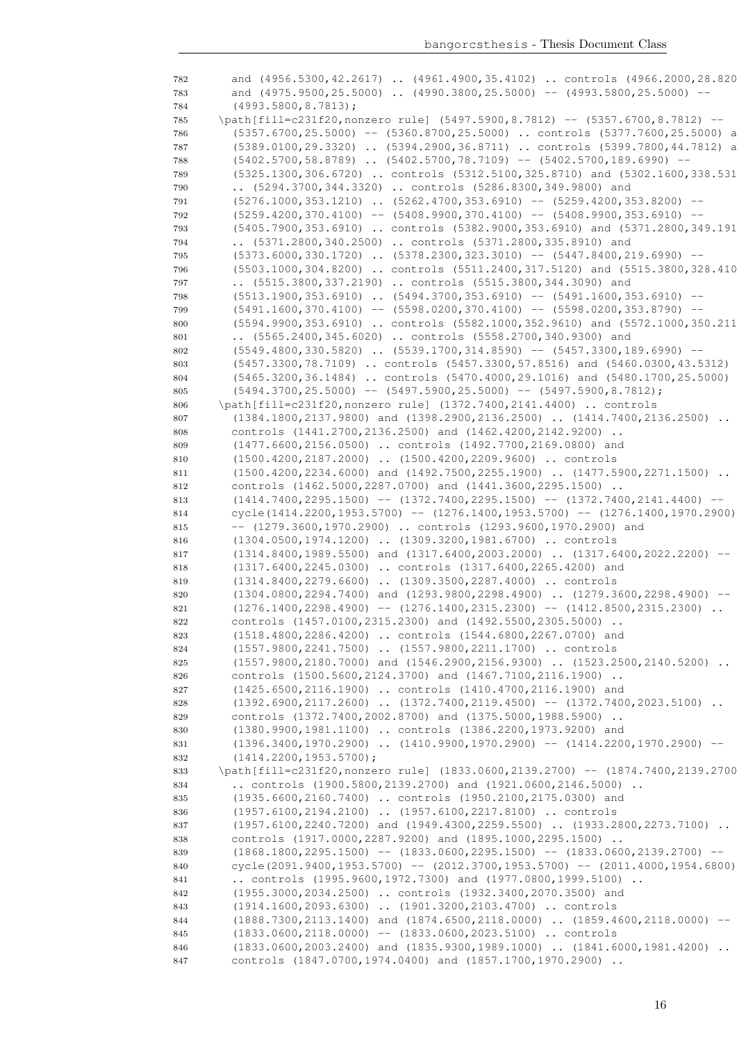| 782        | and (4956.5300,42.2617)  (4961.4900,35.4102)  controls (4966.2000,28.820                                                                                |
|------------|---------------------------------------------------------------------------------------------------------------------------------------------------------|
| 783        | and $(4975.9500, 25.5000)$ $(4990.3800, 25.5000)$ -- $(4993.5800, 25.5000)$ --                                                                          |
| 784        | $(4993.5800, 8.7813)$ ;                                                                                                                                 |
| 785        | \path[fill=c231f20, nonzero rule] (5497.5900, 8.7812) -- (5357.6700, 8.7812) --                                                                         |
| 786        | (5357.6700,25.5000) -- (5360.8700,25.5000)  controls (5377.7600,25.5000) a                                                                              |
| 787        | (5389.0100,29.3320)  (5394.2900,36.8711)  controls (5399.7800,44.7812) a<br>$(5402.5700, 58.8789)$ $(5402.5700, 78.7109)$ -- $(5402.5700, 189.6990)$ -- |
| 788<br>789 | (5325.1300,306.6720)  controls (5312.5100,325.8710) and (5302.1600,338.531                                                                              |
| 790        | (5294.3700,344.3320)  controls (5286.8300,349.9800) and                                                                                                 |
| 791        | $(5276.1000, 353.1210)$ $(5262.4700, 353.6910)$ -- $(5259.4200, 353.8200)$ --                                                                           |
| 792        | $(5259.4200, 370.4100)$ -- $(5408.9900, 370.4100)$ -- $(5408.9900, 353.6910)$ --                                                                        |
| 793        | (5405.7900,353.6910)  controls (5382.9000,353.6910) and (5371.2800,349.191                                                                              |
| 794        | (5371.2800,340.2500)  controls (5371.2800,335.8910) and                                                                                                 |
| 795        | $(5373.6000, 330.1720)$ $(5378.2300, 323.3010)$ -- $(5447.8400, 219.6990)$ --                                                                           |
| 796        | (5503.1000,304.8200)  controls (5511.2400,317.5120) and (5515.3800,328.410                                                                              |
| 797        | (5515.3800,337.2190)  controls (5515.3800,344.3090) and                                                                                                 |
| 798        | $(5513.1900, 353.6910)$ $(5494.3700, 353.6910)$ -- $(5491.1600, 353.6910)$ --                                                                           |
| 799        | $(5491.1600, 370.4100)$ -- $(5598.0200, 370.4100)$ -- $(5598.0200, 353.8790)$ --                                                                        |
| 800        | (5594.9900,353.6910)  controls (5582.1000,352.9610) and (5572.1000,350.211                                                                              |
| 801        | (5565.2400,345.6020)  controls (5558.2700,340.9300) and                                                                                                 |
| 802        | $(5549.4800, 330.5820)$ $(5539.1700, 314.8590)$ -- $(5457.3300, 189.6990)$ --                                                                           |
| 803        | (5457.3300,78.7109)  controls (5457.3300,57.8516) and (5460.0300,43.5312)                                                                               |
| 804        | (5465.3200,36.1484)  controls (5470.4000,29.1016) and (5480.1700,25.5000)                                                                               |
| 805        | $(5494.3700, 25.5000)$ -- $(5497.5900, 25.5000)$ -- $(5497.5900, 8.7812)$ ;<br>\path[fill=c231f20, nonzero rule] (1372.7400, 2141.4400)  controls       |
| 806        | $(1384.1800, 2137.9800)$ and $(1398.2900, 2136.2500)$ $(1414.7400, 2136.2500)$                                                                          |
| 807<br>808 | $\ddots$<br>controls (1441.2700,2136.2500) and (1462.4200,2142.9200)                                                                                    |
| 809        | (1477.6600, 2156.0500)  controls (1492.7700, 2169.0800) and                                                                                             |
| 810        | (1500.4200,2187.2000)  (1500.4200,2209.9600)  controls                                                                                                  |
| 811        | $(1500.4200, 2234.6000)$ and $(1492.7500, 2255.1900)$ $(1477.5900, 2271.1500)$                                                                          |
| 812        | controls (1462.5000,2287.0700) and (1441.3600,2295.1500)                                                                                                |
| 813        | $(1414.7400, 2295.1500)$ -- $(1372.7400, 2295.1500)$ -- $(1372.7400, 2141.4400)$ --                                                                     |
| 814        | $cycle(1414.2200, 1953.5700) -- (1276.1400, 1953.5700) -- (1276.1400, 1970.2900)$                                                                       |
| 815        | $-$ (1279.3600,1970.2900)  controls (1293.9600,1970.2900) and                                                                                           |
| 816        | $(1304.0500, 1974.1200)$ $(1309.3200, 1981.6700)$ controls                                                                                              |
| 817        | $(1314.8400, 1989.5500)$ and $(1317.6400, 2003.2000)$ $(1317.6400, 2022.2200)$ --                                                                       |
| 818        | (1317.6400,2245.0300)  controls (1317.6400,2265.4200) and                                                                                               |
| 819        | (1314.8400,2279.6600)  (1309.3500,2287.4000)  controls                                                                                                  |
| 820        | $(1304.0800, 2294.7400)$ and $(1293.9800, 2298.4900)$ $(1279.3600, 2298.4900)$ --                                                                       |
| 821        | $(1276.1400, 2298.4900)$ -- $(1276.1400, 2315.2300)$ -- $(1412.8500, 2315.2300)$<br>controls (1457.0100,2315.2300) and (1492.5500,2305.5000)            |
| 822<br>823 | (1518.4800,2286.4200)  controls (1544.6800,2267.0700) and                                                                                               |
| 824        | $(1557.9800, 2241.7500)$ $(1557.9800, 2211.1700)$ controls                                                                                              |
| 825        | (1557.9800,2180.7000) and (1546.2900,2156.9300)  (1523.2500,2140.5200)                                                                                  |
| 826        | controls (1500.5600, 2124.3700) and (1467.7100, 2116.1900)                                                                                              |
| 827        | (1425.6500, 2116.1900)  controls (1410.4700, 2116.1900) and                                                                                             |
| 828        | $(1392.6900, 2117.2600)$ $(1372.7400, 2119.4500)$ -- $(1372.7400, 2023.5100)$                                                                           |
| 829        | controls (1372.7400,2002.8700) and (1375.5000,1988.5900)                                                                                                |
| 830        | (1380.9900,1981.1100)  controls (1386.2200,1973.9200) and                                                                                               |
| 831        | $(1396.3400, 1970.2900)$ $(1410.9900, 1970.2900)$ -- $(1414.2200, 1970.2900)$ --                                                                        |
| 832        | $(1414.2200, 1953.5700)$ ;                                                                                                                              |
| 833        | \path[fill=c231f20, nonzero rule] (1833.0600, 2139.2700) -- (1874.7400, 2139.2700                                                                       |
| 834        | controls $(1900.5800, 2139.2700)$ and $(1921.0600, 2146.5000)$                                                                                          |
| 835        | (1935.6600, 2160.7400)  controls (1950.2100, 2175.0300) and                                                                                             |
| 836        | (1957.6100,2194.2100)  (1957.6100,2217.8100)  controls<br>(1957.6100,2240.7200) and (1949.4300,2259.5500)  (1933.2800,2273.7100)                        |
| 837<br>838 | controls (1917.0000, 2287.9200) and (1895.1000, 2295.1500)                                                                                              |
| 839        | $(1868.1800, 2295.1500)$ -- $(1833.0600, 2295.1500)$ -- $(1833.0600, 2139.2700)$ --                                                                     |
| 840        | $cycle (2091.9400, 1953.5700) -- (2012.3700, 1953.5700) -- (2011.4000, 1954.6800)$                                                                      |
| 841        | controls $(1995.9600, 1972.7300)$ and $(1977.0800, 1999.5100)$                                                                                          |
| 842        | (1955.3000,2034.2500)  controls (1932.3400,2070.3500) and                                                                                               |
| 843        | (1914.1600,2093.6300)  (1901.3200,2103.4700)  controls                                                                                                  |
| 844        | (1888.7300,2113.1400) and (1874.6500,2118.0000)  (1859.4600,2118.0000)                                                                                  |
| 845        | $(1833.0600, 2118.0000)$ -- $(1833.0600, 2023.5100)$ controls                                                                                           |
| 846        | $(1833.0600, 2003.2400)$ and $(1835.9300, 1989.1000)$ $(1841.6000, 1981.4200)$                                                                          |
| 847        | controls (1847.0700,1974.0400) and (1857.1700,1970.2900)                                                                                                |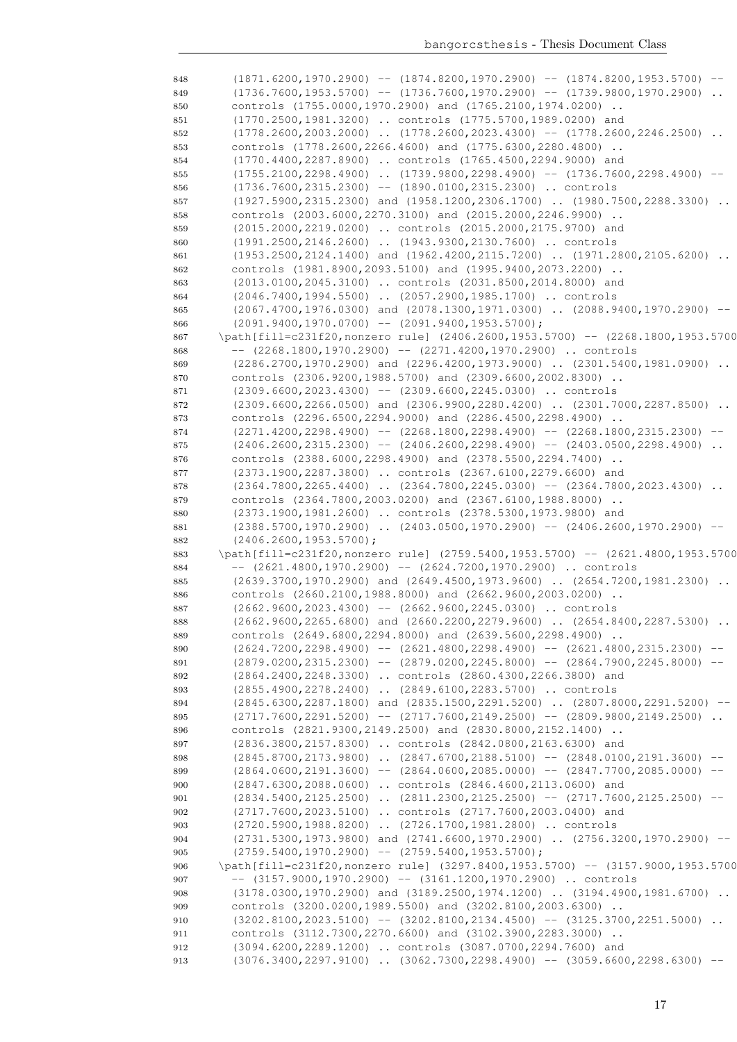| 848        | $(1871.6200, 1970.2900)$ -- $(1874.8200, 1970.2900)$ -- $(1874.8200, 1953.5700)$ --                             |
|------------|-----------------------------------------------------------------------------------------------------------------|
| 849        | $(1736.7600, 1953.5700)$ -- $(1736.7600, 1970.2900)$ -- $(1739.9800, 1970.2900)$ .                              |
| 850        | controls (1755.0000,1970.2900) and (1765.2100,1974.0200)                                                        |
| 851        | (1770.2500,1981.3200)  controls (1775.5700,1989.0200) and                                                       |
| 852        | $(1778.2600, 2003.2000)$ $(1778.2600, 2023.4300)$ -- $(1778.2600, 2246.2500)$                                   |
| 853        | controls (1778.2600,2266.4600) and (1775.6300,2280.4800)                                                        |
| 854        | (1770.4400,2287.8900)  controls (1765.4500,2294.9000) and                                                       |
| 855        | $(1755.2100, 2298.4900)$ $(1739.9800, 2298.4900)$ -- $(1736.7600, 2298.4900)$<br>$--$                           |
| 856        | $(1736.7600, 2315.2300)$ -- $(1890.0100, 2315.2300)$ controls                                                   |
| 857        | $(1927.5900, 2315.2300)$ and $(1958.1200, 2306.1700)$ $(1980.7500, 2288.3300)$                                  |
| 858        | controls (2003.6000, 2270.3100) and (2015.2000, 2246.9900)                                                      |
| 859        | (2015.2000,2219.0200)  controls (2015.2000,2175.9700) and                                                       |
| 860        | (1991.2500,2146.2600)  (1943.9300,2130.7600)  controls                                                          |
| 861        | $(1953.2500, 2124.1400)$ and $(1962.4200, 2115.7200)$ $(1971.2800, 2105.6200)$                                  |
| 862        | controls (1981.8900,2093.5100) and (1995.9400,2073.2200)                                                        |
| 863        | (2013.0100,2045.3100)  controls (2031.8500,2014.8000) and                                                       |
| 864        | (2046.7400,1994.5500)  (2057.2900,1985.1700)  controls                                                          |
| 865        | $(2067.4700, 1976.0300)$ and $(2078.1300, 1971.0300)$ $(2088.9400, 1970.2900)$ --                               |
| 866        | $(2091.9400, 1970.0700)$ -- $(2091.9400, 1953.5700)$ ;                                                          |
| 867        | \path[fill=c231f20,nonzero rule] (2406.2600,1953.5700) -- (2268.1800,1953.5700                                  |
| 868        | $-$ (2268.1800,1970.2900) $-$ (2271.4200,1970.2900)  controls                                                   |
| 869        | $(2286.2700, 1970.2900)$ and $(2296.4200, 1973.9000)$ $(2301.5400, 1981.0900)$                                  |
| 870        | controls (2306.9200,1988.5700) and (2309.6600,2002.8300)                                                        |
| 871        | $(2309.6600, 2023.4300)$ -- $(2309.6600, 2245.0300)$ controls                                                   |
| 872        | (2309.6600,2266.0500) and (2306.9900,2280.4200)  (2301.7000,2287.8500)                                          |
| 873        | controls (2296.6500, 2294.9000) and (2286.4500, 2298.4900)                                                      |
| 874        | $(2271.4200, 2298.4900)$ -- $(2268.1800, 2298.4900)$ -- $(2268.1800, 2315.2300)$ --                             |
| 875        | $(2406.2600, 2315.2300)$ -- $(2406.2600, 2298.4900)$ -- $(2403.0500, 2298.4900)$                                |
| 876        | controls (2388.6000, 2298.4900) and (2378.5500, 2294.7400)                                                      |
| 877        | (2373.1900, 2287.3800)  controls (2367.6100, 2279.6600) and                                                     |
| 878        | $(2364.7800, 2265.4400)$ $(2364.7800, 2245.0300)$ -- $(2364.7800, 2023.4300)$                                   |
| 879        | controls (2364.7800,2003.0200) and (2367.6100,1988.8000)                                                        |
| 880        | (2373.1900,1981.2600)  controls (2378.5300,1973.9800) and                                                       |
| 881        | $(2388.5700, 1970.2900)$ $(2403.0500, 1970.2900)$ -- $(2406.2600, 1970.2900)$ --                                |
| 882        | $(2406.2600, 1953.5700)$ ;<br>\path[fill=c231f20, nonzero rule] (2759.5400, 1953.5700) -- (2621.4800, 1953.5700 |
| 883        | $--$ (2621.4800,1970.2900) $--$ (2624.7200,1970.2900)  controls                                                 |
| 884<br>885 | (2639.3700,1970.2900) and (2649.4500,1973.9600)  (2654.7200,1981.2300)                                          |
| 886        | controls (2660.2100,1988.8000) and (2662.9600,2003.0200)                                                        |
| 887        | $(2662.9600, 2023.4300)$ -- $(2662.9600, 2245.0300)$ controls                                                   |
| 888        | (2662.9600,2265.6800) and (2660.2200,2279.9600)  (2654.8400,2287.5300)                                          |
| 889        | controls (2649.6800, 2294.8000) and (2639.5600, 2298.4900)                                                      |
| 890        | $(2624.7200, 2298.4900)$ -- $(2621.4800, 2298.4900)$ -- $(2621.4800, 2315.2300)$ --                             |
| 891        | $(2879.0200, 2315.2300)$ -- $(2879.0200, 2245.8000)$ -- $(2864.7900, 2245.8000)$ --                             |
| 892        | (2864.2400,2248.3300)  controls (2860.4300,2266.3800) and                                                       |
| 893        | (2855.4900, 2278.2400)  (2849.6100, 2283.5700)  controls                                                        |
| 894        | (2845.6300,2287.1800) and (2835.1500,2291.5200)  (2807.8000,2291.5200) --                                       |
| 895        | $(2717.7600, 2291.5200)$ -- $(2717.7600, 2149.2500)$ -- $(2809.9800, 2149.2500)$                                |
| 896        | controls (2821.9300, 2149.2500) and (2830.8000, 2152.1400)                                                      |
| 897        | (2836.3800, 2157.8300)  controls (2842.0800, 2163.6300) and                                                     |
| 898        | $(2845.8700, 2173.9800)$ $(2847.6700, 2188.5100)$ -- $(2848.0100, 2191.3600)$ --                                |
| 899        | $(2864.0600, 2191.3600)$ -- $(2864.0600, 2085.0000)$ -- $(2847.7700, 2085.0000)$ --                             |
| 900        | (2847.6300,2088.0600)  controls (2846.4600,2113.0600) and                                                       |
| 901        | $(2834.5400, 2125.2500)$ $(2811.2300, 2125.2500)$ -- $(2717.7600, 2125.2500)$ --                                |
| 902        | (2717.7600,2023.5100)  controls (2717.7600,2003.0400) and                                                       |
| 903        | (2720.5900,1988.8200)  (2726.1700,1981.2800)  controls                                                          |
| 904        | $(2731.5300, 1973.9800)$ and $(2741.6600, 1970.2900)$ $(2756.3200, 1970.2900)$ --                               |
| 905        | $(2759.5400, 1970.2900)$ -- $(2759.5400, 1953.5700)$ ;                                                          |
| 906        | \path[fill=c231f20, nonzero rule] (3297.8400, 1953.5700) -- (3157.9000, 1953.5700                               |
| 907        | $--$ (3157.9000,1970.2900) $--$ (3161.1200,1970.2900)  controls                                                 |
| 908        | (3178.0300,1970.2900) and (3189.2500,1974.1200)  (3194.4900,1981.6700)                                          |
| 909        | controls (3200.0200,1989.5500) and (3202.8100,2003.6300)                                                        |
| 910        | $(3202.8100, 2023.5100)$ -- $(3202.8100, 2134.4500)$ -- $(3125.3700, 2251.5000)$                                |
| 911        | controls (3112.7300,2270.6600) and (3102.3900,2283.3000)                                                        |
| 912        | (3094.6200,2289.1200)  controls (3087.0700,2294.7600) and                                                       |
| 913        | $(3076.3400, 2297.9100)$ $(3062.7300, 2298.4900)$ -- $(3059.6600, 2298.6300)$ --                                |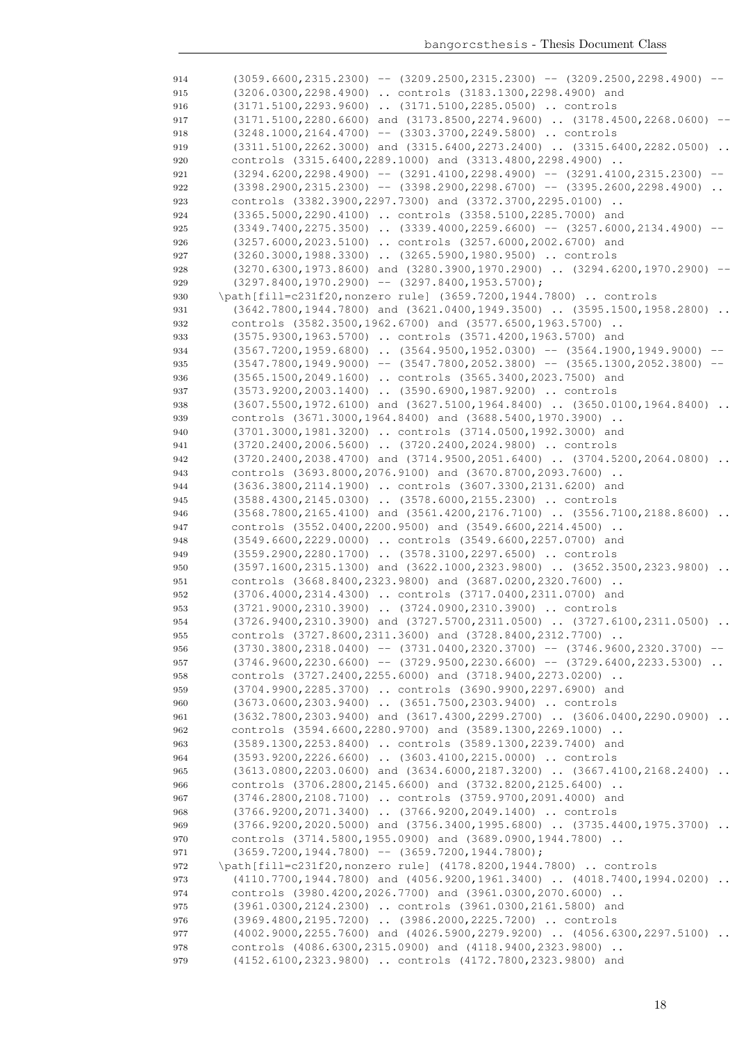| 914 | $(3059.6600, 2315.2300)$ -- $(3209.2500, 2315.2300)$ -- $(3209.2500, 2298.4900)$ -- |
|-----|-------------------------------------------------------------------------------------|
| 915 | (3206.0300, 2298.4900)  controls (3183.1300, 2298.4900) and                         |
| 916 | (3171.5100,2293.9600)  (3171.5100,2285.0500)  controls                              |
| 917 | $(3171.5100, 2280.6600)$ and $(3173.8500, 2274.9600)$ $(3178.4500, 2268.0600)$ --   |
| 918 | $(3248.1000, 2164.4700)$ -- $(3303.3700, 2249.5800)$ controls                       |
| 919 | $(3311.5100, 2262.3000)$ and $(3315.6400, 2273.2400)$ $(3315.6400, 2282.0500)$      |
| 920 | controls (3315.6400, 2289.1000) and (3313.4800, 2298.4900)                          |
| 921 | $(3294.6200, 2298.4900)$ -- $(3291.4100, 2298.4900)$ -- $(3291.4100, 2315.2300)$ -- |
| 922 | $(3398.2900, 2315.2300)$ -- $(3398.2900, 2298.6700)$ -- $(3395.2600, 2298.4900)$ .  |
| 923 | controls (3382.3900,2297.7300) and (3372.3700,2295.0100)                            |
| 924 | (3365.5000,2290.4100)  controls (3358.5100,2285.7000) and                           |
| 925 | $(3349.7400, 2275.3500)$ $(3339.4000, 2259.6600)$ -- $(3257.6000, 2134.4900)$ --    |
| 926 | (3257.6000,2023.5100)  controls (3257.6000,2002.6700) and                           |
| 927 | (3260.3000,1988.3300)  (3265.5900,1980.9500)  controls                              |
| 928 | (3270.6300,1973.8600) and (3280.3900,1970.2900)  (3294.6200,1970.2900)              |
| 929 | $(3297.8400, 1970.2900)$ -- $(3297.8400, 1953.5700)$ ;                              |
| 930 | \path[fill=c231f20, nonzero rule] (3659.7200, 1944.7800)  controls                  |
| 931 | $(3642.7800, 1944.7800)$ and $(3621.0400, 1949.3500)$ $(3595.1500, 1958.2800)$      |
| 932 | controls (3582.3500,1962.6700) and (3577.6500,1963.5700)                            |
| 933 | (3575.9300,1963.5700)  controls (3571.4200,1963.5700) and                           |
| 934 | $(3567.7200, 1959.6800)$ $(3564.9500, 1952.0300)$ -- $(3564.1900, 1949.9000)$ --    |
| 935 | $(3547.7800, 1949.9000)$ -- $(3547.7800, 2052.3800)$ -- $(3565.1300, 2052.3800)$ -- |
| 936 | (3565.1500,2049.1600)  controls (3565.3400,2023.7500) and                           |
| 937 | (3573.9200,2003.1400)  (3590.6900,1987.9200)  controls                              |
| 938 | $(3607.5500, 1972.6100)$ and $(3627.5100, 1964.8400)$ $(3650.0100, 1964.8400)$      |
| 939 | controls (3671.3000,1964.8400) and (3688.5400,1970.3900)                            |
| 940 | (3701.3000,1981.3200)  controls (3714.0500,1992.3000) and                           |
| 941 | (3720.2400,2006.5600)  (3720.2400,2024.9800)  controls                              |
| 942 | (3720.2400,2038.4700) and (3714.9500,2051.6400)  (3704.5200,2064.0800)<br>$\sim$ .  |
| 943 | controls (3693.8000,2076.9100) and (3670.8700,2093.7600)                            |
| 944 | (3636.3800, 2114.1900)  controls (3607.3300, 2131.6200) and                         |
| 945 | (3588.4300,2145.0300)  (3578.6000,2155.2300)  controls                              |
| 946 | $(3568.7800, 2165.4100)$ and $(3561.4200, 2176.7100)$ $(3556.7100, 2188.8600)$      |
| 947 | controls (3552.0400,2200.9500) and (3549.6600,2214.4500)                            |
| 948 | (3549.6600,2229.0000)  controls (3549.6600,2257.0700) and                           |
| 949 | (3559.2900,2280.1700)  (3578.3100,2297.6500)  controls                              |
| 950 | $(3597.1600, 2315.1300)$ and $(3622.1000, 2323.9800)$ $(3652.3500, 2323.9800)$      |
| 951 | controls (3668.8400,2323.9800) and (3687.0200,2320.7600)                            |
| 952 | (3706.4000,2314.4300)  controls (3717.0400,2311.0700) and                           |
| 953 | (3721.9000,2310.3900)  (3724.0900,2310.3900)  controls                              |
| 954 | $(3726.9400, 2310.3900)$ and $(3727.5700, 2311.0500)$ $(3727.6100, 2311.0500)$      |
| 955 | controls (3727.8600,2311.3600) and (3728.8400,2312.7700)                            |
| 956 | $(3730.3800, 2318.0400)$ -- $(3731.0400, 2320.3700)$ -- $(3746.9600, 2320.3700)$ -- |
| 957 | $(3746.9600, 2230.6600)$ -- $(3729.9500, 2230.6600)$ -- $(3729.6400, 2233.5300)$    |
| 958 | controls (3727.2400,2255.6000) and (3718.9400,2273.0200)                            |
| 959 | (3704.9900, 2285.3700)  controls (3690.9900, 2297.6900) and                         |
| 960 | (3673.0600,2303.9400)  (3651.7500,2303.9400)  controls                              |
| 961 | $(3632.7800, 2303.9400)$ and $(3617.4300, 2299.2700)$ $(3606.0400, 2290.0900)$      |
| 962 | controls (3594.6600, 2280.9700) and (3589.1300, 2269.1000)                          |
| 963 | (3589.1300, 2253.8400)  controls (3589.1300, 2239.7400) and                         |
| 964 | (3593.9200,2226.6600)  (3603.4100,2215.0000)  controls                              |
| 965 | (3613.0800,2203.0600) and (3634.6000,2187.3200)  (3667.4100,2168.2400)              |
| 966 | controls (3706.2800, 2145.6600) and (3732.8200, 2125.6400)                          |
| 967 | (3746.2800, 2108.7100)  controls (3759.9700, 2091.4000) and                         |
| 968 | (3766.9200,2071.3400)  (3766.9200,2049.1400)  controls                              |
| 969 | $(3766.9200, 2020.5000)$ and $(3756.3400, 1995.6800)$ $(3735.4400, 1975.3700)$      |
| 970 | controls (3714.5800,1955.0900) and (3689.0900,1944.7800)                            |
| 971 | $(3659.7200, 1944.7800)$ -- $(3659.7200, 1944.7800)$ ;                              |
| 972 | \path[fill=c231f20, nonzero rule] (4178.8200, 1944.7800)  controls                  |
| 973 | (4110.7700,1944.7800) and (4056.9200,1961.3400)  (4018.7400,1994.0200)              |
| 974 | controls (3980.4200,2026.7700) and (3961.0300,2070.6000)                            |
| 975 | (3961.0300, 2124.2300)  controls (3961.0300, 2161.5800) and                         |
| 976 | (3969.4800, 2195.7200)  (3986.2000, 2225.7200)  controls                            |
| 977 | (4002.9000,2255.7600) and (4026.5900,2279.9200)  (4056.6300,2297.5100)              |
| 978 | controls (4086.6300,2315.0900) and (4118.9400,2323.9800)                            |
| 979 | (4152.6100,2323.9800)  controls (4172.7800,2323.9800) and                           |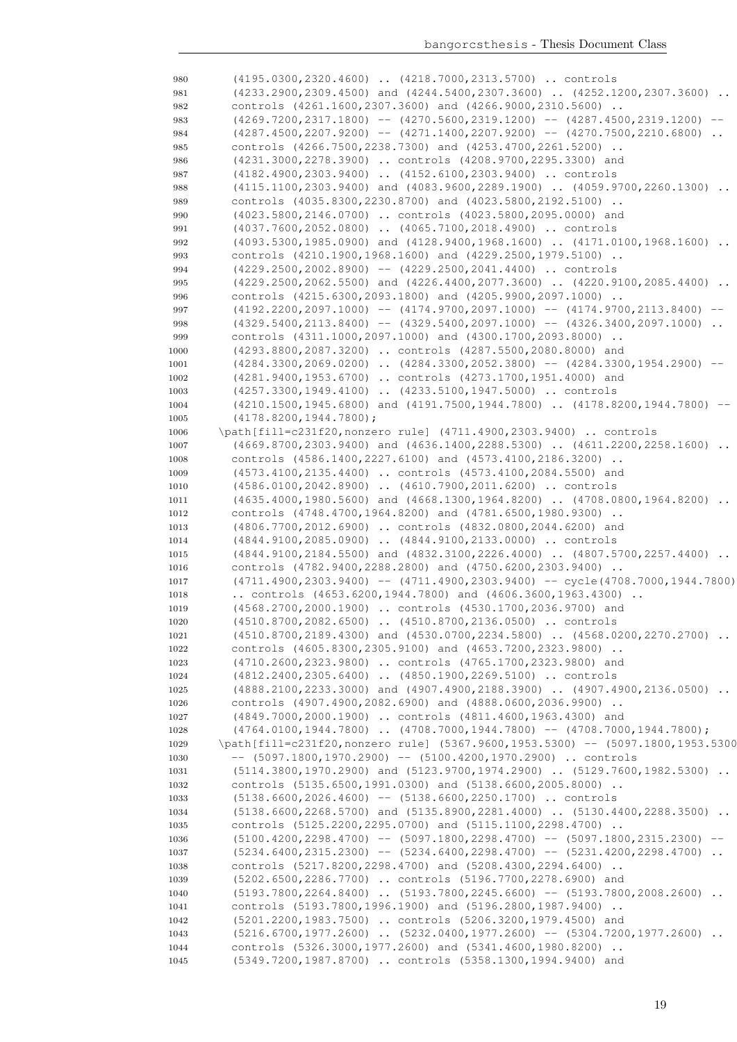| 980          | (4195.0300,2320.4600)  (4218.7000,2313.5700)  controls                                                                                       |
|--------------|----------------------------------------------------------------------------------------------------------------------------------------------|
| 981          | (4233.2900,2309.4500) and (4244.5400,2307.3600)  (4252.1200,2307.3600)                                                                       |
| 982          | controls (4261.1600,2307.3600) and (4266.9000,2310.5600)                                                                                     |
| 983          | $(4269.7200, 2317.1800)$ -- $(4270.5600, 2319.1200)$ -- $(4287.4500, 2319.1200)$ --                                                          |
| 984          | $(4287.4500, 2207.9200)$ -- $(4271.1400, 2207.9200)$ -- $(4270.7500, 2210.6800)$ .                                                           |
| 985          | controls (4266.7500,2238.7300) and (4253.4700,2261.5200)                                                                                     |
| 986          | (4231.3000,2278.3900)  controls (4208.9700,2295.3300) and                                                                                    |
| 987          | (4182.4900,2303.9400)  (4152.6100,2303.9400)  controls                                                                                       |
| 988          | $(4115.1100, 2303.9400)$ and $(4083.9600, 2289.1900)$ $(4059.9700, 2260.1300)$                                                               |
| 989          | controls (4035.8300,2230.8700) and (4023.5800,2192.5100)                                                                                     |
|              | (4023.5800,2146.0700)  controls (4023.5800,2095.0000) and                                                                                    |
| 990<br>991   | (4037.7600,2052.0800)  (4065.7100,2018.4900)  controls                                                                                       |
| 992          | $(4093.5300, 1985.0900)$ and $(4128.9400, 1968.1600)$ . $(4171.0100, 1968.1600)$ .                                                           |
| 993          | controls (4210.1900,1968.1600) and (4229.2500,1979.5100)                                                                                     |
| 994          | $(4229.2500, 2002.8900)$ -- $(4229.2500, 2041.4400)$ controls                                                                                |
| 995          | $(4229.2500, 2062.5500)$ and $(4226.4400, 2077.3600)$ $(4220.9100, 2085.4400)$                                                               |
|              | controls (4215.6300,2093.1800) and (4205.9900,2097.1000)                                                                                     |
| 996          | $(4192.2200, 2097.1000)$ -- $(4174.9700, 2097.1000)$ -- $(4174.9700, 2113.8400)$ --                                                          |
| 997          |                                                                                                                                              |
| 998          | $(4329.5400, 2113.8400)$ -- $(4329.5400, 2097.1000)$ -- $(4326.3400, 2097.1000)$<br>controls (4311.1000,2097.1000) and (4300.1700,2093.8000) |
| 999          |                                                                                                                                              |
| 1000         | (4293.8800,2087.3200)  controls (4287.5500,2080.8000) and                                                                                    |
| 1001         | $(4284.3300, 2069.0200)$ $(4284.3300, 2052.3800)$ -- $(4284.3300, 1954.2900)$ --                                                             |
| 1002         | (4281.9400,1953.6700)  controls (4273.1700,1951.4000) and                                                                                    |
| 1003         | (4257.3300,1949.4100)  (4233.5100,1947.5000)  controls                                                                                       |
| 1004         | (4210.1500,1945.6800) and (4191.7500,1944.7800)  (4178.8200,1944.7800) --<br>$(4178.8200, 1944.7800)$ ;                                      |
| 1005         |                                                                                                                                              |
| 1006         | \path[fill=c231f20, nonzero rule] (4711.4900, 2303.9400)  controls                                                                           |
| 1007         | $(4669.8700, 2303.9400)$ and $(4636.1400, 2288.5300)$ $(4611.2200, 2258.1600)$                                                               |
| 1008         | controls (4586.1400, 2227.6100) and (4573.4100, 2186.3200)                                                                                   |
| 1009         | (4573.4100,2135.4400)  controls (4573.4100,2084.5500) and                                                                                    |
| 1010         | (4586.0100,2042.8900)  (4610.7900,2011.6200)  controls                                                                                       |
| 1011         | $(4635.4000, 1980.5600)$ and $(4668.1300, 1964.8200)$ $(4708.0800, 1964.8200)$                                                               |
| 1012         | controls (4748.4700,1964.8200) and (4781.6500,1980.9300)                                                                                     |
| 1013         | (4806.7700,2012.6900)  controls (4832.0800,2044.6200) and                                                                                    |
| 1014         | (4844.9100,2085.0900)  (4844.9100,2133.0000)  controls                                                                                       |
| 1015         | $(4844.9100, 2184.5500)$ and $(4832.3100, 2226.4000)$ $(4807.5700, 2257.4400)$                                                               |
| 1016         | controls (4782.9400,2288.2800) and (4750.6200,2303.9400)                                                                                     |
| 1017         | $(4711.4900, 2303.9400)$ -- $(4711.4900, 2303.9400)$ -- cycle $(4708.7000, 1944.7800)$                                                       |
| 1018         | controls $(4653.6200, 1944.7800)$ and $(4606.3600, 1963.4300)$<br>(4568.2700,2000.1900)  controls (4530.1700,2036.9700) and                  |
| 1019         | (4510.8700,2082.6500)  (4510.8700,2136.0500)  controls                                                                                       |
| 1020         |                                                                                                                                              |
| 1021         | (4510.8700,2189.4300) and (4530.0700,2234.5800)  (4568.0200,2270.2700)<br>controls (4605.8300,2305.9100) and (4653.7200,2323.9800)           |
| 1022         |                                                                                                                                              |
| 1023         | (4710.2600,2323.9800)  controls (4765.1700,2323.9800) and<br>(4812.2400,2305.6400)  (4850.1900,2269.5100)  controls                          |
| 1024         |                                                                                                                                              |
| 1025         | (4888.2100,2233.3000) and (4907.4900,2188.3900)  (4907.4900,2136.0500)<br>controls (4907.4900,2082.6900) and (4888.0600,2036.9900)           |
| 1026         | (4849.7000,2000.1900)  controls (4811.4600,1963.4300) and                                                                                    |
| 1027<br>1028 | $(4764.0100, 1944.7800)$ $(4708.7000, 1944.7800)$ -- $(4708.7000, 1944.7800)$ ;                                                              |
| 1029         | \path[fill=c231f20, nonzero rule] (5367.9600, 1953.5300) -- (5097.1800, 1953.5300                                                            |
| 1030         | $--$ (5097.1800,1970.2900) $--$ (5100.4200,1970.2900)  controls                                                                              |
| 1031         | (5114.3800,1970.2900) and (5123.9700,1974.2900)  (5129.7600,1982.5300)                                                                       |
| 1032         | controls (5135.6500,1991.0300) and (5138.6600,2005.8000)                                                                                     |
| 1033         | $(5138.6600, 2026.4600)$ -- $(5138.6600, 2250.1700)$ controls                                                                                |
| 1034         | $(5138.6600, 2268.5700)$ and $(5135.8900, 2281.4000)$ $(5130.4400, 2288.3500)$                                                               |
| 1035         | controls (5125.2200, 2295.0700) and (5115.1100, 2298.4700)                                                                                   |
| 1036         | $(5100.4200, 2298.4700)$ -- $(5097.1800, 2298.4700)$ -- $(5097.1800, 2315.2300)$ --                                                          |
| 1037         | $(5234.6400, 2315.2300)$ -- $(5234.6400, 2298.4700)$ -- $(5231.4200, 2298.4700)$                                                             |
| 1038         | controls (5217.8200,2298.4700) and (5208.4300,2294.6400)                                                                                     |
| 1039         | (5202.6500,2286.7700)  controls (5196.7700,2278.6900) and                                                                                    |
| 1040         | $(5193.7800, 2264.8400)$ $(5193.7800, 2245.6600)$ -- $(5193.7800, 2008.2600)$                                                                |
| 1041         | controls (5193.7800,1996.1900) and (5196.2800,1987.9400)                                                                                     |
| 1042         | (5201.2200,1983.7500)  controls (5206.3200,1979.4500) and                                                                                    |
| 1043         | $(5216.6700, 1977.2600)$ $(5232.0400, 1977.2600)$ -- $(5304.7200, 1977.2600)$                                                                |
| 1044         | controls (5326.3000,1977.2600) and (5341.4600,1980.8200)                                                                                     |
| 1045         | (5349.7200,1987.8700)  controls (5358.1300,1994.9400) and                                                                                    |
|              |                                                                                                                                              |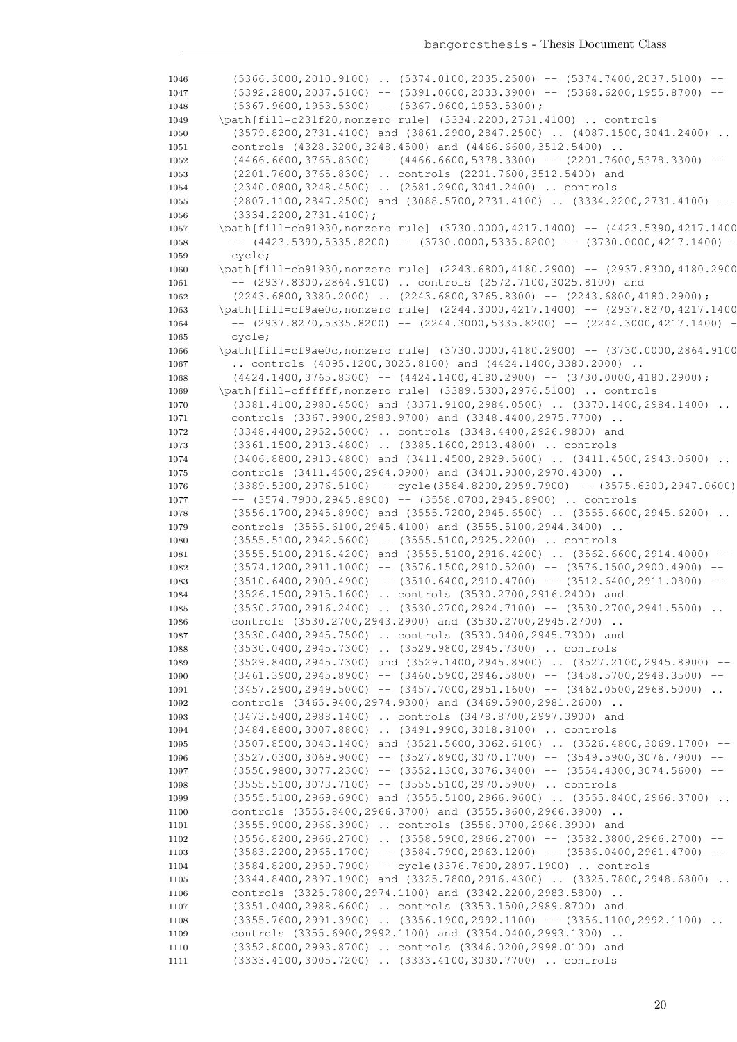|      | $(5366.3000, 2010.9100)$ $(5374.0100, 2035.2500)$ -- $(5374.7400, 2037.5100)$ --                                    |
|------|---------------------------------------------------------------------------------------------------------------------|
| 1047 | $(5392.2800, 2037.5100)$ -- $(5391.0600, 2033.3900)$ -- $(5368.6200, 1955.8700)$ --                                 |
| 1048 | $(5367.9600, 1953.5300)$ -- $(5367.9600, 1953.5300)$ ;                                                              |
| 1049 | \path[fill=c231f20, nonzero rule] (3334.2200, 2731.4100)  controls                                                  |
| 1050 | $(3579.8200, 2731.4100)$ and $(3861.2900, 2847.2500)$ $(4087.1500, 3041.2400)$                                      |
| 1051 | controls (4328.3200,3248.4500) and (4466.6600,3512.5400)                                                            |
| 1052 | $(4466.6600, 3765.8300)$ -- $(4466.6600, 5378.3300)$ -- $(2201.7600, 5378.3300)$                                    |
| 1053 | (2201.7600,3765.8300)  controls (2201.7600,3512.5400) and                                                           |
| 1054 | (2340.0800,3248.4500)  (2581.2900,3041.2400)  controls                                                              |
| 1055 | $(2807.1100, 2847.2500)$ and $(3088.5700, 2731.4100)$ $(3334.2200, 2731.4100)$ --                                   |
| 1056 | $(3334.2200, 2731.4100)$ ;                                                                                          |
| 1057 | \path[fill=cb91930, nonzero rule] (3730.0000, 4217.1400) -- (4423.5390, 4217.1400                                   |
| 1058 | $--$ (4423.5390,5335.8200) $--$ (3730.0000,5335.8200) $--$ (3730.0000,4217.1400) $-$                                |
| 1059 | cycle;                                                                                                              |
| 1060 | \path[fill=cb91930, nonzero rule] (2243.6800, 4180.2900) -- (2937.8300, 4180.2900                                   |
| 1061 | $-$ (2937.8300,2864.9100)  controls (2572.7100,3025.8100) and                                                       |
| 1062 | $(2243.6800, 3380.2000)$ $(2243.6800, 3765.8300)$ -- $(2243.6800, 4180.2900)$ ;                                     |
| 1063 | \path[fill=cf9ae0c,nonzero rule] (2244.3000,4217.1400) -- (2937.8270,4217.1400)                                     |
| 1064 | $--$ (2937.8270,5335.8200) $--$ (2244.3000,5335.8200) $--$ (2244.3000,4217.1400) $-$                                |
| 1065 | cycle;                                                                                                              |
| 1066 | \path[fill=cf9ae0c,nonzero rule] (3730.0000,4180.2900) -- (3730.0000,2864.9100                                      |
| 1067 | controls $(4095.1200, 3025.8100)$ and $(4424.1400, 3380.2000)$                                                      |
| 1068 | $(4424.1400, 3765.8300)$ -- $(4424.1400, 4180.2900)$ -- $(3730.0000, 4180.2900)$ ;                                  |
| 1069 | \path[fill=cffffff, nonzero rule] (3389.5300, 2976.5100)  controls                                                  |
| 1070 | (3381.4100,2980.4500) and (3371.9100,2984.0500)  (3370.1400,2984.1400)<br>$\ddots$                                  |
| 1071 | controls (3367.9900,2983.9700) and (3348.4400,2975.7700)                                                            |
| 1072 | (3348.4400,2952.5000)  controls (3348.4400,2926.9800) and                                                           |
| 1073 | (3361.1500,2913.4800)  (3385.1600,2913.4800)  controls                                                              |
| 1074 | (3406.8800,2913.4800) and (3411.4500,2929.5600)  (3411.4500,2943.0600)                                              |
| 1075 | controls (3411.4500,2964.0900) and (3401.9300,2970.4300)                                                            |
| 1076 | $(3389.5300, 2976.5100)$ -- cycle $(3584.8200, 2959.7900)$ -- $(3575.6300, 2947.0600)$                              |
| 1077 | $--$ (3574.7900,2945.8900) $--$ (3558.0700,2945.8900)  controls                                                     |
| 1078 | (3556.1700,2945.8900) and (3555.7200,2945.6500)  (3555.6600,2945.6200)                                              |
| 1079 | controls (3555.6100,2945.4100) and (3555.5100,2944.3400)                                                            |
| 1080 | $(3555.5100, 2942.5600)$ -- $(3555.5100, 2925.2200)$ controls                                                       |
|      |                                                                                                                     |
|      |                                                                                                                     |
| 1081 | $(3555.5100, 2916.4200)$ and $(3555.5100, 2916.4200)$ $(3562.6600, 2914.4000)$ --                                   |
| 1082 | $(3574.1200, 2911.1000)$ -- $(3576.1500, 2910.5200)$ -- $(3576.1500, 2900.4900)$ --                                 |
| 1083 | $(3510.6400, 2900.4900)$ -- $(3510.6400, 2910.4700)$ -- $(3512.6400, 2911.0800)$ --                                 |
| 1084 | (3526.1500, 2915.1600)  controls (3530.2700, 2916.2400) and                                                         |
| 1085 | $(3530.2700, 2916.2400)$ $(3530.2700, 2924.7100)$ -- $(3530.2700, 2941.5500)$<br>$\ddots$                           |
| 1086 | controls (3530.2700,2943.2900) and (3530.2700,2945.2700)                                                            |
| 1087 | (3530.0400,2945.7500)  controls (3530.0400,2945.7300) and                                                           |
| 1088 | (3530.0400,2945.7300)  (3529.9800,2945.7300)  controls                                                              |
| 1089 | $(3529.8400, 2945.7300)$ and $(3529.1400, 2945.8900)$ $(3527.2100, 2945.8900)$ --                                   |
| 1090 | $(3461.3900, 2945.8900)$ -- $(3460.5900, 2946.5800)$ -- $(3458.5700, 2948.3500)$ --                                 |
| 1091 | $(3457.2900, 2949.5000)$ -- $(3457.7000, 2951.1600)$ -- $(3462.0500, 2968.5000)$                                    |
| 1092 | controls (3465.9400,2974.9300) and (3469.5900,2981.2600)                                                            |
| 1093 | (3473.5400,2988.1400)  controls (3478.8700,2997.3900) and                                                           |
| 1094 | (3484.8800,3007.8800)  (3491.9900,3018.8100)  controls                                                              |
| 1095 | $(3507.8500, 3043.1400)$ and $(3521.5600, 3062.6100)$ $(3526.4800, 3069.1700)$ --                                   |
| 1096 | $(3527.0300, 3069.9000)$ -- $(3527.8900, 3070.1700)$ -- $(3549.5900, 3076.7900)$ --                                 |
| 1097 | $(3550.9800, 3077.2300)$ -- $(3552.1300, 3076.3400)$ -- $(3554.4300, 3074.5600)$ --                                 |
| 1098 | $(3555.5100, 3073.7100)$ -- $(3555.5100, 2970.5900)$ controls                                                       |
| 1099 | $(3555.5100, 2969.6900)$ and $(3555.5100, 2966.9600)$ $(3555.8400, 2966.3700)$                                      |
| 1100 | controls (3555.8400,2966.3700) and (3555.8600,2966.3900)                                                            |
| 1101 | (3555.9000,2966.3900)  controls (3556.0700,2966.3900) and                                                           |
| 1102 | $(3556.8200, 2966.2700)$ $(3558.5900, 2966.2700)$ -- $(3582.3800, 2966.2700)$                                       |
| 1103 | $(3583.2200, 2965.1700)$ -- $(3584.7900, 2963.1200)$ -- $(3586.0400, 2961.4700)$ --                                 |
| 1104 | (3584.8200,2959.7900) -- cycle(3376.7600,2897.1900)  controls                                                       |
| 1105 | $(3344.8400, 2897.1900)$ and $(3325.7800, 2916.4300)$ $(3325.7800, 2948.6800)$                                      |
| 1106 | controls (3325.7800,2974.1100) and (3342.2200,2983.5800)                                                            |
| 1107 | (3351.0400,2988.6600)  controls (3353.1500,2989.8700) and                                                           |
| 1108 | $(3355.7600, 2991.3900)$ $(3356.1900, 2992.1100)$ -- $(3356.1100, 2992.1100)$                                       |
| 1109 | controls (3355.6900,2992.1100) and (3354.0400,2993.1300)                                                            |
| 1110 | (3352.8000,2993.8700)  controls (3346.0200,2998.0100) and<br>(3333.4100,3005.7200)  (3333.4100,3030.7700)  controls |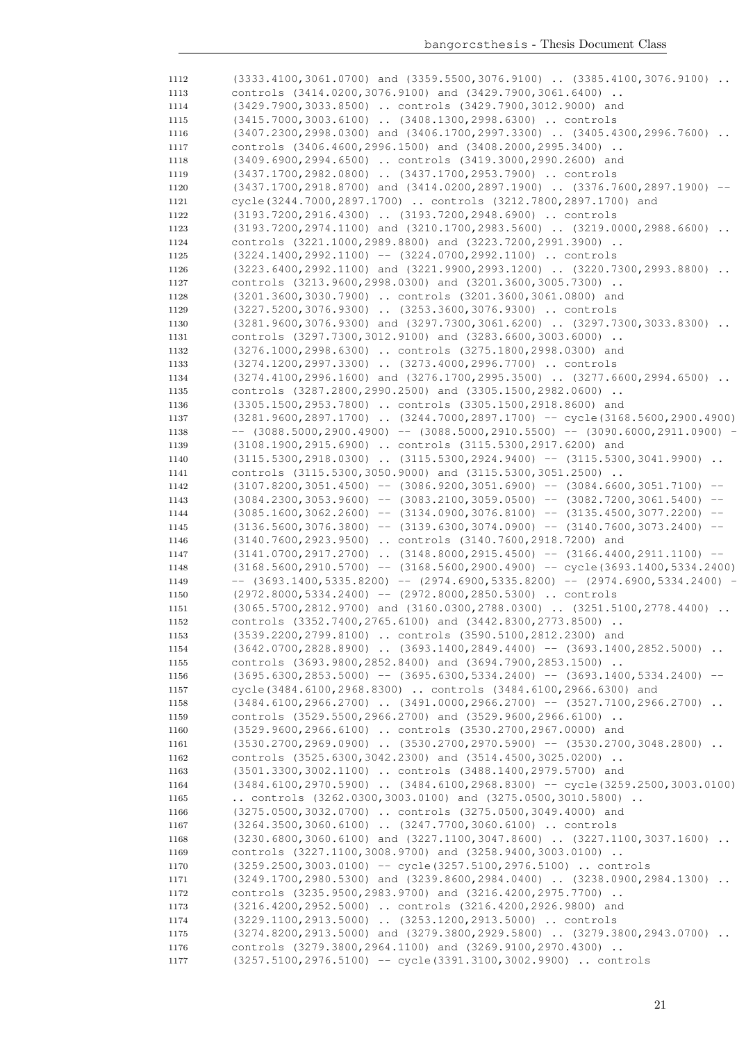| 1112         | $(3333.4100, 3061.0700)$ and $(3359.5500, 3076.9100)$ $(3385.4100, 3076.9100)$         |
|--------------|----------------------------------------------------------------------------------------|
| 1113         | controls (3414.0200,3076.9100) and (3429.7900,3061.6400)                               |
| 1114         | (3429.7900,3033.8500)  controls (3429.7900,3012.9000) and                              |
| 1115         | (3415.7000,3003.6100)  (3408.1300,2998.6300)  controls                                 |
| 1116         | $(3407.2300, 2998.0300)$ and $(3406.1700, 2997.3300)$ $(3405.4300, 2996.7600)$         |
| 1117         | controls (3406.4600,2996.1500) and (3408.2000,2995.3400)                               |
| 1118         | (3409.6900,2994.6500)  controls (3419.3000,2990.2600) and                              |
| 1119         | (3437.1700,2982.0800)  (3437.1700,2953.7900)  controls                                 |
| 1120         | $(3437.1700, 2918.8700)$ and $(3414.0200, 2897.1900)$ $(3376.7600, 2897.1900)$ --      |
| 1121         | cycle(3244.7000,2897.1700)  controls (3212.7800,2897.1700) and                         |
| 1122         | (3193.7200,2916.4300)  (3193.7200,2948.6900)  controls                                 |
| 1123         | $(3193.7200, 2974.1100)$ and $(3210.1700, 2983.5600)$ $(3219.0000, 2988.6600)$         |
| 1124         | controls (3221.1000,2989.8800) and (3223.7200,2991.3900)                               |
| 1125         | $(3224.1400, 2992.1100)$ -- $(3224.0700, 2992.1100)$ controls                          |
| 1126         | $(3223.6400, 2992.1100)$ and $(3221.9900, 2993.1200)$ $(3220.7300, 2993.8800)$         |
| 1127         | controls (3213.9600,2998.0300) and (3201.3600,3005.7300)                               |
| 1128         | (3201.3600,3030.7900)  controls (3201.3600,3061.0800) and                              |
| 1129         | (3227.5200,3076.9300)  (3253.3600,3076.9300)  controls                                 |
| 1130         | $(3281.9600, 3076.9300)$ and $(3297.7300, 3061.6200)$ $(3297.7300, 3033.8300)$         |
| 1131         | controls (3297.7300,3012.9100) and (3283.6600,3003.6000)                               |
| 1132         | (3276.1000,2998.6300)  controls (3275.1800,2998.0300) and                              |
| 1133         | (3274.1200,2997.3300)  (3273.4000,2996.7700)  controls                                 |
| 1134         | (3274.4100,2996.1600) and (3276.1700,2995.3500)  (3277.6600,2994.6500)                 |
| 1135         | controls (3287.2800,2990.2500) and (3305.1500,2982.0600)                               |
| 1136         | (3305.1500,2953.7800)  controls (3305.1500,2918.8600) and                              |
| 1137         | $(3281.9600, 2897.1700)$ $(3244.7000, 2897.1700)$ -- cycle $(3168.5600, 2900.4900)$    |
| 1138         | $--$ (3088.5000,2900.4900) $--$ (3088.5000,2910.5500) $--$ (3090.6000,2911.0900) $-$   |
| 1139         | (3108.1900,2915.6900)  controls (3115.5300,2917.6200) and                              |
| 1140         | $(3115.5300, 2918.0300)$ $(3115.5300, 2924.9400)$ -- $(3115.5300, 3041.9900)$          |
| 1141         | controls (3115.5300,3050.9000) and (3115.5300,3051.2500)                               |
| 1142         | $(3107.8200, 3051.4500)$ -- $(3086.9200, 3051.6900)$ -- $(3084.6600, 3051.7100)$ --    |
| 1143         | $(3084.2300, 3053.9600)$ -- $(3083.2100, 3059.0500)$ -- $(3082.7200, 3061.5400)$ --    |
| 1144         | $(3085.1600, 3062.2600)$ -- $(3134.0900, 3076.8100)$ -- $(3135.4500, 3077.2200)$ --    |
| 1145         | $(3136.5600, 3076.3800)$ -- $(3139.6300, 3074.0900)$ -- $(3140.7600, 3073.2400)$ --    |
| 1146         | (3140.7600,2923.9500)  controls (3140.7600,2918.7200) and                              |
| 1147         | $(3141.0700, 2917.2700)$ $(3148.8000, 2915.4500)$ -- $(3166.4400, 2911.1100)$ --       |
| 1148         | $(3168.5600, 2910.5700)$ -- $(3168.5600, 2900.4900)$ -- cycle $(3693.1400, 5334.2400)$ |
| 1149         | $--$ (3693.1400,5335.8200) $--$ (2974.6900,5335.8200) $--$ (2974.6900,5334.2400) $-$   |
| 1150         | $(2972.8000, 5334.2400)$ -- $(2972.8000, 2850.5300)$ controls                          |
| 1151         | (3065.5700,2812.9700) and (3160.0300,2788.0300)  (3251.5100,2778.4400)                 |
| 1152         | controls (3352.7400,2765.6100) and (3442.8300,2773.8500)                               |
| 1153         | (3539.2200,2799.8100)  controls (3590.5100,2812.2300) and                              |
| 1154         | $(3642.0700, 2828.8900)$ $(3693.1400, 2849.4400)$ -- $(3693.1400, 2852.5000)$          |
| 1155         | controls (3693.9800,2852.8400) and (3694.7900,2853.1500)                               |
| 1156         | $(3695.6300, 2853.5000)$ -- $(3695.6300, 5334.2400)$ -- $(3693.1400, 5334.2400)$ --    |
| 1157         | cycle(3484.6100,2968.8300)  controls (3484.6100,2966.6300) and                         |
| 1158         | $(3484.6100, 2966.2700)$ . $(3491.0000, 2966.2700)$ -- $(3527.7100, 2966.2700)$ .      |
| 1159         | controls (3529.5500,2966.2700) and (3529.9600,2966.6100)                               |
| 1160         | (3529.9600,2966.6100)  controls (3530.2700,2967.0000) and                              |
| 1161         | $(3530.2700, 2969.0900)$ $(3530.2700, 2970.5900)$ -- $(3530.2700, 3048.2800)$          |
| 1162         | controls (3525.6300, 3042.2300) and (3514.4500, 3025.0200)                             |
| 1163         | (3501.3300,3002.1100)  controls (3488.1400,2979.5700) and                              |
| 1164         | (3484.6100,2970.5900)  (3484.6100,2968.8300) -- cycle (3259.2500,3003.0100)            |
| 1165         | controls $(3262.0300, 3003.0100)$ and $(3275.0500, 3010.5800)$                         |
| 1166         | (3275.0500,3032.0700)  controls (3275.0500,3049.4000) and                              |
| 1167         | (3264.3500,3060.6100)  (3247.7700,3060.6100)  controls                                 |
| 1168         | $(3230.6800, 3060.6100)$ and $(3227.1100, 3047.8600)$ $(3227.1100, 3037.1600)$         |
| 1169         | controls (3227.1100,3008.9700) and (3258.9400,3003.0100)                               |
| 1170         | (3259.2500,3003.0100) -- cycle(3257.5100,2976.5100)  controls                          |
|              | (3249.1700,2980.5300) and (3239.8600,2984.0400)  (3238.0900,2984.1300)                 |
| 1171<br>1172 | controls (3235.9500,2983.9700) and (3216.4200,2975.7700)                               |
| 1173         | (3216.4200,2952.5000)  controls (3216.4200,2926.9800) and                              |
|              | (3229.1100,2913.5000)  (3253.1200,2913.5000)  controls                                 |
| 1174         | (3274.8200,2913.5000) and (3279.3800,2929.5800)  (3279.3800,2943.0700)                 |
| 1175         | controls (3279.3800,2964.1100) and (3269.9100,2970.4300)                               |
| 1176         | (3257.5100, 2976.5100) -- cycle (3391.3100, 3002.9900)  controls                       |
| 1177         |                                                                                        |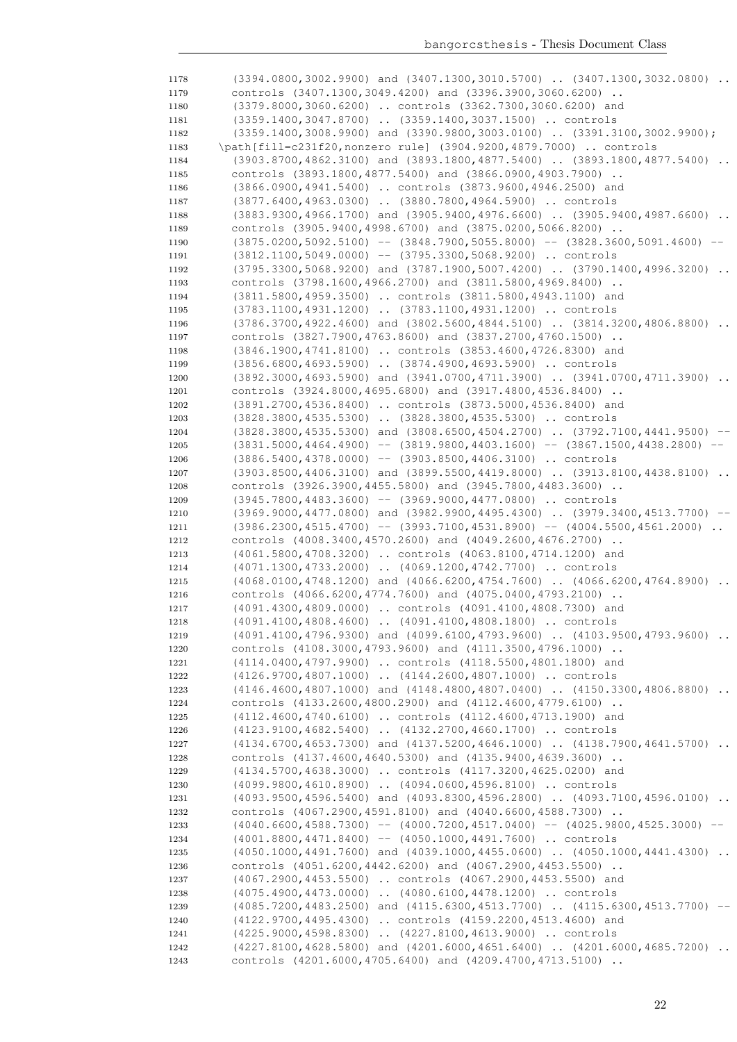| 1178         | $(3394.0800, 3002.9900)$ and $(3407.1300, 3010.5700)$ $(3407.1300, 3032.0800)$                                                                  |
|--------------|-------------------------------------------------------------------------------------------------------------------------------------------------|
| 1179         | controls (3407.1300,3049.4200) and (3396.3900,3060.6200)                                                                                        |
| 1180         | (3379.8000,3060.6200)  controls (3362.7300,3060.6200) and                                                                                       |
| 1181         | (3359.1400,3047.8700)  (3359.1400,3037.1500)  controls                                                                                          |
| 1182         | $(3359.1400, 3008.9900)$ and $(3390.9800, 3003.0100)$ $(3391.3100, 3002.9900)$ ;                                                                |
| 1183         | \path[fill=c231f20, nonzero rule] (3904.9200, 4879.7000)  controls                                                                              |
| 1184         | (3903.8700,4862.3100) and (3893.1800,4877.5400)  (3893.1800,4877.5400)                                                                          |
| 1185         | controls (3893.1800,4877.5400) and (3866.0900,4903.7900)                                                                                        |
| 1186         | (3866.0900,4941.5400)  controls (3873.9600,4946.2500) and                                                                                       |
| 1187         | (3877.6400,4963.0300)  (3880.7800,4964.5900)  controls                                                                                          |
| 1188         | (3883.9300,4966.1700) and (3905.9400,4976.6600)  (3905.9400,4987.6600)                                                                          |
| 1189         | controls (3905.9400,4998.6700) and (3875.0200,5066.8200)                                                                                        |
| 1190         | $(3875.0200, 5092.5100)$ -- $(3848.7900, 5055.8000)$ -- $(3828.3600, 5091.4600)$ --                                                             |
| 1191         | $(3812.1100, 5049.0000)$ -- $(3795.3300, 5068.9200)$ controls                                                                                   |
| 1192         | $(3795.3300, 5068.9200)$ and $(3787.1900, 5007.4200)$ $(3790.1400, 4996.3200)$                                                                  |
| 1193         | controls (3798.1600,4966.2700) and (3811.5800,4969.8400)                                                                                        |
| 1194         | (3811.5800,4959.3500)  controls (3811.5800,4943.1100) and                                                                                       |
| 1195         | (3783.1100,4931.1200)  (3783.1100,4931.1200)  controls                                                                                          |
| 1196         | (3786.3700,4922.4600) and (3802.5600,4844.5100)  (3814.3200,4806.8800)                                                                          |
| 1197         | controls (3827.7900,4763.8600) and (3837.2700,4760.1500)                                                                                        |
| 1198         | (3846.1900,4741.8100)  controls (3853.4600,4726.8300) and                                                                                       |
| 1199         | (3856.6800,4693.5900)  (3874.4900,4693.5900)  controls                                                                                          |
| 1200         | (3892.3000,4693.5900) and (3941.0700,4711.3900)  (3941.0700,4711.3900)                                                                          |
| 1201         | controls (3924.8000,4695.6800) and (3917.4800,4536.8400)<br>(3891.2700,4536.8400)  controls (3873.5000,4536.8400) and                           |
| 1202         | (3828.3800,4535.5300)  (3828.3800,4535.5300)  controls                                                                                          |
| 1203         | $(3828.3800, 4535.5300)$ and $(3808.6500, 4504.2700)$ $(3792.7100, 4441.9500)$ --                                                               |
| 1204<br>1205 | $(3831.5000, 4464.4900)$ -- $(3819.9800, 4403.1600)$ -- $(3867.1500, 4438.2800)$ --                                                             |
| 1206         | $(3886.5400, 4378.0000)$ -- $(3903.8500, 4406.3100)$ controls                                                                                   |
| 1207         | (3903.8500,4406.3100) and (3899.5500,4419.8000)  (3913.8100,4438.8100)                                                                          |
| 1208         | controls (3926.3900,4455.5800) and (3945.7800,4483.3600)                                                                                        |
| 1209         | $(3945.7800, 4483.3600)$ -- $(3969.9000, 4477.0800)$ controls                                                                                   |
| 1210         | (3969.9000,4477.0800) and (3982.9900,4495.4300)  (3979.3400,4513.7700) --                                                                       |
| 1211         | $(3986.2300, 4515.4700)$ -- $(3993.7100, 4531.8900)$ -- $(4004.5500, 4561.2000)$                                                                |
| 1212         | controls (4008.3400,4570.2600) and (4049.2600,4676.2700)                                                                                        |
| 1213         | (4061.5800,4708.3200)  controls (4063.8100,4714.1200) and                                                                                       |
| 1214         | (4071.1300,4733.2000)  (4069.1200,4742.7700)  controls                                                                                          |
| 1215         | $(4068.0100, 4748.1200)$ and $(4066.6200, 4754.7600)$ $(4066.6200, 4764.8900)$                                                                  |
| 1216         | controls (4066.6200,4774.7600) and (4075.0400,4793.2100)                                                                                        |
| 1217         | (4091.4300,4809.0000)  controls (4091.4100,4808.7300) and                                                                                       |
| 1218         | (4091.4100,4808.4600)  (4091.4100,4808.1800)  controls                                                                                          |
| 1219         | (4091.4100,4796.9300) and (4099.6100,4793.9600)  (4103.9500,4793.9600)                                                                          |
| 1220         | controls (4108.3000,4793.9600) and (4111.3500,4796.1000)                                                                                        |
| 1221         | (4114.0400,4797.9900)  controls (4118.5500,4801.1800) and                                                                                       |
| 1222         | $(4126.9700, 4807.1000)$ $(4144.2600, 4807.1000)$ controls                                                                                      |
| 1223         | $(4146.4600, 4807.1000)$ and $(4148.4800, 4807.0400)$ $(4150.3300, 4806.8800)$                                                                  |
| 1224         | controls (4133.2600,4800.2900) and (4112.4600,4779.6100)                                                                                        |
| 1225         | (4112.4600,4740.6100)  controls (4112.4600,4713.1900) and                                                                                       |
| 1226         | (4123.9100,4682.5400)  (4132.2700,4660.1700)  controls                                                                                          |
| 1227         | (4134.6700,4653.7300) and (4137.5200,4646.1000)  (4138.7900,4641.5700)                                                                          |
| 1228         | controls (4137.4600,4640.5300) and (4135.9400,4639.3600)                                                                                        |
| 1229         | (4134.5700,4638.3000)  controls (4117.3200,4625.0200) and                                                                                       |
| 1230         | (4099.9800,4610.8900)  (4094.0600,4596.8100)  controls                                                                                          |
| 1231         | (4093.9500,4596.5400) and (4093.8300,4596.2800)  (4093.7100,4596.0100)                                                                          |
| 1232         | controls (4067.2900,4591.8100) and (4040.6600,4588.7300)<br>$(4040.6600, 4588.7300)$ -- $(4000.7200, 4517.0400)$ -- $(4025.9800, 4525.3000)$ -- |
| 1233<br>1234 | $(4001.8800, 4471.8400)$ - $(4050.1000, 4491.7600)$ controls                                                                                    |
| 1235         | (4050.1000,4491.7600) and (4039.1000,4455.0600)  (4050.1000,4441.4300)                                                                          |
| 1236         | controls (4051.6200,4442.6200) and (4067.2900,4453.5500)                                                                                        |
| 1237         | (4067.2900,4453.5500)  controls (4067.2900,4453.5500) and                                                                                       |
| 1238         | (4075.4900,4473.0000)  (4080.6100,4478.1200)  controls                                                                                          |
| 1239         | (4085.7200,4483.2500) and (4115.6300,4513.7700)  (4115.6300,4513.7700)                                                                          |
| 1240         | (4122.9700,4495.4300)  controls (4159.2200,4513.4600) and                                                                                       |
| 1241         | (4225.9000,4598.8300)  (4227.8100,4613.9000)  controls                                                                                          |
| 1242         | (4227.8100,4628.5800) and (4201.6000,4651.6400)  (4201.6000,4685.7200)                                                                          |
| 1243         | controls (4201.6000,4705.6400) and (4209.4700,4713.5100)                                                                                        |
|              |                                                                                                                                                 |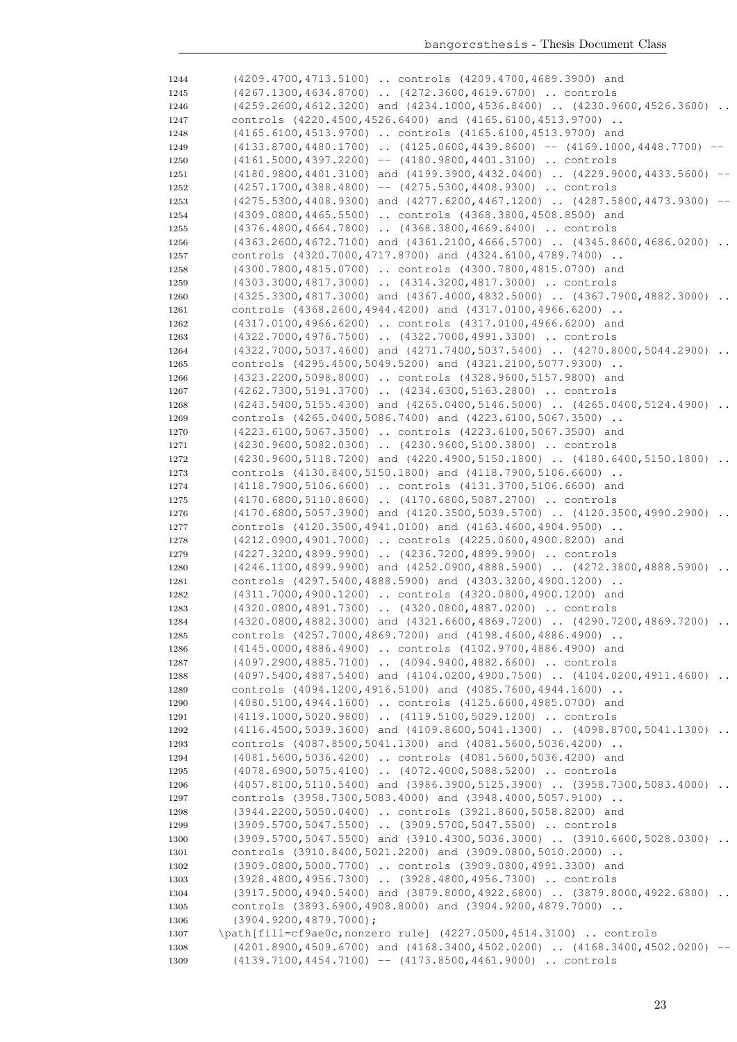| 1244         | (4209.4700,4713.5100)  controls (4209.4700,4689.3900) and                                                                                    |          |
|--------------|----------------------------------------------------------------------------------------------------------------------------------------------|----------|
| 1245         | (4267.1300,4634.8700)  (4272.3600,4619.6700)  controls                                                                                       |          |
| 1246         | $(4259.2600, 4612.3200)$ and $(4234.1000, 4536.8400)$ $(4230.9600, 4526.3600)$                                                               | $\ddots$ |
| 1247         | controls (4220.4500,4526.6400) and (4165.6100,4513.9700)                                                                                     |          |
| 1248         | (4165.6100,4513.9700)  controls (4165.6100,4513.9700) and                                                                                    |          |
| 1249         | $(4133.8700, 4480.1700)$ $(4125.0600, 4439.8600)$ -- $(4169.1000, 4448.7700)$ --                                                             |          |
| 1250         | $(4161.5000, 4397.2200)$ -- $(4180.9800, 4401.3100)$ controls                                                                                |          |
| 1251         | $(4180.9800, 4401.3100)$ and $(4199.3900, 4432.0400)$ $(4229.9000, 4433.5600)$ --                                                            |          |
| 1252         | $(4257.1700, 4388.4800)$ -- $(4275.5300, 4408.9300)$ controls                                                                                |          |
| 1253         | $(4275.5300, 4408.9300)$ and $(4277.6200, 4467.1200)$ $(4287.5800, 4473.9300)$ --                                                            |          |
| 1254         | (4309.0800,4465.5500)  controls (4368.3800,4508.8500) and                                                                                    |          |
| 1255         | (4376.4800,4664.7800)  (4368.3800,4669.6400)  controls                                                                                       |          |
| 1256         | $(4363.2600, 4672.7100)$ and $(4361.2100, 4666.5700)$ $(4345.8600, 4686.0200)$ .                                                             |          |
| 1257         | controls (4320.7000, 4717.8700) and (4324.6100, 4789.7400)                                                                                   |          |
| 1258         | (4300.7800,4815.0700)  controls (4300.7800,4815.0700) and                                                                                    |          |
| 1259         | (4303.3000,4817.3000)  (4314.3200,4817.3000)  controls                                                                                       |          |
| 1260         | (4325.3300,4817.3000) and (4367.4000,4832.5000)  (4367.7900,4882.3000)<br>controls (4368.2600,4944.4200) and (4317.0100,4966.6200)           |          |
| 1261         |                                                                                                                                              |          |
| 1262         | (4317.0100,4966.6200)  controls (4317.0100,4966.6200) and                                                                                    |          |
| 1263         | (4322.7000,4976.7500)  (4322.7000,4991.3300)  controls<br>$(4322.7000, 5037.4600)$ and $(4271.7400, 5037.5400)$ . $(4270.8000, 5044.2900)$ . |          |
| 1264         | controls (4295.4500,5049.5200) and (4321.2100,5077.9300)                                                                                     |          |
| 1265         | (4323.2200,5098.8000)  controls (4328.9600,5157.9800) and                                                                                    |          |
| 1266         | (4262.7300,5191.3700)  (4234.6300,5163.2800)  controls                                                                                       |          |
| 1267<br>1268 | $(4243.5400, 5155.4300)$ and $(4265.0400, 5146.5000)$ $(4265.0400, 5124.4900)$                                                               |          |
|              | controls (4265.0400,5086.7400) and (4223.6100,5067.3500)                                                                                     |          |
| 1269<br>1270 | (4223.6100,5067.3500)  controls (4223.6100,5067.3500) and                                                                                    |          |
| 1271         | (4230.9600,5082.0300)  (4230.9600,5100.3800)  controls                                                                                       |          |
| 1272         | (4230.9600,5118.7200) and (4220.4900,5150.1800)  (4180.6400,5150.1800)                                                                       |          |
| 1273         | controls (4130.8400,5150.1800) and (4118.7900,5106.6600)                                                                                     |          |
| 1274         | (4118.7900,5106.6600)  controls (4131.3700,5106.6600) and                                                                                    |          |
| 1275         | (4170.6800,5110.8600)  (4170.6800,5087.2700)  controls                                                                                       |          |
| 1276         | $(4170.6800, 5057.3900)$ and $(4120.3500, 5039.5700)$ $(4120.3500, 4990.2900)$                                                               |          |
| 1277         | controls (4120.3500,4941.0100) and (4163.4600,4904.9500)                                                                                     |          |
| 1278         | (4212.0900,4901.7000)  controls (4225.0600,4900.8200) and                                                                                    |          |
| 1279         | (4227.3200,4899.9900)  (4236.7200,4899.9900)  controls                                                                                       |          |
| 1280         | $(4246.1100, 4899.9900)$ and $(4252.0900, 4888.5900)$ $(4272.3800, 4888.5900)$                                                               |          |
| 1281         | controls (4297.5400,4888.5900) and (4303.3200,4900.1200)                                                                                     |          |
| 1282         | (4311.7000,4900.1200)  controls (4320.0800,4900.1200) and                                                                                    |          |
| 1283         | (4320.0800,4891.7300)  (4320.0800,4887.0200)  controls                                                                                       |          |
| 1284         | (4320.0800,4882.3000) and (4321.6600,4869.7200)  (4290.7200,4869.7200)                                                                       |          |
| 1285         | controls (4257.7000,4869.7200) and (4198.4600,4886.4900)                                                                                     |          |
| 1286         | (4145.0000,4886.4900)  controls (4102.9700,4886.4900) and                                                                                    |          |
| 1287         | (4097.2900,4885.7100)  (4094.9400,4882.6600)  controls                                                                                       |          |
| 1288         | $(4097.5400, 4887.5400)$ and $(4104.0200, 4900.7500)$ . $(4104.0200, 4911.4600)$ .                                                           |          |
| 1289         | controls (4094.1200,4916.5100) and (4085.7600,4944.1600)                                                                                     |          |
| 1290         | (4080.5100,4944.1600)  controls (4125.6600,4985.0700) and                                                                                    |          |
| 1291         | (4119.1000,5020.9800)  (4119.5100,5029.1200)  controls                                                                                       |          |
| 1292         | (4116.4500,5039.3600) and (4109.8600,5041.1300)  (4098.8700,5041.1300)                                                                       |          |
| 1293         | controls (4087.8500,5041.1300) and (4081.5600,5036.4200)                                                                                     |          |
| 1294         | (4081.5600,5036.4200)  controls (4081.5600,5036.4200) and                                                                                    |          |
| 1295         | (4078.6900,5075.4100)  (4072.4000,5088.5200)  controls                                                                                       |          |
| 1296         | (4057.8100,5110.5400) and (3986.3900,5125.3900)  (3958.7300,5083.4000)                                                                       |          |
| 1297         | controls (3958.7300,5083.4000) and (3948.4000,5057.9100)                                                                                     |          |
| 1298         | (3944.2200,5050.0400)  controls (3921.8600,5058.8200) and                                                                                    |          |
| 1299         | (3909.5700,5047.5500)  (3909.5700,5047.5500)  controls                                                                                       |          |
| 1300         | (3909.5700,5047.5500) and (3910.4300,5036.3000)  (3910.6600,5028.0300)                                                                       |          |
| 1301         | controls (3910.8400,5021.2200) and (3909.0800,5010.2000)                                                                                     |          |
| 1302         | (3909.0800,5000.7700)  controls (3909.0800,4991.3300) and                                                                                    |          |
| 1303         | (3928.4800,4956.7300)  (3928.4800,4956.7300)  controls                                                                                       |          |
| 1304         | $(3917.5000, 4940.5400)$ and $(3879.8000, 4922.6800)$ $(3879.8000, 4922.6800)$ .                                                             |          |
| 1305         | controls (3893.6900,4908.8000) and (3904.9200,4879.7000)                                                                                     |          |
| 1306         | $(3904.9200, 4879.7000)$ ;                                                                                                                   |          |
| 1307         | \path[fill=cf9ae0c,nonzero rule] (4227.0500,4514.3100)  controls                                                                             |          |
| 1308         | $(4201.8900, 4509.6700)$ and $(4168.3400, 4502.0200)$ $(4168.3400, 4502.0200)$ --                                                            |          |
| 1309         | $(4139.7100, 4454.7100)$ -- $(4173.8500, 4461.9000)$ controls                                                                                |          |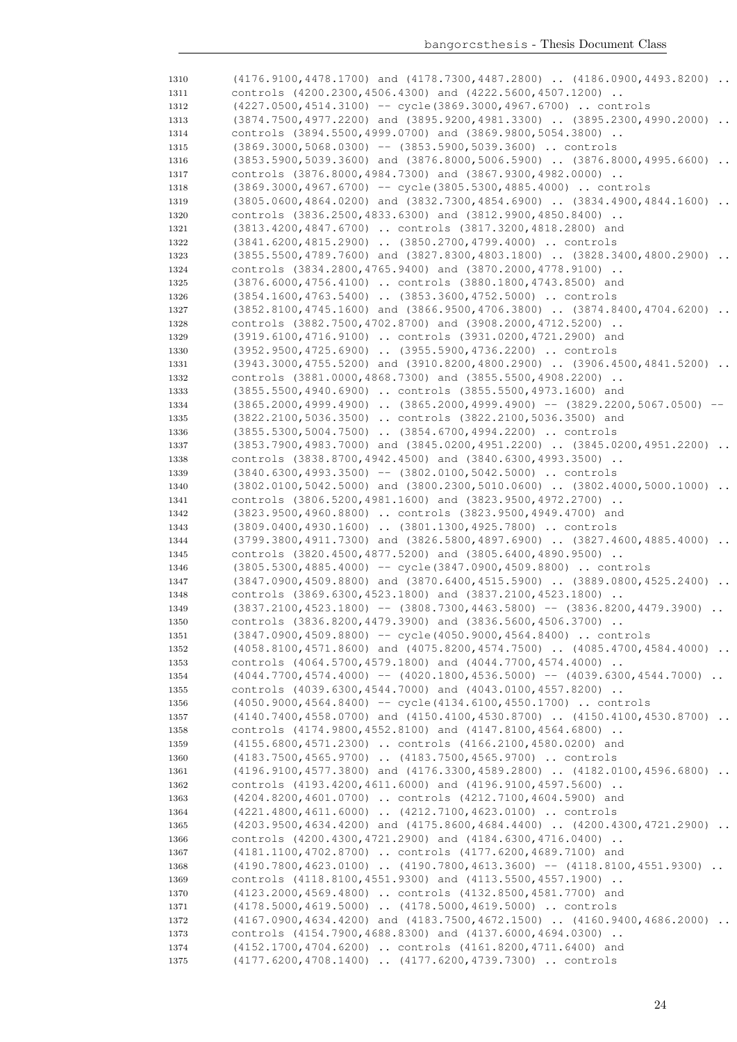1310 (4176.9100,4478.1700) and (4178.7300,4487.2800) .. (4186.0900,4493.8200) controls (4200.2300,4506.4300) and (4222.5600,4507.1200) .. (4227.0500,4514.3100) -- cycle(3869.3000,4967.6700) .. controls 1313 (3874.7500,4977.2200) and (3895.9200,4981.3300) .. (3895.2300,4990.2000) .. controls (3894.5500,4999.0700) and (3869.9800,5054.3800) .. (3869.3000,5068.0300) -- (3853.5900,5039.3600) .. controls (3853.5900,5039.3600) and (3876.8000,5006.5900) .. (3876.8000,4995.6600) .. controls (3876.8000,4984.7300) and (3867.9300,4982.0000) .. (3869.3000,4967.6700) -- cycle(3805.5300,4885.4000) .. controls 1319 (3805.0600,4864.0200) and (3832.7300,4854.6900) .. (3834.4900,4844.1600) .. controls (3836.2500,4833.6300) and (3812.9900,4850.8400) .. (3813.4200,4847.6700) .. controls (3817.3200,4818.2800) and (3841.6200,4815.2900) .. (3850.2700,4799.4000) .. controls (3855.5500,4789.7600) and (3827.8300,4803.1800) .. (3828.3400,4800.2900) .. controls (3834.2800,4765.9400) and (3870.2000,4778.9100) .. (3876.6000,4756.4100) .. controls (3880.1800,4743.8500) and (3854.1600,4763.5400) .. (3853.3600,4752.5000) .. controls (3852.8100,4745.1600) and (3866.9500,4706.3800) .. (3874.8400,4704.6200) .. controls (3882.7500,4702.8700) and (3908.2000,4712.5200) .. (3919.6100,4716.9100) .. controls (3931.0200,4721.2900) and (3952.9500,4725.6900) .. (3955.5900,4736.2200) .. controls (3943.3000,4755.5200) and (3910.8200,4800.2900) .. (3906.4500,4841.5200) .. controls (3881.0000,4868.7300) and (3855.5500,4908.2200) .. (3855.5500,4940.6900) .. controls (3855.5500,4973.1600) and 1334 (3865.2000,4999.4900) .. (3865.2000,4999.4900) -- (3829.2200,5067.0500) -- (3822.2100,5036.3500) .. controls (3822.2100,5036.3500) and (3855.5300,5004.7500) .. (3854.6700,4994.2200) .. controls 1337 (3853.7900,4983.7000) and (3845.0200,4951.2200) .. (3845.0200,4951.2200) .. controls (3838.8700,4942.4500) and (3840.6300,4993.3500) .. (3840.6300,4993.3500) -- (3802.0100,5042.5000) .. controls (3802.0100,5042.5000) and (3800.2300,5010.0600) .. (3802.4000,5000.1000) .. controls (3806.5200,4981.1600) and (3823.9500,4972.2700) .. (3823.9500,4960.8800) .. controls (3823.9500,4949.4700) and (3809.0400,4930.1600) .. (3801.1300,4925.7800) .. controls (3799.3800,4911.7300) and (3826.5800,4897.6900) .. (3827.4600,4885.4000) .. controls (3820.4500,4877.5200) and (3805.6400,4890.9500) .. (3805.5300,4885.4000) -- cycle(3847.0900,4509.8800) .. controls (3847.0900,4509.8800) and (3870.6400,4515.5900) .. (3889.0800,4525.2400) .. controls (3869.6300,4523.1800) and (3837.2100,4523.1800) .. 1349 (3837.2100,4523.1800) -- (3808.7300,4463.5800) -- (3836.8200,4479.3900) .. controls (3836.8200,4479.3900) and (3836.5600,4506.3700) .. (3847.0900,4509.8800) -- cycle(4050.9000,4564.8400) .. controls (4058.8100,4571.8600) and (4075.8200,4574.7500) .. (4085.4700,4584.4000) .. controls (4064.5700,4579.1800) and (4044.7700,4574.4000) .. (4044.7700,4574.4000) -- (4020.1800,4536.5000) -- (4039.6300,4544.7000) controls (4039.6300,4544.7000) and (4043.0100,4557.8200) .. (4050.9000,4564.8400) -- cycle(4134.6100,4550.1700) .. controls (4140.7400,4558.0700) and (4150.4100,4530.8700) .. (4150.4100,4530.8700) .. controls (4174.9800,4552.8100) and (4147.8100,4564.6800) .. (4155.6800,4571.2300) .. controls (4166.2100,4580.0200) and (4183.7500,4565.9700) .. (4183.7500,4565.9700) .. controls (4196.9100,4577.3800) and (4176.3300,4589.2800) .. (4182.0100,4596.6800) .. controls (4193.4200,4611.6000) and (4196.9100,4597.5600) .. (4204.8200,4601.0700) .. controls (4212.7100,4604.5900) and (4221.4800,4611.6000) .. (4212.7100,4623.0100) .. controls 1365 (4203.9500,4634.4200) and (4175.8600,4684.4400) .. (4200.4300,4721.2900) .. controls (4200.4300,4721.2900) and (4184.6300,4716.0400) .. (4181.1100,4702.8700) .. controls (4177.6200,4689.7100) and 1368 (4190.7800,4623.0100) .. (4190.7800,4613.3600) -- (4118.8100,4551.9300) .. controls (4118.8100,4551.9300) and (4113.5500,4557.1900) .. (4123.2000,4569.4800) .. controls (4132.8500,4581.7700) and (4178.5000,4619.5000) .. (4178.5000,4619.5000) .. controls (4167.0900,4634.4200) and (4183.7500,4672.1500) .. (4160.9400,4686.2000) .. controls (4154.7900,4688.8300) and (4137.6000,4694.0300) .. (4152.1700,4704.6200) .. controls (4161.8200,4711.6400) and (4177.6200,4708.1400) .. (4177.6200,4739.7300) .. controls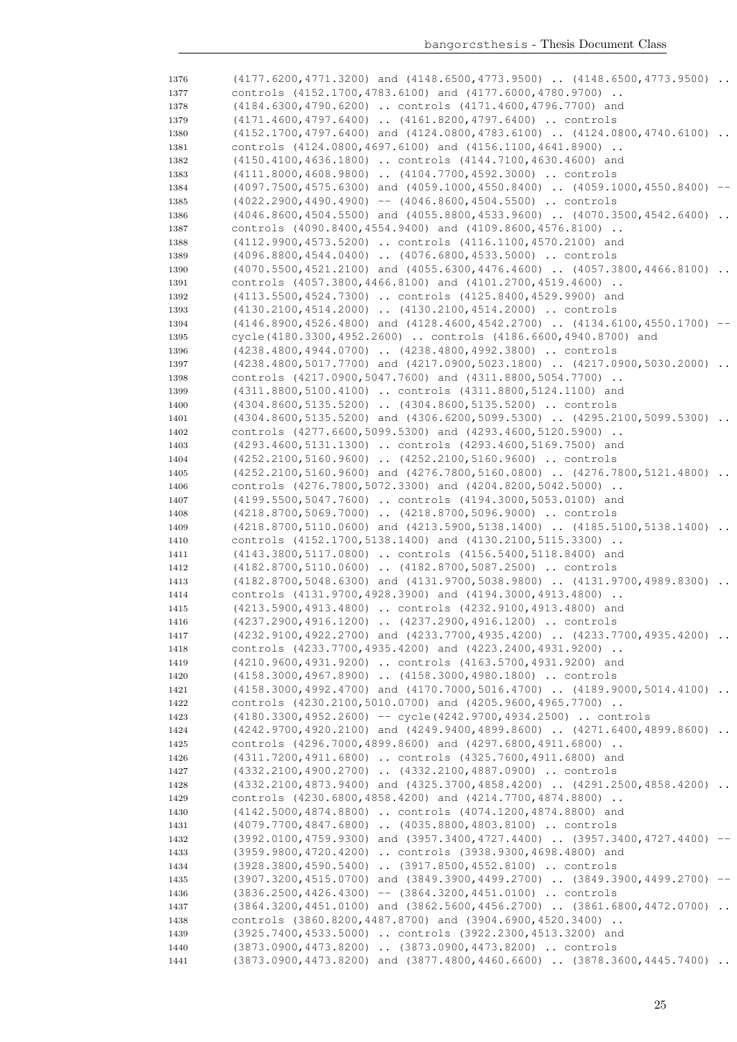| 1376 | (4177.6200,4771.3200) and (4148.6500,4773.9500)  (4148.6500,4773.9500)           |           |
|------|----------------------------------------------------------------------------------|-----------|
| 1377 | controls (4152.1700,4783.6100) and (4177.6000,4780.9700)                         |           |
| 1378 | (4184.6300,4790.6200)  controls (4171.4600,4796.7700) and                        |           |
| 1379 | (4171.4600,4797.6400)  (4161.8200,4797.6400)  controls                           |           |
| 1380 | $(4152.1700, 4797.6400)$ and $(4124.0800, 4783.6100)$ $(4124.0800, 4740.6100)$   |           |
| 1381 | controls (4124.0800,4697.6100) and (4156.1100,4641.8900)                         |           |
| 1382 | (4150.4100,4636.1800)  controls (4144.7100,4630.4600) and                        |           |
| 1383 | (4111.8000,4608.9800)  (4104.7700,4592.3000)  controls                           |           |
| 1384 | (4097.7500,4575.6300) and (4059.1000,4550.8400)  (4059.1000,4550.8400)           |           |
| 1385 | $(4022.2900, 4490.4900)$ -- $(4046.8600, 4504.5500)$ controls                    |           |
| 1386 | $(4046.8600, 4504.5500)$ and $(4055.8800, 4533.9600)$ $(4070.3500, 4542.6400)$ . |           |
| 1387 | controls (4090.8400,4554.9400) and (4109.8600,4576.8100)                         |           |
| 1388 | (4112.9900,4573.5200)  controls (4116.1100,4570.2100) and                        |           |
| 1389 | (4096.8800,4544.0400)  (4076.6800,4533.5000)  controls                           |           |
| 1390 | $(4070.5500, 4521.2100)$ and $(4055.6300, 4476.4600)$ $(4057.3800, 4466.8100)$ . |           |
| 1391 | controls (4057.3800,4466.8100) and (4101.2700,4519.4600)                         |           |
| 1392 | (4113.5500,4524.7300)  controls (4125.8400,4529.9900) and                        |           |
| 1393 | (4130.2100,4514.2000)  (4130.2100,4514.2000)  controls                           |           |
| 1394 | (4146.8900,4526.4800) and (4128.4600,4542.2700)  (4134.6100,4550.1700)           |           |
|      | cycle(4180.3300,4952.2600)  controls (4186.6600,4940.8700) and                   |           |
| 1395 |                                                                                  |           |
| 1396 | (4238.4800,4944.0700)  (4238.4800,4992.3800)  controls                           |           |
| 1397 | (4238.4800,5017.7700) and (4217.0900,5023.1800)  (4217.0900,5030.2000)           |           |
| 1398 | controls (4217.0900,5047.7600) and (4311.8800,5054.7700)                         |           |
| 1399 | (4311.8800,5100.4100)  controls (4311.8800,5124.1100) and                        |           |
| 1400 | (4304.8600,5135.5200)  (4304.8600,5135.5200)  controls                           |           |
| 1401 | (4304.8600,5135.5200) and (4306.6200,5099.5300)  (4295.2100,5099.5300)           | $\cdots$  |
| 1402 | controls (4277.6600,5099.5300) and (4293.4600,5120.5900)                         |           |
| 1403 | (4293.4600,5131.1300)  controls (4293.4600,5169.7500) and                        |           |
| 1404 | (4252.2100,5160.9600)  (4252.2100,5160.9600)  controls                           |           |
| 1405 | (4252.2100,5160.9600) and (4276.7800,5160.0800)  (4276.7800,5121.4800)           |           |
| 1406 | controls (4276.7800,5072.3300) and (4204.8200,5042.5000)                         |           |
| 1407 | (4199.5500,5047.7600)  controls (4194.3000,5053.0100) and                        |           |
| 1408 | (4218.8700,5069.7000)  (4218.8700,5096.9000)  controls                           |           |
| 1409 | (4218.8700,5110.0600) and (4213.5900,5138.1400)  (4185.5100,5138.1400)           |           |
| 1410 | controls (4152.1700, 5138.1400) and (4130.2100, 5115.3300)                       |           |
| 1411 | (4143.3800,5117.0800)  controls (4156.5400,5118.8400) and                        |           |
| 1412 | (4182.8700,5110.0600)  (4182.8700,5087.2500)  controls                           |           |
| 1413 | (4182.8700,5048.6300) and (4131.9700,5038.9800)  (4131.9700,4989.8300)           |           |
| 1414 | controls (4131.9700,4928.3900) and (4194.3000,4913.4800)                         |           |
| 1415 | (4213.5900,4913.4800)  controls (4232.9100,4913.4800) and                        |           |
| 1416 | (4237.2900,4916.1200)  (4237.2900,4916.1200)  controls                           |           |
| 1417 | (4232.9100,4922.2700) and (4233.7700,4935.4200)  (4233.7700,4935.4200)           |           |
| 1418 | controls (4233.7700,4935.4200) and (4223.2400,4931.9200)                         |           |
| 1419 | (4210.9600,4931.9200)  controls (4163.5700,4931.9200) and                        |           |
| 1420 | (4158.3000,4967.8900)  (4158.3000,4980.1800)  controls                           |           |
| 1421 | (4158.3000,4992.4700) and (4170.7000,5016.4700)  (4189.9000,5014.4100)           |           |
| 1422 | controls (4230.2100,5010.0700) and (4205.9600,4965.7700)                         |           |
| 1423 | $(4180.3300, 4952.2600)$ -- cycle $(4242.9700, 4934.2500)$ controls              |           |
| 1424 | (4242.9700,4920.2100) and (4249.9400,4899.8600)  (4271.6400,4899.8600)           | $\cdot$ . |
| 1425 | controls (4296.7000,4899.8600) and (4297.6800,4911.6800)                         |           |
| 1426 | (4311.7200,4911.6800)  controls (4325.7600,4911.6800) and                        |           |
| 1427 | (4332.2100,4900.2700)  (4332.2100,4887.0900)  controls                           |           |
| 1428 | (4332.2100,4873.9400) and (4325.3700,4858.4200)  (4291.2500,4858.4200)           |           |
| 1429 | controls (4230.6800,4858.4200) and (4214.7700,4874.8800)                         |           |
| 1430 | (4142.5000,4874.8800)  controls (4074.1200,4874.8800) and                        |           |
| 1431 | (4079.7700,4847.6800)  (4035.8800,4803.8100)  controls                           |           |
| 1432 | (3992.0100,4759.9300) and (3957.3400,4727.4400)  (3957.3400,4727.4400) --        |           |
| 1433 | (3959.9800,4720.4200)  controls (3938.9300,4698.4800) and                        |           |
|      | (3928.3800,4590.5400)  (3917.8500,4552.8100)  controls                           |           |
| 1434 |                                                                                  |           |
| 1435 | (3907.3200,4515.0700) and (3849.3900,4499.2700)  (3849.3900,4499.2700)           |           |
| 1436 | $(3836.2500, 4426.4300)$ -- $(3864.3200, 4451.0100)$ controls                    |           |
| 1437 | (3864.3200,4451.0100) and (3862.5600,4456.2700)  (3861.6800,4472.0700)           |           |
| 1438 | controls (3860.8200,4487.8700) and (3904.6900,4520.3400)                         |           |
| 1439 | (3925.7400,4533.5000)  controls (3922.2300,4513.3200) and                        |           |
| 1440 | (3873.0900,4473.8200)  (3873.0900,4473.8200)  controls                           |           |
| 1441 | $(3873.0900, 4473.8200)$ and $(3877.4800, 4460.6600)$ $(3878.3600, 4445.7400)$ . |           |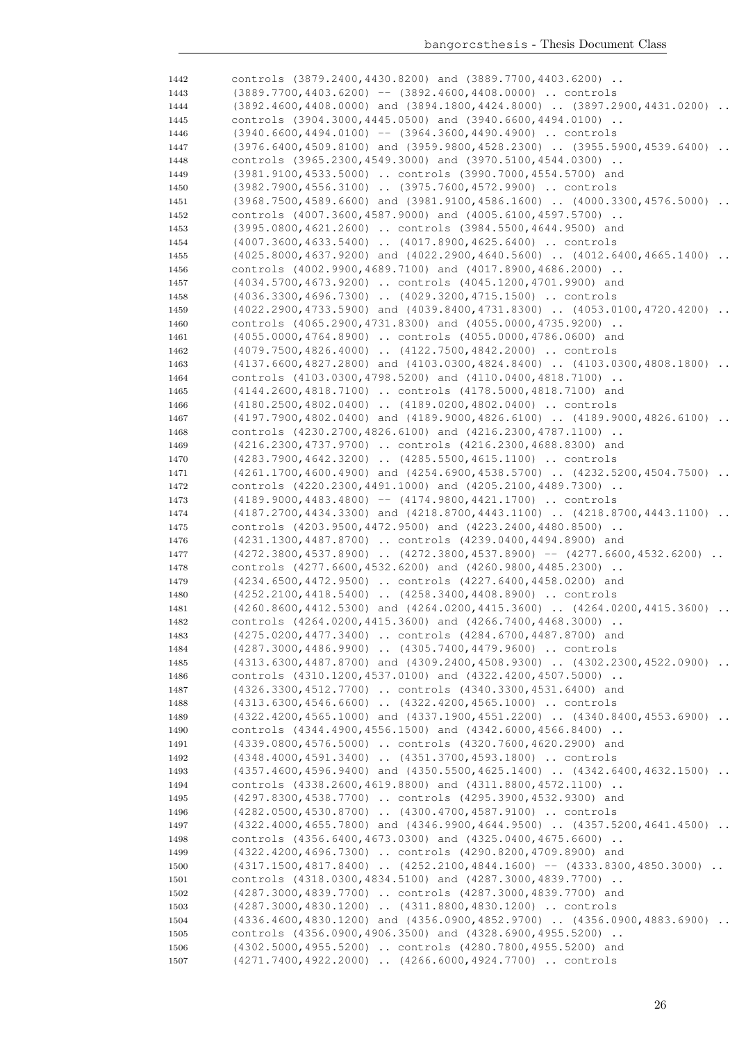| 1442 | controls $(3879.2400, 4430.8200)$ and $(3889.7700, 4403.6200)$ .                               |
|------|------------------------------------------------------------------------------------------------|
| 1443 | $(3889.7700, 4403.6200)$ -- $(3892.4600, 4408.0000)$ controls                                  |
| 1444 | $(3892.4600, 4408.0000)$ and $(3894.1800, 4424.8000)$ $(3897.2900, 4431.0200)$ .               |
| 1445 | controls (3904.3000,4445.0500) and (3940.6600,4494.0100)                                       |
| 1446 | $(3940.6600, 4494.0100)$ -- $(3964.3600, 4490.4900)$ controls                                  |
| 1447 | (3976.6400,4509.8100) and (3959.9800,4528.2300)  (3955.5900,4539.6400)                         |
| 1448 | controls (3965.2300,4549.3000) and (3970.5100,4544.0300)                                       |
| 1449 | (3981.9100,4533.5000)  controls (3990.7000,4554.5700) and                                      |
|      |                                                                                                |
| 1450 | (3982.7900,4556.3100)  (3975.7600,4572.9900)  controls                                         |
| 1451 | $(3968.7500, 4589.6600)$ and $(3981.9100, 4586.1600)$ $(4000.3300, 4576.5000)$                 |
| 1452 | controls (4007.3600,4587.9000) and (4005.6100,4597.5700)                                       |
| 1453 | (3995.0800,4621.2600)  controls (3984.5500,4644.9500) and                                      |
| 1454 | (4007.3600,4633.5400)  (4017.8900,4625.6400)  controls                                         |
| 1455 | $(4025.8000, 4637.9200)$ and $(4022.2900, 4640.5600)$ $(4012.6400, 4665.1400)$<br>$\ddots$     |
| 1456 | controls (4002.9900,4689.7100) and (4017.8900,4686.2000)                                       |
| 1457 | (4034.5700,4673.9200)  controls (4045.1200,4701.9900) and                                      |
| 1458 | (4036.3300,4696.7300)  (4029.3200,4715.1500)  controls                                         |
| 1459 | (4022.2900,4733.5900) and (4039.8400,4731.8300)  (4053.0100,4720.4200)                         |
| 1460 | controls $(4065.2900, 4731.8300)$ and $(4055.0000, 4735.9200)$ .                               |
| 1461 | (4055.0000,4764.8900)  controls (4055.0000,4786.0600) and                                      |
| 1462 | (4079.7500,4826.4000)  (4122.7500,4842.2000)  controls                                         |
| 1463 | $(4137.6600, 4827.2800)$ and $(4103.0300, 4824.8400)$ $(4103.0300, 4808.1800)$ .               |
|      |                                                                                                |
| 1464 | controls (4103.0300,4798.5200) and (4110.0400,4818.7100)                                       |
| 1465 | (4144.2600,4818.7100)  controls (4178.5000,4818.7100) and                                      |
| 1466 | $(4180.2500, 4802.0400)$ $(4189.0200, 4802.0400)$ controls                                     |
| 1467 | $(4197.7900, 4802.0400)$ and $(4189.9000, 4826.6100)$ $(4189.9000, 4826.6100)$ .               |
| 1468 | controls (4230.2700,4826.6100) and (4216.2300,4787.1100)                                       |
| 1469 | (4216.2300,4737.9700)  controls (4216.2300,4688.8300) and                                      |
| 1470 | (4283.7900,4642.3200)  (4285.5500,4615.1100)  controls                                         |
| 1471 | (4261.1700,4600.4900) and (4254.6900,4538.5700)  (4232.5200,4504.7500)                         |
| 1472 | controls (4220.2300,4491.1000) and (4205.2100,4489.7300)                                       |
| 1473 | $(4189.9000, 4483.4800)$ -- $(4174.9800, 4421.1700)$ controls                                  |
| 1474 | (4187.2700,4434.3300) and (4218.8700,4443.1100)  (4218.8700,4443.1100)                         |
| 1475 | controls (4203.9500,4472.9500) and (4223.2400,4480.8500)                                       |
| 1476 | (4231.1300,4487.8700)  controls (4239.0400,4494.8900) and                                      |
| 1477 | $(4272.3800, 4537.8900)$ $(4272.3800, 4537.8900)$ -- $(4277.6600, 4532.6200)$                  |
| 1478 | controls (4277.6600, 4532.6200) and (4260.9800, 4485.2300)                                     |
|      | (4234.6500,4472.9500)  controls (4227.6400,4458.0200) and                                      |
| 1479 |                                                                                                |
| 1480 | (4252.2100,4418.5400)  (4258.3400,4408.8900)  controls                                         |
| 1481 | (4260.8600,4412.5300) and (4264.0200,4415.3600)  (4264.0200,4415.3600)<br>$\ddot{\phantom{0}}$ |
| 1482 | controls (4264.0200,4415.3600) and (4266.7400,4468.3000)                                       |
| 1483 | (4275.0200,4477.3400)  controls (4284.6700,4487.8700) and                                      |
| 1484 | (4287.3000,4486.9900)  (4305.7400,4479.9600)  controls                                         |
| 1485 | (4313.6300,4487.8700) and (4309.2400,4508.9300)  (4302.2300,4522.0900)                         |
| 1486 |                                                                                                |
| 1487 | controls (4310.1200,4537.0100) and (4322.4200,4507.5000)                                       |
|      | (4326.3300,4512.7700)  controls (4340.3300,4531.6400) and                                      |
| 1488 | (4313.6300,4546.6600)  (4322.4200,4565.1000)  controls                                         |
| 1489 | (4322.4200,4565.1000) and (4337.1900,4551.2200)  (4340.8400,4553.6900)                         |
| 1490 | controls (4344.4900,4556.1500) and (4342.6000,4566.8400)                                       |
|      |                                                                                                |
| 1491 | (4339.0800,4576.5000)  controls (4320.7600,4620.2900) and                                      |
| 1492 | (4348.4000,4591.3400)  (4351.3700,4593.1800)  controls                                         |
| 1493 | $(4357.4600, 4596.9400)$ and $(4350.5500, 4625.1400)$ $(4342.6400, 4632.1500)$                 |
| 1494 | controls (4338.2600,4619.8800) and (4311.8800,4572.1100)                                       |
| 1495 | (4297.8300,4538.7700)  controls (4295.3900,4532.9300) and                                      |
| 1496 | (4282.0500,4530.8700)  (4300.4700,4587.9100)  controls                                         |
| 1497 | (4322.4000,4655.7800) and (4346.9900,4644.9500)  (4357.5200,4641.4500)                         |
| 1498 | controls (4356.6400,4673.0300) and (4325.0400,4675.6600)                                       |
| 1499 | (4322.4200,4696.7300)  controls (4290.8200,4709.8900) and                                      |
| 1500 | $(4317.1500, 4817.8400)$ $(4252.2100, 4844.1600)$ -- $(4333.8300, 4850.3000)$                  |
| 1501 | controls (4318.0300,4834.5100) and (4287.3000,4839.7700)                                       |
| 1502 | (4287.3000,4839.7700)  controls (4287.3000,4839.7700) and                                      |
| 1503 | (4287.3000,4830.1200)  (4311.8800,4830.1200)  controls                                         |
| 1504 | $(4336.4600, 4830.1200)$ and $(4356.0900, 4852.9700)$ $(4356.0900, 4883.6900)$                 |
| 1505 | controls (4356.0900,4906.3500) and (4328.6900,4955.5200)                                       |
| 1506 | (4302.5000,4955.5200)  controls (4280.7800,4955.5200) and                                      |
| 1507 | (4271.7400,4922.2000)  (4266.6000,4924.7700)  controls                                         |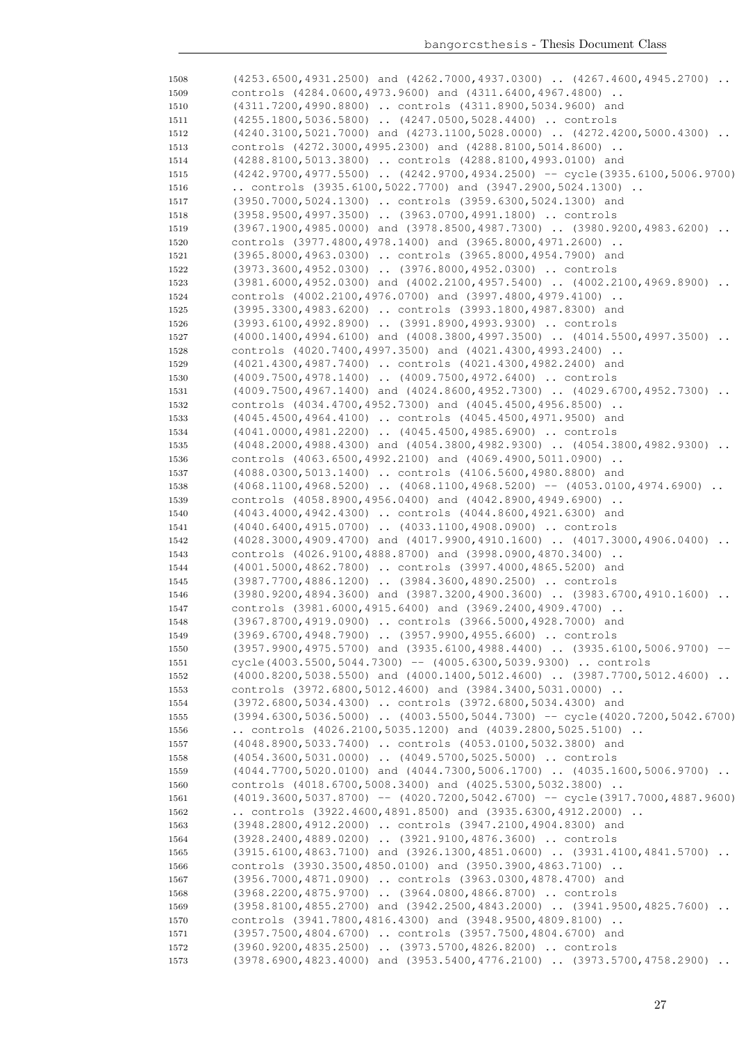| 1508         | (4253.6500,4931.2500) and (4262.7000,4937.0300)  (4267.4600,4945.2700)                                                             |
|--------------|------------------------------------------------------------------------------------------------------------------------------------|
| 1509         | controls (4284.0600,4973.9600) and (4311.6400,4967.4800)                                                                           |
| 1510         | (4311.7200,4990.8800)  controls (4311.8900,5034.9600) and                                                                          |
| 1511         | (4255.1800,5036.5800)  (4247.0500,5028.4400)  controls                                                                             |
| 1512         | $(4240.3100, 5021.7000)$ and $(4273.1100, 5028.0000)$ $(4272.4200, 5000.4300)$                                                     |
| 1513         | controls (4272.3000,4995.2300) and (4288.8100,5014.8600)                                                                           |
| 1514         | (4288.8100,5013.3800)  controls (4288.8100,4993.0100) and                                                                          |
| 1515         | $(4242.9700, 4977.5500)$ $(4242.9700, 4934.2500)$ -- cycle $(3935.6100, 5006.9700)$                                                |
| 1516         | controls $(3935.6100, 5022.7700)$ and $(3947.2900, 5024.1300)$ .                                                                   |
| 1517         | (3950.7000,5024.1300)  controls (3959.6300,5024.1300) and                                                                          |
| 1518         | (3958.9500,4997.3500)  (3963.0700,4991.1800)  controls                                                                             |
| 1519         | $(3967.1900, 4985.0000)$ and $(3978.8500, 4987.7300)$ $(3980.9200, 4983.6200)$                                                     |
| 1520         | controls (3977.4800,4978.1400) and (3965.8000,4971.2600)                                                                           |
| 1521         | (3965.8000,4963.0300)  controls (3965.8000,4954.7900) and                                                                          |
| 1522         | (3973.3600,4952.0300)  (3976.8000,4952.0300)  controls                                                                             |
| 1523         | $(3981.6000, 4952.0300)$ and $(4002.2100, 4957.5400)$ $(4002.2100, 4969.8900)$                                                     |
| 1524         | controls (4002.2100,4976.0700) and (3997.4800,4979.4100)                                                                           |
| 1525         | (3995.3300,4983.6200)  controls (3993.1800,4987.8300) and                                                                          |
| 1526         | (3993.6100,4992.8900)  (3991.8900,4993.9300)  controls                                                                             |
| 1527         | $(4000.1400, 4994.6100)$ and $(4008.3800, 4997.3500)$ $(4014.5500, 4997.3500)$                                                     |
| 1528         | controls (4020.7400,4997.3500) and (4021.4300,4993.2400)                                                                           |
| 1529         | (4021.4300,4987.7400)  controls (4021.4300,4982.2400) and                                                                          |
| 1530         | (4009.7500,4978.1400)  (4009.7500,4972.6400)  controls                                                                             |
| 1531         | (4009.7500,4967.1400) and (4024.8600,4952.7300)  (4029.6700,4952.7300)                                                             |
| 1532         | controls (4034.4700,4952.7300) and (4045.4500,4956.8500)                                                                           |
| 1533         | (4045.4500,4964.4100)  controls (4045.4500,4971.9500) and                                                                          |
| 1534         | (4041.0000,4981.2200)  (4045.4500,4985.6900)  controls                                                                             |
| 1535         | (4048.2000,4988.4300) and (4054.3800,4982.9300)  (4054.3800,4982.9300)                                                             |
| 1536         | controls $(4063.6500, 4992.2100)$ and $(4069.4900, 5011.0900)$ .                                                                   |
| 1537         | (4088.0300,5013.1400)  controls (4106.5600,4980.8800) and                                                                          |
| 1538         | $(4068.1100, 4968.5200)$ $(4068.1100, 4968.5200)$ -- $(4053.0100, 4974.6900)$                                                      |
| 1539         | controls (4058.8900,4956.0400) and (4042.8900,4949.6900)                                                                           |
| 1540         | (4043.4000,4942.4300)  controls (4044.8600,4921.6300) and                                                                          |
| 1541         | (4040.6400,4915.0700)  (4033.1100,4908.0900)  controls                                                                             |
| 1542         | $(4028.3000, 4909.4700)$ and $(4017.9900, 4910.1600)$ $(4017.3000, 4906.0400)$ .                                                   |
| 1543         | controls (4026.9100,4888.8700) and (3998.0900,4870.3400)                                                                           |
| 1544         | (4001.5000,4862.7800)  controls (3997.4000,4865.5200) and                                                                          |
| 1545         | (3987.7700,4886.1200)  (3984.3600,4890.2500)  controls                                                                             |
| 1546         | $(3980.9200, 4894.3600)$ and $(3987.3200, 4900.3600)$ $(3983.6700, 4910.1600)$                                                     |
| 1547         | controls (3981.6000,4915.6400) and (3969.2400,4909.4700)                                                                           |
| 1548         | (3967.8700,4919.0900)  controls (3966.5000,4928.7000) and                                                                          |
| 1549         | (3969.6700,4948.7900)  (3957.9900,4955.6600)  controls                                                                             |
| 1550         | $(3957.9900, 4975.5700)$ and $(3935.6100, 4988.4400)$ $(3935.6100, 5006.9700)$<br>$\hspace{0.1em} -\hspace{0.1em} -\hspace{0.1em}$ |
| 1551         | $cycle(4003.5500, 5044.7300) -- (4005.6300, 5039.9300)  controls$                                                                  |
| 1552         | (4000.8200,5038.5500) and (4000.1400,5012.4600)  (3987.7700,5012.4600)                                                             |
| 1553         | controls (3972.6800,5012.4600) and (3984.3400,5031.0000)                                                                           |
| 1554         | (3972.6800,5034.4300)  controls (3972.6800,5034.4300) and                                                                          |
| 1555         | (3994.6300,5036.5000)  (4003.5500,5044.7300) -- cycle (4020.7200,5042.6700)                                                        |
| 1556         | controls $(4026.2100, 5035.1200)$ and $(4039.2800, 5025.5100)$ .                                                                   |
| 1557         | (4048.8900,5033.7400)  controls (4053.0100,5032.3800) and                                                                          |
| 1558         | (4054.3600,5031.0000)  (4049.5700,5025.5000)  controls                                                                             |
| 1559         | (4044.7700,5020.0100) and (4044.7300,5006.1700)  (4035.1600,5006.9700)<br>controls (4018.6700,5008.3400) and (4025.5300,5032.3800) |
| 1560         | (4019.3600,5037.8700) -- (4020.7200,5042.6700) -- cycle(3917.7000,4887.9600)                                                       |
| 1561         | controls $(3922.4600, 4891.8500)$ and $(3935.6300, 4912.2000)$                                                                     |
| 1562         | (3948.2800,4912.2000)  controls (3947.2100,4904.8300) and                                                                          |
| 1563<br>1564 | (3928.2400,4889.0200)  (3921.9100,4876.3600)  controls                                                                             |
|              | (3915.6100,4863.7100) and (3926.1300,4851.0600)  (3931.4100,4841.5700)                                                             |
| 1565         | controls (3930.3500,4850.0100) and (3950.3900,4863.7100)                                                                           |
| 1566         | (3956.7000,4871.0900)  controls (3963.0300,4878.4700) and                                                                          |
| 1567<br>1568 | (3968.2200,4875.9700)  (3964.0800,4866.8700)  controls                                                                             |
| 1569         | (3958.8100,4855.2700) and (3942.2500,4843.2000)  (3941.9500,4825.7600)                                                             |
| 1570         | controls (3941.7800,4816.4300) and (3948.9500,4809.8100)                                                                           |
| 1571         | (3957.7500,4804.6700)  controls (3957.7500,4804.6700) and                                                                          |
| 1572         | (3960.9200,4835.2500)  (3973.5700,4826.8200)  controls                                                                             |
| 1573         | (3978.6900,4823.4000) and (3953.5400,4776.2100)  (3973.5700,4758.2900)                                                             |
|              |                                                                                                                                    |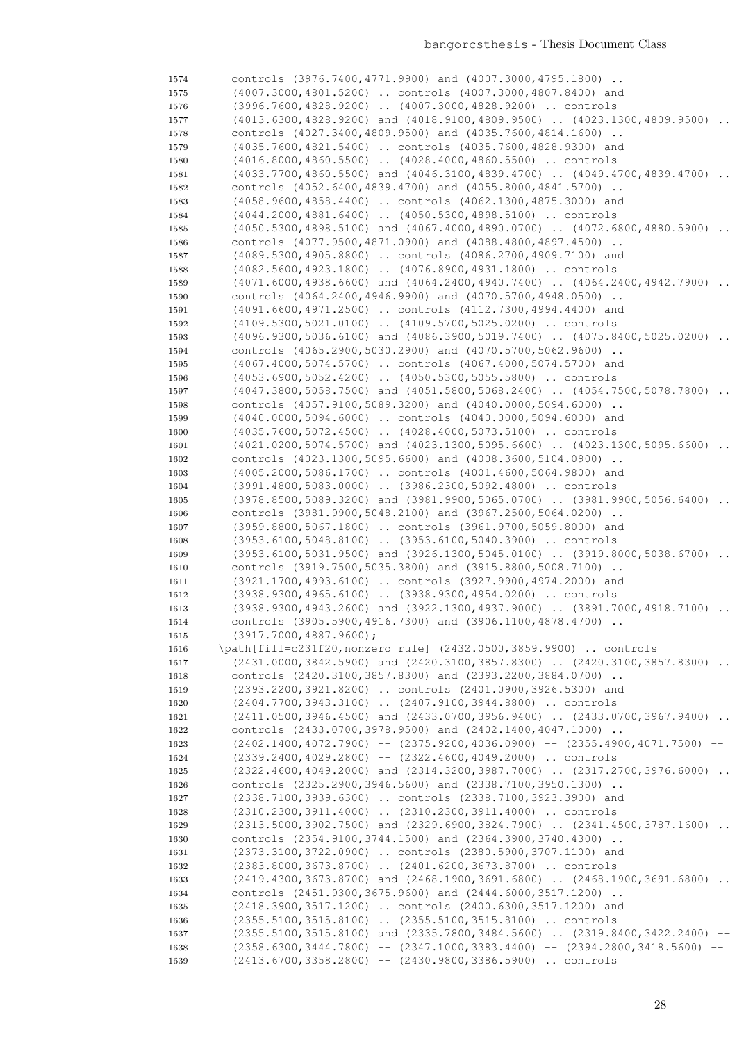| 1574         | controls (3976.7400,4771.9900) and (4007.3000,4795.1800)                                                                                     |           |
|--------------|----------------------------------------------------------------------------------------------------------------------------------------------|-----------|
| 1575         | (4007.3000,4801.5200)  controls (4007.3000,4807.8400) and                                                                                    |           |
| 1576         | (3996.7600,4828.9200)  (4007.3000,4828.9200)  controls                                                                                       |           |
| 1577         | (4013.6300,4828.9200) and (4018.9100,4809.9500)  (4023.1300,4809.9500)                                                                       |           |
| 1578         | controls (4027.3400,4809.9500) and (4035.7600,4814.1600)                                                                                     |           |
| 1579         | (4035.7600,4821.5400)  controls (4035.7600,4828.9300) and                                                                                    |           |
| 1580         | (4016.8000,4860.5500)  (4028.4000,4860.5500)  controls                                                                                       |           |
| 1581         | (4033.7700,4860.5500) and (4046.3100,4839.4700)  (4049.4700,4839.4700)                                                                       | $\cdots$  |
| 1582         | controls (4052.6400,4839.4700) and (4055.8000,4841.5700)                                                                                     |           |
| 1583         | (4058.9600,4858.4400)  controls (4062.1300,4875.3000) and                                                                                    |           |
| 1584         | (4044.2000,4881.6400)  (4050.5300,4898.5100)  controls                                                                                       |           |
| 1585         | $(4050.5300, 4898.5100)$ and $(4067.4000, 4890.0700)$ $(4072.6800, 4880.5900)$                                                               |           |
| 1586         | controls (4077.9500,4871.0900) and (4088.4800,4897.4500)                                                                                     |           |
| 1587         | (4089.5300,4905.8800)  controls (4086.2700,4909.7100) and                                                                                    |           |
| 1588         | (4082.5600,4923.1800)  (4076.8900,4931.1800)  controls                                                                                       |           |
| 1589         | $(4071.6000, 4938.6600)$ and $(4064.2400, 4940.7400)$ $(4064.2400, 4942.7900)$ .                                                             |           |
| 1590         | controls (4064.2400,4946.9900) and (4070.5700,4948.0500)                                                                                     |           |
| 1591         | (4091.6600,4971.2500)  controls (4112.7300,4994.4400) and                                                                                    |           |
| 1592         | (4109.5300,5021.0100)  (4109.5700,5025.0200)  controls                                                                                       |           |
| 1593         | $(4096.9300, 5036.6100)$ and $(4086.3900, 5019.7400)$ $(4075.8400, 5025.0200)$                                                               |           |
| 1594         | controls (4065.2900,5030.2900) and (4070.5700,5062.9600)                                                                                     |           |
| 1595         | (4067.4000,5074.5700)  controls (4067.4000,5074.5700) and                                                                                    |           |
| 1596         | (4053.6900,5052.4200)  (4050.5300,5055.5800)  controls                                                                                       |           |
| 1597         | (4047.3800,5058.7500) and (4051.5800,5068.2400)  (4054.7500,5078.7800)                                                                       |           |
| 1598         | controls (4057.9100,5089.3200) and (4040.0000,5094.6000)                                                                                     |           |
| 1599         | (4040.0000,5094.6000)  controls (4040.0000,5094.6000) and                                                                                    |           |
| 1600         | (4035.7600,5072.4500)  (4028.4000,5073.5100)  controls                                                                                       |           |
| 1601         | $(4021.0200, 5074.5700)$ and $(4023.1300, 5095.6600)$ $(4023.1300, 5095.6600)$                                                               | $\cdot$ . |
| 1602         | controls (4023.1300, 5095.6600) and (4008.3600, 5104.0900)                                                                                   |           |
| 1603         | (4005.2000,5086.1700)  controls (4001.4600,5064.9800) and                                                                                    |           |
| 1604         | (3991.4800,5083.0000)  (3986.2300,5092.4800)  controls                                                                                       |           |
| 1605         | $(3978.8500, 5089.3200)$ and $(3981.9900, 5065.0700)$ $(3981.9900, 5056.6400)$                                                               |           |
| 1606         | controls (3981.9900,5048.2100) and (3967.2500,5064.0200)                                                                                     |           |
| 1607         | (3959.8800,5067.1800)  controls (3961.9700,5059.8000) and                                                                                    |           |
| 1608         | (3953.6100,5048.8100)  (3953.6100,5040.3900)  controls                                                                                       |           |
| 1609         | $(3953.6100, 5031.9500)$ and $(3926.1300, 5045.0100)$ $(3919.8000, 5038.6700)$                                                               |           |
| 1610         | controls (3919.7500,5035.3800) and (3915.8800,5008.7100)                                                                                     |           |
| 1611         | (3921.1700,4993.6100)  controls (3927.9900,4974.2000) and                                                                                    |           |
| 1612         | (3938.9300,4965.6100)  (3938.9300,4954.0200)  controls                                                                                       |           |
| 1613         | (3938.9300,4943.2600) and (3922.1300,4937.9000)  (3891.7000,4918.7100)                                                                       | $\ddots$  |
| 1614         | controls (3905.5900,4916.7300) and (3906.1100,4878.4700)                                                                                     |           |
| 1615         | (3917.7000, 4887.9600);                                                                                                                      |           |
| 1616         | \path[fill=c231f20, nonzero rule] (2432.0500, 3859.9900)  controls<br>(2431.0000,3842.5900) and (2420.3100,3857.8300)  (2420.3100,3857.8300) |           |
| 1617         | controls (2420.3100,3857.8300) and (2393.2200,3884.0700)                                                                                     |           |
| 1618<br>1619 | (2393.2200,3921.8200)  controls (2401.0900,3926.5300) and                                                                                    |           |
| 1620         | (2404.7700,3943.3100)  (2407.9100,3944.8800)  controls                                                                                       |           |
| 1621         | $(2411.0500, 3946.4500)$ and $(2433.0700, 3956.9400)$ $(2433.0700, 3967.9400)$                                                               |           |
| 1622         | controls (2433.0700,3978.9500) and (2402.1400,4047.1000)                                                                                     |           |
| 1623         | $(2402.1400, 4072.7900)$ -- $(2375.9200, 4036.0900)$ -- $(2355.4900, 4071.7500)$ --                                                          |           |
| 1624         | $(2339.2400, 4029.2800)$ -- $(2322.4600, 4049.2000)$ controls                                                                                |           |
| 1625         | (2322.4600,4049.2000) and (2314.3200,3987.7000)  (2317.2700,3976.6000)                                                                       |           |
| 1626         | controls (2325.2900,3946.5600) and (2338.7100,3950.1300)                                                                                     |           |
| 1627         | (2338.7100,3939.6300)  controls (2338.7100,3923.3900) and                                                                                    |           |
| 1628         | (2310.2300,3911.4000)  (2310.2300,3911.4000)  controls                                                                                       |           |
| 1629         | (2313.5000,3902.7500) and (2329.6900,3824.7900)  (2341.4500,3787.1600)                                                                       |           |
| 1630         | controls (2354.9100,3744.1500) and (2364.3900,3740.4300)                                                                                     |           |
| 1631         | (2373.3100,3722.0900)  controls (2380.5900,3707.1100) and                                                                                    |           |
| 1632         | (2383.8000,3673.8700)  (2401.6200,3673.8700)  controls                                                                                       |           |
| 1633         | $(2419.4300, 3673.8700)$ and $(2468.1900, 3691.6800)$ $(2468.1900, 3691.6800)$ .                                                             |           |
| 1634         | controls (2451.9300,3675.9600) and (2444.6000,3517.1200)                                                                                     |           |
| 1635         | (2418.3900,3517.1200)  controls (2400.6300,3517.1200) and                                                                                    |           |
| 1636         | (2355.5100,3515.8100)  (2355.5100,3515.8100)  controls                                                                                       |           |
| 1637         | $(2355.5100, 3515.8100)$ and $(2335.7800, 3484.5600)$ $(2319.8400, 3422.2400)$ --                                                            |           |
| 1638         | $(2358.6300, 3444.7800)$ -- $(2347.1000, 3383.4400)$ -- $(2394.2800, 3418.5600)$ --                                                          |           |
| 1639         | $(2413.6700, 3358.2800)$ -- $(2430.9800, 3386.5900)$ controls                                                                                |           |
|              |                                                                                                                                              |           |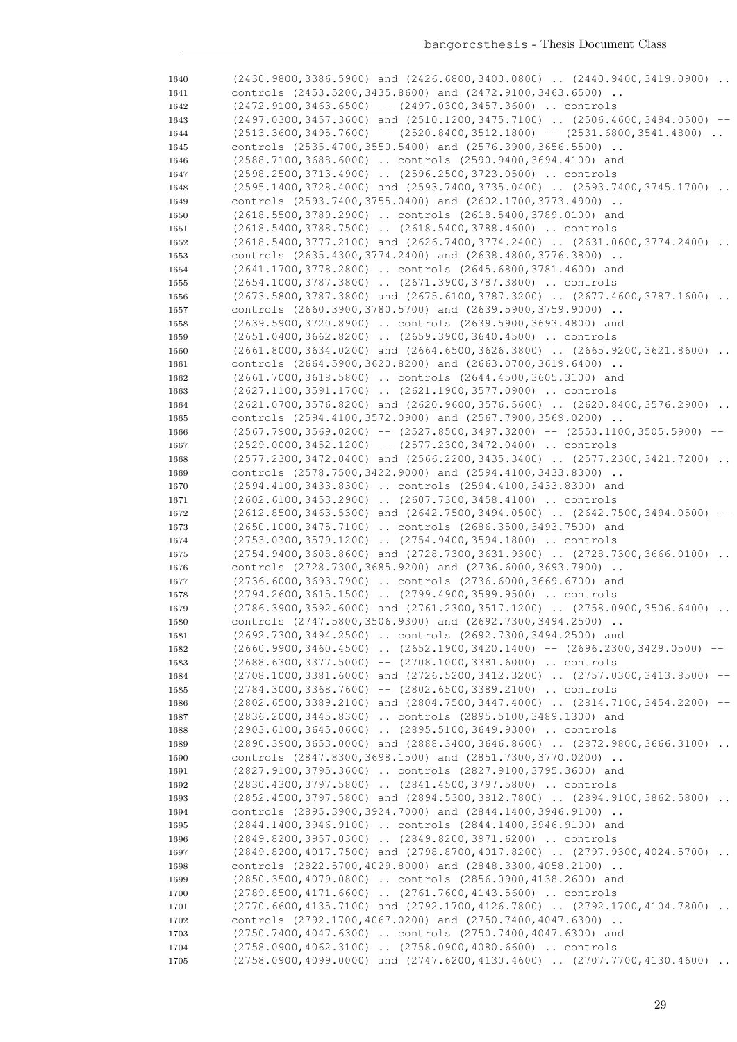| 1640 | $(2430.9800, 3386.5900)$ and $(2426.6800, 3400.0800)$ . $(2440.9400, 3419.0900)$ .         |
|------|--------------------------------------------------------------------------------------------|
| 1641 | controls (2453.5200,3435.8600) and (2472.9100,3463.6500)                                   |
| 1642 | $(2472.9100, 3463.6500)$ -- $(2497.0300, 3457.3600)$ controls                              |
| 1643 | $(2497.0300, 3457.3600)$ and $(2510.1200, 3475.7100)$ $(2506.4600, 3494.0500)$ --          |
| 1644 | $(2513.3600, 3495.7600)$ -- $(2520.8400, 3512.1800)$ -- $(2531.6800, 3541.4800)$           |
| 1645 | controls (2535.4700,3550.5400) and (2576.3900,3656.5500)                                   |
| 1646 | (2588.7100,3688.6000)  controls (2590.9400,3694.4100) and                                  |
| 1647 | (2598.2500,3713.4900)  (2596.2500,3723.0500)  controls                                     |
| 1648 | (2595.1400,3728.4000) and (2593.7400,3735.0400)  (2593.7400,3745.1700)                     |
| 1649 | controls (2593.7400,3755.0400) and (2602.1700,3773.4900)                                   |
| 1650 | (2618.5500,3789.2900)  controls (2618.5400,3789.0100) and                                  |
| 1651 | (2618.5400,3788.7500)  (2618.5400,3788.4600)  controls                                     |
| 1652 | (2618.5400,3777.2100) and (2626.7400,3774.2400)  (2631.0600,3774.2400)<br>$\ddots$         |
| 1653 | controls (2635.4300,3774.2400) and (2638.4800,3776.3800)                                   |
| 1654 | (2641.1700,3778.2800)  controls (2645.6800,3781.4600) and                                  |
| 1655 | (2654.1000,3787.3800)  (2671.3900,3787.3800)  controls                                     |
| 1656 | $(2673.5800, 3787.3800)$ and $(2675.6100, 3787.3200)$ $(2677.4600, 3787.1600)$<br>$\ddots$ |
| 1657 | controls (2660.3900,3780.5700) and (2639.5900,3759.9000)                                   |
| 1658 | (2639.5900,3720.8900)  controls (2639.5900,3693.4800) and                                  |
| 1659 | (2651.0400,3662.8200)  (2659.3900,3640.4500)  controls                                     |
| 1660 | $(2661.8000, 3634.0200)$ and $(2664.6500, 3626.3800)$ $(2665.9200, 3621.8600)$             |
| 1661 | controls (2664.5900,3620.8200) and (2663.0700,3619.6400)                                   |
| 1662 | (2661.7000,3618.5800)  controls (2644.4500,3605.3100) and                                  |
| 1663 | (2627.1100,3591.1700)  (2621.1900,3577.0900)  controls                                     |
| 1664 | $(2621.0700, 3576.8200)$ and $(2620.9600, 3576.5600)$ $(2620.8400, 3576.2900)$<br>$\ddots$ |
| 1665 | controls (2594.4100,3572.0900) and (2567.7900,3569.0200)                                   |
| 1666 | $(2567.7900, 3569.0200)$ -- $(2527.8500, 3497.3200)$ -- $(2553.1100, 3505.5900)$ --        |
| 1667 | $(2529.0000, 3452.1200)$ -- $(2577.2300, 3472.0400)$ controls                              |
| 1668 | (2577.2300,3472.0400) and (2566.2200,3435.3400)  (2577.2300,3421.7200)                     |
| 1669 | controls (2578.7500,3422.9000) and (2594.4100,3433.8300)                                   |
| 1670 | (2594.4100,3433.8300)  controls (2594.4100,3433.8300) and                                  |
| 1671 | $(2602.6100, 3453.2900)$ $(2607.7300, 3458.4100)$ controls                                 |
| 1672 | $(2612.8500, 3463.5300)$ and $(2642.7500, 3494.0500)$ $(2642.7500, 3494.0500)$             |
| 1673 | (2650.1000,3475.7100)  controls (2686.3500,3493.7500) and                                  |
| 1674 | (2753.0300,3579.1200)  (2754.9400,3594.1800)  controls                                     |
| 1675 | (2754.9400,3608.8600) and (2728.7300,3631.9300)  (2728.7300,3666.0100)                     |
| 1676 | controls (2728.7300,3685.9200) and (2736.6000,3693.7900)                                   |
| 1677 | (2736.6000,3693.7900)  controls (2736.6000,3669.6700) and                                  |
| 1678 | (2794.2600,3615.1500)  (2799.4900,3599.9500)  controls                                     |
| 1679 | $(2786.3900, 3592.6000)$ and $(2761.2300, 3517.1200)$ $(2758.0900, 3506.6400)$<br>$\ddots$ |
| 1680 | controls (2747.5800,3506.9300) and (2692.7300,3494.2500)                                   |
| 1681 | (2692.7300,3494.2500)  controls (2692.7300,3494.2500) and                                  |
| 1682 | $(2660.9900, 3460.4500)$ $(2652.1900, 3420.1400)$ -- $(2696.2300, 3429.0500)$ --           |
| 1683 | $(2688.6300, 3377.5000)$ -- $(2708.1000, 3381.6000)$ controls                              |
| 1684 | (2708.1000,3381.6000) and (2726.5200,3412.3200)  (2757.0300,3413.8500)                     |
| 1685 | $(2784.3000, 3368.7600)$ -- $(2802.6500, 3389.2100)$ controls                              |
| 1686 | (2802.6500,3389.2100) and (2804.7500,3447.4000)  (2814.7100,3454.2200) --                  |
| 1687 | (2836.2000,3445.8300)  controls (2895.5100,3489.1300) and                                  |
| 1688 | (2903.6100,3645.0600)  (2895.5100,3649.9300)  controls                                     |
| 1689 | (2890.3900,3653.0000) and (2888.3400,3646.8600)  (2872.9800,3666.3100)                     |
| 1690 | controls (2847.8300,3698.1500) and (2851.7300,3770.0200)                                   |
| 1691 | (2827.9100,3795.3600)  controls (2827.9100,3795.3600) and                                  |
| 1692 | (2830.4300,3797.5800)  (2841.4500,3797.5800)  controls                                     |
| 1693 | (2852.4500,3797.5800) and (2894.5300,3812.7800)  (2894.9100,3862.5800)                     |
| 1694 | controls (2895.3900,3924.7000) and (2844.1400,3946.9100)                                   |
| 1695 | (2844.1400,3946.9100)  controls (2844.1400,3946.9100) and                                  |
| 1696 | (2849.8200,3957.0300)  (2849.8200,3971.6200)  controls                                     |
| 1697 | (2849.8200,4017.7500) and (2798.8700,4017.8200)  (2797.9300,4024.5700)                     |
| 1698 | controls (2822.5700,4029.8000) and (2848.3300,4058.2100)                                   |
| 1699 | (2850.3500,4079.0800)  controls (2856.0900,4138.2600) and                                  |
| 1700 | (2789.8500,4171.6600)  (2761.7600,4143.5600)  controls                                     |
| 1701 | (2770.6600,4135.7100) and (2792.1700,4126.7800)  (2792.1700,4104.7800)                     |
| 1702 | controls (2792.1700, 4067.0200) and (2750.7400, 4047.6300)                                 |
| 1703 | (2750.7400,4047.6300)  controls (2750.7400,4047.6300) and                                  |
| 1704 | (2758.0900,4062.3100)  (2758.0900,4080.6600)  controls                                     |
|      | $(2758.0900, 4099.0000)$ and $(2747.6200, 4130.4600)$ $(2707.7700, 4130.4600)$             |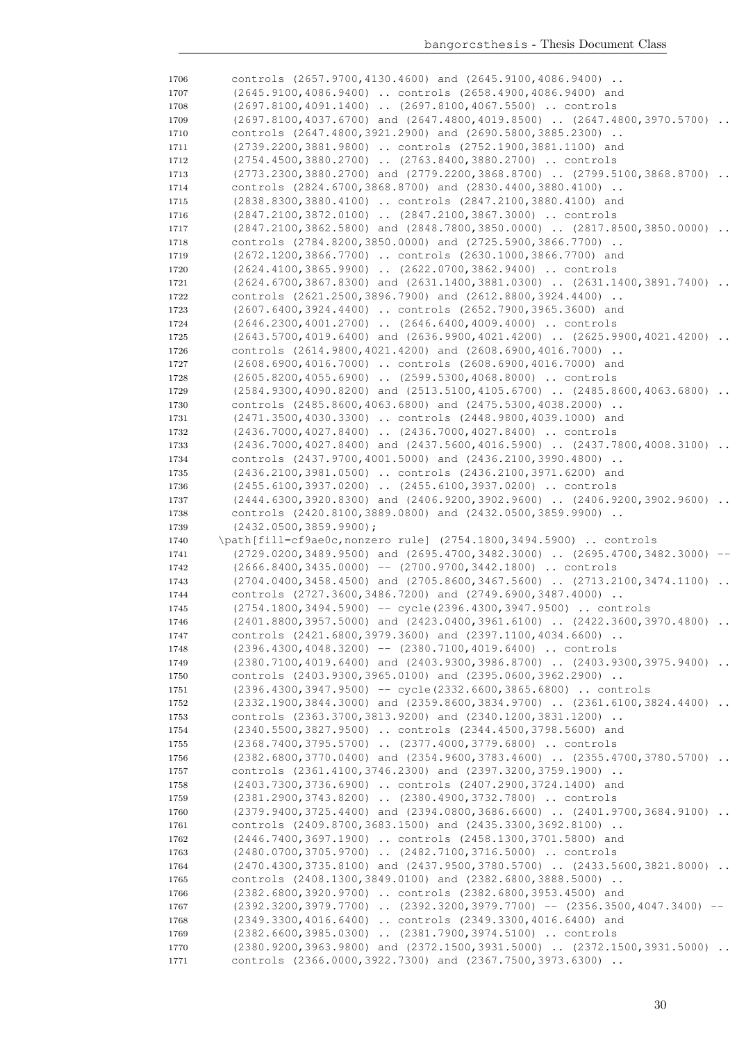controls (2657.9700,4130.4600) and (2645.9100,4086.9400) .. (2645.9100,4086.9400) .. controls (2658.4900,4086.9400) and 1708 (2697.8100,4091.1400) .. (2697.8100,4067.5500) .. controls (2697.8100,4037.6700) and (2647.4800,4019.8500) .. (2647.4800,3970.5700) .. controls (2647.4800,3921.2900) and (2690.5800,3885.2300) .. (2739.2200,3881.9800) .. controls (2752.1900,3881.1100) and (2754.4500,3880.2700) .. (2763.8400,3880.2700) .. controls (2773.2300,3880.2700) and (2779.2200,3868.8700) .. (2799.5100,3868.8700) .. controls (2824.6700,3868.8700) and (2830.4400,3880.4100) .. (2838.8300,3880.4100) .. controls (2847.2100,3880.4100) and (2847.2100,3872.0100) .. (2847.2100,3867.3000) .. controls (2847.2100,3862.5800) and (2848.7800,3850.0000) .. (2817.8500,3850.0000) .. controls (2784.8200,3850.0000) and (2725.5900,3866.7700) .. (2672.1200,3866.7700) .. controls (2630.1000,3866.7700) and (2624.4100,3865.9900) .. (2622.0700,3862.9400) .. controls (2624.6700,3867.8300) and (2631.1400,3881.0300) .. (2631.1400,3891.7400) .. controls (2621.2500,3896.7900) and (2612.8800,3924.4400) .. (2607.6400,3924.4400) .. controls (2652.7900,3965.3600) and (2646.2300,4001.2700) .. (2646.6400,4009.4000) .. controls (2643.5700,4019.6400) and (2636.9900,4021.4200) .. (2625.9900,4021.4200) .. controls (2614.9800,4021.4200) and (2608.6900,4016.7000) .. (2608.6900,4016.7000) .. controls (2608.6900,4016.7000) and (2605.8200,4055.6900) .. (2599.5300,4068.8000) .. controls 1729 (2584.9300,4090.8200) and (2513.5100,4105.6700) .. (2485.8600,4063.6800) .. controls (2485.8600,4063.6800) and (2475.5300,4038.2000) .. (2471.3500,4030.3300) .. controls (2448.9800,4039.1000) and (2436.7000,4027.8400) .. (2436.7000,4027.8400) .. controls (2436.7000,4027.8400) and (2437.5600,4016.5900) .. (2437.7800,4008.3100) .. controls (2437.9700,4001.5000) and (2436.2100,3990.4800) .. (2436.2100,3981.0500) .. controls (2436.2100,3971.6200) and (2455.6100,3937.0200) .. (2455.6100,3937.0200) .. controls (2444.6300,3920.8300) and (2406.9200,3902.9600) .. (2406.9200,3902.9600) .. controls (2420.8100,3889.0800) and (2432.0500,3859.9900) .. (2432.0500,3859.9900); \path[fill=cf9ae0c,nonzero rule] (2754.1800,3494.5900) .. controls (2729.0200,3489.9500) and (2695.4700,3482.3000) .. (2695.4700,3482.3000) -- (2666.8400,3435.0000) -- (2700.9700,3442.1800) .. controls (2704.0400,3458.4500) and (2705.8600,3467.5600) .. (2713.2100,3474.1100) .. controls (2727.3600,3486.7200) and (2749.6900,3487.4000) .. (2754.1800,3494.5900) -- cycle(2396.4300,3947.9500) .. controls (2401.8800,3957.5000) and (2423.0400,3961.6100) .. (2422.3600,3970.4800) .. controls (2421.6800,3979.3600) and (2397.1100,4034.6600) .. (2396.4300,4048.3200) -- (2380.7100,4019.6400) .. controls 1749 (2380.7100,4019.6400) and (2403.9300,3986.8700) .. (2403.9300,3975.9400) .. controls (2403.9300,3965.0100) and (2395.0600,3962.2900) .. (2396.4300,3947.9500) -- cycle(2332.6600,3865.6800) .. controls (2332.1900,3844.3000) and (2359.8600,3834.9700) .. (2361.6100,3824.4400) .. controls (2363.3700,3813.9200) and (2340.1200,3831.1200) .. (2340.5500,3827.9500) .. controls (2344.4500,3798.5600) and (2368.7400,3795.5700) .. (2377.4000,3779.6800) .. controls (2382.6800,3770.0400) and (2354.9600,3783.4600) .. (2355.4700,3780.5700) .. controls (2361.4100,3746.2300) and (2397.3200,3759.1900) .. (2403.7300,3736.6900) .. controls (2407.2900,3724.1400) and (2381.2900,3743.8200) .. (2380.4900,3732.7800) .. controls 1760 (2379.9400,3725.4400) and (2394.0800,3686.6600) .. (2401.9700,3684.9100) .. controls (2409.8700,3683.1500) and (2435.3300,3692.8100) .. (2446.7400,3697.1900) .. controls (2458.1300,3701.5800) and (2480.0700,3705.9700) .. (2482.7100,3716.5000) .. controls (2470.4300,3735.8100) and (2437.9500,3780.5700) .. (2433.5600,3821.8000) .. controls (2408.1300,3849.0100) and (2382.6800,3888.5000) .. (2382.6800,3920.9700) .. controls (2382.6800,3953.4500) and 1767 (2392.3200,3979.7700) .. (2392.3200,3979.7700) -- (2356.3500,4047.3400) -- (2349.3300,4016.6400) .. controls (2349.3300,4016.6400) and (2382.6600,3985.0300) .. (2381.7900,3974.5100) .. controls (2380.9200,3963.9800) and (2372.1500,3931.5000) .. (2372.1500,3931.5000) .. controls (2366.0000,3922.7300) and (2367.7500,3973.6300) ..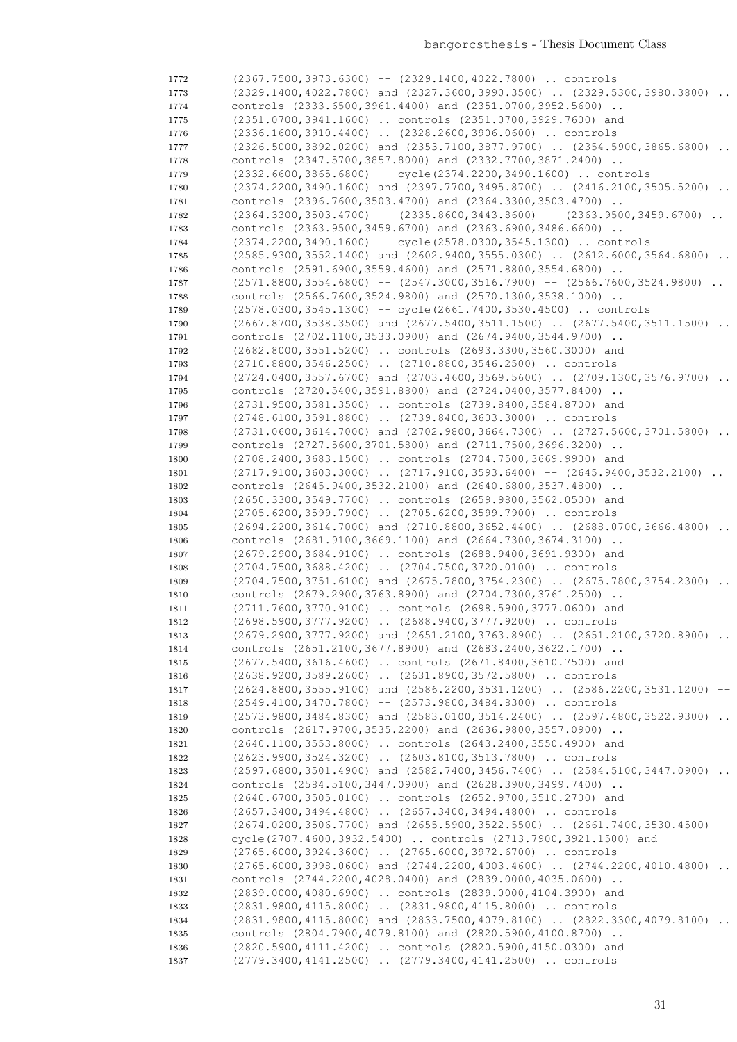(2367.7500,3973.6300) -- (2329.1400,4022.7800) .. controls 1773 (2329.1400,4022.7800) and (2327.3600,3990.3500) .. (2329.5300,3980.3800) .. controls (2333.6500,3961.4400) and (2351.0700,3952.5600) .. (2351.0700,3941.1600) .. controls (2351.0700,3929.7600) and (2336.1600,3910.4400) .. (2328.2600,3906.0600) .. controls (2326.5000,3892.0200) and (2353.7100,3877.9700) .. (2354.5900,3865.6800) .. controls (2347.5700,3857.8000) and (2332.7700,3871.2400) .. (2332.6600,3865.6800) -- cycle(2374.2200,3490.1600) .. controls 1780 (2374.2200,3490.1600) and (2397.7700,3495.8700) .. (2416.2100,3505.5200) .. controls (2396.7600,3503.4700) and (2364.3300,3503.4700) .. (2364.3300,3503.4700) -- (2335.8600,3443.8600) -- (2363.9500,3459.6700) .. controls (2363.9500,3459.6700) and (2363.6900,3486.6600) .. (2374.2200,3490.1600) -- cycle(2578.0300,3545.1300) .. controls (2585.9300,3552.1400) and (2602.9400,3555.0300) .. (2612.6000,3564.6800) .. controls (2591.6900,3559.4600) and (2571.8800,3554.6800) .. (2571.8800,3554.6800) -- (2547.3000,3516.7900) -- (2566.7600,3524.9800) .. controls (2566.7600,3524.9800) and (2570.1300,3538.1000) .. (2578.0300,3545.1300) -- cycle(2661.7400,3530.4500) .. controls 1790 (2667.8700,3538.3500) and (2677.5400,3511.1500) .. (2677.5400,3511.1500) .. controls (2702.1100,3533.0900) and (2674.9400,3544.9700) .. (2682.8000,3551.5200) .. controls (2693.3300,3560.3000) and (2710.8800,3546.2500) .. (2710.8800,3546.2500) .. controls (2724.0400,3557.6700) and (2703.4600,3569.5600) .. (2709.1300,3576.9700) .. controls (2720.5400,3591.8800) and (2724.0400,3577.8400) .. (2731.9500,3581.3500) .. controls (2739.8400,3584.8700) and (2748.6100,3591.8800) .. (2739.8400,3603.3000) .. controls (2731.0600,3614.7000) and (2702.9800,3664.7300) .. (2727.5600,3701.5800) .. controls (2727.5600,3701.5800) and (2711.7500,3696.3200) .. (2708.2400,3683.1500) .. controls (2704.7500,3669.9900) and 1801 (2717.9100,3603.3000) .. (2717.9100,3593.6400) -- (2645.9400,3532.2100) .. controls (2645.9400,3532.2100) and (2640.6800,3537.4800) .. (2650.3300,3549.7700) .. controls (2659.9800,3562.0500) and (2705.6200,3599.7900) .. (2705.6200,3599.7900) .. controls (2694.2200,3614.7000) and (2710.8800,3652.4400) .. (2688.0700,3666.4800) .. controls (2681.9100,3669.1100) and (2664.7300,3674.3100) .. (2679.2900,3684.9100) .. controls (2688.9400,3691.9300) and (2704.7500,3688.4200) .. (2704.7500,3720.0100) .. controls 1809 (2704.7500,3751.6100) and (2675.7800,3754.2300) .. (2675.7800,3754.2300) .. controls (2679.2900,3763.8900) and (2704.7300,3761.2500) .. (2711.7600,3770.9100) .. controls (2698.5900,3777.0600) and (2698.5900,3777.9200) .. (2688.9400,3777.9200) .. controls (2679.2900,3777.9200) and (2651.2100,3763.8900) .. (2651.2100,3720.8900) .. controls (2651.2100,3677.8900) and (2683.2400,3622.1700) .. (2677.5400,3616.4600) .. controls (2671.8400,3610.7500) and (2638.9200,3589.2600) .. (2631.8900,3572.5800) .. controls (2624.8800,3555.9100) and (2586.2200,3531.1200) .. (2586.2200,3531.1200) -- (2549.4100,3470.7800) -- (2573.9800,3484.8300) .. controls 1819 (2573.9800,3484.8300) and (2583.0100,3514.2400) .. (2597.4800,3522.9300) .. controls (2617.9700,3535.2200) and (2636.9800,3557.0900) .. (2640.1100,3553.8000) .. controls (2643.2400,3550.4900) and (2623.9900,3524.3200) .. (2603.8100,3513.7800) .. controls 1823 (2597.6800,3501.4900) and (2582.7400,3456.7400) .. (2584.5100,3447.0900) .. controls (2584.5100,3447.0900) and (2628.3900,3499.7400) .. (2640.6700,3505.0100) .. controls (2652.9700,3510.2700) and (2657.3400,3494.4800) .. (2657.3400,3494.4800) .. controls (2674.0200,3506.7700) and (2655.5900,3522.5500) .. (2661.7400,3530.4500) -- cycle(2707.4600,3932.5400) .. controls (2713.7900,3921.1500) and (2765.6000,3924.3600) .. (2765.6000,3972.6700) .. controls (2765.6000,3998.0600) and (2744.2200,4003.4600) .. (2744.2200,4010.4800) .. controls (2744.2200,4028.0400) and (2839.0000,4035.0600) .. (2839.0000,4080.6900) .. controls (2839.0000,4104.3900) and (2831.9800,4115.8000) .. (2831.9800,4115.8000) .. controls 1834 (2831.9800,4115.8000) and (2833.7500,4079.8100) .. (2822.3300,4079.8100) .. controls (2804.7900,4079.8100) and (2820.5900,4100.8700) .. (2820.5900,4111.4200) .. controls (2820.5900,4150.0300) and (2779.3400,4141.2500) .. (2779.3400,4141.2500) .. controls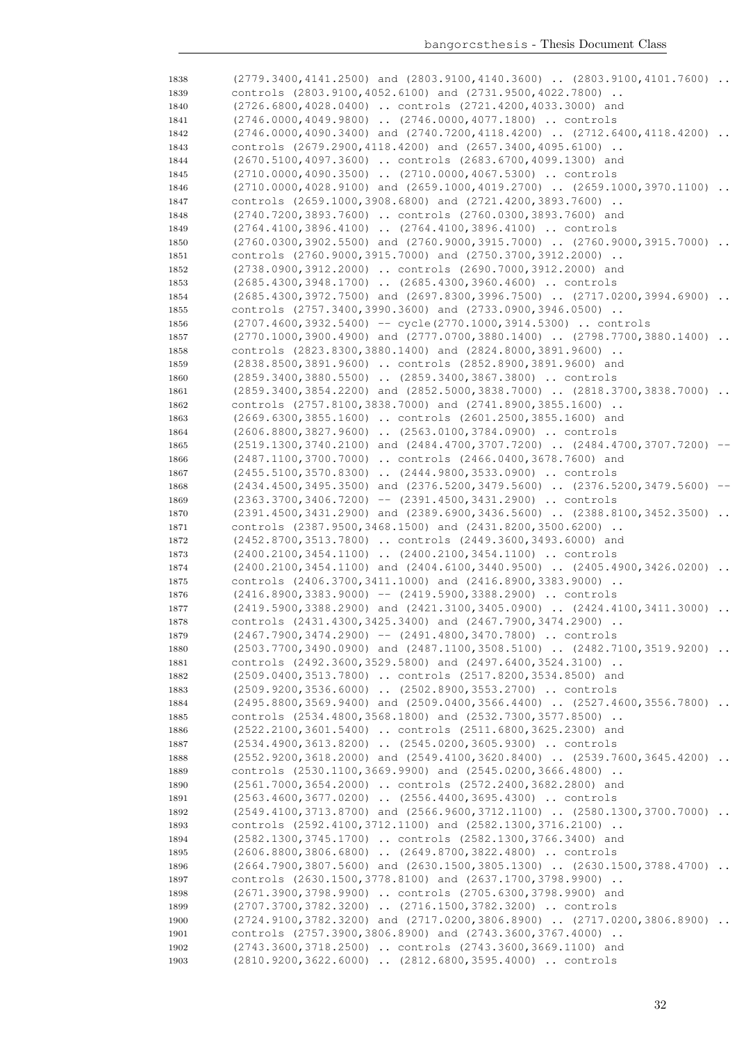| 1838 | (2779.3400,4141.2500) and (2803.9100,4140.3600)  (2803.9100,4101.7600)           |          |
|------|----------------------------------------------------------------------------------|----------|
| 1839 | controls (2803.9100,4052.6100) and (2731.9500,4022.7800)                         |          |
| 1840 | (2726.6800,4028.0400)  controls (2721.4200,4033.3000) and                        |          |
| 1841 | (2746.0000,4049.9800)  (2746.0000,4077.1800)  controls                           |          |
| 1842 | $(2746.0000, 4090.3400)$ and $(2740.7200, 4118.4200)$ $(2712.6400, 4118.4200)$ . |          |
| 1843 | controls (2679.2900, 4118.4200) and (2657.3400, 4095.6100)                       |          |
| 1844 | (2670.5100,4097.3600)  controls (2683.6700,4099.1300) and                        |          |
| 1845 | (2710.0000,4090.3500)  (2710.0000,4067.5300)  controls                           |          |
|      |                                                                                  |          |
| 1846 | $(2710.0000, 4028.9100)$ and $(2659.1000, 4019.2700)$ $(2659.1000, 3970.1100)$   |          |
| 1847 | controls (2659.1000,3908.6800) and (2721.4200,3893.7600)                         |          |
| 1848 | (2740.7200,3893.7600)  controls (2760.0300,3893.7600) and                        |          |
| 1849 | (2764.4100,3896.4100)  (2764.4100,3896.4100)  controls                           |          |
| 1850 | $(2760.0300, 3902.5500)$ and $(2760.9000, 3915.7000)$ $(2760.9000, 3915.7000)$   | $\ddots$ |
| 1851 | controls (2760.9000,3915.7000) and (2750.3700,3912.2000)                         |          |
| 1852 | (2738.0900,3912.2000)  controls (2690.7000,3912.2000) and                        |          |
| 1853 | (2685.4300,3948.1700)  (2685.4300,3960.4600)  controls                           |          |
| 1854 | $(2685.4300, 3972.7500)$ and $(2697.8300, 3996.7500)$ $(2717.0200, 3994.6900)$   | $\ddots$ |
| 1855 | controls (2757.3400,3990.3600) and (2733.0900,3946.0500)                         |          |
| 1856 | (2707.4600,3932.5400) -- cycle(2770.1000,3914.5300)  controls                    |          |
| 1857 | $(2770.1000, 3900.4900)$ and $(2777.0700, 3880.1400)$ $(2798.7700, 3880.1400)$   |          |
| 1858 | controls (2823.8300,3880.1400) and (2824.8000,3891.9600)                         |          |
|      | (2838.8500,3891.9600)  controls (2852.8900,3891.9600) and                        |          |
| 1859 |                                                                                  |          |
| 1860 | (2859.3400,3880.5500)  (2859.3400,3867.3800)  controls                           |          |
| 1861 | $(2859.3400, 3854.2200)$ and $(2852.5000, 3838.7000)$ $(2818.3700, 3838.7000)$   |          |
| 1862 | controls (2757.8100,3838.7000) and (2741.8900,3855.1600)                         |          |
| 1863 | (2669.6300,3855.1600)  controls (2601.2500,3855.1600) and                        |          |
| 1864 | (2606.8800,3827.9600)  (2563.0100,3784.0900)  controls                           |          |
| 1865 | (2519.1300,3740.2100) and (2484.4700,3707.7200)  (2484.4700,3707.7200)           |          |
| 1866 | (2487.1100,3700.7000)  controls (2466.0400,3678.7600) and                        |          |
| 1867 | (2455.5100,3570.8300)  (2444.9800,3533.0900)  controls                           |          |
| 1868 | (2434.4500,3495.3500) and (2376.5200,3479.5600)  (2376.5200,3479.5600)           | $--$     |
| 1869 | $(2363.3700, 3406.7200)$ -- $(2391.4500, 3431.2900)$ controls                    |          |
| 1870 | (2391.4500,3431.2900) and (2389.6900,3436.5600)  (2388.8100,3452.3500)           |          |
| 1871 | controls (2387.9500,3468.1500) and (2431.8200,3500.6200)                         |          |
| 1872 | (2452.8700,3513.7800)  controls (2449.3600,3493.6000) and                        |          |
| 1873 | (2400.2100,3454.1100)  (2400.2100,3454.1100)  controls                           |          |
| 1874 | $(2400.2100, 3454.1100)$ and $(2404.6100, 3440.9500)$ $(2405.4900, 3426.0200)$ . |          |
|      |                                                                                  |          |
| 1875 | controls (2406.3700,3411.1000) and (2416.8900,3383.9000)                         |          |
| 1876 | $(2416.8900, 3383.9000)$ -- $(2419.5900, 3388.2900)$ controls                    |          |
| 1877 | (2419.5900,3388.2900) and (2421.3100,3405.0900)  (2424.4100,3411.3000)           | $\ddots$ |
| 1878 | controls (2431.4300,3425.3400) and (2467.7900,3474.2900)                         |          |
| 1879 | $(2467.7900, 3474.2900)$ -- $(2491.4800, 3470.7800)$ controls                    |          |
| 1880 | $(2503.7700, 3490.0900)$ and $(2487.1100, 3508.5100)$ $(2482.7100, 3519.9200)$   |          |
| 1881 | controls (2492.3600,3529.5800) and (2497.6400,3524.3100)                         |          |
| 1882 | (2509.0400,3513.7800)  controls (2517.8200,3534.8500) and                        |          |
| 1883 | (2509.9200,3536.6000)  (2502.8900,3553.2700)  controls                           |          |
| 1884 | (2495.8800,3569.9400) and (2509.0400,3566.4400)  (2527.4600,3556.7800)           |          |
| 1885 | controls (2534.4800,3568.1800) and (2532.7300,3577.8500)                         |          |
| 1886 | (2522.2100,3601.5400)  controls (2511.6800,3625.2300) and                        |          |
| 1887 | (2534.4900,3613.8200)  (2545.0200,3605.9300)  controls                           |          |
| 1888 | $(2552.9200, 3618.2000)$ and $(2549.4100, 3620.8400)$ $(2539.7600, 3645.4200)$   |          |
| 1889 | controls (2530.1100,3669.9900) and (2545.0200,3666.4800)                         |          |
| 1890 | (2561.7000,3654.2000)  controls (2572.2400,3682.2800) and                        |          |
| 1891 | (2563.4600,3677.0200)  (2556.4400,3695.4300)  controls                           |          |
|      |                                                                                  |          |
| 1892 | (2549.4100,3713.8700) and (2566.9600,3712.1100)  (2580.1300,3700.7000)           |          |
| 1893 | controls (2592.4100,3712.1100) and (2582.1300,3716.2100)                         |          |
| 1894 | (2582.1300,3745.1700)  controls (2582.1300,3766.3400) and                        |          |
| 1895 | (2606.8800,3806.6800)  (2649.8700,3822.4800)  controls                           |          |
| 1896 | $(2664.7900, 3807.5600)$ and $(2630.1500, 3805.1300)$ $(2630.1500, 3788.4700)$   |          |
| 1897 |                                                                                  |          |
|      | controls (2630.1500, 3778.8100) and (2637.1700, 3798.9900)                       |          |
| 1898 | (2671.3900,3798.9900)  controls (2705.6300,3798.9900) and                        |          |
| 1899 | (2707.3700,3782.3200)  (2716.1500,3782.3200)  controls                           |          |
| 1900 | (2724.9100,3782.3200) and (2717.0200,3806.8900)  (2717.0200,3806.8900)           |          |
| 1901 | controls (2757.3900,3806.8900) and (2743.3600,3767.4000)                         |          |
| 1902 | (2743.3600,3718.2500)  controls (2743.3600,3669.1100) and                        |          |
| 1903 | (2810.9200,3622.6000)  (2812.6800,3595.4000)  controls                           |          |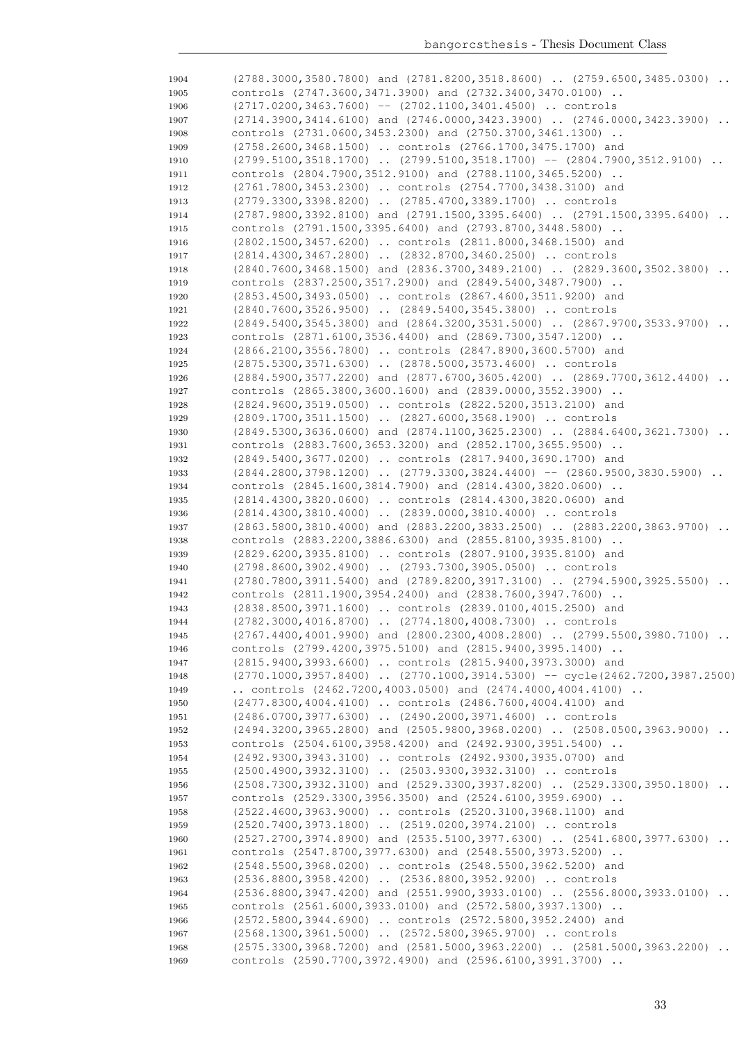| 1904 | $(2788.3000, 3580.7800)$ and $(2781.8200, 3518.8600)$ $(2759.6500, 3485.0300)$ |
|------|--------------------------------------------------------------------------------|
| 1905 | controls (2747.3600,3471.3900) and (2732.3400,3470.0100)                       |
| 1906 | $(2717.0200, 3463.7600)$ -- $(2702.1100, 3401.4500)$ controls                  |
| 1907 | $(2714.3900, 3414.6100)$ and $(2746.0000, 3423.3900)$ $(2746.0000, 3423.3900)$ |
| 1908 | controls (2731.0600,3453.2300) and (2750.3700,3461.1300)                       |
| 1909 | (2758.2600,3468.1500)  controls (2766.1700,3475.1700) and                      |
| 1910 | $(2799.5100, 3518.1700)$ $(2799.5100, 3518.1700)$ -- $(2804.7900, 3512.9100)$  |
| 1911 | controls (2804.7900,3512.9100) and (2788.1100,3465.5200)                       |
|      |                                                                                |
| 1912 | (2761.7800,3453.2300)  controls (2754.7700,3438.3100) and                      |
| 1913 | (2779.3300,3398.8200)  (2785.4700,3389.1700)  controls                         |
| 1914 | $(2787.9800, 3392.8100)$ and $(2791.1500, 3395.6400)$ $(2791.1500, 3395.6400)$ |
| 1915 | controls (2791.1500,3395.6400) and (2793.8700,3448.5800)                       |
| 1916 | (2802.1500, 3457.6200)  controls (2811.8000, 3468.1500) and                    |
| 1917 | (2814.4300,3467.2800)  (2832.8700,3460.2500)  controls                         |
| 1918 | $(2840.7600, 3468.1500)$ and $(2836.3700, 3489.2100)$ $(2829.3600, 3502.3800)$ |
| 1919 | controls (2837.2500,3517.2900) and (2849.5400,3487.7900)                       |
| 1920 | (2853.4500,3493.0500)  controls (2867.4600,3511.9200) and                      |
| 1921 | (2840.7600,3526.9500)  (2849.5400,3545.3800)  controls                         |
| 1922 | $(2849.5400, 3545.3800)$ and $(2864.3200, 3531.5000)$ $(2867.9700, 3533.9700)$ |
| 1923 | controls (2871.6100,3536.4400) and (2869.7300,3547.1200)                       |
| 1924 | (2866.2100,3556.7800)  controls (2847.8900,3600.5700) and                      |
| 1925 | (2875.5300,3571.6300)  (2878.5000,3573.4600)  controls                         |
| 1926 | $(2884.5900, 3577.2200)$ and $(2877.6700, 3605.4200)$ $(2869.7700, 3612.4400)$ |
|      | controls (2865.3800,3600.1600) and (2839.0000,3552.3900)                       |
| 1927 |                                                                                |
| 1928 | (2824.9600,3519.0500)  controls (2822.5200,3513.2100) and                      |
| 1929 | (2809.1700,3511.1500)  (2827.6000,3568.1900)  controls                         |
| 1930 | $(2849.5300, 3636.0600)$ and $(2874.1100, 3625.2300)$ $(2884.6400, 3621.7300)$ |
| 1931 | controls (2883.7600,3653.3200) and (2852.1700,3655.9500)                       |
| 1932 | (2849.5400,3677.0200)  controls (2817.9400,3690.1700) and                      |
| 1933 | $(2844.2800, 3798.1200)$ $(2779.3300, 3824.4400)$ -- $(2860.9500, 3830.5900)$  |
| 1934 | controls (2845.1600,3814.7900) and (2814.4300,3820.0600)                       |
| 1935 | (2814.4300,3820.0600)  controls (2814.4300,3820.0600) and                      |
| 1936 | (2814.4300,3810.4000)  (2839.0000,3810.4000)  controls                         |
| 1937 | $(2863.5800, 3810.4000)$ and $(2883.2200, 3833.2500)$ $(2883.2200, 3863.9700)$ |
| 1938 | controls (2883.2200,3886.6300) and (2855.8100,3935.8100)                       |
| 1939 | (2829.6200,3935.8100)  controls (2807.9100,3935.8100) and                      |
| 1940 | (2798.8600,3902.4900)  (2793.7300,3905.0500)  controls                         |
| 1941 | (2780.7800,3911.5400) and (2789.8200,3917.3100)  (2794.5900,3925.5500)         |
| 1942 | controls (2811.1900, 3954.2400) and (2838.7600, 3947.7600)                     |
| 1943 | (2838.8500,3971.1600)  controls (2839.0100,4015.2500) and                      |
| 1944 | (2782.3000,4016.8700)  (2774.1800,4008.7300)  controls                         |
| 1945 | (2767.4400,4001.9900) and (2800.2300,4008.2800)  (2799.5500,3980.7100)         |
|      | controls (2799.4200,3975.5100) and (2815.9400,3995.1400)                       |
| 1946 |                                                                                |
| 1947 | (2815.9400,3993.6600)  controls (2815.9400,3973.3000) and                      |
| 1948 | (2770.1000,3957.8400)  (2770.1000,3914.5300) -- cycle (2462.7200,3987.2500)    |
| 1949 | controls $(2462.7200, 4003.0500)$ and $(2474.4000, 4004.4100)$                 |
| 1950 | (2477.8300,4004.4100)  controls (2486.7600,4004.4100) and                      |
| 1951 | (2486.0700,3977.6300)  (2490.2000,3971.4600)  controls                         |
| 1952 | $(2494.3200, 3965.2800)$ and $(2505.9800, 3968.0200)$ $(2508.0500, 3963.9000)$ |
| 1953 | controls (2504.6100, 3958.4200) and (2492.9300, 3951.5400)                     |
| 1954 | (2492.9300,3943.3100)  controls (2492.9300,3935.0700) and                      |
| 1955 | (2500.4900,3932.3100)  (2503.9300,3932.3100)  controls                         |
| 1956 | (2508.7300,3932.3100) and (2529.3300,3937.8200)  (2529.3300,3950.1800)         |
| 1957 | controls (2529.3300,3956.3500) and (2524.6100,3959.6900)                       |
| 1958 | (2522.4600,3963.9000)  controls (2520.3100,3968.1100) and                      |
| 1959 | (2520.7400,3973.1800)  (2519.0200,3974.2100)  controls                         |
| 1960 | (2527.2700,3974.8900) and (2535.5100,3977.6300)  (2541.6800,3977.6300)         |
| 1961 | controls (2547.8700,3977.6300) and (2548.5500,3973.5200)                       |
| 1962 | (2548.5500,3968.0200)  controls (2548.5500,3962.5200) and                      |
|      | (2536.8800,3958.4200)  (2536.8800,3952.9200)  controls                         |
| 1963 |                                                                                |
| 1964 | (2536.8800,3947.4200) and (2551.9900,3933.0100)  (2556.8000,3933.0100)         |
| 1965 | controls (2561.6000,3933.0100) and (2572.5800,3937.1300)                       |
| 1966 | (2572.5800,3944.6900)  controls (2572.5800,3952.2400) and                      |
| 1967 | (2568.1300,3961.5000)  (2572.5800,3965.9700)  controls                         |
| 1968 | (2575.3300,3968.7200) and (2581.5000,3963.2200)  (2581.5000,3963.2200)         |
| 1969 | controls (2590.7700,3972.4900) and (2596.6100,3991.3700)                       |
|      |                                                                                |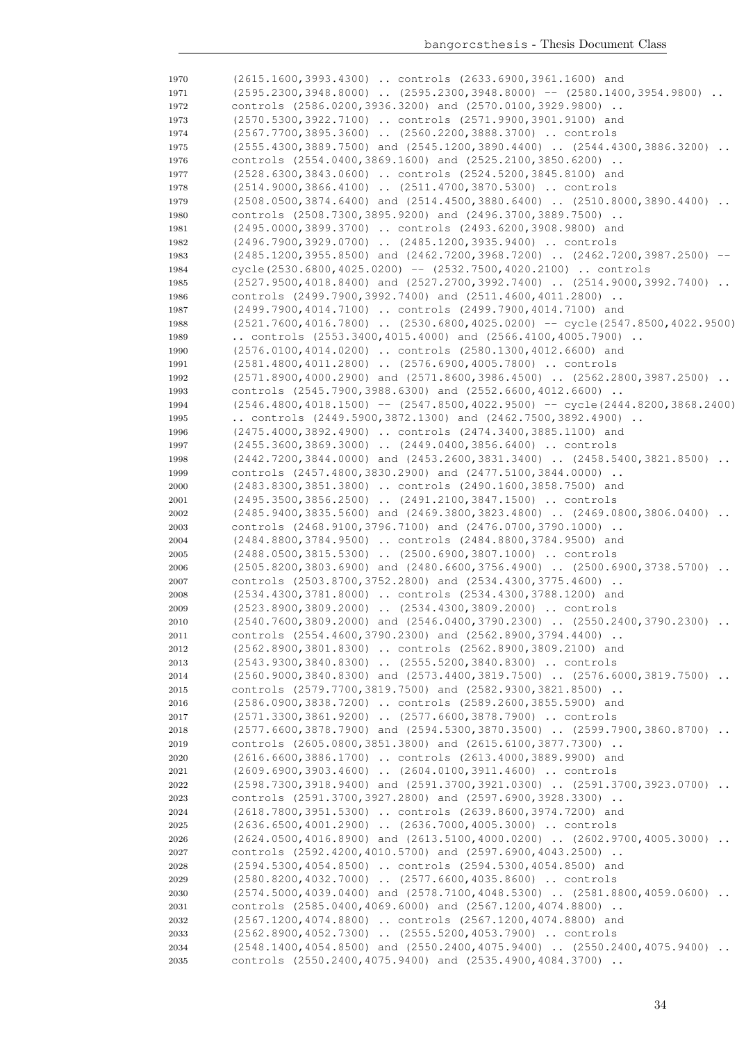| 1970         | (2615.1600,3993.4300)  controls (2633.6900,3961.1600) and                                                                                |
|--------------|------------------------------------------------------------------------------------------------------------------------------------------|
|              |                                                                                                                                          |
| 1971         | $(2595.2300, 3948.8000)$ $(2595.2300, 3948.8000)$ -- $(2580.1400, 3954.9800)$                                                            |
| 1972         | controls (2586.0200,3936.3200) and (2570.0100,3929.9800)                                                                                 |
| 1973         | (2570.5300,3922.7100)  controls (2571.9900,3901.9100) and                                                                                |
| 1974         | (2567.7700,3895.3600)  (2560.2200,3888.3700)  controls                                                                                   |
| 1975         | $(2555.4300, 3889.7500)$ and $(2545.1200, 3890.4400)$ $(2544.4300, 3886.3200)$<br>$\ddots$                                               |
| 1976         | controls (2554.0400,3869.1600) and (2525.2100,3850.6200)                                                                                 |
| 1977         | (2528.6300,3843.0600)  controls (2524.5200,3845.8100) and                                                                                |
| 1978         | $(2514.9000, 3866.4100)$ $(2511.4700, 3870.5300)$ controls                                                                               |
| 1979         | (2508.0500,3874.6400) and (2514.4500,3880.6400)  (2510.8000,3890.4400)                                                                   |
| 1980         | controls (2508.7300,3895.9200) and (2496.3700,3889.7500)                                                                                 |
| 1981         | (2495.0000,3899.3700)  controls (2493.6200,3908.9800) and                                                                                |
| 1982         | (2496.7900,3929.0700)  (2485.1200,3935.9400)  controls                                                                                   |
| 1983         | $(2485.1200, 3955.8500)$ and $(2462.7200, 3968.7200)$ $(2462.7200, 3987.2500)$                                                           |
| 1984         | cycle(2530.6800,4025.0200) -- (2532.7500,4020.2100)  controls                                                                            |
| 1985         | (2527.9500,4018.8400) and (2527.2700,3992.7400)  (2514.9000,3992.7400)                                                                   |
| 1986         | controls (2499.7900,3992.7400) and (2511.4600,4011.2800)                                                                                 |
| 1987         | (2499.7900,4014.7100)  controls (2499.7900,4014.7100) and                                                                                |
| 1988         | $(2521.7600, 4016.7800)$ $(2530.6800, 4025.0200)$ -- cycle $(2547.8500, 4022.9500)$                                                      |
| 1989         | controls $(2553.3400, 4015.4000)$ and $(2566.4100, 4005.7900)$                                                                           |
| 1990         | (2576.0100,4014.0200)  controls (2580.1300,4012.6600) and                                                                                |
| 1991         | (2581.4800,4011.2800)  (2576.6900,4005.7800)  controls                                                                                   |
| 1992         | $(2571.8900, 4000.2900)$ and $(2571.8600, 3986.4500)$ $(2562.2800, 3987.2500)$                                                           |
| 1993         | controls (2545.7900,3988.6300) and (2552.6600,4012.6600)                                                                                 |
| 1994         | $(2546.4800, 4018.1500)$ -- $(2547.8500, 4022.9500)$ -- cycle $(2444.8200, 3868.2400)$                                                   |
| 1995         | controls $(2449.5900, 3872.1300)$ and $(2462.7500, 3892.4900)$ .<br>(2475.4000,3892.4900)  controls (2474.3400,3885.1100) and            |
| 1996         |                                                                                                                                          |
| 1997         | (2455.3600,3869.3000)  (2449.0400,3856.6400)  controls<br>$(2442.7200, 3844.0000)$ and $(2453.2600, 3831.3400)$ $(2458.5400, 3821.8500)$ |
| 1998<br>1999 | controls (2457.4800,3830.2900) and (2477.5100,3844.0000)                                                                                 |
| 2000         | (2483.8300,3851.3800)  controls (2490.1600,3858.7500) and                                                                                |
| 2001         | $(2495.3500, 3856.2500)$ $(2491.2100, 3847.1500)$ controls                                                                               |
| 2002         | (2485.9400,3835.5600) and (2469.3800,3823.4800)  (2469.0800,3806.0400)<br>$\ddots$                                                       |
| 2003         | controls (2468.9100,3796.7100) and (2476.0700,3790.1000)                                                                                 |
| 2004         | (2484.8800,3784.9500)  controls (2484.8800,3784.9500) and                                                                                |
| 2005         | (2488.0500,3815.5300)  (2500.6900,3807.1000)  controls                                                                                   |
| 2006         | $(2505.8200, 3803.6900)$ and $(2480.6600, 3756.4900)$ $(2500.6900, 3738.5700)$                                                           |
| 2007         | controls (2503.8700,3752.2800) and (2534.4300,3775.4600)                                                                                 |
| 2008         | (2534.4300,3781.8000)  controls (2534.4300,3788.1200) and                                                                                |
| 2009         | (2523.8900,3809.2000)  (2534.4300,3809.2000)  controls                                                                                   |
| 2010         | (2540.7600,3809.2000) and (2546.0400,3790.2300)  (2550.2400,3790.2300)                                                                   |
| 2011         | controls (2554.4600,3790.2300) and (2562.8900,3794.4400)                                                                                 |
| 2012         | (2562.8900,3801.8300)  controls (2562.8900,3809.2100) and                                                                                |
| 2013         | (2543.9300,3840.8300)  (2555.5200,3840.8300)  controls                                                                                   |
| 2014         | (2560.9000,3840.8300) and (2573.4400,3819.7500)  (2576.6000,3819.7500)                                                                   |
| 2015         | controls (2579.7700,3819.7500) and (2582.9300,3821.8500)                                                                                 |
| 2016         | (2586.0900,3838.7200)  controls (2589.2600,3855.5900) and                                                                                |
| 2017         | (2571.3300,3861.9200)  (2577.6600,3878.7900)  controls                                                                                   |
| 2018         | (2577.6600,3878.7900) and (2594.5300,3870.3500)  (2599.7900,3860.8700)                                                                   |
| 2019         | controls (2605.0800,3851.3800) and (2615.6100,3877.7300)                                                                                 |
| 2020         | (2616.6600,3886.1700)  controls (2613.4000,3889.9900) and                                                                                |
| 2021         | (2609.6900,3903.4600)  (2604.0100,3911.4600)  controls                                                                                   |
| 2022         | (2598.7300,3918.9400) and (2591.3700,3921.0300)  (2591.3700,3923.0700)                                                                   |
| 2023         | controls (2591.3700,3927.2800) and (2597.6900,3928.3300)                                                                                 |
| $\bf 2024$   | (2618.7800,3951.5300)  controls (2639.8600,3974.7200) and                                                                                |
| 2025         | (2636.6500,4001.2900)  (2636.7000,4005.3000)  controls                                                                                   |
| 2026         | $(2624.0500, 4016.8900)$ and $(2613.5100, 4000.0200)$ $(2602.9700, 4005.3000)$                                                           |
| 2027         | controls (2592.4200,4010.5700) and (2597.6900,4043.2500)                                                                                 |
| 2028         | (2594.5300,4054.8500)  controls (2594.5300,4054.8500) and                                                                                |
| 2029         | (2580.8200,4032.7000)  (2577.6600,4035.8600)  controls                                                                                   |
| 2030         | (2574.5000,4039.0400) and (2578.7100,4048.5300)  (2581.8800,4059.0600)                                                                   |
| 2031         | controls (2585.0400,4069.6000) and (2567.1200,4074.8800)                                                                                 |
| 2032         | (2567.1200,4074.8800)  controls (2567.1200,4074.8800) and                                                                                |
| 2033         | (2562.8900,4052.7300)  (2555.5200,4053.7900)  controls                                                                                   |
| 2034         | (2548.1400,4054.8500) and (2550.2400,4075.9400)  (2550.2400,4075.9400)                                                                   |
| $\bf 2035$   | controls (2550.2400,4075.9400) and (2535.4900,4084.3700)                                                                                 |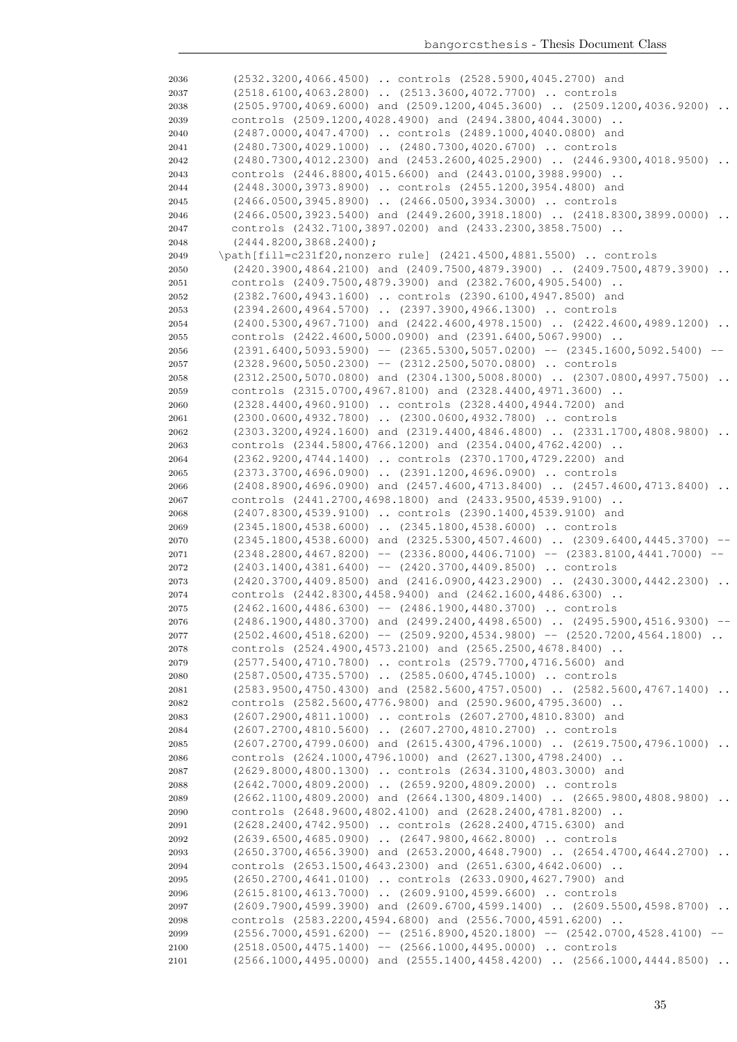(2532.3200,4066.4500) .. controls (2528.5900,4045.2700) and (2518.6100,4063.2800) .. (2513.3600,4072.7700) .. controls (2505.9700,4069.6000) and (2509.1200,4045.3600) .. (2509.1200,4036.9200) .. controls (2509.1200,4028.4900) and (2494.3800,4044.3000) .. (2487.0000,4047.4700) .. controls (2489.1000,4040.0800) and (2480.7300,4029.1000) .. (2480.7300,4020.6700) .. controls (2480.7300,4012.2300) and (2453.2600,4025.2900) .. (2446.9300,4018.9500) .. controls (2446.8800,4015.6600) and (2443.0100,3988.9900) .. (2448.3000,3973.8900) .. controls (2455.1200,3954.4800) and (2466.0500,3945.8900) .. (2466.0500,3934.3000) .. controls (2466.0500,3923.5400) and (2449.2600,3918.1800) .. (2418.8300,3899.0000) .. controls (2432.7100,3897.0200) and (2433.2300,3858.7500) .. (2444.8200,3868.2400); \path[fill=c231f20,nonzero rule] (2421.4500,4881.5500) .. controls (2420.3900,4864.2100) and (2409.7500,4879.3900) .. (2409.7500,4879.3900) .. controls (2409.7500,4879.3900) and (2382.7600,4905.5400) .. (2382.7600,4943.1600) .. controls (2390.6100,4947.8500) and (2394.2600,4964.5700) .. (2397.3900,4966.1300) .. controls 2054 (2400.5300,4967.7100) and (2422.4600,4978.1500) .. (2422.4600,4989.1200) controls (2422.4600,5000.0900) and (2391.6400,5067.9900) .. (2391.6400,5093.5900) -- (2365.5300,5057.0200) -- (2345.1600,5092.5400) -- (2328.9600,5050.2300) -- (2312.2500,5070.0800) .. controls (2312.2500,5070.0800) and (2304.1300,5008.8000) .. (2307.0800,4997.7500) .. controls (2315.0700,4967.8100) and (2328.4400,4971.3600) .. (2328.4400,4960.9100) .. controls (2328.4400,4944.7200) and (2300.0600,4932.7800) .. (2300.0600,4932.7800) .. controls (2303.3200,4924.1600) and (2319.4400,4846.4800) .. (2331.1700,4808.9800) .. controls (2344.5800,4766.1200) and (2354.0400,4762.4200) .. (2362.9200,4744.1400) .. controls (2370.1700,4729.2200) and (2373.3700,4696.0900) .. (2391.1200,4696.0900) .. controls (2408.8900,4696.0900) and (2457.4600,4713.8400) .. (2457.4600,4713.8400) .. controls (2441.2700,4698.1800) and (2433.9500,4539.9100) .. (2407.8300,4539.9100) .. controls (2390.1400,4539.9100) and (2345.1800,4538.6000) .. (2345.1800,4538.6000) .. controls (2345.1800,4538.6000) and (2325.5300,4507.4600) .. (2309.6400,4445.3700) -- (2348.2800,4467.8200) -- (2336.8000,4406.7100) -- (2383.8100,4441.7000) -- (2403.1400,4381.6400) -- (2420.3700,4409.8500) .. controls 2073 (2420.3700,4409.8500) and (2416.0900,4423.2900) .. (2430.3000,4442.2300) .. controls (2442.8300,4458.9400) and (2462.1600,4486.6300) .. (2462.1600,4486.6300) -- (2486.1900,4480.3700) .. controls (2486.1900,4480.3700) and (2499.2400,4498.6500) .. (2495.5900,4516.9300) -- (2502.4600,4518.6200) -- (2509.9200,4534.9800) -- (2520.7200,4564.1800) .. controls (2524.4900,4573.2100) and (2565.2500,4678.8400) .. (2577.5400,4710.7800) .. controls (2579.7700,4716.5600) and (2587.0500,4735.5700) .. (2585.0600,4745.1000) .. controls (2583.9500,4750.4300) and (2582.5600,4757.0500) .. (2582.5600,4767.1400) .. controls (2582.5600,4776.9800) and (2590.9600,4795.3600) .. (2607.2900,4811.1000) .. controls (2607.2700,4810.8300) and (2607.2700,4810.5600) .. (2607.2700,4810.2700) .. controls (2607.2700,4799.0600) and (2615.4300,4796.1000) .. (2619.7500,4796.1000) .. controls (2624.1000,4796.1000) and (2627.1300,4798.2400) .. (2629.8000,4800.1300) .. controls (2634.3100,4803.3000) and (2642.7000,4809.2000) .. (2659.9200,4809.2000) .. controls (2662.1100,4809.2000) and (2664.1300,4809.1400) .. (2665.9800,4808.9800) .. controls (2648.9600,4802.4100) and (2628.2400,4781.8200) .. (2628.2400,4742.9500) .. controls (2628.2400,4715.6300) and (2639.6500,4685.0900) .. (2647.9800,4662.8000) .. controls (2650.3700,4656.3900) and (2653.2000,4648.7900) .. (2654.4700,4644.2700) .. controls (2653.1500,4643.2300) and (2651.6300,4642.0600) .. (2650.2700,4641.0100) .. controls (2633.0900,4627.7900) and (2615.8100,4613.7000) .. (2609.9100,4599.6600) .. controls (2609.7900,4599.3900) and (2609.6700,4599.1400) .. (2609.5500,4598.8700) .. controls (2583.2200,4594.6800) and (2556.7000,4591.6200) .. (2556.7000,4591.6200) -- (2516.8900,4520.1800) -- (2542.0700,4528.4100) (2518.0500,4475.1400) -- (2566.1000,4495.0000) .. controls (2566.1000,4495.0000) and (2555.1400,4458.4200) .. (2566.1000,4444.8500) ..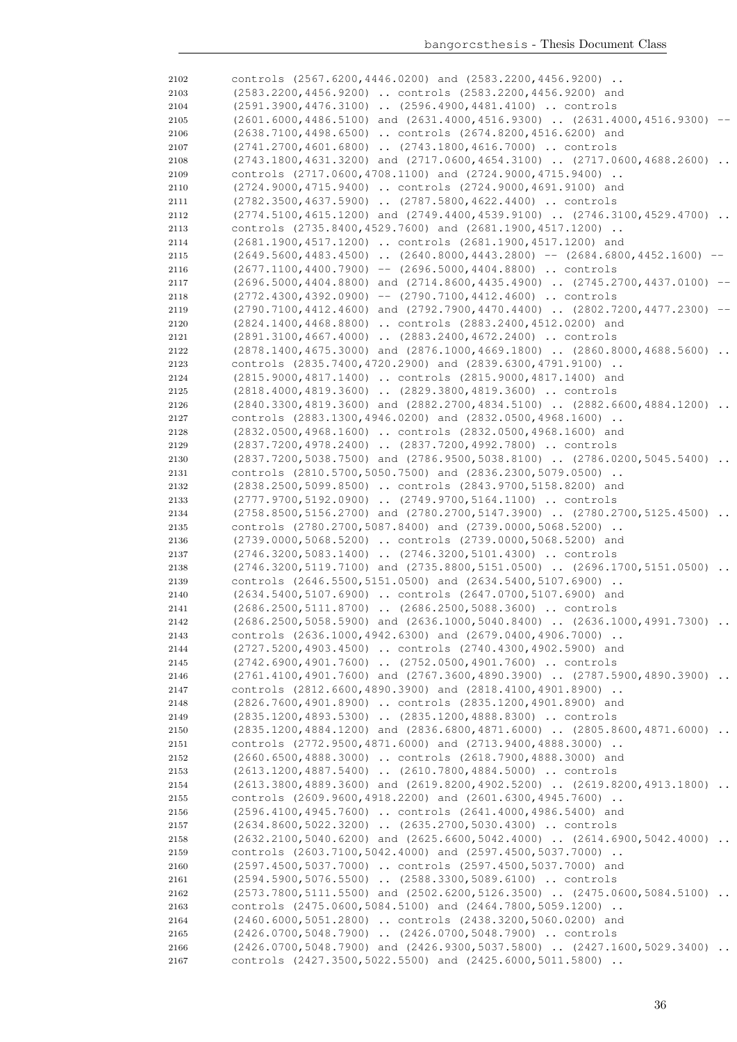| 2102 | controls $(2567.6200, 4446.0200)$ and $(2583.2200, 4456.9200)$ .                  |          |
|------|-----------------------------------------------------------------------------------|----------|
| 2103 | (2583.2200,4456.9200)  controls (2583.2200,4456.9200) and                         |          |
| 2104 | (2591.3900,4476.3100)  (2596.4900,4481.4100)  controls                            |          |
| 2105 | $(2601.6000, 4486.5100)$ and $(2631.4000, 4516.9300)$ $(2631.4000, 4516.9300)$    | $--$     |
| 2106 | (2638.7100,4498.6500)  controls (2674.8200,4516.6200) and                         |          |
| 2107 | $(2741.2700, 4601.6800)$ $(2743.1800, 4616.7000)$ controls                        |          |
| 2108 | $(2743.1800, 4631.3200)$ and $(2717.0600, 4654.3100)$ $(2717.0600, 4688.2600)$    |          |
| 2109 | controls (2717.0600,4708.1100) and (2724.9000,4715.9400)                          |          |
| 2110 | (2724.9000,4715.9400)  controls (2724.9000,4691.9100) and                         |          |
| 2111 | (2782.3500,4637.5900)  (2787.5800,4622.4400)  controls                            |          |
| 2112 | (2774.5100,4615.1200) and (2749.4400,4539.9100)  (2746.3100,4529.4700)            | $\ddots$ |
| 2113 | controls (2735.8400,4529.7600) and (2681.1900,4517.1200)                          |          |
| 2114 | (2681.1900,4517.1200)  controls (2681.1900,4517.1200) and                         |          |
| 2115 | $(2649.5600, 4483.4500)$ $(2640.8000, 4443.2800)$ -- $(2684.6800, 4452.1600)$ --  |          |
| 2116 | $(2677.1100, 4400.7900)$ -- $(2696.5000, 4404.8800)$ controls                     |          |
| 2117 | $(2696.5000, 4404.8800)$ and $(2714.8600, 4435.4900)$ $(2745.2700, 4437.0100)$ -- |          |
| 2118 | $(2772.4300, 4392.0900)$ -- $(2790.7100, 4412.4600)$ controls                     |          |
| 2119 | (2790.7100,4412.4600) and (2792.7900,4470.4400)  (2802.7200,4477.2300)            |          |
| 2120 | (2824.1400,4468.8800)  controls (2883.2400,4512.0200) and                         |          |
| 2121 | (2891.3100,4667.4000)  (2883.2400,4672.2400)  controls                            |          |
| 2122 | $(2878.1400, 4675.3000)$ and $(2876.1000, 4669.1800)$ $(2860.8000, 4688.5600)$ .  |          |
| 2123 | controls (2835.7400,4720.2900) and (2839.6300,4791.9100)                          |          |
| 2124 | (2815.9000,4817.1400)  controls (2815.9000,4817.1400) and                         |          |
|      | (2818.4000,4819.3600)  (2829.3800,4819.3600)  controls                            |          |
| 2125 | $(2840.3300, 4819.3600)$ and $(2882.2700, 4834.5100)$ $(2882.6600, 4884.1200)$    |          |
| 2126 |                                                                                   |          |
| 2127 | controls (2883.1300,4946.0200) and (2832.0500,4968.1600)                          |          |
| 2128 | (2832.0500,4968.1600)  controls (2832.0500,4968.1600) and                         |          |
| 2129 | (2837.7200,4978.2400)  (2837.7200,4992.7800)  controls                            |          |
| 2130 | (2837.7200,5038.7500) and (2786.9500,5038.8100)  (2786.0200,5045.5400)            |          |
| 2131 | controls (2810.5700,5050.7500) and (2836.2300,5079.0500)                          |          |
| 2132 | (2838.2500,5099.8500)  controls (2843.9700,5158.8200) and                         |          |
| 2133 | (2777.9700,5192.0900)  (2749.9700,5164.1100)  controls                            |          |
| 2134 | (2758.8500,5156.2700) and (2780.2700,5147.3900)  (2780.2700,5125.4500)            |          |
| 2135 | controls (2780.2700,5087.8400) and (2739.0000,5068.5200)                          |          |
| 2136 | (2739.0000,5068.5200)  controls (2739.0000,5068.5200) and                         |          |
| 2137 | (2746.3200,5083.1400)  (2746.3200,5101.4300)  controls                            |          |
| 2138 | $(2746.3200, 5119.7100)$ and $(2735.8800, 5151.0500)$ $(2696.1700, 5151.0500)$    |          |
| 2139 | controls (2646.5500,5151.0500) and (2634.5400,5107.6900)                          |          |
| 2140 | (2634.5400,5107.6900)  controls (2647.0700,5107.6900) and                         |          |
| 2141 | (2686.2500,5111.8700)  (2686.2500,5088.3600)  controls                            |          |
| 2142 | $(2686.2500, 5058.5900)$ and $(2636.1000, 5040.8400)$ $(2636.1000, 4991.7300)$    |          |
| 2143 | controls (2636.1000,4942.6300) and (2679.0400,4906.7000)                          |          |
| 2144 | (2727.5200,4903.4500)  controls (2740.4300,4902.5900) and                         |          |
| 2145 | (2742.6900,4901.7600)  (2752.0500,4901.7600)  controls                            |          |
| 2146 | $(2761.4100, 4901.7600)$ and $(2767.3600, 4890.3900)$ $(2787.5900, 4890.3900)$    |          |
| 2147 | controls (2812.6600,4890.3900) and (2818.4100,4901.8900)                          |          |
| 2148 | (2826.7600,4901.8900)  controls (2835.1200,4901.8900) and                         |          |
| 2149 | (2835.1200,4893.5300)  (2835.1200,4888.8300)  controls                            |          |
| 2150 | $(2835.1200, 4884.1200)$ and $(2836.6800, 4871.6000)$ $(2805.8600, 4871.6000)$    |          |
| 2151 | controls (2772.9500,4871.6000) and (2713.9400,4888.3000)                          |          |
| 2152 | (2660.6500,4888.3000)  controls (2618.7900,4888.3000) and                         |          |
| 2153 | (2613.1200,4887.5400)  (2610.7800,4884.5000)  controls                            |          |
| 2154 | (2613.3800,4889.3600) and (2619.8200,4902.5200)  (2619.8200,4913.1800)            |          |
| 2155 | controls (2609.9600,4918.2200) and (2601.6300,4945.7600)                          |          |
| 2156 | (2596.4100,4945.7600)  controls (2641.4000,4986.5400) and                         |          |
| 2157 | (2634.8600,5022.3200)  (2635.2700,5030.4300)  controls                            |          |
| 2158 | $(2632.2100, 5040.6200)$ and $(2625.6600, 5042.4000)$ $(2614.6900, 5042.4000)$    |          |
| 2159 | controls (2603.7100,5042.4000) and (2597.4500,5037.7000)                          |          |
| 2160 | (2597.4500,5037.7000)  controls (2597.4500,5037.7000) and                         |          |
| 2161 | (2594.5900,5076.5500)  (2588.3300,5089.6100)  controls                            |          |
| 2162 | $(2573.7800, 5111.5500)$ and $(2502.6200, 5126.3500)$ $(2475.0600, 5084.5100)$    |          |
| 2163 | controls (2475.0600,5084.5100) and (2464.7800,5059.1200)                          |          |
| 2164 | (2460.6000,5051.2800)  controls (2438.3200,5060.0200) and                         |          |
| 2165 | (2426.0700,5048.7900)  (2426.0700,5048.7900)  controls                            |          |
| 2166 | $(2426.0700, 5048.7900)$ and $(2426.9300, 5037.5800)$ $(2427.1600, 5029.3400)$    | $\sim$   |
| 2167 | controls (2427.3500,5022.5500) and (2425.6000,5011.5800)                          |          |
|      |                                                                                   |          |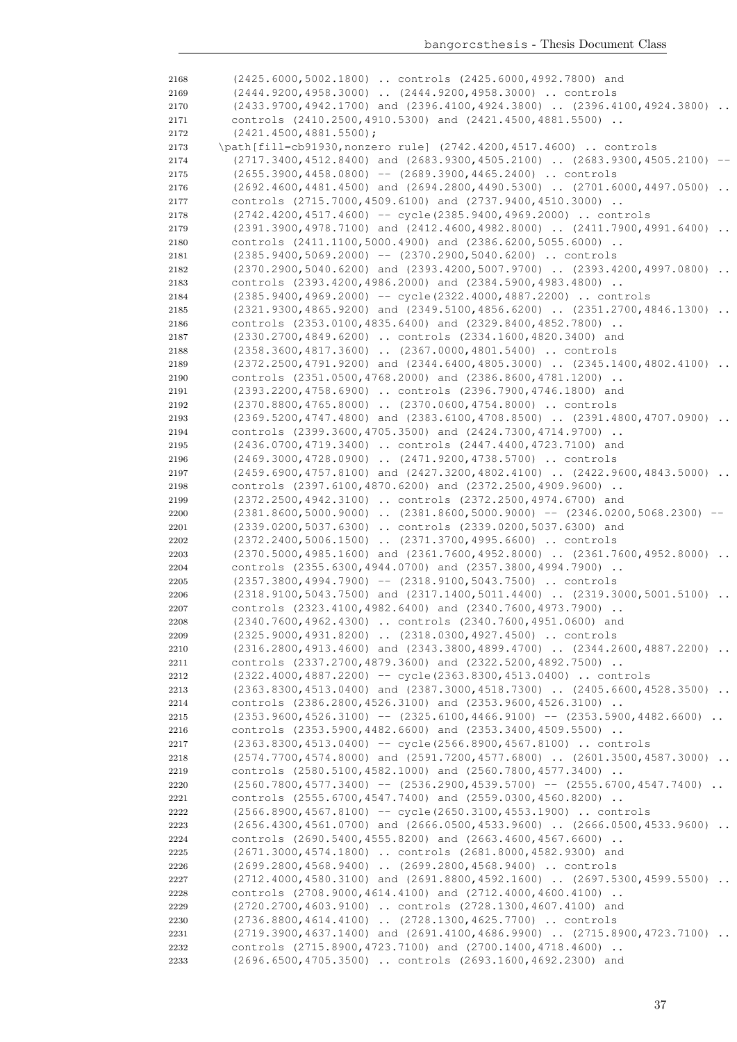| 2168         | (2425.6000,5002.1800)  controls (2425.6000,4992.7800) and                                                                                  |
|--------------|--------------------------------------------------------------------------------------------------------------------------------------------|
| 2169         | (2444.9200,4958.3000)  (2444.9200,4958.3000)  controls                                                                                     |
| 2170         | (2433.9700,4942.1700) and (2396.4100,4924.3800)  (2396.4100,4924.3800)<br>$\cdot$ .                                                        |
| 2171         | controls (2410.2500,4910.5300) and (2421.4500,4881.5500)                                                                                   |
| 2172         | $(2421.4500, 4881.5500)$ ;                                                                                                                 |
| 2173         | \path[fill=cb91930, nonzero rule] (2742.4200, 4517.4600)  controls                                                                         |
| 2174         | (2717.3400,4512.8400) and (2683.9300,4505.2100)  (2683.9300,4505.2100)                                                                     |
| 2175         | $(2655.3900, 4458.0800)$ -- $(2689.3900, 4465.2400)$ controls                                                                              |
| 2176         | $(2692.4600, 4481.4500)$ and $(2694.2800, 4490.5300)$ $(2701.6000, 4497.0500)$ .                                                           |
| 2177         | controls (2715.7000,4509.6100) and (2737.9400,4510.3000)                                                                                   |
| 2178         | (2742.4200,4517.4600) -- cycle (2385.9400,4969.2000)  controls                                                                             |
| 2179         | (2391.3900,4978.7100) and (2412.4600,4982.8000)  (2411.7900,4991.6400)<br>controls (2411.1100,5000.4900) and (2386.6200,5055.6000)         |
| 2180<br>2181 | $(2385.9400, 5069.2000)$ -- $(2370.2900, 5040.6200)$ controls                                                                              |
| 2182         | (2370.2900,5040.6200) and (2393.4200,5007.9700)  (2393.4200,4997.0800)<br>$\cdots$                                                         |
| 2183         | controls (2393.4200,4986.2000) and (2384.5900,4983.4800)                                                                                   |
| 2184         | (2385.9400,4969.2000) -- cycle (2322.4000,4887.2200)  controls                                                                             |
| 2185         | $(2321.9300, 4865.9200)$ and $(2349.5100, 4856.6200)$ $(2351.2700, 4846.1300)$                                                             |
| 2186         | controls (2353.0100,4835.6400) and (2329.8400,4852.7800)                                                                                   |
| 2187         | (2330.2700,4849.6200)  controls (2334.1600,4820.3400) and                                                                                  |
| 2188         | (2358.3600,4817.3600)  (2367.0000,4801.5400)  controls                                                                                     |
| 2189         | $(2372.2500, 4791.9200)$ and $(2344.6400, 4805.3000)$ $(2345.1400, 4802.4100)$ .                                                           |
| 2190         | controls (2351.0500,4768.2000) and (2386.8600,4781.1200)                                                                                   |
| 2191         | (2393.2200,4758.6900)  controls (2396.7900,4746.1800) and                                                                                  |
| 2192         | (2370.8800,4765.8000)  (2370.0600,4754.8000)  controls                                                                                     |
| 2193         | $(2369.5200, 4747.4800)$ and $(2383.6100, 4708.8500)$ $(2391.4800, 4707.0900)$                                                             |
| 2194         | controls (2399.3600,4705.3500) and (2424.7300,4714.9700)                                                                                   |
| 2195         | (2436.0700,4719.3400)  controls (2447.4400,4723.7100) and                                                                                  |
| 2196         | (2469.3000,4728.0900)  (2471.9200,4738.5700)  controls<br>$(2459.6900, 4757.8100)$ and $(2427.3200, 4802.4100)$ $(2422.9600, 4843.5000)$ . |
| 2197<br>2198 | controls (2397.6100,4870.6200) and (2372.2500,4909.9600)                                                                                   |
| 2199         | (2372.2500,4942.3100)  controls (2372.2500,4974.6700) and                                                                                  |
| 2200         | $(2381.8600, 5000.9000)$ $(2381.8600, 5000.9000)$ -- $(2346.0200, 5068.2300)$ --                                                           |
| 2201         | (2339.0200,5037.6300)  controls (2339.0200,5037.6300) and                                                                                  |
| 2202         | (2372.2400,5006.1500)  (2371.3700,4995.6600)  controls                                                                                     |
| 2203         | $(2370.5000, 4985.1600)$ and $(2361.7600, 4952.8000)$ $(2361.7600, 4952.8000)$                                                             |
| 2204         | controls (2355.6300,4944.0700) and (2357.3800,4994.7900)                                                                                   |
| 2205         | $(2357.3800, 4994.7900)$ -- $(2318.9100, 5043.7500)$ controls                                                                              |
| 2206         | $(2318.9100, 5043.7500)$ and $(2317.1400, 5011.4400)$ $(2319.3000, 5001.5100)$ .                                                           |
| 2207         | controls (2323.4100,4982.6400) and (2340.7600,4973.7900)                                                                                   |
| 2208         | (2340.7600,4962.4300)  controls (2340.7600,4951.0600) and                                                                                  |
| 2209         | (2325.9000,4931.8200)  (2318.0300,4927.4500)  controls                                                                                     |
| 2210         | (2316.2800,4913.4600) and (2343.3800,4899.4700)  (2344.2600,4887.2200)                                                                     |
| 2211         | controls (2337.2700,4879.3600) and (2322.5200,4892.7500)<br>(2322.4000,4887.2200) -- cycle(2363.8300,4513.0400)  controls                  |
| 2212<br>2213 | $(2363.8300, 4513.0400)$ and $(2387.3000, 4518.7300)$ $(2405.6600, 4528.3500)$                                                             |
| 2214         | controls (2386.2800,4526.3100) and (2353.9600,4526.3100)                                                                                   |
| 2215         | $(2353.9600, 4526.3100)$ -- $(2325.6100, 4466.9100)$ -- $(2353.5900, 4482.6600)$                                                           |
| 2216         | controls (2353.5900,4482.6600) and (2353.3400,4509.5500)                                                                                   |
| 2217         | (2363.8300,4513.0400) -- cycle (2566.8900,4567.8100)  controls                                                                             |
| 2218         | $(2574.7700, 4574.8000)$ and $(2591.7200, 4577.6800)$ $(2601.3500, 4587.3000)$                                                             |
| 2219         | controls (2580.5100,4582.1000) and (2560.7800,4577.3400)                                                                                   |
| 2220         | $(2560.7800, 4577.3400)$ -- $(2536.2900, 4539.5700)$ -- $(2555.6700, 4547.7400)$                                                           |
| 2221         | controls (2555.6700,4547.7400) and (2559.0300,4560.8200)                                                                                   |
| 2222         | (2566.8900,4567.8100) -- cycle(2650.3100,4553.1900)  controls                                                                              |
| 2223         | $(2656.4300, 4561.0700)$ and $(2666.0500, 4533.9600)$ $(2666.0500, 4533.9600)$                                                             |
| 2224         | controls (2690.5400,4555.8200) and (2663.4600,4567.6600)                                                                                   |
| 2225         | (2671.3000,4574.1800)  controls (2681.8000,4582.9300) and                                                                                  |
| 2226         | (2699.2800,4568.9400)  (2699.2800,4568.9400)  controls<br>$(2712.4000, 4580.3100)$ and $(2691.8800, 4592.1600)$ $(2697.5300, 4599.5500)$   |
| 2227         | controls (2708.9000,4614.4100) and (2712.4000,4600.4100)                                                                                   |
| 2228<br>2229 | (2720.2700,4603.9100)  controls (2728.1300,4607.4100) and                                                                                  |
| 2230         | (2736.8800,4614.4100)  (2728.1300,4625.7700)  controls                                                                                     |
| 2231         | $(2719.3900, 4637.1400)$ and $(2691.4100, 4686.9900)$ $(2715.8900, 4723.7100)$                                                             |
| 2232         | controls (2715.8900,4723.7100) and (2700.1400,4718.4600)                                                                                   |
| 2233         | (2696.6500,4705.3500)  controls (2693.1600,4692.2300) and                                                                                  |
|              |                                                                                                                                            |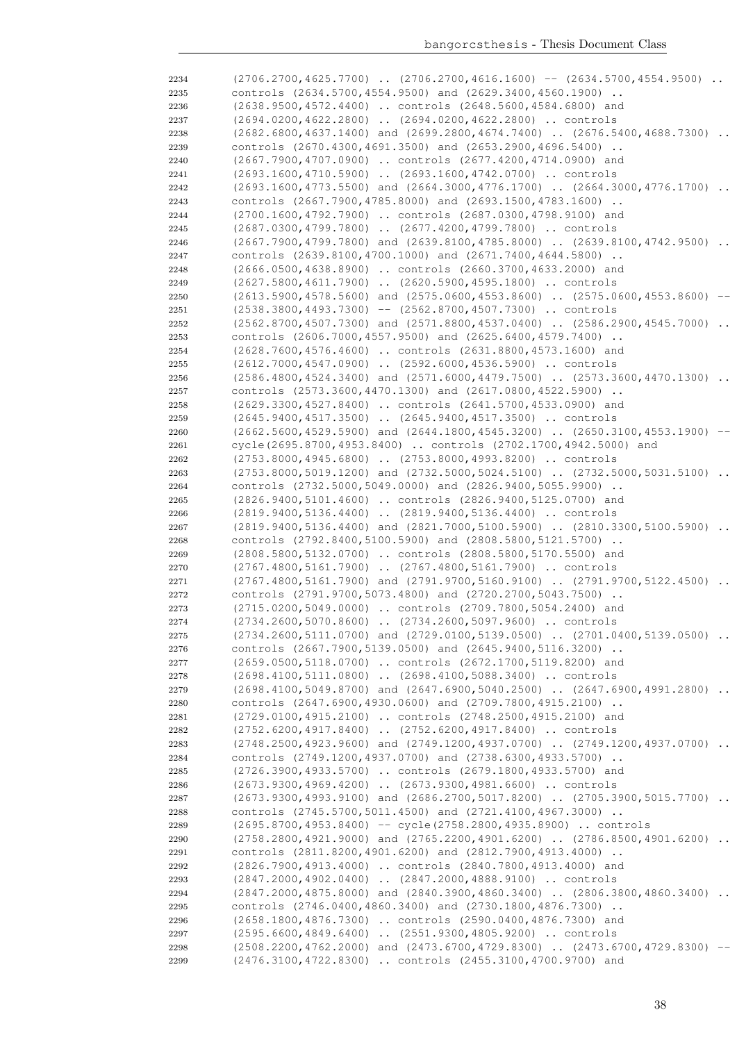| 2234 | $(2706.2700, 4625.7700)$ $(2706.2700, 4616.1600)$ -- $(2634.5700, 4554.9500)$        |  |
|------|--------------------------------------------------------------------------------------|--|
| 2235 | controls (2634.5700,4554.9500) and (2629.3400,4560.1900)                             |  |
| 2236 | (2638.9500,4572.4400)  controls (2648.5600,4584.6800) and                            |  |
| 2237 | (2694.0200,4622.2800)  (2694.0200,4622.2800)  controls                               |  |
| 2238 | (2682.6800,4637.1400) and (2699.2800,4674.7400)  (2676.5400,4688.7300)               |  |
| 2239 | controls (2670.4300,4691.3500) and (2653.2900,4696.5400)                             |  |
| 2240 | (2667.7900,4707.0900)  controls (2677.4200,4714.0900) and                            |  |
| 2241 | (2693.1600,4710.5900)  (2693.1600,4742.0700)  controls                               |  |
| 2242 | $(2693.1600, 4773.5500)$ and $(2664.3000, 4776.1700)$ $(2664.3000, 4776.1700)$       |  |
| 2243 | controls (2667.7900,4785.8000) and (2693.1500,4783.1600)                             |  |
| 2244 | (2700.1600,4792.7900)  controls (2687.0300,4798.9100) and                            |  |
| 2245 | (2687.0300,4799.7800)  (2677.4200,4799.7800)  controls                               |  |
| 2246 | $(2667, 7900, 4799, 7800)$ and $(2639, 8100, 4785, 8000)$ $(2639, 8100, 4742, 9500)$ |  |
| 2247 | controls (2639.8100,4700.1000) and (2671.7400,4644.5800)                             |  |
| 2248 | (2666.0500,4638.8900)  controls (2660.3700,4633.2000) and                            |  |
| 2249 | (2627.5800,4611.7900)  (2620.5900,4595.1800)  controls                               |  |
| 2250 | $(2613.5900, 4578.5600)$ and $(2575.0600, 4553.8600)$ $(2575.0600, 4553.8600)$       |  |
| 2251 | $(2538.3800, 4493.7300)$ -- $(2562.8700, 4507.7300)$ controls                        |  |
| 2252 | (2562.8700,4507.7300) and (2571.8800,4537.0400)  (2586.2900,4545.7000)               |  |
| 2253 | controls (2606.7000,4557.9500) and (2625.6400,4579.7400)                             |  |
| 2254 | (2628.7600,4576.4600)  controls (2631.8800,4573.1600) and                            |  |
| 2255 | $(2612.7000, 4547.0900)$ $(2592.6000, 4536.5900)$ controls                           |  |
| 2256 | $(2586.4800, 4524.3400)$ and $(2571.6000, 4479.7500)$ $(2573.3600, 4470.1300)$       |  |
| 2257 | controls (2573.3600,4470.1300) and (2617.0800,4522.5900)                             |  |
| 2258 | (2629.3300,4527.8400)  controls (2641.5700,4533.0900) and                            |  |
| 2259 | (2645.9400,4517.3500)  (2645.9400,4517.3500)  controls                               |  |
| 2260 | (2662.5600,4529.5900) and (2644.1800,4545.3200)  (2650.3100,4553.1900)               |  |
| 2261 | cycle(2695.8700,4953.8400)  controls (2702.1700,4942.5000) and                       |  |
| 2262 | (2753.8000,4945.6800)  (2753.8000,4993.8200)  controls                               |  |
| 2263 | $(2753.8000, 5019.1200)$ and $(2732.5000, 5024.5100)$ $(2732.5000, 5031.5100)$       |  |
| 2264 | controls (2732.5000,5049.0000) and (2826.9400,5055.9900)                             |  |
| 2265 | (2826.9400,5101.4600)  controls (2826.9400,5125.0700) and                            |  |
| 2266 | (2819.9400,5136.4400)  (2819.9400,5136.4400)  controls                               |  |
| 2267 | (2819.9400,5136.4400) and (2821.7000,5100.5900)  (2810.3300,5100.5900)               |  |
| 2268 | controls (2792.8400,5100.5900) and (2808.5800,5121.5700)                             |  |
| 2269 | (2808.5800,5132.0700)  controls (2808.5800,5170.5500) and                            |  |
| 2270 | (2767.4800,5161.7900)  (2767.4800,5161.7900)  controls                               |  |
| 2271 | $(2767.4800, 5161.7900)$ and $(2791.9700, 5160.9100)$ $(2791.9700, 5122.4500)$ .     |  |
| 2272 | controls (2791.9700,5073.4800) and (2720.2700,5043.7500)                             |  |
| 2273 | (2715.0200,5049.0000)  controls (2709.7800,5054.2400) and                            |  |
| 2274 | (2734.2600,5070.8600)  (2734.2600,5097.9600)  controls                               |  |
| 2275 | $(2734.2600, 5111.0700)$ and $(2729.0100, 5139.0500)$ $(2701.0400, 5139.0500)$       |  |
| 2276 | controls (2667.7900,5139.0500) and (2645.9400,5116.3200)                             |  |
| 2277 | (2659.0500,5118.0700)  controls (2672.1700,5119.8200) and                            |  |
| 2278 | (2698.4100,5111.0800)  (2698.4100,5088.3400)  controls                               |  |
| 2279 | $(2698.4100, 5049.8700)$ and $(2647.6900, 5040.2500)$ $(2647.6900, 4991.2800)$       |  |
| 2280 | controls (2647.6900,4930.0600) and (2709.7800,4915.2100)                             |  |
| 2281 | (2729.0100,4915.2100)  controls (2748.2500,4915.2100) and                            |  |
| 2282 | (2752.6200,4917.8400)  (2752.6200,4917.8400)  controls                               |  |
| 2283 | (2748.2500,4923.9600) and (2749.1200,4937.0700)  (2749.1200,4937.0700)               |  |
| 2284 | controls (2749.1200,4937.0700) and (2738.6300,4933.5700)                             |  |
| 2285 | (2726.3900,4933.5700)  controls (2679.1800,4933.5700) and                            |  |
| 2286 | (2673.9300,4969.4200)  (2673.9300,4981.6600)  controls                               |  |
| 2287 | $(2673.9300, 4993.9100)$ and $(2686.2700, 5017.8200)$ $(2705.3900, 5015.7700)$       |  |
| 2288 | controls (2745.5700,5011.4500) and (2721.4100,4967.3000)                             |  |
| 2289 | $(2695.8700, 4953.8400)$ -- cycle $(2758.2800, 4935.8900)$ controls                  |  |
| 2290 | (2758.2800,4921.9000) and (2765.2200,4901.6200)  (2786.8500,4901.6200)               |  |
| 2291 | controls (2811.8200,4901.6200) and (2812.7900,4913.4000)                             |  |
| 2292 | (2826.7900,4913.4000)  controls (2840.7800,4913.4000) and                            |  |
| 2293 | (2847.2000,4902.0400)  (2847.2000,4888.9100)  controls                               |  |
| 2294 | $(2847.2000, 4875.8000)$ and $(2840.3900, 4860.3400)$ $(2806.3800, 4860.3400)$       |  |
| 2295 | controls (2746.0400,4860.3400) and (2730.1800,4876.7300)                             |  |
| 2296 | (2658.1800,4876.7300)  controls (2590.0400,4876.7300) and                            |  |
| 2297 | (2595.6600,4849.6400)  (2551.9300,4805.9200)  controls                               |  |
| 2298 | $(2508.2200, 4762.2000)$ and $(2473.6700, 4729.8300)$ $(2473.6700, 4729.8300)$ --    |  |
| 2299 | (2476.3100,4722.8300)  controls (2455.3100,4700.9700) and                            |  |
|      |                                                                                      |  |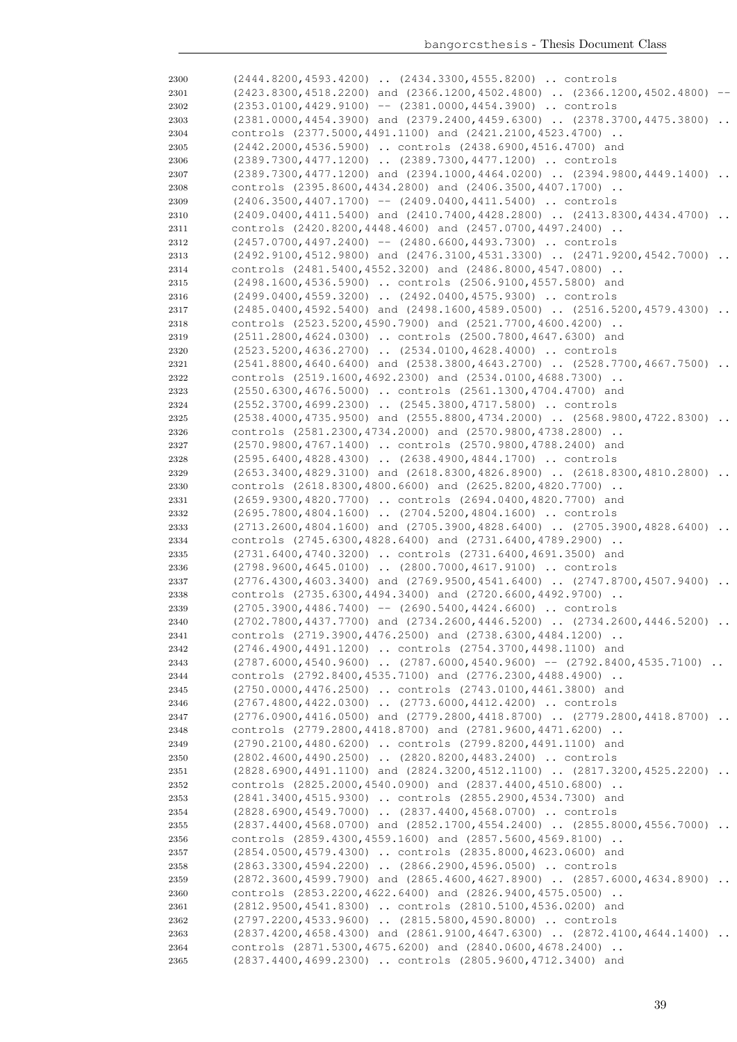| 2300         | (2444.8200,4593.4200)  (2434.3300,4555.8200)  controls                                                                             |                 |
|--------------|------------------------------------------------------------------------------------------------------------------------------------|-----------------|
| 2301         | $(2423.8300, 4518.2200)$ and $(2366.1200, 4502.4800)$ $(2366.1200, 4502.4800)$                                                     |                 |
| 2302         | $(2353.0100, 4429.9100)$ -- $(2381.0000, 4454.3900)$ controls                                                                      |                 |
| 2303         | (2381.0000,4454.3900) and (2379.2400,4459.6300)  (2378.3700,4475.3800)                                                             |                 |
| 2304         | controls (2377.5000,4491.1100) and (2421.2100,4523.4700)                                                                           |                 |
| 2305         | (2442.2000,4536.5900)  controls (2438.6900,4516.4700) and                                                                          |                 |
| 2306         | (2389.7300,4477.1200)  (2389.7300,4477.1200)  controls                                                                             |                 |
| 2307         | $(2389.7300, 4477.1200)$ and $(2394.1000, 4464.0200)$ $(2394.9800, 4449.1400)$                                                     | $\ddots$        |
|              |                                                                                                                                    |                 |
| 2308         | controls (2395.8600,4434.2800) and (2406.3500,4407.1700)                                                                           |                 |
| 2309         | $(2406.3500, 4407.1700)$ -- $(2409.0400, 4411.5400)$ controls                                                                      |                 |
| 2310         | (2409.0400,4411.5400) and (2410.7400,4428.2800)  (2413.8300,4434.4700)                                                             | $\ddots$        |
| 2311         | controls (2420.8200,4448.4600) and (2457.0700,4497.2400)                                                                           |                 |
| 2312         | $(2457.0700, 4497.2400)$ -- $(2480.6600, 4493.7300)$ controls                                                                      |                 |
| 2313         | $(2492.9100, 4512.9800)$ and $(2476.3100, 4531.3300)$ $(2471.9200, 4542.7000)$                                                     | $\ddots$        |
| 2314         | controls (2481.5400,4552.3200) and (2486.8000,4547.0800)                                                                           |                 |
| 2315         | (2498.1600,4536.5900)  controls (2506.9100,4557.5800) and                                                                          |                 |
| 2316         | (2499.0400,4559.3200)  (2492.0400,4575.9300)  controls                                                                             |                 |
| 2317         | (2485.0400,4592.5400) and (2498.1600,4589.0500)  (2516.5200,4579.4300)                                                             |                 |
| 2318         | controls (2523.5200,4590.7900) and (2521.7700,4600.4200)                                                                           |                 |
| 2319         | (2511.2800,4624.0300)  controls (2500.7800,4647.6300) and                                                                          |                 |
| 2320         | $(2523.5200, 4636.2700)$ $(2534.0100, 4628.4000)$ controls                                                                         |                 |
| 2321         | $(2541.8800, 4640.6400)$ and $(2538.3800, 4643.2700)$ $(2528.7700, 4667.7500)$                                                     |                 |
| 2322         | controls (2519.1600,4692.2300) and (2534.0100,4688.7300)                                                                           |                 |
| 2323         | (2550.6300,4676.5000)  controls (2561.1300,4704.4700) and                                                                          |                 |
|              |                                                                                                                                    |                 |
| 2324         | (2552.3700,4699.2300)  (2545.3800,4717.5800)  controls                                                                             |                 |
| 2325         | $(2538.4000, 4735.9500)$ and $(2555.8800, 4734.2000)$ $(2568.9800, 4722.8300)$                                                     | $\ddots$        |
| 2326         | controls (2581.2300, 4734.2000) and (2570.9800, 4738.2800)                                                                         |                 |
| 2327         | (2570.9800,4767.1400)  controls (2570.9800,4788.2400) and                                                                          |                 |
| 2328         | (2595.6400,4828.4300)  (2638.4900,4844.1700)  controls                                                                             |                 |
| 2329         | (2653.3400,4829.3100) and (2618.8300,4826.8900)  (2618.8300,4810.2800)                                                             |                 |
| 2330         | controls (2618.8300,4800.6600) and (2625.8200,4820.7700)                                                                           |                 |
| 2331         | (2659.9300,4820.7700)  controls (2694.0400,4820.7700) and                                                                          |                 |
| 2332         | (2695.7800,4804.1600)  (2704.5200,4804.1600)  controls                                                                             |                 |
|              |                                                                                                                                    |                 |
| 2333         | $(2713.2600, 4804.1600)$ and $(2705.3900, 4828.6400)$ $(2705.3900, 4828.6400)$                                                     |                 |
| 2334         | controls (2745.6300,4828.6400) and (2731.6400,4789.2900)                                                                           |                 |
| 2335         |                                                                                                                                    |                 |
| 2336         | (2731.6400,4740.3200)  controls (2731.6400,4691.3500) and                                                                          |                 |
|              | (2798.9600,4645.0100)  (2800.7000,4617.9100)  controls                                                                             |                 |
| 2337         | $(2776.4300, 4603.3400)$ and $(2769.9500, 4541.6400)$ $(2747.8700, 4507.9400)$                                                     |                 |
| 2338         | controls (2735.6300,4494.3400) and (2720.6600,4492.9700)                                                                           |                 |
| 2339         | $(2705.3900, 4486.7400)$ -- $(2690.5400, 4424.6600)$ controls                                                                      |                 |
| 2340         | (2702.7800,4437.7700) and (2734.2600,4446.5200)  (2734.2600,4446.5200)                                                             |                 |
| 2341         | controls (2719.3900,4476.2500) and (2738.6300,4484.1200)                                                                           |                 |
| 2342         | (2746.4900,4491.1200)  controls (2754.3700,4498.1100) and                                                                          |                 |
| 2343         | $(2787.6000, 4540.9600)$ $(2787.6000, 4540.9600)$ -- $(2792.8400, 4535.7100)$                                                      |                 |
| 2344         | controls (2792.8400,4535.7100) and (2776.2300,4488.4900)                                                                           |                 |
| 2345         | (2750.0000,4476.2500)  controls (2743.0100,4461.3800) and                                                                          |                 |
| 2346         | (2767.4800,4422.0300)  (2773.6000,4412.4200)  controls                                                                             |                 |
| 2347         | $(2776.0900, 4416.0500)$ and $(2779.2800, 4418.8700)$ $(2779.2800, 4418.8700)$                                                     | $\sim$          |
| 2348         | controls (2779.2800,4418.8700) and (2781.9600,4471.6200)                                                                           |                 |
| 2349         | (2790.2100,4480.6200)  controls (2799.8200,4491.1100) and                                                                          |                 |
| 2350         | (2802.4600,4490.2500)  (2820.8200,4483.2400)  controls                                                                             |                 |
| 2351         | (2828.6900,4491.1100) and (2824.3200,4512.1100)  (2817.3200,4525.2200)                                                             | $\sim$ $\sim$   |
| 2352         | controls (2825.2000, 4540.0900) and (2837.4400, 4510.6800)                                                                         |                 |
| 2353         | (2841.3400,4515.9300)  controls (2855.2900,4534.7300) and                                                                          |                 |
| 2354         | (2828.6900,4549.7000)  (2837.4400,4568.0700)  controls                                                                             |                 |
| 2355         |                                                                                                                                    |                 |
| 2356         | (2837.4400,4568.0700) and (2852.1700,4554.2400)  (2855.8000,4556.7000)<br>controls (2859.4300,4559.1600) and (2857.5600,4569.8100) |                 |
| 2357         |                                                                                                                                    |                 |
|              | (2854.0500,4579.4300)  controls (2835.8000,4623.0600) and                                                                          |                 |
| 2358         | (2863.3300,4594.2200)  (2866.2900,4596.0500)  controls                                                                             |                 |
| 2359         | $(2872.3600, 4599.7900)$ and $(2865.4600, 4627.8900)$ $(2857.6000, 4634.8900)$                                                     | $\cdot$ $\cdot$ |
| 2360         | controls (2853.2200,4622.6400) and (2826.9400,4575.0500)                                                                           |                 |
| 2361         | (2812.9500,4541.8300)  controls (2810.5100,4536.0200) and                                                                          |                 |
| 2362         | (2797.2200,4533.9600)  (2815.5800,4590.8000)  controls                                                                             |                 |
| 2363         | $(2837.4200, 4658.4300)$ and $(2861.9100, 4647.6300)$ $(2872.4100, 4644.1400)$                                                     | $\cdot$ .       |
| 2364<br>2365 | controls (2871.5300,4675.6200) and (2840.0600,4678.2400)<br>(2837.4400,4699.2300)  controls (2805.9600,4712.3400) and              |                 |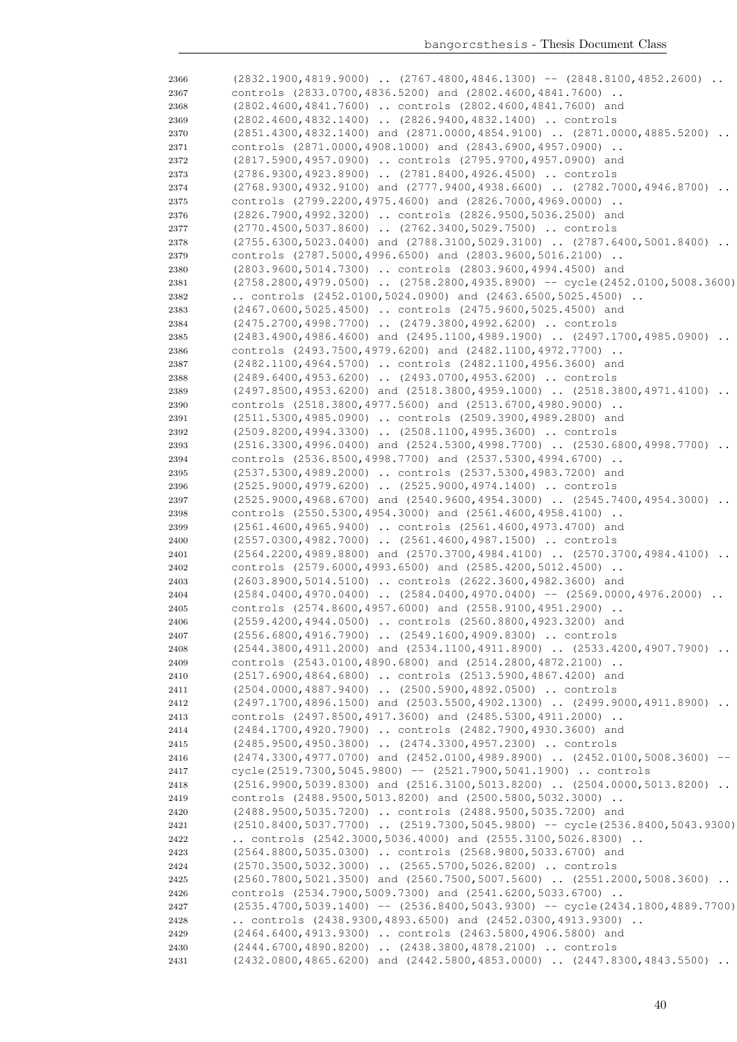| 2366 | $(2832.1900, 4819.9000)$ $(2767.4800, 4846.1300)$ -- $(2848.8100, 4852.2600)$               |
|------|---------------------------------------------------------------------------------------------|
| 2367 | controls (2833.0700,4836.5200) and (2802.4600,4841.7600)                                    |
| 2368 | (2802.4600,4841.7600)  controls (2802.4600,4841.7600) and                                   |
| 2369 | (2802.4600,4832.1400)  (2826.9400,4832.1400)  controls                                      |
| 2370 | $(2851.4300, 4832.1400)$ and $(2871.0000, 4854.9100)$ $(2871.0000, 4885.5200)$              |
| 2371 | controls (2871.0000,4908.1000) and (2843.6900,4957.0900)                                    |
| 2372 | (2817.5900,4957.0900)  controls (2795.9700,4957.0900) and                                   |
| 2373 | (2786.9300,4923.8900)  (2781.8400,4926.4500)  controls                                      |
| 2374 | $(2768.9300, 4932.9100)$ and $(2777.9400, 4938.6600)$ $(2782.7000, 4946.8700)$              |
| 2375 | controls (2799.2200,4975.4600) and (2826.7000,4969.0000)                                    |
| 2376 | (2826.7900,4992.3200)  controls (2826.9500,5036.2500) and                                   |
| 2377 | (2770.4500,5037.8600)  (2762.3400,5029.7500)  controls                                      |
| 2378 | $(2755.6300, 5023.0400)$ and $(2788.3100, 5029.3100)$ $(2787.6400, 5001.8400)$<br>$\ddotsc$ |
| 2379 | controls (2787.5000,4996.6500) and (2803.9600,5016.2100)                                    |
| 2380 | (2803.9600,5014.7300)  controls (2803.9600,4994.4500) and                                   |
| 2381 | (2758.2800,4979.0500)  (2758.2800,4935.8900) -- cycle(2452.0100,5008.3600)                  |
| 2382 | controls $(2452.0100, 5024.0900)$ and $(2463.6500, 5025.4500)$ .                            |
| 2383 | (2467.0600,5025.4500)  controls (2475.9600,5025.4500) and                                   |
| 2384 | (2475.2700,4998.7700)  (2479.3800,4992.6200)  controls                                      |
| 2385 | $(2483.4900, 4986.4600)$ and $(2495.1100, 4989.1900)$ $(2497.1700, 4985.0900)$              |
| 2386 | controls (2493.7500,4979.6200) and (2482.1100,4972.7700)                                    |
| 2387 | (2482.1100,4964.5700)  controls (2482.1100,4956.3600) and                                   |
| 2388 | (2489.6400,4953.6200)  (2493.0700,4953.6200)  controls                                      |
| 2389 | $(2497.8500, 4953.6200)$ and $(2518.3800, 4959.1000)$ $(2518.3800, 4971.4100)$              |
| 2390 | controls (2518.3800,4977.5600) and (2513.6700,4980.9000)                                    |
|      |                                                                                             |
| 2391 | (2511.5300,4985.0900)  controls (2509.3900,4989.2800) and                                   |
| 2392 | (2509.8200,4994.3300)  (2508.1100,4995.3600)  controls                                      |
| 2393 | (2516.3300,4996.0400) and (2524.5300,4998.7700)  (2530.6800,4998.7700)<br>$\ddots$          |
| 2394 | controls (2536.8500,4998.7700) and (2537.5300,4994.6700)                                    |
| 2395 | (2537.5300,4989.2000)  controls (2537.5300,4983.7200) and                                   |
| 2396 | (2525.9000,4979.6200)  (2525.9000,4974.1400)  controls                                      |
| 2397 | $(2525.9000, 4968.6700)$ and $(2540.9600, 4954.3000)$ $(2545.7400, 4954.3000)$              |
| 2398 | controls (2550.5300,4954.3000) and (2561.4600,4958.4100)                                    |
| 2399 | (2561.4600,4965.9400)  controls (2561.4600,4973.4700) and                                   |
| 2400 | (2557.0300,4982.7000)  (2561.4600,4987.1500)  controls                                      |
| 2401 | (2564.2200,4989.8800) and (2570.3700,4984.4100)  (2570.3700,4984.4100)<br>$\ddots$          |
| 2402 | controls (2579.6000,4993.6500) and (2585.4200,5012.4500)                                    |
| 2403 | (2603.8900,5014.5100)  controls (2622.3600,4982.3600) and                                   |
| 2404 | $(2584.0400, 4970.0400)$ $(2584.0400, 4970.0400)$ -- $(2569.0000, 4976.2000)$               |
| 2405 | controls (2574.8600,4957.6000) and (2558.9100,4951.2900)                                    |
| 2406 | (2559.4200,4944.0500)  controls (2560.8800,4923.3200) and                                   |
| 2407 | (2556.6800,4916.7900)  (2549.1600,4909.8300)  controls                                      |
| 2408 | (2544.3800,4911.2000) and (2534.1100,4911.8900)  (2533.4200,4907.7900)                      |
| 2409 | controls (2543.0100,4890.6800) and (2514.2800,4872.2100)                                    |
| 2410 | (2517.6900,4864.6800)  controls (2513.5900,4867.4200) and                                   |
| 2411 | (2504.0000,4887.9400)  (2500.5900,4892.0500)  controls                                      |
| 2412 | (2497.1700,4896.1500) and (2503.5500,4902.1300)  (2499.9000,4911.8900)                      |
| 2413 | controls (2497.8500,4917.3600) and (2485.5300,4911.2000)                                    |
| 2414 | (2484.1700,4920.7900)  controls (2482.7900,4930.3600) and                                   |
| 2415 | (2485.9500,4950.3800)  (2474.3300,4957.2300)  controls                                      |
| 2416 | $(2474.3300, 4977.0700)$ and $(2452.0100, 4989.8900)$ $(2452.0100, 5008.3600)$<br>$--$      |
| 2417 | cycle (2519.7300, 5045.9800) -- (2521.7900, 5041.1900)  controls                            |
| 2418 | (2516.9900,5039.8300) and (2516.3100,5013.8200)  (2504.0000,5013.8200)                      |
| 2419 | controls (2488.9500,5013.8200) and (2500.5800,5032.3000)                                    |
| 2420 | (2488.9500,5035.7200)  controls (2488.9500,5035.7200) and                                   |
| 2421 | (2510.8400,5037.7700)  (2519.7300,5045.9800) -- cycle(2536.8400,5043.9300)                  |
| 2422 | controls $(2542.3000, 5036.4000)$ and $(2555.3100, 5026.8300)$                              |
| 2423 | (2564.8800,5035.0300)  controls (2568.9800,5033.6700) and                                   |
| 2424 | (2570.3500,5032.3000)  (2565.5700,5026.8200)  controls                                      |
| 2425 | (2560.7800,5021.3500) and (2560.7500,5007.5600)  (2551.2000,5008.3600)                      |
| 2426 | controls (2534.7900,5009.7300) and (2541.6200,5033.6700)                                    |
| 2427 | $(2535.4700, 5039.1400)$ -- $(2536.8400, 5043.9300)$ -- cycle $(2434.1800, 4889.7700)$      |
| 2428 | controls $(2438.9300, 4893.6500)$ and $(2452.0300, 4913.9300)$                              |
| 2429 | (2464.6400,4913.9300)  controls (2463.5800,4906.5800) and                                   |
| 2430 | (2444.6700,4890.8200)  (2438.3800,4878.2100)  controls                                      |
| 2431 | (2432.0800,4865.6200) and (2442.5800,4853.0000)  (2447.8300,4843.5500)                      |
|      |                                                                                             |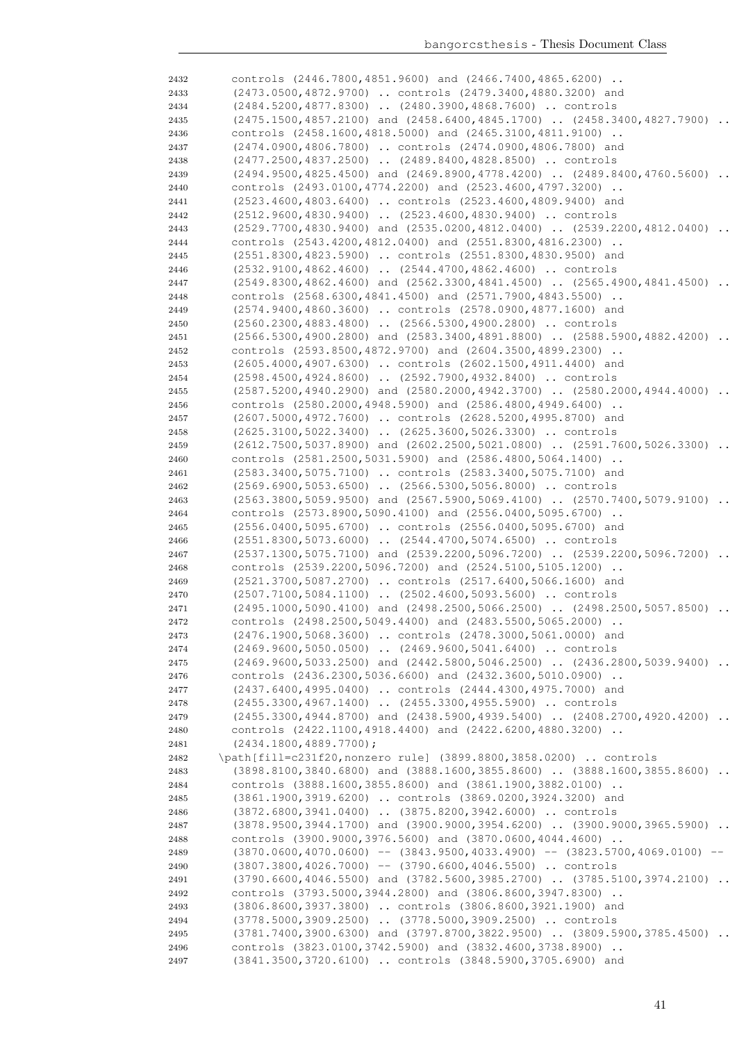| 2432         | controls (2446.7800,4851.9600) and (2466.7400,4865.6200)                                                                                |                      |
|--------------|-----------------------------------------------------------------------------------------------------------------------------------------|----------------------|
| 2433         | (2473.0500,4872.9700)  controls (2479.3400,4880.3200) and                                                                               |                      |
| 2434         | (2484.5200,4877.8300)  (2480.3900,4868.7600)  controls                                                                                  |                      |
| 2435         | $(2475.1500, 4857.2100)$ and $(2458.6400, 4845.1700)$ $(2458.3400, 4827.7900)$                                                          |                      |
| 2436         | controls (2458.1600,4818.5000) and (2465.3100,4811.9100)                                                                                |                      |
| 2437         | (2474.0900,4806.7800)  controls (2474.0900,4806.7800) and<br>(2477.2500,4837.2500)  (2489.8400,4828.8500)  controls                     |                      |
| 2438<br>2439 | (2494.9500,4825.4500) and (2469.8900,4778.4200)  (2489.8400,4760.5600)                                                                  | $\ddot{\phantom{0}}$ |
| 2440         | controls (2493.0100,4774.2200) and (2523.4600,4797.3200)                                                                                |                      |
| 2441         | (2523.4600,4803.6400)  controls (2523.4600,4809.9400) and                                                                               |                      |
| 2442         | (2512.9600,4830.9400)  (2523.4600,4830.9400)  controls                                                                                  |                      |
| 2443         | (2529.7700,4830.9400) and (2535.0200,4812.0400)  (2539.2200,4812.0400)                                                                  |                      |
| 2444         | controls (2543.4200,4812.0400) and (2551.8300,4816.2300)                                                                                |                      |
| 2445         | (2551.8300,4823.5900)  controls (2551.8300,4830.9500) and                                                                               |                      |
| 2446         | (2532.9100,4862.4600)  (2544.4700,4862.4600)  controls                                                                                  |                      |
| 2447         | (2549.8300,4862.4600) and (2562.3300,4841.4500)  (2565.4900,4841.4500)<br>controls (2568.6300,4841.4500) and (2571.7900,4843.5500)      |                      |
| 2448<br>2449 | (2574.9400,4860.3600)  controls (2578.0900,4877.1600) and                                                                               |                      |
| 2450         | (2560.2300,4883.4800)  (2566.5300,4900.2800)  controls                                                                                  |                      |
| 2451         | (2566.5300,4900.2800) and (2583.3400,4891.8800)  (2588.5900,4882.4200)                                                                  | $\ddots$             |
| 2452         | controls (2593.8500,4872.9700) and (2604.3500,4899.2300)                                                                                |                      |
| 2453         | (2605.4000,4907.6300)  controls (2602.1500,4911.4400) and                                                                               |                      |
| 2454         | (2598.4500,4924.8600)  (2592.7900,4932.8400)  controls                                                                                  |                      |
| 2455         | (2587.5200,4940.2900) and (2580.2000,4942.3700)  (2580.2000,4944.4000)                                                                  |                      |
| 2456         | controls (2580.2000,4948.5900) and (2586.4800,4949.6400)                                                                                |                      |
| 2457         | (2607.5000,4972.7600)  controls (2628.5200,4995.8700) and<br>(2625.3100,5022.3400)  (2625.3600,5026.3300)  controls                     |                      |
| 2458<br>2459 | (2612.7500,5037.8900) and (2602.2500,5021.0800)  (2591.7600,5026.3300)                                                                  | $\cdot$ $\cdot$      |
| 2460         | controls (2581.2500,5031.5900) and (2586.4800,5064.1400)                                                                                |                      |
| 2461         | (2583.3400,5075.7100)  controls (2583.3400,5075.7100) and                                                                               |                      |
| 2462         | $(2569.6900, 5053.6500)$ $(2566.5300, 5056.8000)$ controls                                                                              |                      |
| 2463         | (2563.3800,5059.9500) and (2567.5900,5069.4100)  (2570.7400,5079.9100)                                                                  |                      |
| 2464         | controls (2573.8900,5090.4100) and (2556.0400,5095.6700)                                                                                |                      |
| 2465         | (2556.0400,5095.6700)  controls (2556.0400,5095.6700) and                                                                               |                      |
| 2466         | (2551.8300,5073.6000)  (2544.4700,5074.6500)  controls                                                                                  |                      |
| 2467         | (2537.1300,5075.7100) and (2539.2200,5096.7200)  (2539.2200,5096.7200)                                                                  |                      |
| 2468         | controls (2539.2200,5096.7200) and (2524.5100,5105.1200)<br>(2521.3700,5087.2700)  controls (2517.6400,5066.1600) and                   |                      |
| 2469<br>2470 | (2507.7100,5084.1100)  (2502.4600,5093.5600)  controls                                                                                  |                      |
| 2471         | $(2495.1000, 5090.4100)$ and $(2498.2500, 5066.2500)$ $(2498.2500, 5057.8500)$ .                                                        |                      |
| 2472         | controls (2498.2500,5049.4400) and (2483.5500,5065.2000)                                                                                |                      |
| 2473         | (2476.1900,5068.3600)  controls (2478.3000,5061.0000) and                                                                               |                      |
| 2474         | (2469.9600,5050.0500)  (2469.9600,5041.6400)  controls                                                                                  |                      |
| 2475         | (2469.9600,5033.2500) and (2442.5800,5046.2500)  (2436.2800,5039.9400)                                                                  |                      |
| 2476         | controls (2436.2300,5036.6600) and (2432.3600,5010.0900)                                                                                |                      |
| 2477         | (2437.6400,4995.0400)  controls (2444.4300,4975.7000) and                                                                               |                      |
| 2478         | (2455.3300,4967.1400)  (2455.3300,4955.5900)  controls                                                                                  |                      |
| 2479<br>2480 | (2455.3300,4944.8700) and (2438.5900,4939.5400)  (2408.2700,4920.4200)<br>controls (2422.1100,4918.4400) and (2422.6200,4880.3200)      |                      |
| 2481         | $(2434.1800, 4889.7700)$ ;                                                                                                              |                      |
| 2482         | \path[fill=c231f20, nonzero rule] (3899.8800, 3858.0200)  controls                                                                      |                      |
| 2483         | (3898.8100,3840.6800) and (3888.1600,3855.8600)  (3888.1600,3855.8600)                                                                  |                      |
| 2484         | controls (3888.1600, 3855.8600) and (3861.1900, 3882.0100)                                                                              |                      |
| 2485         | (3861.1900,3919.6200)  controls (3869.0200,3924.3200) and                                                                               |                      |
| 2486         | (3872.6800,3941.0400)  (3875.8200,3942.6000)  controls                                                                                  |                      |
| 2487         | $(3878.9500, 3944.1700)$ and $(3900.9000, 3954.6200)$ $(3900.9000, 3965.5900)$                                                          |                      |
| 2488         | controls (3900.9000,3976.5600) and (3870.0600,4044.4600)                                                                                |                      |
| 2489         | $(3870.0600, 4070.0600)$ -- $(3843.9500, 4033.4900)$ -- $(3823.5700, 4069.0100)$ --                                                     |                      |
| 2490<br>2491 | $(3807.3800, 4026.7000)$ -- $(3790.6600, 4046.5500)$ controls<br>(3790.6600,4046.5500) and (3782.5600,3985.2700)  (3785.5100,3974.2100) |                      |
| 2492         | controls (3793.5000,3944.2800) and (3806.8600,3947.8300)                                                                                |                      |
| 2493         | (3806.8600,3937.3800)  controls (3806.8600,3921.1900) and                                                                               |                      |
| 2494         | (3778.5000,3909.2500)  (3778.5000,3909.2500)  controls                                                                                  |                      |
| 2495         | (3781.7400,3900.6300) and (3797.8700,3822.9500)  (3809.5900,3785.4500)                                                                  |                      |
| 2496         | controls (3823.0100, 3742.5900) and (3832.4600, 3738.8900)                                                                              |                      |
| 2497         | (3841.3500,3720.6100)  controls (3848.5900,3705.6900) and                                                                               |                      |
|              |                                                                                                                                         |                      |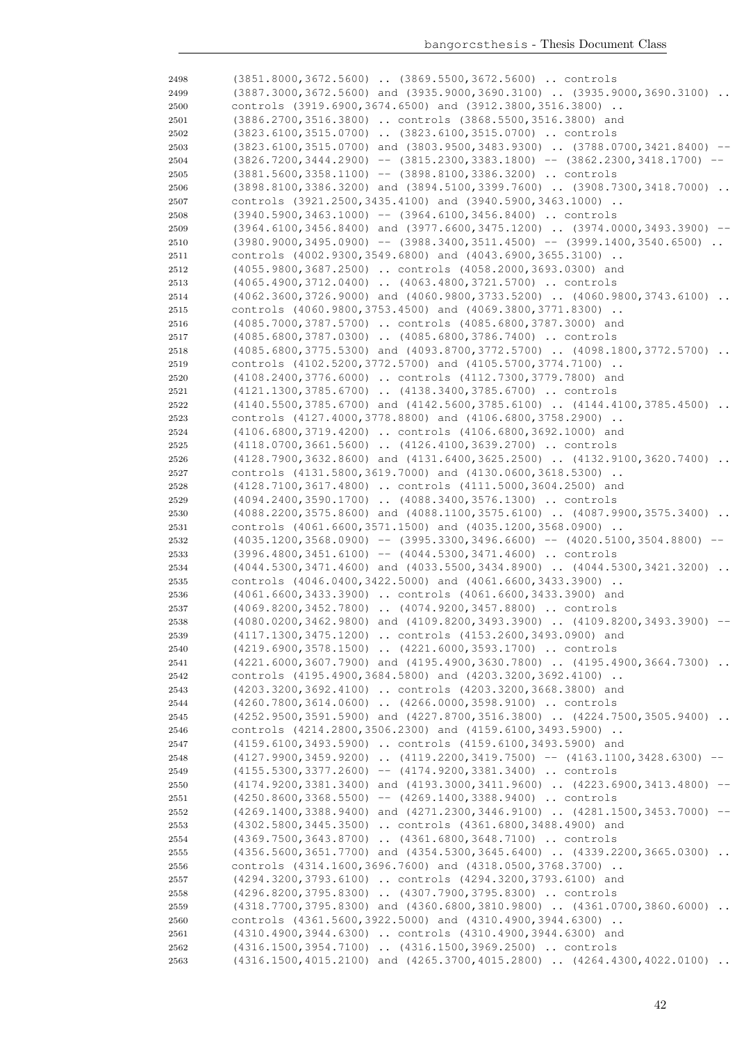| 2498 | (3851.8000,3672.5600)  (3869.5500,3672.5600)  controls                                     |
|------|--------------------------------------------------------------------------------------------|
| 2499 | $(3887.3000, 3672.5600)$ and $(3935.9000, 3690.3100)$ $(3935.9000, 3690.3100)$             |
| 2500 | controls (3919.6900,3674.6500) and (3912.3800,3516.3800)                                   |
| 2501 | (3886.2700,3516.3800)  controls (3868.5500,3516.3800) and                                  |
| 2502 | (3823.6100,3515.0700)  (3823.6100,3515.0700)  controls                                     |
| 2503 | $(3823.6100, 3515.0700)$ and $(3803.9500, 3483.9300)$ $(3788.0700, 3421.8400)$ --          |
| 2504 | $(3826.7200, 3444.2900)$ -- $(3815.2300, 3383.1800)$ -- $(3862.2300, 3418.1700)$ --        |
| 2505 | $(3881.5600, 3358.1100)$ -- $(3898.8100, 3386.3200)$ controls                              |
|      |                                                                                            |
| 2506 | $(3898.8100, 3386.3200)$ and $(3894.5100, 3399.7600)$ $(3908.7300, 3418.7000)$             |
| 2507 | controls (3921.2500,3435.4100) and (3940.5900,3463.1000)                                   |
| 2508 | $(3940.5900, 3463.1000)$ -- $(3964.6100, 3456.8400)$ controls                              |
| 2509 | $(3964.6100, 3456.8400)$ and $(3977.6600, 3475.1200)$ $(3974.0000, 3493.3900)$ --          |
| 2510 | $(3980.9000, 3495.0900)$ -- $(3988.3400, 3511.4500)$ -- $(3999.1400, 3540.6500)$ .         |
| 2511 | controls (4002.9300,3549.6800) and (4043.6900,3655.3100)                                   |
| 2512 | (4055.9800,3687.2500)  controls (4058.2000,3693.0300) and                                  |
| 2513 | (4065.4900,3712.0400)  (4063.4800,3721.5700)  controls                                     |
| 2514 | $(4062.3600, 3726.9000)$ and $(4060.9800, 3733.5200)$ $(4060.9800, 3743.6100)$<br>$\ddots$ |
| 2515 | controls (4060.9800,3753.4500) and (4069.3800,3771.8300)                                   |
| 2516 | (4085.7000,3787.5700)  controls (4085.6800,3787.3000) and                                  |
| 2517 | (4085.6800,3787.0300)  (4085.6800,3786.7400)  controls                                     |
| 2518 | (4085.6800,3775.5300) and (4093.8700,3772.5700)  (4098.1800,3772.5700)                     |
| 2519 | controls (4102.5200,3772.5700) and (4105.5700,3774.7100)                                   |
|      |                                                                                            |
| 2520 | (4108.2400,3776.6000)  controls (4112.7300,3779.7800) and                                  |
| 2521 | (4121.1300,3785.6700)  (4138.3400,3785.6700)  controls                                     |
| 2522 | (4140.5500,3785.6700) and (4142.5600,3785.6100)  (4144.4100,3785.4500)<br>$\ddots$         |
| 2523 | controls (4127.4000,3778.8800) and (4106.6800,3758.2900)                                   |
| 2524 | (4106.6800,3719.4200)  controls (4106.6800,3692.1000) and                                  |
| 2525 | (4118.0700,3661.5600)  (4126.4100,3639.2700)  controls                                     |
| 2526 | (4128.7900,3632.8600) and (4131.6400,3625.2500)  (4132.9100,3620.7400)                     |
| 2527 | controls (4131.5800,3619.7000) and (4130.0600,3618.5300)                                   |
| 2528 | (4128.7100,3617.4800)  controls (4111.5000,3604.2500) and                                  |
| 2529 | (4094.2400,3590.1700)  (4088.3400,3576.1300)  controls                                     |
| 2530 | $(4088.2200, 3575.8600)$ and $(4088.1100, 3575.6100)$ $(4087.9900, 3575.3400)$             |
| 2531 | controls (4061.6600,3571.1500) and (4035.1200,3568.0900)                                   |
| 2532 | $(4035.1200, 3568.0900)$ -- $(3995.3300, 3496.6600)$ -- $(4020.5100, 3504.8800)$ --        |
| 2533 | $(3996.4800, 3451.6100)$ -- $(4044.5300, 3471.4600)$ controls                              |
| 2534 | (4044.5300,3471.4600) and (4033.5500,3434.8900)  (4044.5300,3421.3200)                     |
| 2535 | controls (4046.0400,3422.5000) and (4061.6600,3433.3900)                                   |
| 2536 | (4061.6600,3433.3900)  controls (4061.6600,3433.3900) and                                  |
|      | (4069.8200,3452.7800)  (4074.9200,3457.8800)  controls                                     |
| 2537 |                                                                                            |
| 2538 | (4080.0200,3462.9800) and (4109.8200,3493.3900)  (4109.8200,3493.3900)                     |
| 2539 | (4117.1300,3475.1200)  controls (4153.2600,3493.0900) and                                  |
| 2540 | (4219.6900,3578.1500)  (4221.6000,3593.1700)  controls                                     |
| 2541 | (4221.6000,3607.7900) and (4195.4900,3630.7800)  (4195.4900,3664.7300)                     |
| 2542 | controls (4195.4900,3684.5800) and (4203.3200,3692.4100)                                   |
| 2543 | (4203.3200,3692.4100)  controls (4203.3200,3668.3800) and                                  |
| 2544 | (4260.7800,3614.0600)  (4266.0000,3598.9100)  controls                                     |
| 2545 | (4252.9500,3591.5900) and (4227.8700,3516.3800)  (4224.7500,3505.9400)                     |
| 2546 | controls (4214.2800,3506.2300) and (4159.6100,3493.5900)                                   |
| 2547 | (4159.6100,3493.5900)  controls (4159.6100,3493.5900) and                                  |
| 2548 | $(4127.9900, 3459.9200)$ $(4119.2200, 3419.7500)$ -- $(4163.1100, 3428.6300)$ --           |
| 2549 | $(4155.5300, 3377.2600)$ -- $(4174.9200, 3381.3400)$ controls                              |
| 2550 | (4174.9200,3381.3400) and (4193.3000,3411.9600)  (4223.6900,3413.4800)                     |
| 2551 | $(4250.8600, 3368.5500)$ -- $(4269.1400, 3388.9400)$ controls                              |
| 2552 | (4269.1400,3388.9400) and (4271.2300,3446.9100)  (4281.1500,3453.7000)                     |
| 2553 | (4302.5800,3445.3500)  controls (4361.6800,3488.4900) and                                  |
|      | (4369.7500,3643.8700)  (4361.6800,3648.7100)  controls                                     |
| 2554 |                                                                                            |
| 2555 | (4356.5600,3651.7700) and (4354.5300,3645.6400)  (4339.2200,3665.0300)                     |
| 2556 | controls (4314.1600,3696.7600) and (4318.0500,3768.3700)                                   |
| 2557 | (4294.3200,3793.6100)  controls (4294.3200,3793.6100) and                                  |
| 2558 | (4296.8200,3795.8300)  (4307.7900,3795.8300)  controls                                     |
| 2559 | (4318.7700,3795.8300) and (4360.6800,3810.9800)  (4361.0700,3860.6000)                     |
| 2560 | controls (4361.5600,3922.5000) and (4310.4900,3944.6300)                                   |
| 2561 | (4310.4900,3944.6300)  controls (4310.4900,3944.6300) and                                  |
| 2562 | (4316.1500,3954.7100)  (4316.1500,3969.2500)  controls                                     |
| 2563 | $(4316.1500, 4015.2100)$ and $(4265.3700, 4015.2800)$ $(4264.4300, 4022.0100)$             |
|      |                                                                                            |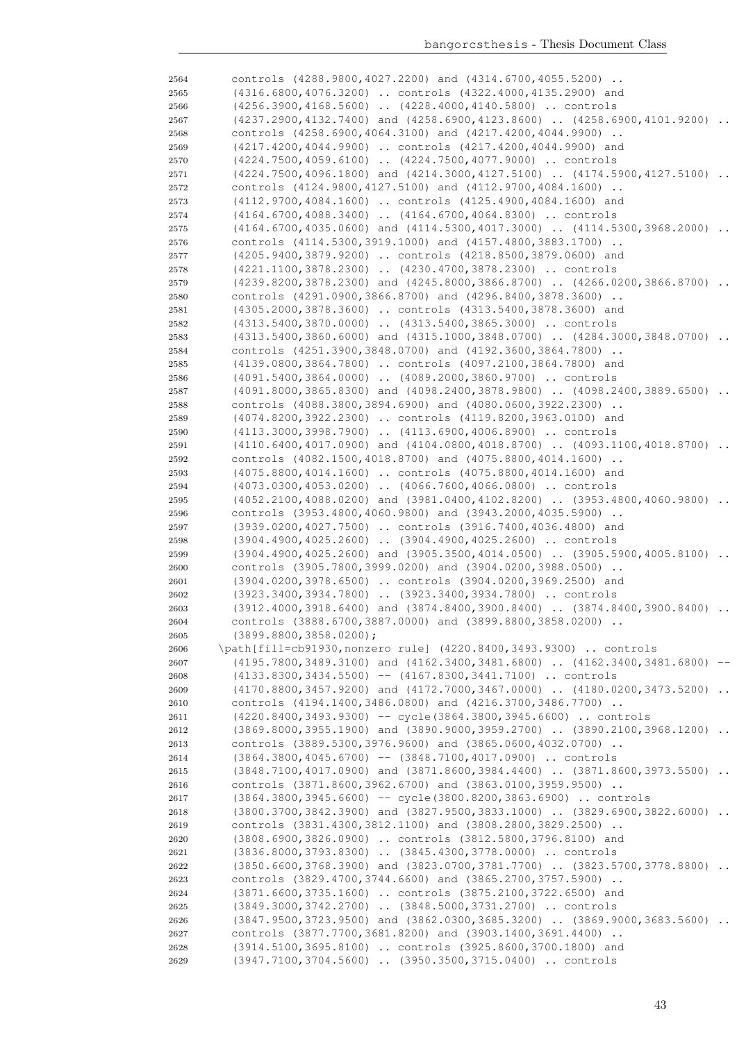| 2564         | controls (4288.9800,4027.2200) and (4314.6700,4055.5200)                                                                           |           |
|--------------|------------------------------------------------------------------------------------------------------------------------------------|-----------|
| 2565         | (4316.6800,4076.3200)  controls (4322.4000,4135.2900) and                                                                          |           |
| 2566         | (4256.3900,4168.5600)  (4228.4000,4140.5800)  controls                                                                             |           |
| 2567         | (4237.2900,4132.7400) and (4258.6900,4123.8600)  (4258.6900,4101.9200)                                                             |           |
| 2568         | controls (4258.6900,4064.3100) and (4217.4200,4044.9900)                                                                           |           |
| 2569         | (4217.4200,4044.9900)  controls (4217.4200,4044.9900) and                                                                          |           |
| 2570         | (4224.7500,4059.6100)  (4224.7500,4077.9000)  controls                                                                             |           |
| 2571         | (4224.7500,4096.1800) and (4214.3000,4127.5100)  (4174.5900,4127.5100)                                                             | $\ddots$  |
| 2572         | controls (4124.9800,4127.5100) and (4112.9700,4084.1600)                                                                           |           |
| 2573         | (4112.9700,4084.1600)  controls (4125.4900,4084.1600) and                                                                          |           |
| 2574         | $(4164.6700, 4088.3400)$ $(4164.6700, 4064.8300)$ controls                                                                         |           |
| 2575         | (4164.6700,4035.0600) and (4114.5300,4017.3000)  (4114.5300,3968.2000)                                                             |           |
| 2576         | controls (4114.5300,3919.1000) and (4157.4800,3883.1700)                                                                           |           |
| 2577         | (4205.9400,3879.9200)  controls (4218.8500,3879.0600) and                                                                          |           |
| 2578         | (4221.1100,3878.2300)  (4230.4700,3878.2300)  controls                                                                             |           |
| 2579         | (4239.8200,3878.2300) and (4245.8000,3866.8700)  (4266.0200,3866.8700)                                                             |           |
| 2580         | controls (4291.0900,3866.8700) and (4296.8400,3878.3600)                                                                           |           |
| 2581         | (4305.2000,3878.3600)  controls (4313.5400,3878.3600) and                                                                          |           |
| 2582         | (4313.5400,3870.0000)  (4313.5400,3865.3000)  controls                                                                             |           |
| 2583         | (4313.5400,3860.6000) and (4315.1000,3848.0700)  (4284.3000,3848.0700)                                                             | $\cdot$ . |
| 2584         | controls (4251.3900,3848.0700) and (4192.3600,3864.7800)                                                                           |           |
| 2585         | (4139.0800,3864.7800)  controls (4097.2100,3864.7800) and                                                                          |           |
| 2586         | (4091.5400,3864.0000)  (4089.2000,3860.9700)  controls                                                                             |           |
| 2587         | (4091.8000,3865.8300) and (4098.2400,3878.9800)  (4098.2400,3889.6500)<br>controls (4088.3800,3894.6900) and (4080.0600,3922.2300) |           |
| 2588         | (4074.8200,3922.2300)  controls (4119.8200,3963.0100) and                                                                          |           |
| 2589<br>2590 | (4113.3000,3998.7900)  (4113.6900,4006.8900)  controls                                                                             |           |
| 2591         | $(4110.6400, 4017.0900)$ and $(4104.0800, 4018.8700)$ $(4093.1100, 4018.8700)$                                                     |           |
| 2592         | controls (4082.1500,4018.8700) and (4075.8800,4014.1600)                                                                           |           |
| 2593         | (4075.8800,4014.1600)  controls (4075.8800,4014.1600) and                                                                          |           |
| 2594         | $(4073.0300, 4053.0200)$ $(4066.7600, 4066.0800)$ controls                                                                         |           |
| 2595         | $(4052.2100, 4088.0200)$ and $(3981.0400, 4102.8200)$ $(3953.4800, 4060.9800)$                                                     |           |
| 2596         | controls (3953.4800,4060.9800) and (3943.2000,4035.5900)                                                                           |           |
| 2597         | (3939.0200,4027.7500)  controls (3916.7400,4036.4800) and                                                                          |           |
| 2598         | $(3904.4900, 4025.2600)$ $(3904.4900, 4025.2600)$ controls                                                                         |           |
| 2599         | (3904.4900,4025.2600) and (3905.3500,4014.0500)  (3905.5900,4005.8100)                                                             |           |
| 2600         | controls (3905.7800,3999.0200) and (3904.0200,3988.0500)                                                                           |           |
| 2601         | (3904.0200,3978.6500)  controls (3904.0200,3969.2500) and                                                                          |           |
| 2602         | (3923.3400,3934.7800)  (3923.3400,3934.7800)  controls                                                                             |           |
| 2603         | $(3912.4000, 3918.6400)$ and $(3874.8400, 3900.8400)$ $(3874.8400, 3900.8400)$                                                     |           |
| 2604         | controls (3888.6700,3887.0000) and (3899.8800,3858.0200)                                                                           |           |
| 2605         | $(3899.8800, 3858.0200)$ ;                                                                                                         |           |
| 2606         | \path[fill=cb91930, nonzero rule] (4220.8400, 3493.9300)  controls                                                                 |           |
| 2607         | (4195.7800,3489.3100) and (4162.3400,3481.6800)  (4162.3400,3481.6800) --                                                          |           |
| 2608         | (4133.8300,3434.5500) -- (4167.8300,3441.7100)  controls<br>(4170.8800,3457.9200) and (4172.7000,3467.0000)  (4180.0200,3473.5200) |           |
| 2609<br>2610 | controls (4194.1400,3486.0800) and (4216.3700,3486.7700)                                                                           |           |
| 2611         | (4220.8400,3493.9300) -- cycle(3864.3800,3945.6600)  controls                                                                      |           |
| 2612         | (3869.8000,3955.1900) and (3890.9000,3959.2700)  (3890.2100,3968.1200)                                                             |           |
| 2613         | controls (3889.5300,3976.9600) and (3865.0600,4032.0700)                                                                           |           |
| 2614         | $(3864.3800, 4045.6700)$ -- $(3848.7100, 4017.0900)$ controls                                                                      |           |
| 2615         | (3848.7100,4017.0900) and (3871.8600,3984.4400)  (3871.8600,3973.5500)                                                             |           |
| 2616         | controls (3871.8600,3962.6700) and (3863.0100,3959.9500)                                                                           |           |
| 2617         | $(3864.3800, 3945.6600)$ -- cycle $(3800.8200, 3863.6900)$ controls                                                                |           |
| 2618         | (3800.3700,3842.3900) and (3827.9500,3833.1000)  (3829.6900,3822.6000)                                                             |           |
| 2619         | controls (3831.4300,3812.1100) and (3808.2800,3829.2500)                                                                           |           |
| 2620         | (3808.6900,3826.0900)  controls (3812.5800,3796.8100) and                                                                          |           |
| 2621         | (3836.8000, 3793.8300)  (3845.4300, 3778.0000)  controls                                                                           |           |
| 2622         | (3850.6600,3768.3900) and (3823.0700,3781.7700)  (3823.5700,3778.8800)                                                             |           |
| 2623         | controls (3829.4700,3744.6600) and (3865.2700,3757.5900)                                                                           |           |
| 2624         | (3871.6600, 3735.1600)  controls (3875.2100, 3722.6500) and                                                                        |           |
| 2625         | (3849.3000,3742.2700)  (3848.5000,3731.2700)  controls                                                                             |           |
| 2626         | (3847.9500,3723.9500) and (3862.0300,3685.3200)  (3869.9000,3683.5600)                                                             |           |
| 2627         | controls (3877.7700,3681.8200) and (3903.1400,3691.4400)                                                                           |           |
| 2628         | (3914.5100,3695.8100)  controls (3925.8600,3700.1800) and                                                                          |           |
| 2629         | (3947.7100,3704.5600)  (3950.3500,3715.0400)  controls                                                                             |           |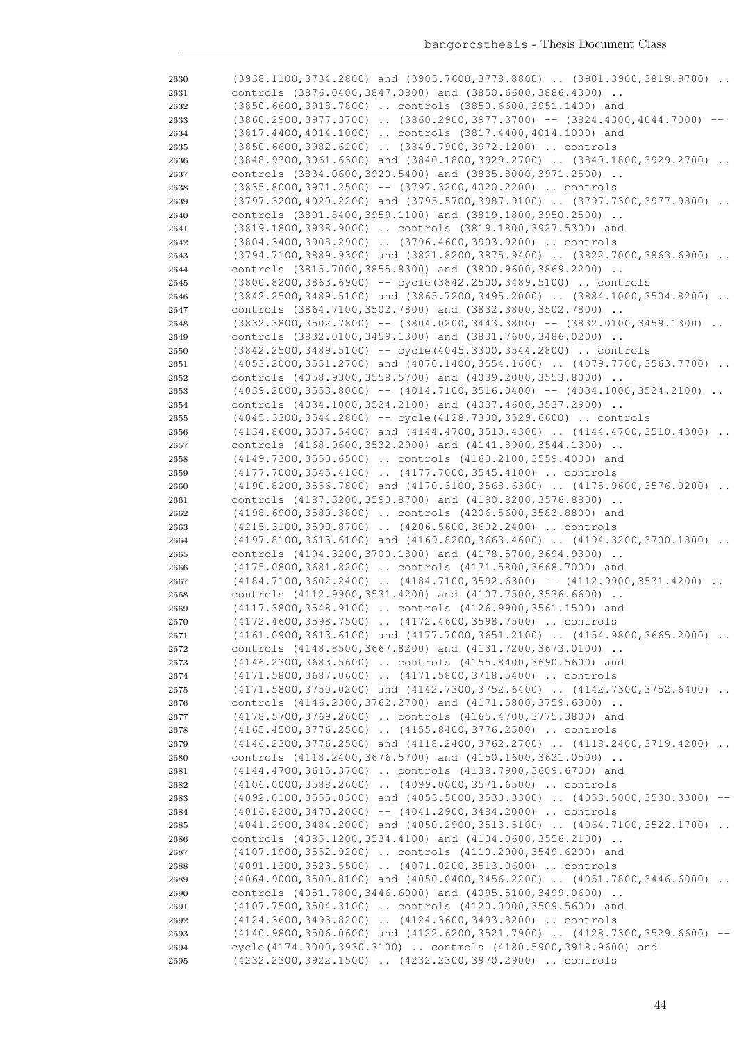| 2630 | (3938.1100,3734.2800) and (3905.7600,3778.8800)  (3901.3900,3819.9700)              |
|------|-------------------------------------------------------------------------------------|
| 2631 | controls (3876.0400,3847.0800) and (3850.6600,3886.4300)                            |
| 2632 | (3850.6600,3918.7800)  controls (3850.6600,3951.1400) and                           |
| 2633 | $(3860.2900, 3977.3700)$ $(3860.2900, 3977.3700)$ -- $(3824.4300, 4044.7000)$ --    |
| 2634 | (3817.4400,4014.1000)  controls (3817.4400,4014.1000) and                           |
| 2635 | (3850.6600,3982.6200)  (3849.7900,3972.1200)  controls                              |
| 2636 | (3848.9300,3961.6300) and (3840.1800,3929.2700)  (3840.1800,3929.2700)              |
| 2637 | controls (3834.0600,3920.5400) and (3835.8000,3971.2500)                            |
| 2638 | $(3835.8000, 3971.2500)$ -- $(3797.3200, 4020.2200)$ controls                       |
| 2639 | (3797.3200,4020.2200) and (3795.5700,3987.9100)  (3797.7300,3977.9800)<br>$\cdot$ . |
| 2640 | controls (3801.8400, 3959.1100) and (3819.1800, 3950.2500)                          |
| 2641 | (3819.1800, 3938.9000)  controls (3819.1800, 3927.5300) and                         |
| 2642 | (3804.3400,3908.2900)  (3796.4600,3903.9200)  controls                              |
| 2643 | (3794.7100,3889.9300) and (3821.8200,3875.9400)  (3822.7000,3863.6900)<br>$\ddots$  |
| 2644 | controls (3815.7000,3855.8300) and (3800.9600,3869.2200)                            |
| 2645 | (3800.8200,3863.6900) -- cycle(3842.2500,3489.5100)  controls                       |
| 2646 | $(3842.2500, 3489.5100)$ and $(3865.7200, 3495.2000)$ $(3884.1000, 3504.8200)$      |
| 2647 | controls (3864.7100,3502.7800) and (3832.3800,3502.7800)                            |
| 2648 | $(3832.3800, 3502.7800)$ -- $(3804.0200, 3443.3800)$ -- $(3832.0100, 3459.1300)$    |
| 2649 | controls (3832.0100, 3459.1300) and (3831.7600, 3486.0200)                          |
| 2650 | (3842.2500,3489.5100) -- cycle (4045.3300,3544.2800)  controls                      |
| 2651 | $(4053.2000, 3551.2700)$ and $(4070.1400, 3554.1600)$ $(4079.7700, 3563.7700)$      |
| 2652 | controls (4058.9300,3558.5700) and (4039.2000,3553.8000)                            |
| 2653 | $(4039.2000, 3553.8000)$ -- $(4014.7100, 3516.0400)$ -- $(4034.1000, 3524.2100)$    |
| 2654 | controls (4034.1000, 3524.2100) and (4037.4600, 3537.2900)                          |
|      |                                                                                     |
| 2655 | (4045.3300,3544.2800) -- cycle (4128.7300,3529.6600)  controls                      |
| 2656 | $(4134.8600, 3537.5400)$ and $(4144.4700, 3510.4300)$ $(4144.4700, 3510.4300)$      |
| 2657 | controls (4168.9600,3532.2900) and (4141.8900,3544.1300)                            |
| 2658 | (4149.7300,3550.6500)  controls (4160.2100,3559.4000) and                           |
| 2659 | (4177.7000,3545.4100)  (4177.7000,3545.4100)  controls                              |
| 2660 | (4190.8200,3556.7800) and (4170.3100,3568.6300)  (4175.9600,3576.0200)              |
| 2661 | controls (4187.3200,3590.8700) and (4190.8200,3576.8800)                            |
| 2662 | (4198.6900,3580.3800)  controls (4206.5600,3583.8800) and                           |
| 2663 | (4215.3100,3590.8700)  (4206.5600,3602.2400)  controls                              |
| 2664 | (4197.8100,3613.6100) and (4169.8200,3663.4600)  (4194.3200,3700.1800)<br>$\ddots$  |
| 2665 | controls (4194.3200,3700.1800) and (4178.5700,3694.9300)                            |
| 2666 | (4175.0800,3681.8200)  controls (4171.5800,3668.7000) and                           |
| 2667 | $(4184.7100, 3602.2400)$ $(4184.7100, 3592.6300)$ -- $(4112.9900, 3531.4200)$       |
| 2668 | controls (4112.9900, 3531.4200) and (4107.7500, 3536.6600)                          |
| 2669 | (4117.3800,3548.9100)  controls (4126.9900,3561.1500) and                           |
| 2670 | (4172.4600,3598.7500)  (4172.4600,3598.7500)  controls                              |
| 2671 | (4161.0900,3613.6100) and (4177.7000,3651.2100)  (4154.9800,3665.2000)              |
| 2672 | controls (4148.8500,3667.8200) and (4131.7200,3673.0100)                            |
| 2673 | (4146.2300,3683.5600)  controls (4155.8400,3690.5600) and                           |
| 2674 | (4171.5800,3687.0600)  (4171.5800,3718.5400)  controls                              |
| 2675 | $(4171.5800, 3750.0200)$ and $(4142.7300, 3752.6400)$ $(4142.7300, 3752.6400)$      |
| 2676 | controls (4146.2300, 3762.2700) and (4171.5800, 3759.6300)                          |
| 2677 | (4178.5700,3769.2600)  controls (4165.4700,3775.3800) and                           |
| 2678 | (4165.4500,3776.2500)  (4155.8400,3776.2500)  controls                              |
| 2679 | (4146.2300,3776.2500) and (4118.2400,3762.2700)  (4118.2400,3719.4200)              |
| 2680 | controls (4118.2400,3676.5700) and (4150.1600,3621.0500)                            |
| 2681 | (4144.4700,3615.3700)  controls (4138.7900,3609.6700) and                           |
| 2682 | (4106.0000,3588.2600)  (4099.0000,3571.6500)  controls                              |
| 2683 | (4092.0100,3555.0300) and (4053.5000,3530.3300)  (4053.5000,3530.3300)              |
| 2684 | $(4016.8200, 3470.2000)$ -- $(4041.2900, 3484.2000)$ controls                       |
| 2685 | $(4041.2900, 3484.2000)$ and $(4050.2900, 3513.5100)$ $(4064.7100, 3522.1700)$      |
| 2686 | controls (4085.1200, 3534.4100) and (4104.0600, 3556.2100)                          |
| 2687 | (4107.1900,3552.9200)  controls (4110.2900,3549.6200) and                           |
| 2688 | (4091.1300, 3523.5500)  (4071.0200, 3513.0600)  controls                            |
| 2689 | (4064.9000,3500.8100) and (4050.0400,3456.2200)  (4051.7800,3446.6000)              |
| 2690 | controls (4051.7800,3446.6000) and (4095.5100,3499.0600)                            |
| 2691 | (4107.7500,3504.3100)  controls (4120.0000,3509.5600) and                           |
| 2692 | (4124.3600,3493.8200)  (4124.3600,3493.8200)  controls                              |
| 2693 | (4140.9800,3506.0600) and (4122.6200,3521.7900)  (4128.7300,3529.6600)              |
| 2694 | cycle(4174.3000,3930.3100)  controls (4180.5900,3918.9600) and                      |
| 2695 | (4232.2300,3922.1500)  (4232.2300,3970.2900)  controls                              |
|      |                                                                                     |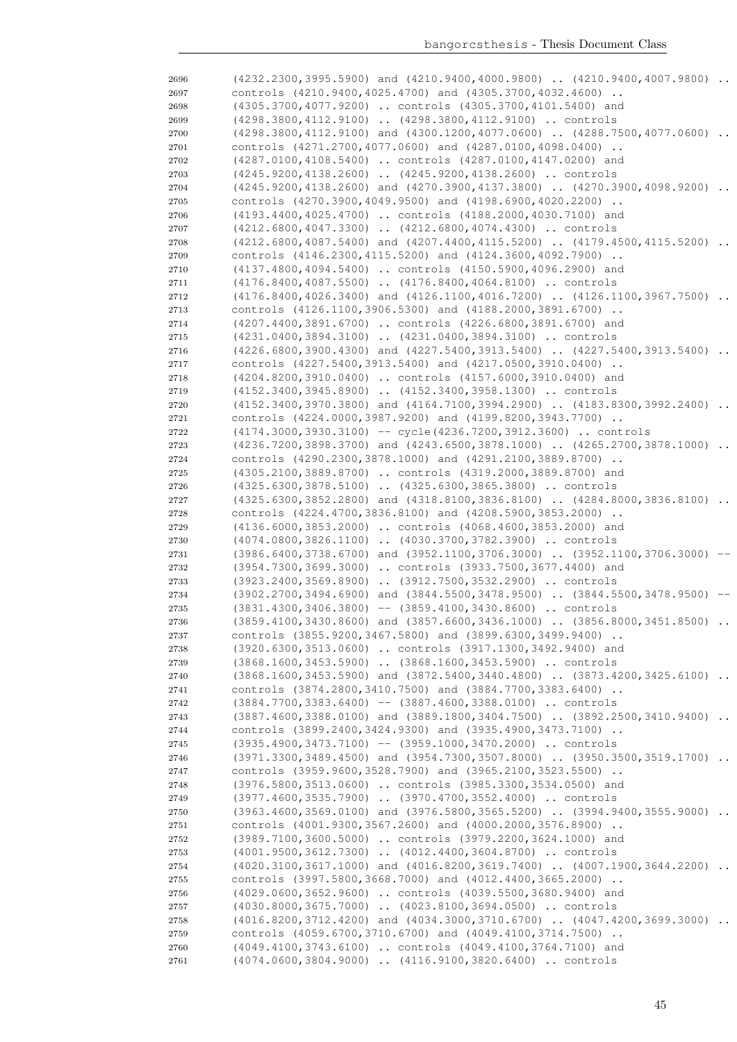| 2696         | (4232.2300,3995.5900) and (4210.9400,4000.9800)  (4210.9400,4007.9800)                                                                          |           |
|--------------|-------------------------------------------------------------------------------------------------------------------------------------------------|-----------|
| 2697         | controls (4210.9400,4025.4700) and (4305.3700,4032.4600)                                                                                        |           |
| 2698         | (4305.3700,4077.9200)  controls (4305.3700,4101.5400) and                                                                                       |           |
| 2699         | (4298.3800,4112.9100)  (4298.3800,4112.9100)  controls                                                                                          |           |
| 2700         | (4298.3800,4112.9100) and (4300.1200,4077.0600)  (4288.7500,4077.0600)                                                                          |           |
| 2701         | controls (4271.2700,4077.0600) and (4287.0100,4098.0400)                                                                                        |           |
| 2702         | (4287.0100,4108.5400)  controls (4287.0100,4147.0200) and                                                                                       |           |
| 2703         | (4245.9200,4138.2600)  (4245.9200,4138.2600)  controls                                                                                          |           |
| 2704         | $(4245.9200, 4138.2600)$ and $(4270.3900, 4137.3800)$ $(4270.3900, 4098.9200)$ .                                                                |           |
| 2705         | controls (4270.3900,4049.9500) and (4198.6900,4020.2200)                                                                                        |           |
| 2706         | (4193.4400,4025.4700)  controls (4188.2000,4030.7100) and                                                                                       |           |
| 2707         | (4212.6800,4047.3300)  (4212.6800,4074.4300)  controls                                                                                          |           |
| 2708         | (4212.6800,4087.5400) and (4207.4400,4115.5200)  (4179.4500,4115.5200)                                                                          | $\ddotsc$ |
| 2709         | controls (4146.2300,4115.5200) and (4124.3600,4092.7900)                                                                                        |           |
| 2710         | (4137.4800,4094.5400)  controls (4150.5900,4096.2900) and                                                                                       |           |
| 2711         | (4176.8400,4087.5500)  (4176.8400,4064.8100)  controls                                                                                          |           |
| 2712         | $(4176.8400, 4026.3400)$ and $(4126.1100, 4016.7200)$ $(4126.1100, 3967.7500)$                                                                  | $\ddots$  |
| 2713         | controls (4126.1100,3906.5300) and (4188.2000,3891.6700)                                                                                        |           |
| 2714         | (4207.4400,3891.6700)  controls (4226.6800,3891.6700) and                                                                                       |           |
| 2715         | (4231.0400,3894.3100)  (4231.0400,3894.3100)  controls                                                                                          |           |
| 2716         | $(4226.6800, 3900.4300)$ and $(4227.5400, 3913.5400)$ $(4227.5400, 3913.5400)$                                                                  |           |
| 2717         | controls (4227.5400,3913.5400) and (4217.0500,3910.0400)                                                                                        |           |
| 2718         | (4204.8200,3910.0400)  controls (4157.6000,3910.0400) and                                                                                       |           |
| 2719         | (4152.3400,3945.8900)  (4152.3400,3958.1300)  controls                                                                                          |           |
| 2720         | (4152.3400,3970.3800) and (4164.7100,3994.2900)  (4183.8300,3992.2400)                                                                          | $\ddots$  |
| 2721         | controls (4224.0000,3987.9200) and (4199.8200,3943.7700)                                                                                        |           |
| 2722         | (4174.3000,3930.3100) -- cycle (4236.7200,3912.3600)  controls                                                                                  |           |
| 2723         | (4236.7200,3898.3700) and (4243.6500,3878.1000)  (4265.2700,3878.1000)                                                                          | $\cdot$ . |
| 2724         | controls (4290.2300,3878.1000) and (4291.2100,3889.8700)                                                                                        |           |
| 2725         | (4305.2100,3889.8700)  controls (4319.2000,3889.8700) and                                                                                       |           |
| 2726         | (4325.6300,3878.5100)  (4325.6300,3865.3800)  controls                                                                                          |           |
| 2727         | $(4325.6300, 3852.2800)$ and $(4318.8100, 3836.8100)$ $(4284.8000, 3836.8100)$                                                                  |           |
| 2728         | controls (4224.4700,3836.8100) and (4208.5900,3853.2000)<br>(4136.6000,3853.2000)  controls (4068.4600,3853.2000) and                           |           |
| 2729<br>2730 | (4074.0800,3826.1100)  (4030.3700,3782.3900)  controls                                                                                          |           |
| 2731         | (3986.6400,3738.6700) and (3952.1100,3706.3000)  (3952.1100,3706.3000)                                                                          |           |
| 2732         | (3954.7300,3699.3000)  controls (3933.7500,3677.4400) and                                                                                       |           |
|              |                                                                                                                                                 |           |
|              |                                                                                                                                                 |           |
| 2733         | (3923.2400,3569.8900)  (3912.7500,3532.2900)  controls                                                                                          |           |
| 2734         | (3902.2700,3494.6900) and (3844.5500,3478.9500)  (3844.5500,3478.9500)                                                                          |           |
| 2735         | $(3831.4300, 3406.3800)$ -- $(3859.4100, 3430.8600)$ controls                                                                                   |           |
| 2736         | $(3859.4100, 3430.8600)$ and $(3857.6600, 3436.1000)$ $(3856.8000, 3451.8500)$                                                                  |           |
| 2737         | controls (3855.9200,3467.5800) and (3899.6300,3499.9400)                                                                                        |           |
| 2738         | (3920.6300,3513.0600)  controls (3917.1300,3492.9400) and                                                                                       |           |
| 2739<br>2740 | (3868.1600, 3453.5900)  (3868.1600, 3453.5900)  controls                                                                                        |           |
| 2741         | (3868.1600,3453.5900) and (3872.5400,3440.4800)  (3873.4200,3425.6100)                                                                          |           |
| 2742         | controls (3874.2800,3410.7500) and (3884.7700,3383.6400)                                                                                        |           |
| 2743         | $(3884.7700, 3383.6400)$ -- $(3887.4600, 3388.0100)$ controls<br>$(3887.4600, 3388.0100)$ and $(3889.1800, 3404.7500)$ $(3892.2500, 3410.9400)$ |           |
| 2744         | controls (3899.2400, 3424.9300) and (3935.4900, 3473.7100)                                                                                      |           |
| 2745         | $(3935.4900, 3473.7100)$ -- $(3959.1000, 3470.2000)$ controls                                                                                   |           |
| 2746         | (3971.3300,3489.4500) and (3954.7300,3507.8000)  (3950.3500,3519.1700)                                                                          |           |
| 2747         | controls (3959.9600, 3528.7900) and (3965.2100, 3523.5500)                                                                                      |           |
| 2748         | (3976.5800,3513.0600)  controls (3985.3300,3534.0500) and                                                                                       |           |
| 2749         | (3977.4600,3535.7900)  (3970.4700,3552.4000)  controls                                                                                          |           |
| 2750         | (3963.4600,3569.0100) and (3976.5800,3565.5200)  (3994.9400,3555.9000)                                                                          |           |
| 2751         | controls (4001.9300,3567.2600) and (4000.2000,3576.8900)                                                                                        |           |
| 2752         | (3989.7100,3600.5000)  controls (3979.2200,3624.1000) and                                                                                       |           |
| 2753         | (4001.9500,3612.7300)  (4012.4400,3604.8700)  controls                                                                                          |           |
| 2754         | $(4020.3100, 3617.1000)$ and $(4016.8200, 3619.7400)$ . $(4007.1900, 3644.2200)$ .                                                              |           |
| 2755         | controls (3997.5800,3668.7000) and (4012.4400,3665.2000)                                                                                        |           |
| 2756         | (4029.0600,3652.9600)  controls (4039.5500,3680.9400) and                                                                                       |           |
| 2757         | (4030.8000,3675.7000)  (4023.8100,3694.0500)  controls                                                                                          |           |
| 2758         | (4016.8200,3712.4200) and (4034.3000,3710.6700)  (4047.4200,3699.3000)                                                                          | $\sim$    |
| 2759         | controls (4059.6700,3710.6700) and (4049.4100,3714.7500)                                                                                        |           |
| 2760<br>2761 | (4049.4100,3743.6100)  controls (4049.4100,3764.7100) and<br>(4074.0600,3804.9000)  (4116.9100,3820.6400)  controls                             |           |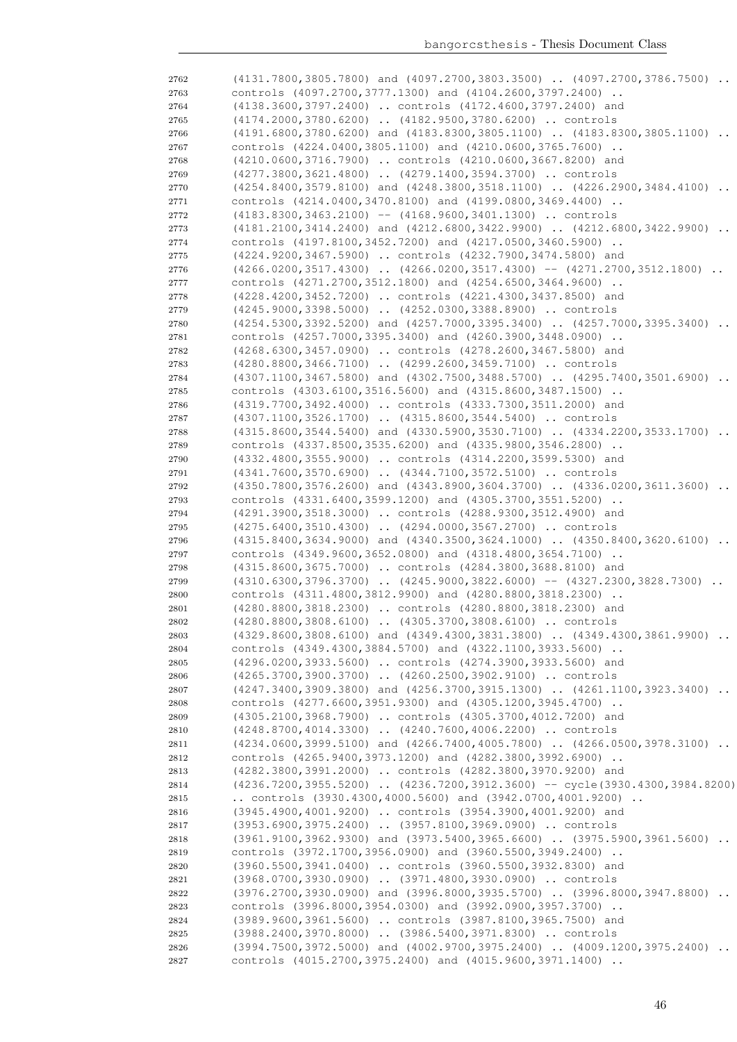| 2762         | (4131.7800,3805.7800) and (4097.2700,3803.3500)  (4097.2700,3786.7500)                                                             |
|--------------|------------------------------------------------------------------------------------------------------------------------------------|
| 2763         | controls (4097.2700,3777.1300) and (4104.2600,3797.2400)                                                                           |
| 2764         | (4138.3600,3797.2400)  controls (4172.4600,3797.2400) and                                                                          |
| 2765         | (4174.2000,3780.6200)  (4182.9500,3780.6200)  controls                                                                             |
| 2766         | $(4191.6800, 3780.6200)$ and $(4183.8300, 3805.1100)$ $(4183.8300, 3805.1100)$                                                     |
| 2767         | controls (4224.0400,3805.1100) and (4210.0600,3765.7600)                                                                           |
| 2768         | (4210.0600,3716.7900)  controls (4210.0600,3667.8200) and                                                                          |
| 2769         | (4277.3800,3621.4800)  (4279.1400,3594.3700)  controls                                                                             |
|              |                                                                                                                                    |
| 2770         | (4254.8400,3579.8100) and (4248.3800,3518.1100)  (4226.2900,3484.4100)                                                             |
| 2771         | controls (4214.0400,3470.8100) and (4199.0800,3469.4400)                                                                           |
| 2772         | $(4183.8300, 3463.2100)$ -- $(4168.9600, 3401.1300)$ controls                                                                      |
| 2773         | (4181.2100,3414.2400) and (4212.6800,3422.9900)  (4212.6800,3422.9900)<br>$\ddots$                                                 |
| 2774         | controls (4197.8100,3452.7200) and (4217.0500,3460.5900)                                                                           |
| 2775         | (4224.9200,3467.5900)  controls (4232.7900,3474.5800) and                                                                          |
| 2776         | $(4266.0200, 3517.4300)$ $(4266.0200, 3517.4300)$ -- $(4271.2700, 3512.1800)$                                                      |
| 2777         | controls (4271.2700, 3512.1800) and (4254.6500, 3464.9600)                                                                         |
| 2778         | (4228.4200,3452.7200)  controls (4221.4300,3437.8500) and                                                                          |
| 2779         | (4245.9000,3398.5000)  (4252.0300,3388.8900)  controls                                                                             |
| 2780         | $(4254.5300, 3392.5200)$ and $(4257.7000, 3395.3400)$ $(4257.7000, 3395.3400)$                                                     |
| 2781         | controls (4257.7000,3395.3400) and (4260.3900,3448.0900)                                                                           |
|              | (4268.6300,3457.0900)  controls (4278.2600,3467.5800) and                                                                          |
| 2782         | (4280.8800,3466.7100)  (4299.2600,3459.7100)  controls                                                                             |
| 2783         |                                                                                                                                    |
| 2784         | (4307.1100,3467.5800) and (4302.7500,3488.5700)  (4295.7400,3501.6900)                                                             |
| 2785         | controls (4303.6100,3516.5600) and (4315.8600,3487.1500)                                                                           |
| 2786         | (4319.7700,3492.4000)  controls (4333.7300,3511.2000) and                                                                          |
| 2787         | (4307.1100,3526.1700)  (4315.8600,3544.5400)  controls                                                                             |
| 2788         | (4315.8600,3544.5400) and (4330.5900,3530.7100)  (4334.2200,3533.1700)                                                             |
| 2789         | controls (4337.8500,3535.6200) and (4335.9800,3546.2800)                                                                           |
| 2790         | (4332.4800,3555.9000)  controls (4314.2200,3599.5300) and                                                                          |
| 2791         | (4341.7600,3570.6900)  (4344.7100,3572.5100)  controls                                                                             |
| 2792         | (4350.7800,3576.2600) and (4343.8900,3604.3700)  (4336.0200,3611.3600)                                                             |
| 2793         | controls (4331.6400,3599.1200) and (4305.3700,3551.5200)                                                                           |
| 2794         | (4291.3900,3518.3000)  controls (4288.9300,3512.4900) and                                                                          |
| 2795         | (4275.6400,3510.4300)  (4294.0000,3567.2700)  controls                                                                             |
| 2796         | $(4315.8400, 3634.9000)$ and $(4340.3500, 3624.1000)$ $(4350.8400, 3620.6100)$                                                     |
| 2797         | controls (4349.9600,3652.0800) and (4318.4800,3654.7100)                                                                           |
|              | (4315.8600,3675.7000)  controls (4284.3800,3688.8100) and                                                                          |
| 2798         |                                                                                                                                    |
| 2799         | $(4310.6300, 3796.3700)$ $(4245.9000, 3822.6000)$ -- $(4327.2300, 3828.7300)$                                                      |
| 2800         | controls (4311.4800,3812.9900) and (4280.8800,3818.2300)                                                                           |
| 2801         | (4280.8800,3818.2300)  controls (4280.8800,3818.2300) and                                                                          |
| 2802         | (4280.8800,3808.6100)  (4305.3700,3808.6100)  controls                                                                             |
| 2803         | (4329.8600,3808.6100) and (4349.4300,3831.3800)  (4349.4300,3861.9900)                                                             |
| 2804         | controls (4349.4300,3884.5700) and (4322.1100,3933.5600)                                                                           |
| 2805         | (4296.0200,3933.5600)  controls (4274.3900,3933.5600) and                                                                          |
| 2806         |                                                                                                                                    |
|              | (4265.3700,3900.3700)  (4260.2500,3902.9100)  controls                                                                             |
| 2807         | (4247.3400,3909.3800) and (4256.3700,3915.1300)  (4261.1100,3923.3400)                                                             |
| 2808         | controls (4277.6600,3951.9300) and (4305.1200,3945.4700)                                                                           |
|              |                                                                                                                                    |
| 2809         | (4305.2100,3968.7900)  controls (4305.3700,4012.7200) and                                                                          |
| 2810         | (4248.8700,4014.3300)  (4240.7600,4006.2200)  controls                                                                             |
| 2811         | (4234.0600,3999.5100) and (4266.7400,4005.7800)  (4266.0500,3978.3100)                                                             |
| 2812         | controls (4265.9400,3973.1200) and (4282.3800,3992.6900)                                                                           |
| 2813         | (4282.3800,3991.2000)  controls (4282.3800,3970.9200) and                                                                          |
| 2814         | (4236.7200,3955.5200)  (4236.7200,3912.3600) -- cycle (3930.4300,3984.8200)                                                        |
| 2815         | controls $(3930.4300, 4000.5600)$ and $(3942.0700, 4001.9200)$                                                                     |
| 2816         | (3945.4900,4001.9200)  controls (3954.3900,4001.9200) and                                                                          |
| 2817         | (3953.6900,3975.2400)  (3957.8100,3969.0900)  controls                                                                             |
| 2818         | $(3961.9100, 3962.9300)$ and $(3973.5400, 3965.6600)$ $(3975.5900, 3961.5600)$                                                     |
| 2819         | controls (3972.1700, 3956.0900) and (3960.5500, 3949.2400)                                                                         |
| 2820         | (3960.5500,3941.0400)  controls (3960.5500,3932.8300) and                                                                          |
| 2821         | (3968.0700,3930.0900)  (3971.4800,3930.0900)  controls                                                                             |
| 2822         | (3976.2700,3930.0900) and (3996.8000,3935.5700)  (3996.8000,3947.8800)                                                             |
| 2823         |                                                                                                                                    |
|              | controls (3996.8000,3954.0300) and (3992.0900,3957.3700)                                                                           |
| 2824         | (3989.9600,3961.5600)  controls (3987.8100,3965.7500) and                                                                          |
| 2825         | (3988.2400,3970.8000)  (3986.5400,3971.8300)  controls                                                                             |
| 2826<br>2827 | (3994.7500,3972.5000) and (4002.9700,3975.2400)  (4009.1200,3975.2400)<br>controls (4015.2700,3975.2400) and (4015.9600,3971.1400) |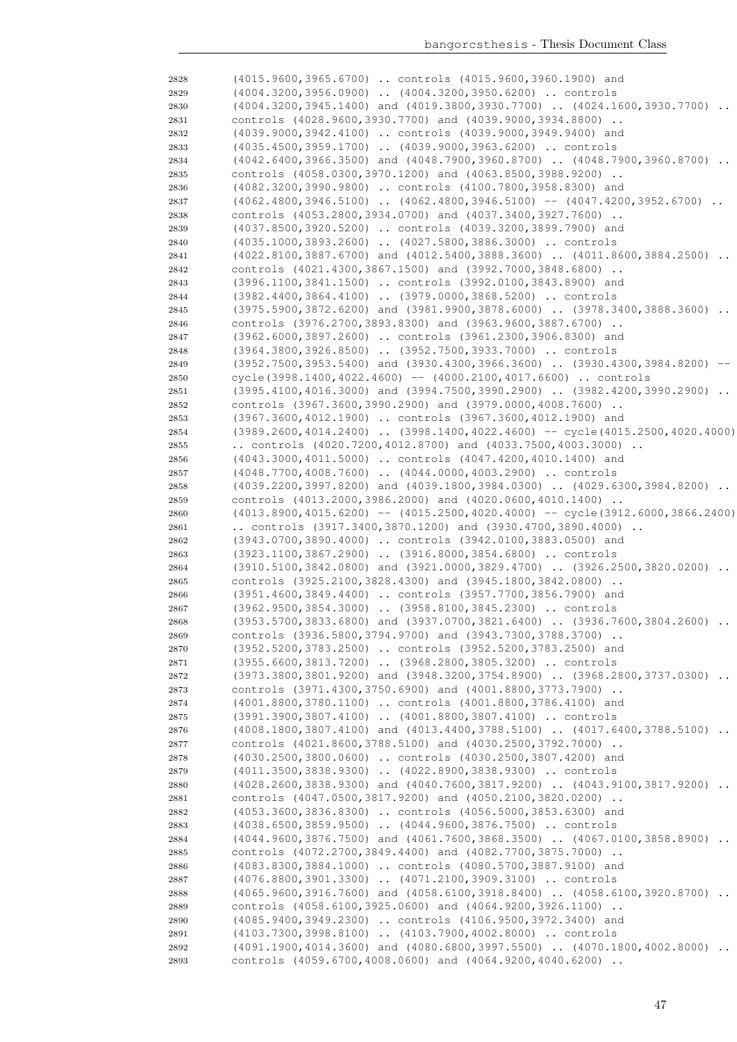| 2828         | (4015.9600,3965.6700)  controls (4015.9600,3960.1900) and                                                                          |  |
|--------------|------------------------------------------------------------------------------------------------------------------------------------|--|
| 2829         | (4004.3200,3956.0900)  (4004.3200,3950.6200)  controls                                                                             |  |
| 2830         | (4004.3200,3945.1400) and (4019.3800,3930.7700)  (4024.1600,3930.7700)                                                             |  |
| 2831         | controls (4028.9600,3930.7700) and (4039.9000,3934.8800)                                                                           |  |
| 2832         | (4039.9000,3942.4100)  controls (4039.9000,3949.9400) and                                                                          |  |
| 2833         | (4035.4500,3959.1700)  (4039.9000,3963.6200)  controls                                                                             |  |
| 2834         | $(4042.6400, 3966.3500)$ and $(4048.7900, 3960.8700)$ $(4048.7900, 3960.8700)$                                                     |  |
| 2835         | controls (4058.0300,3970.1200) and (4063.8500,3988.9200)                                                                           |  |
| 2836         | (4082.3200,3990.9800)  controls (4100.7800,3958.8300) and                                                                          |  |
| 2837         | $(4062.4800, 3946.5100)$ $(4062.4800, 3946.5100)$ -- $(4047.4200, 3952.6700)$                                                      |  |
| 2838         | controls (4053.2800,3934.0700) and (4037.3400,3927.7600)                                                                           |  |
| 2839         | (4037.8500,3920.5200)  controls (4039.3200,3899.7900) and                                                                          |  |
| 2840         | (4035.1000,3893.2600)  (4027.5800,3886.3000)  controls                                                                             |  |
| 2841         | (4022.8100,3887.6700) and (4012.5400,3888.3600)  (4011.8600,3884.2500)<br>$\cdot$ .                                                |  |
| 2842         | controls (4021.4300,3867.1500) and (3992.7000,3848.6800)                                                                           |  |
| 2843         | (3996.1100,3841.1500)  controls (3992.0100,3843.8900) and                                                                          |  |
| 2844         | (3982.4400,3864.4100)  (3979.0000,3868.5200)  controls                                                                             |  |
| 2845         | (3975.5900,3872.6200) and (3981.9900,3878.6000)  (3978.3400,3888.3600)                                                             |  |
| 2846         | controls (3976.2700,3893.8300) and (3963.9600,3887.6700)                                                                           |  |
| 2847         | (3962.6000,3897.2600)  controls (3961.2300,3906.8300) and                                                                          |  |
|              | (3964.3800,3926.8500)  (3952.7500,3933.7000)  controls                                                                             |  |
| 2848         | (3952.7500,3953.5400) and (3930.4300,3966.3600)  (3930.4300,3984.8200)                                                             |  |
| 2849         |                                                                                                                                    |  |
| 2850         | cycle(3998.1400,4022.4600) -- (4000.2100,4017.6600)  controls                                                                      |  |
| 2851         | (3995.4100,4016.3000) and (3994.7500,3990.2900)  (3982.4200,3990.2900)<br>$\ddots$                                                 |  |
| 2852         | controls (3967.3600,3990.2900) and (3979.0000,4008.7600)                                                                           |  |
| 2853         | (3967.3600,4012.1900)  controls (3967.3600,4012.1900) and                                                                          |  |
| 2854         | (3989.2600,4014.2400)  (3998.1400,4022.4600) -- cycle(4015.2500,4020.4000)                                                         |  |
| 2855         | controls $(4020.7200, 4012.8700)$ and $(4033.7500, 4003.3000)$                                                                     |  |
| 2856         | (4043.3000,4011.5000)  controls (4047.4200,4010.1400) and                                                                          |  |
| 2857         | (4048.7700,4008.7600)  (4044.0000,4003.2900)  controls                                                                             |  |
| 2858         | $(4039.2200, 3997.8200)$ and $(4039.1800, 3984.0300)$ $(4029.6300, 3984.8200)$                                                     |  |
| 2859         | controls (4013.2000,3986.2000) and (4020.0600,4010.1400)                                                                           |  |
|              | $(4013.8900, 4015.6200)$ -- $(4015.2500, 4020.4000)$ -- cycle(3912.6000,3866.2400)                                                 |  |
| 2860         |                                                                                                                                    |  |
| 2861         | controls $(3917.3400, 3870.1200)$ and $(3930.4700, 3890.4000)$ .                                                                   |  |
| 2862         | (3943.0700,3890.4000)  controls (3942.0100,3883.0500) and                                                                          |  |
| 2863         | (3923.1100,3867.2900)  (3916.8000,3854.6800)  controls                                                                             |  |
| 2864         | $(3910.5100, 3842.0800)$ and $(3921.0000, 3829.4700)$ $(3926.2500, 3820.0200)$                                                     |  |
| 2865         | controls (3925.2100,3828.4300) and (3945.1800,3842.0800)                                                                           |  |
| 2866         | (3951.4600,3849.4400)  controls (3957.7700,3856.7900) and                                                                          |  |
| 2867         | (3962.9500,3854.3000)  (3958.8100,3845.2300)  controls                                                                             |  |
| 2868         | $(3953.5700, 3833.6800)$ and $(3937.0700, 3821.6400)$ $(3936.7600, 3804.2600)$                                                     |  |
| 2869         | controls (3936.5800,3794.9700) and (3943.7300,3788.3700)                                                                           |  |
| 2870         | (3952.5200,3783.2500)  controls (3952.5200,3783.2500) and                                                                          |  |
| 2871         |                                                                                                                                    |  |
| 2872         | (3955.6600,3813.7200)  (3968.2800,3805.3200)  controls<br>(3973.3800,3801.9200) and (3948.3200,3754.8900)  (3968.2800,3737.0300)   |  |
| 2873         |                                                                                                                                    |  |
|              | controls (3971.4300,3750.6900) and (4001.8800,3773.7900)                                                                           |  |
| 2874         | (4001.8800,3780.1100)  controls (4001.8800,3786.4100) and                                                                          |  |
| 2875         | (3991.3900,3807.4100)  (4001.8800,3807.4100)  controls                                                                             |  |
| 2876         | (4008.1800,3807.4100) and (4013.4400,3788.5100)  (4017.6400,3788.5100)                                                             |  |
| 2877         | controls (4021.8600,3788.5100) and (4030.2500,3792.7000)                                                                           |  |
| 2878         | (4030.2500,3800.0600)  controls (4030.2500,3807.4200) and                                                                          |  |
| 2879         | (4011.3500,3838.9300)  (4022.8900,3838.9300)  controls                                                                             |  |
| 2880         | (4028.2600,3838.9300) and (4040.7600,3817.9200)  (4043.9100,3817.9200)<br>$\ddots$                                                 |  |
| 2881         | controls (4047.0500,3817.9200) and (4050.2100,3820.0200)                                                                           |  |
| 2882         | (4053.3600,3836.8300)  controls (4056.5000,3853.6300) and                                                                          |  |
| 2883         | (4038.6500,3859.9500)  (4044.9600,3876.7500)  controls                                                                             |  |
| 2884         | $(4044.9600, 3876.7500)$ and $(4061.7600, 3868.3500)$ $(4067.0100, 3858.8900)$                                                     |  |
| 2885         | controls (4072.2700,3849.4400) and (4082.7700,3875.7000)                                                                           |  |
| 2886         | (4083.8300,3884.1000)  controls (4080.5700,3887.9100) and                                                                          |  |
| 2887         | (4076.8800,3901.3300)  (4071.2100,3909.3100)  controls                                                                             |  |
| 2888         | (4065.9600,3916.7600) and (4058.6100,3918.8400)  (4058.6100,3920.8700)                                                             |  |
| 2889         | controls (4058.6100,3925.0600) and (4064.9200,3926.1100)                                                                           |  |
| 2890         | (4085.9400,3949.2300)  controls (4106.9500,3972.3400) and                                                                          |  |
| 2891         | (4103.7300,3998.8100)  (4103.7900,4002.8000)  controls                                                                             |  |
| 2892<br>2893 | (4091.1900,4014.3600) and (4080.6800,3997.5500)  (4070.1800,4002.8000)<br>controls (4059.6700,4008.0600) and (4064.9200,4040.6200) |  |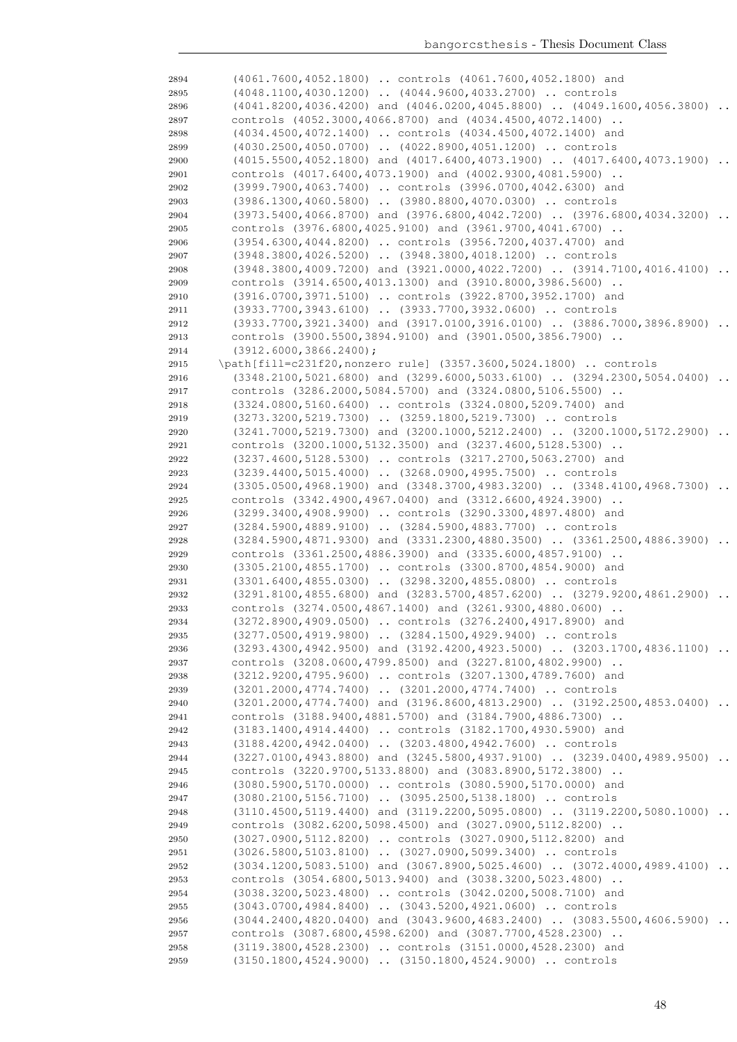| 2894 | (4061.7600,4052.1800)  controls (4061.7600,4052.1800) and                      |                 |
|------|--------------------------------------------------------------------------------|-----------------|
| 2895 | (4048.1100,4030.1200)  (4044.9600,4033.2700)  controls                         |                 |
| 2896 | $(4041.8200, 4036.4200)$ and $(4046.0200, 4045.8800)$ $(4049.1600, 4056.3800)$ |                 |
| 2897 | controls (4052.3000,4066.8700) and (4034.4500,4072.1400)                       |                 |
| 2898 | (4034.4500,4072.1400)  controls (4034.4500,4072.1400) and                      |                 |
| 2899 | (4030.2500,4050.0700)  (4022.8900,4051.1200)  controls                         |                 |
| 2900 | $(4015.5500, 4052.1800)$ and $(4017.6400, 4073.1900)$ $(4017.6400, 4073.1900)$ |                 |
| 2901 | controls (4017.6400,4073.1900) and (4002.9300,4081.5900)                       |                 |
| 2902 | (3999.7900,4063.7400)  controls (3996.0700,4042.6300) and                      |                 |
| 2903 | (3986.1300,4060.5800)  (3980.8800,4070.0300)  controls                         |                 |
| 2904 | (3973.5400,4066.8700) and (3976.6800,4042.7200)  (3976.6800,4034.3200)         | $\ddots$        |
| 2905 | controls (3976.6800,4025.9100) and (3961.9700,4041.6700)                       |                 |
| 2906 | (3954.6300,4044.8200)  controls (3956.7200,4037.4700) and                      |                 |
| 2907 | (3948.3800,4026.5200)  (3948.3800,4018.1200)  controls                         |                 |
| 2908 | (3948.3800,4009.7200) and (3921.0000,4022.7200)  (3914.7100,4016.4100)         |                 |
| 2909 | controls (3914.6500,4013.1300) and (3910.8000,3986.5600)                       |                 |
| 2910 | (3916.0700,3971.5100)  controls (3922.8700,3952.1700) and                      |                 |
| 2911 | (3933.7700,3943.6100)  (3933.7700,3932.0600)  controls                         |                 |
| 2912 | (3933.7700,3921.3400) and (3917.0100,3916.0100)  (3886.7000,3896.8900)         |                 |
| 2913 | controls (3900.5500,3894.9100) and (3901.0500,3856.7900)                       |                 |
| 2914 | $(3912, 6000, 3866, 2400)$ ;                                                   |                 |
| 2915 | \path[fill=c231f20, nonzero rule] (3357.3600, 5024.1800)  controls             |                 |
| 2916 | (3348.2100,5021.6800) and (3299.6000,5033.6100)  (3294.2300,5054.0400)         | $\cdot$ $\cdot$ |
| 2917 | controls (3286.2000,5084.5700) and (3324.0800,5106.5500)                       |                 |
| 2918 | (3324.0800,5160.6400)  controls (3324.0800,5209.7400) and                      |                 |
| 2919 | (3273.3200,5219.7300)  (3259.1800,5219.7300)  controls                         |                 |
| 2920 | (3241.7000,5219.7300) and (3200.1000,5212.2400)  (3200.1000,5172.2900)         | $\ddots$        |
| 2921 | controls (3200.1000, 5132.3500) and (3237.4600, 5128.5300)                     |                 |
| 2922 | (3237.4600,5128.5300)  controls (3217.2700,5063.2700) and                      |                 |
| 2923 | (3239.4400,5015.4000)  (3268.0900,4995.7500)  controls                         |                 |
| 2924 | $(3305.0500, 4968.1900)$ and $(3348.3700, 4983.3200)$ $(3348.4100, 4968.7300)$ |                 |
| 2925 | controls (3342.4900,4967.0400) and (3312.6600,4924.3900)                       |                 |
| 2926 | (3299.3400,4908.9900)  controls (3290.3300,4897.4800) and                      |                 |
| 2927 | (3284.5900,4889.9100)  (3284.5900,4883.7700)  controls                         |                 |
| 2928 | (3284.5900,4871.9300) and (3331.2300,4880.3500)  (3361.2500,4886.3900)         |                 |
| 2929 | controls (3361.2500,4886.3900) and (3335.6000,4857.9100)                       |                 |
| 2930 | (3305.2100,4855.1700)  controls (3300.8700,4854.9000) and                      |                 |
| 2931 | (3301.6400,4855.0300)  (3298.3200,4855.0800)  controls                         |                 |
| 2932 | $(3291.8100, 4855.6800)$ and $(3283.5700, 4857.6200)$ $(3279.9200, 4861.2900)$ | $\ddots$        |
| 2933 | controls (3274.0500,4867.1400) and (3261.9300,4880.0600)                       |                 |
| 2934 | (3272.8900,4909.0500)  controls (3276.2400,4917.8900) and                      |                 |
| 2935 | (3277.0500,4919.9800)  (3284.1500,4929.9400)  controls                         |                 |
| 2936 | $(3293.4300, 4942.9500)$ and $(3192.4200, 4923.5000)$ $(3203.1700, 4836.1100)$ |                 |
| 2937 | controls (3208.0600, 4799.8500) and (3227.8100, 4802.9900)                     |                 |
| 2938 | (3212.9200,4795.9600)  controls (3207.1300,4789.7600) and                      |                 |
| 2939 | (3201.2000,4774.7400)  (3201.2000,4774.7400)  controls                         |                 |
| 2940 | (3201.2000,4774.7400) and (3196.8600,4813.2900)  (3192.2500,4853.0400)         |                 |
| 2941 | controls (3188.9400,4881.5700) and (3184.7900,4886.7300)                       |                 |
| 2942 | (3183.1400,4914.4400)  controls (3182.1700,4930.5900) and                      |                 |
| 2943 | (3188.4200,4942.0400)  (3203.4800,4942.7600)  controls                         |                 |
| 2944 | $(3227.0100, 4943.8800)$ and $(3245.5800, 4937.9100)$ $(3239.0400, 4989.9500)$ |                 |
| 2945 | controls (3220.9700, 5133.8800) and (3083.8900, 5172.3800)                     |                 |
| 2946 | (3080.5900,5170.0000)  controls (3080.5900,5170.0000) and                      |                 |
| 2947 | (3080.2100,5156.7100)  (3095.2500,5138.1800)  controls                         |                 |
| 2948 | (3110.4500,5119.4400) and (3119.2200,5095.0800)  (3119.2200,5080.1000)         |                 |
| 2949 | controls (3082.6200,5098.4500) and (3027.0900,5112.8200)                       |                 |
| 2950 | (3027.0900,5112.8200)  controls (3027.0900,5112.8200) and                      |                 |
| 2951 | (3026.5800,5103.8100)  (3027.0900,5099.3400)  controls                         |                 |
| 2952 | $(3034.1200, 5083.5100)$ and $(3067.8900, 5025.4600)$ $(3072.4000, 4989.4100)$ |                 |
| 2953 | controls (3054.6800,5013.9400) and (3038.3200,5023.4800)                       |                 |
| 2954 | (3038.3200,5023.4800)  controls (3042.0200,5008.7100) and                      |                 |
| 2955 | (3043.0700,4984.8400)  (3043.5200,4921.0600)  controls                         |                 |
| 2956 | $(3044.2400, 4820.0400)$ and $(3043.9600, 4683.2400)$ $(3083.5500, 4606.5900)$ | $\ddots$        |
| 2957 | controls (3087.6800,4598.6200) and (3087.7700,4528.2300)                       |                 |
| 2958 | (3119.3800,4528.2300)  controls (3151.0000,4528.2300) and                      |                 |
| 2959 | (3150.1800,4524.9000)  (3150.1800,4524.9000)  controls                         |                 |
|      |                                                                                |                 |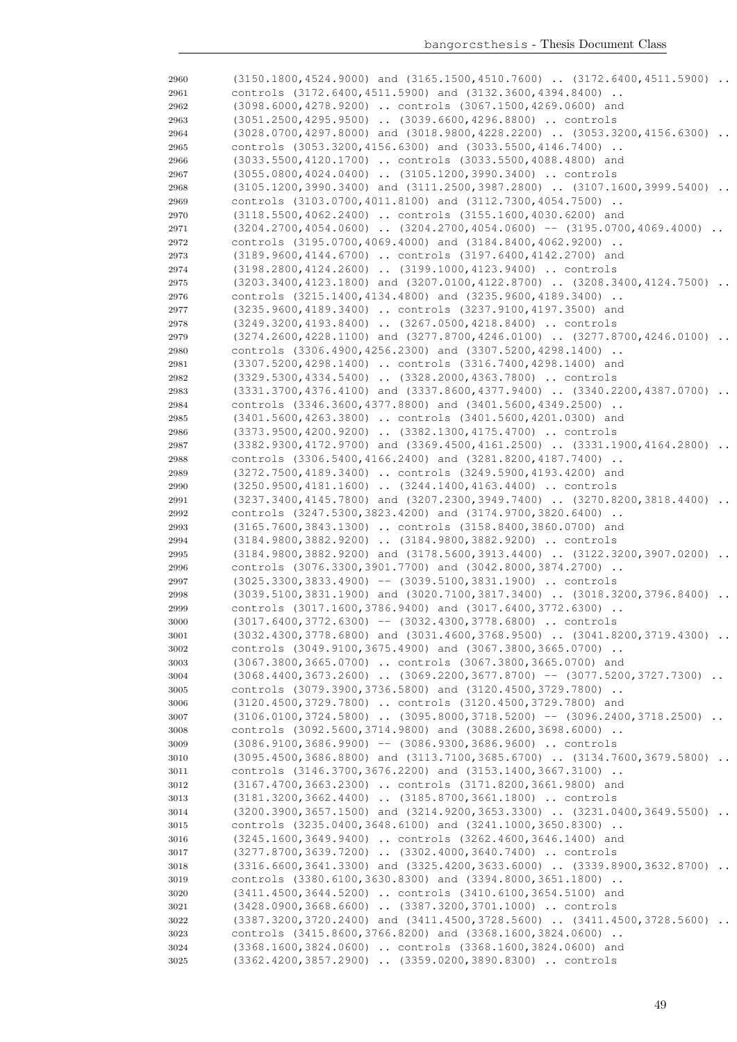| 2960 | $(3150.1800, 4524.9000)$ and $(3165.1500, 4510.7600)$ $(3172.6400, 4511.5900)$             |
|------|--------------------------------------------------------------------------------------------|
| 2961 | controls (3172.6400,4511.5900) and (3132.3600,4394.8400)                                   |
| 2962 | (3098.6000,4278.9200)  controls (3067.1500,4269.0600) and                                  |
| 2963 | $(3051.2500, 4295.9500)$ $(3039.6600, 4296.8800)$ controls                                 |
| 2964 | $(3028.0700, 4297.8000)$ and $(3018.9800, 4228.2200)$ $(3053.3200, 4156.6300)$ .           |
| 2965 | controls (3053.3200,4156.6300) and (3033.5500,4146.7400)                                   |
| 2966 | (3033.5500,4120.1700)  controls (3033.5500,4088.4800) and                                  |
| 2967 | (3055.0800,4024.0400)  (3105.1200,3990.3400)  controls                                     |
|      | (3105.1200,3990.3400) and (3111.2500,3987.2800)  (3107.1600,3999.5400)                     |
| 2968 | controls (3103.0700,4011.8100) and (3112.7300,4054.7500)                                   |
| 2969 |                                                                                            |
| 2970 | (3118.5500,4062.2400)  controls (3155.1600,4030.6200) and                                  |
| 2971 | $(3204.2700, 4054.0600)$ $(3204.2700, 4054.0600)$ -- $(3195.0700, 4069.4000)$              |
| 2972 | controls (3195.0700,4069.4000) and (3184.8400,4062.9200)                                   |
| 2973 | (3189.9600,4144.6700)  controls (3197.6400,4142.2700) and                                  |
| 2974 | (3198.2800, 4124.2600)  (3199.1000, 4123.9400)  controls                                   |
| 2975 | $(3203.3400, 4123.1800)$ and $(3207.0100, 4122.8700)$ $(3208.3400, 4124.7500)$             |
| 2976 | controls (3215.1400,4134.4800) and (3235.9600,4189.3400)                                   |
| 2977 | (3235.9600,4189.3400)  controls (3237.9100,4197.3500) and                                  |
| 2978 | (3249.3200,4193.8400)  (3267.0500,4218.8400)  controls                                     |
| 2979 | $(3274.2600, 4228.1100)$ and $(3277.8700, 4246.0100)$ $(3277.8700, 4246.0100)$<br>$\cdots$ |
| 2980 | controls (3306.4900,4256.2300) and (3307.5200,4298.1400)                                   |
| 2981 | (3307.5200,4298.1400)  controls (3316.7400,4298.1400) and                                  |
| 2982 | (3329.5300,4334.5400)  (3328.2000,4363.7800)  controls                                     |
| 2983 | (3331.3700,4376.4100) and (3337.8600,4377.9400)  (3340.2200,4387.0700)<br>$\ddots$         |
| 2984 | controls (3346.3600,4377.8800) and (3401.5600,4349.2500)                                   |
| 2985 | (3401.5600,4263.3800)  controls (3401.5600,4201.0300) and                                  |
| 2986 | (3373.9500,4200.9200)  (3382.1300,4175.4700)  controls                                     |
| 2987 | (3382.9300,4172.9700) and (3369.4500,4161.2500)  (3331.1900,4164.2800)<br>$\ddots$         |
| 2988 | controls (3306.5400,4166.2400) and (3281.8200,4187.7400)                                   |
| 2989 | (3272.7500,4189.3400)  controls (3249.5900,4193.4200) and                                  |
| 2990 | (3250.9500,4181.1600)  (3244.1400,4163.4400)  controls                                     |
| 2991 | $(3237.3400, 4145.7800)$ and $(3207.2300, 3949.7400)$ $(3270.8200, 3818.4400)$             |
| 2992 | controls (3247.5300,3823.4200) and (3174.9700,3820.6400)                                   |
| 2993 | (3165.7600,3843.1300)  controls (3158.8400,3860.0700) and                                  |
| 2994 | (3184.9800,3882.9200)  (3184.9800,3882.9200)  controls                                     |
| 2995 | $(3184.9800, 3882.9200)$ and $(3178.5600, 3913.4400)$ $(3122.3200, 3907.0200)$             |
| 2996 | controls (3076.3300,3901.7700) and (3042.8000,3874.2700)                                   |
| 2997 | $(3025.3300, 3833.4900)$ -- $(3039.5100, 3831.1900)$ controls                              |
| 2998 | (3039.5100,3831.1900) and (3020.7100,3817.3400)  (3018.3200,3796.8400)<br>$\ddots$         |
| 2999 | controls (3017.1600,3786.9400) and (3017.6400,3772.6300)                                   |
| 3000 | $(3017.6400, 3772.6300)$ -- $(3032.4300, 3778.6800)$ controls                              |
| 3001 | $(3032.4300, 3778.6800)$ and $(3031.4600, 3768.9500)$ $(3041.8200, 3719.4300)$             |
| 3002 | controls (3049.9100,3675.4900) and (3067.3800,3665.0700)                                   |
| 3003 | (3067.3800,3665.0700)  controls (3067.3800,3665.0700) and                                  |
| 3004 | $(3068.4400, 3673.2600)$ $(3069.2200, 3677.8700)$ -- $(3077.5200, 3727.7300)$              |
| 3005 | controls (3079.3900,3736.5800) and (3120.4500,3729.7800)                                   |
| 3006 | (3120.4500,3729.7800)  controls (3120.4500,3729.7800) and                                  |
| 3007 | $(3106.0100, 3724.5800)$ $(3095.8000, 3718.5200)$ -- $(3096.2400, 3718.2500)$              |
| 3008 | controls (3092.5600,3714.9800) and (3088.2600,3698.6000)                                   |
| 3009 | $(3086.9100, 3686.9900)$ -- $(3086.9300, 3686.9600)$ controls                              |
| 3010 | $(3095.4500, 3686.8800)$ and $(3113.7100, 3685.6700)$ $(3134.7600, 3679.5800)$             |
| 3011 | controls (3146.3700,3676.2200) and (3153.1400,3667.3100)                                   |
| 3012 | (3167.4700,3663.2300)  controls (3171.8200,3661.9800) and                                  |
| 3013 | (3181.3200,3662.4400)  (3185.8700,3661.1800)  controls                                     |
| 3014 | $(3200.3900, 3657.1500)$ and $(3214.9200, 3653.3300)$ $(3231.0400, 3649.5500)$             |
| 3015 | controls (3235.0400,3648.6100) and (3241.1000,3650.8300)                                   |
| 3016 | (3245.1600,3649.9400)  controls (3262.4600,3646.1400) and                                  |
| 3017 | (3277.8700,3639.7200)  (3302.4000,3640.7400)  controls                                     |
| 3018 | $(3316.6600, 3641.3300)$ and $(3325.4200, 3633.6000)$ $(3339.8900, 3632.8700)$             |
| 3019 | controls (3380.6100,3630.8300) and (3394.8000,3651.1800)                                   |
| 3020 | (3411.4500,3644.5200)  controls (3410.6100,3654.5100) and                                  |
| 3021 | (3428.0900,3668.6600)  (3387.3200,3701.1000)  controls                                     |
| 3022 | (3387.3200,3720.2400) and (3411.4500,3728.5600)  (3411.4500,3728.5600)                     |
| 3023 | controls (3415.8600,3766.8200) and (3368.1600,3824.0600)                                   |
| 3024 | (3368.1600,3824.0600)  controls (3368.1600,3824.0600) and                                  |
| 3025 | (3362.4200,3857.2900)  (3359.0200,3890.8300)  controls                                     |
|      |                                                                                            |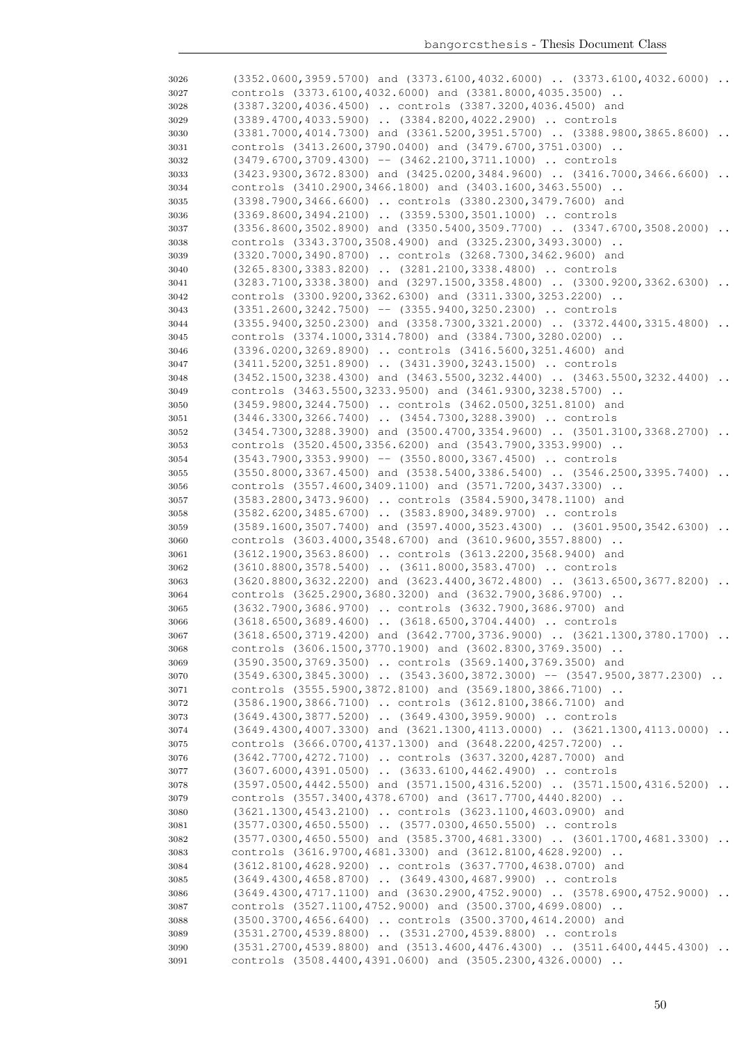| 3026         | $(3352.0600, 3959.5700)$ and $(3373.6100, 4032.6000)$ $(3373.6100, 4032.6000)$                                                                  |
|--------------|-------------------------------------------------------------------------------------------------------------------------------------------------|
| 3027         | controls (3373.6100,4032.6000) and (3381.8000,4035.3500)                                                                                        |
| 3028         | (3387.3200,4036.4500)  controls (3387.3200,4036.4500) and                                                                                       |
| 3029         | (3389.4700,4033.5900)  (3384.8200,4022.2900)  controls                                                                                          |
| 3030         | $(3381.7000, 4014.7300)$ and $(3361.5200, 3951.5700)$ $(3388.9800, 3865.8600)$                                                                  |
| 3031         | controls (3413.2600,3790.0400) and (3479.6700,3751.0300)                                                                                        |
| 3032         | $(3479.6700, 3709.4300)$ -- $(3462.2100, 3711.1000)$ controls                                                                                   |
| 3033         | $(3423.9300, 3672.8300)$ and $(3425.0200, 3484.9600)$ $(3416.7000, 3466.6600)$                                                                  |
| 3034         | controls (3410.2900,3466.1800) and (3403.1600,3463.5500)                                                                                        |
| 3035         | (3398.7900,3466.6600)  controls (3380.2300,3479.7600) and                                                                                       |
| 3036         | (3369.8600,3494.2100)  (3359.5300,3501.1000)  controls                                                                                          |
| 3037         | (3356.8600,3502.8900) and (3350.5400,3509.7700)  (3347.6700,3508.2000)<br>$\ddots$                                                              |
| 3038         | controls (3343.3700,3508.4900) and (3325.2300,3493.3000)                                                                                        |
| 3039         | (3320.7000,3490.8700)  controls (3268.7300,3462.9600) and                                                                                       |
| 3040         | (3265.8300,3383.8200)  (3281.2100,3338.4800)  controls                                                                                          |
| 3041         | $(3283.7100, 3338.3800)$ and $(3297.1500, 3358.4800)$ $(3300.9200, 3362.6300)$                                                                  |
| 3042         | controls (3300.9200,3362.6300) and (3311.3300,3253.2200)                                                                                        |
| 3043         | $(3351.2600, 3242.7500)$ -- $(3355.9400, 3250.2300)$ controls                                                                                   |
| 3044         | (3355.9400,3250.2300) and (3358.7300,3321.2000)  (3372.4400,3315.4800)                                                                          |
| 3045         | controls (3374.1000,3314.7800) and (3384.7300,3280.0200)                                                                                        |
| 3046         | (3396.0200,3269.8900)  controls (3416.5600,3251.4600) and                                                                                       |
| 3047         | (3411.5200,3251.8900)  (3431.3900,3243.1500)  controls                                                                                          |
| 3048         | (3452.1500,3238.4300) and (3463.5500,3232.4400)  (3463.5500,3232.4400)<br>$\ddots$                                                              |
| 3049         | controls (3463.5500, 3233.9500) and (3461.9300, 3238.5700)                                                                                      |
| 3050         | (3459.9800,3244.7500)  controls (3462.0500,3251.8100) and                                                                                       |
| 3051         | (3446.3300,3266.7400)  (3454.7300,3288.3900)  controls                                                                                          |
| 3052         | (3454.7300,3288.3900) and (3500.4700,3354.9600)  (3501.3100,3368.2700)                                                                          |
| 3053         | controls (3520.4500,3356.6200) and (3543.7900,3353.9900)                                                                                        |
| 3054         | $(3543.7900, 3353.9900)$ -- $(3550.8000, 3367.4500)$ controls                                                                                   |
| 3055         | (3550.8000,3367.4500) and (3538.5400,3386.5400)  (3546.2500,3395.7400)                                                                          |
| 3056         | controls (3557.4600,3409.1100) and (3571.7200,3437.3300)                                                                                        |
| 3057         | (3583.2800,3473.9600)  controls (3584.5900,3478.1100) and                                                                                       |
| 3058         | $(3582.6200, 3485.6700)$ $(3583.8900, 3489.9700)$ controls                                                                                      |
| 3059         | $(3589.1600, 3507.7400)$ and $(3597.4000, 3523.4300)$ $(3601.9500, 3542.6300)$                                                                  |
| 3060         | controls (3603.4000,3548.6700) and (3610.9600,3557.8800)                                                                                        |
| 3061         | (3612.1900, 3563.8600)  controls (3613.2200, 3568.9400) and                                                                                     |
| 3062         | $(3610.8800, 3578.5400)$ $(3611.8000, 3583.4700)$ controls                                                                                      |
| 3063         | (3620.8800,3632.2200) and (3623.4400,3672.4800)  (3613.6500,3677.8200)<br>$\ddots$                                                              |
|              |                                                                                                                                                 |
| 3064         | controls (3625.2900,3680.3200) and (3632.7900,3686.9700)                                                                                        |
| 3065         | (3632.7900,3686.9700)  controls (3632.7900,3686.9700) and                                                                                       |
| 3066         | (3618.6500,3689.4600)  (3618.6500,3704.4400)  controls                                                                                          |
| 3067         | (3618.6500,3719.4200) and (3642.7700,3736.9000)  (3621.1300,3780.1700)                                                                          |
| 3068         | controls (3606.1500, 3770.1900) and (3602.8300, 3769.3500)                                                                                      |
| 3069         | (3590.3500,3769.3500)  controls (3569.1400,3769.3500) and                                                                                       |
| 3070         | $(3549.6300, 3845.3000)$ $(3543.3600, 3872.3000)$ -- $(3547.9500, 3877.2300)$                                                                   |
| 3071         | controls (3555.5900,3872.8100) and (3569.1800,3866.7100)                                                                                        |
| 3072         | (3586.1900,3866.7100)  controls (3612.8100,3866.7100) and                                                                                       |
| 3073         | (3649.4300,3877.5200)  (3649.4300,3959.9000)  controls                                                                                          |
| 3074         | $(3649.4300, 4007.3300)$ and $(3621.1300, 4113.0000)$ $(3621.1300, 4113.0000)$<br>$\cdot$ .                                                     |
| 3075         | controls (3666.0700, 4137.1300) and (3648.2200, 4257.7200)                                                                                      |
| 3076         | (3642.7700,4272.7100)  controls (3637.3200,4287.7000) and                                                                                       |
| 3077         | (3607.6000,4391.0500)  (3633.6100,4462.4900)  controls                                                                                          |
| 3078         | (3597.0500,4442.5500) and (3571.1500,4316.5200)  (3571.1500,4316.5200)<br>$\cdot$ .                                                             |
| 3079         | controls (3557.3400,4378.6700) and (3617.7700,4440.8200)                                                                                        |
| 3080         | (3621.1300,4543.2100)  controls (3623.1100,4603.0900) and                                                                                       |
| 3081         | (3577.0300,4650.5500)  (3577.0300,4650.5500)  controls                                                                                          |
| 3082         | (3577.0300,4650.5500) and (3585.3700,4681.3300)  (3601.1700,4681.3300)                                                                          |
| 3083         | controls (3616.9700,4681.3300) and (3612.8100,4628.9200)                                                                                        |
| 3084         | (3612.8100,4628.9200)  controls (3637.7700,4638.0700) and                                                                                       |
| 3085         | (3649.4300,4658.8700)  (3649.4300,4687.9900)  controls                                                                                          |
| 3086         | (3649.4300,4717.1100) and (3630.2900,4752.9000)  (3578.6900,4752.9000)<br>$\cdots$                                                              |
| 3087         | controls (3527.1100,4752.9000) and (3500.3700,4699.0800)                                                                                        |
| 3088         | (3500.3700,4656.6400)  controls (3500.3700,4614.2000) and                                                                                       |
| 3089         | (3531.2700,4539.8800)  (3531.2700,4539.8800)  controls                                                                                          |
| 3090<br>3091 | (3531.2700,4539.8800) and (3513.4600,4476.4300)  (3511.6400,4445.4300)<br>$\cdot$ .<br>controls (3508.4400,4391.0600) and (3505.2300,4326.0000) |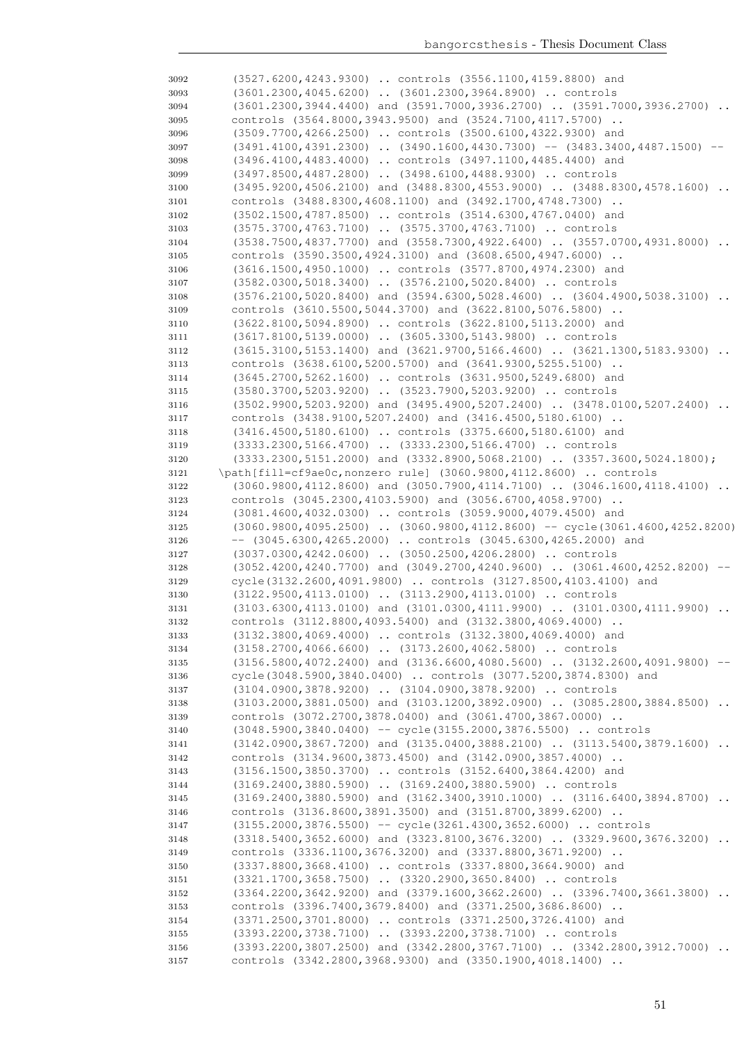| 3092         | (3527.6200,4243.9300)  controls (3556.1100,4159.8800) and                                                                                        |
|--------------|--------------------------------------------------------------------------------------------------------------------------------------------------|
| 3093         | (3601.2300,4045.6200)  (3601.2300,3964.8900)  controls                                                                                           |
| 3094         | (3601.2300,3944.4400) and (3591.7000,3936.2700)  (3591.7000,3936.2700)                                                                           |
| 3095         | controls (3564.8000,3943.9500) and (3524.7100,4117.5700)                                                                                         |
| 3096         | (3509.7700,4266.2500)  controls (3500.6100,4322.9300) and                                                                                        |
| 3097         | $(3491.4100, 4391.2300)$ $(3490.1600, 4430.7300)$ -- $(3483.3400, 4487.1500)$ --                                                                 |
| 3098         | (3496.4100,4483.4000)  controls (3497.1100,4485.4400) and                                                                                        |
| 3099         | (3497.8500,4487.2800)  (3498.6100,4488.9300)  controls                                                                                           |
| 3100         | $(3495.9200, 4506.2100)$ and $(3488.8300, 4553.9000)$ $(3488.8300, 4578.1600)$                                                                   |
| 3101         | controls (3488.8300,4608.1100) and (3492.1700,4748.7300)                                                                                         |
| 3102         | (3502.1500,4787.8500)  controls (3514.6300,4767.0400) and                                                                                        |
| 3103         | (3575.3700,4763.7100)  (3575.3700,4763.7100)  controls<br>(3538.7500,4837.7700) and (3558.7300,4922.6400)  (3557.0700,4931.8000)                 |
| 3104<br>3105 | controls (3590.3500,4924.3100) and (3608.6500,4947.6000)                                                                                         |
| 3106         | (3616.1500,4950.1000)  controls (3577.8700,4974.2300) and                                                                                        |
| 3107         | (3582.0300,5018.3400)  (3576.2100,5020.8400)  controls                                                                                           |
| 3108         | $(3576.2100, 5020.8400)$ and $(3594.6300, 5028.4600)$ $(3604.4900, 5038.3100)$                                                                   |
| 3109         | controls (3610.5500,5044.3700) and (3622.8100,5076.5800)                                                                                         |
| 3110         | (3622.8100,5094.8900)  controls (3622.8100,5113.2000) and                                                                                        |
| 3111         | (3617.8100,5139.0000)  (3605.3300,5143.9800)  controls                                                                                           |
| 3112         | $(3615.3100, 5153.1400)$ and $(3621.9700, 5166.4600)$ $(3621.1300, 5183.9300)$ .                                                                 |
| 3113         | controls (3638.6100,5200.5700) and (3641.9300,5255.5100)                                                                                         |
| 3114         | (3645.2700,5262.1600)  controls (3631.9500,5249.6800) and                                                                                        |
| 3115         | (3580.3700,5203.9200)  (3523.7900,5203.9200)  controls                                                                                           |
| 3116         | (3502.9900,5203.9200) and (3495.4900,5207.2400)  (3478.0100,5207.2400)                                                                           |
| 3117         | controls (3438.9100,5207.2400) and (3416.4500,5180.6100)                                                                                         |
| 3118         | (3416.4500,5180.6100)  controls (3375.6600,5180.6100) and                                                                                        |
| 3119         | (3333.2300,5166.4700)  (3333.2300,5166.4700)  controls                                                                                           |
| 3120         | (3333.2300,5151.2000) and (3332.8900,5068.2100)  (3357.3600,5024.1800);                                                                          |
| 3121         | \path[fill=cf9ae0c, nonzero rule] (3060.9800, 4112.8600)  controls                                                                               |
| 3122         | $(3060.9800, 4112.8600)$ and $(3050.7900, 4114.7100)$ $(3046.1600, 4118.4100)$<br>$\ddots$                                                       |
| 3123         | controls (3045.2300,4103.5900) and (3056.6700,4058.9700)                                                                                         |
| 3124         | (3081.4600,4032.0300)  controls (3059.9000,4079.4500) and<br>$(3060.9800, 4095.2500)$ $(3060.9800, 4112.8600)$ -- cycle $(3061.4600, 4252.8200)$ |
| 3125<br>3126 | $--$ (3045.6300,4265.2000)  controls (3045.6300,4265.2000) and                                                                                   |
| 3127         | (3037.0300,4242.0600)  (3050.2500,4206.2800)  controls                                                                                           |
| 3128         | (3052.4200,4240.7700) and (3049.2700,4240.9600)  (3061.4600,4252.8200)                                                                           |
| 3129         | cycle(3132.2600,4091.9800)  controls (3127.8500,4103.4100) and                                                                                   |
| 3130         | (3122.9500,4113.0100)  (3113.2900,4113.0100)  controls                                                                                           |
| 3131         | (3103.6300,4113.0100) and (3101.0300,4111.9900)  (3101.0300,4111.9900)<br>$\ddots$                                                               |
| 3132         | controls (3112.8800,4093.5400) and (3132.3800,4069.4000)                                                                                         |
| 3133         | (3132.3800,4069.4000)  controls (3132.3800,4069.4000) and                                                                                        |
| 3134         | (3158.2700,4066.6600)  (3173.2600,4062.5800)  controls                                                                                           |
| 3135         | (3156.5800,4072.2400) and (3136.6600,4080.5600)  (3132.2600,4091.9800)                                                                           |
| 3136         | cycle(3048.5900,3840.0400)  controls (3077.5200,3874.8300) and                                                                                   |
| 3137         | (3104.0900,3878.9200)  (3104.0900,3878.9200)  controls                                                                                           |
| 3138         | (3103.2000,3881.0500) and (3103.1200,3892.0900)  (3085.2800,3884.8500)                                                                           |
| 3139         | controls (3072.2700,3878.0400) and (3061.4700,3867.0000)                                                                                         |
| 3140         | (3048.5900,3840.0400) -- cycle(3155.2000,3876.5500)  controls                                                                                    |
| 3141         | (3142.0900,3867.7200) and (3135.0400,3888.2100)  (3113.5400,3879.1600)                                                                           |
| 3142         | controls (3134.9600,3873.4500) and (3142.0900,3857.4000)                                                                                         |
| 3143         | (3156.1500,3850.3700)  controls (3152.6400,3864.4200) and<br>(3169.2400,3880.5900)  (3169.2400,3880.5900)  controls                              |
| 3144<br>3145 | (3169.2400,3880.5900) and (3162.3400,3910.1000)  (3116.6400,3894.8700)                                                                           |
| 3146         | controls (3136.8600,3891.3500) and (3151.8700,3899.6200)                                                                                         |
| 3147         | $(3155.2000, 3876.5500)$ -- cycle $(3261.4300, 3652.6000)$ controls                                                                              |
| 3148         | (3318.5400,3652.6000) and (3323.8100,3676.3200)  (3329.9600,3676.3200)                                                                           |
| 3149         | controls (3336.1100,3676.3200) and (3337.8800,3671.9200)                                                                                         |
| 3150         | (3337.8800,3668.4100)  controls (3337.8800,3664.9000) and                                                                                        |
| 3151         | (3321.1700,3658.7500)  (3320.2900,3650.8400)  controls                                                                                           |
| 3152         | $(3364.2200, 3642.9200)$ and $(3379.1600, 3662.2600)$ $(3396.7400, 3661.3800)$                                                                   |
| 3153         | controls (3396.7400,3679.8400) and (3371.2500,3686.8600)                                                                                         |
| 3154         | (3371.2500,3701.8000)  controls (3371.2500,3726.4100) and                                                                                        |
| 3155         | (3393.2200,3738.7100)  (3393.2200,3738.7100)  controls                                                                                           |
| 3156         | (3393.2200,3807.2500) and (3342.2800,3767.7100)  (3342.2800,3912.7000)                                                                           |
| 3157         | controls (3342.2800,3968.9300) and (3350.1900,4018.1400)                                                                                         |
|              |                                                                                                                                                  |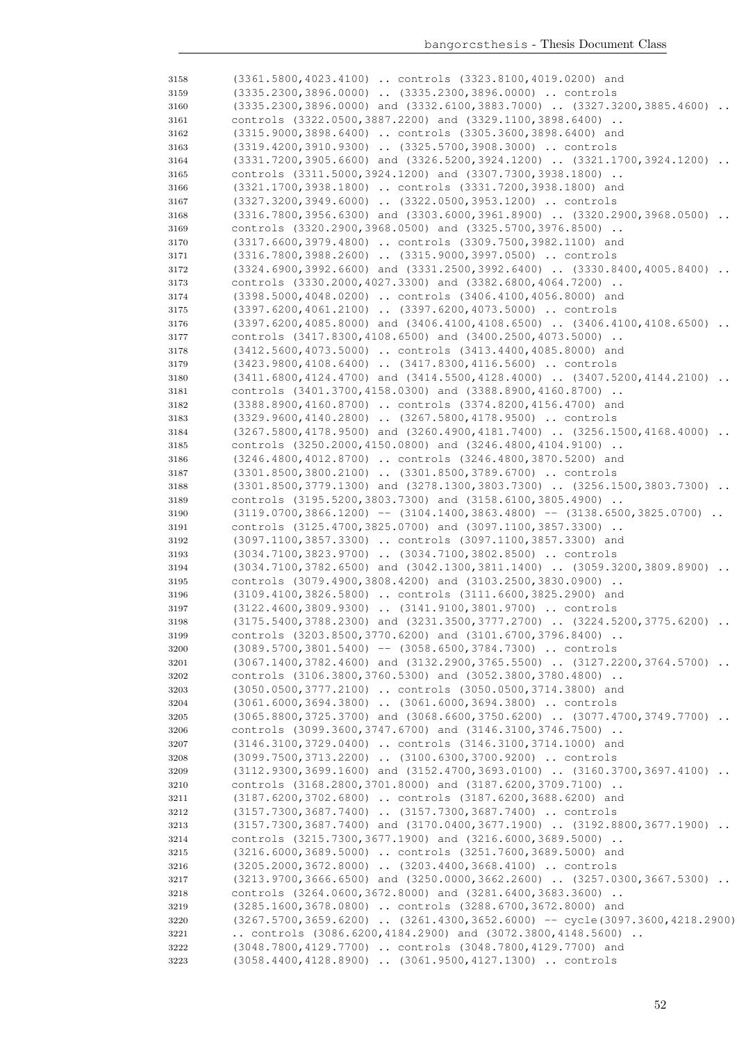| 3158 | (3361.5800,4023.4100)  controls (3323.8100,4019.0200) and                           |
|------|-------------------------------------------------------------------------------------|
| 3159 | (3335.2300,3896.0000)  (3335.2300,3896.0000)  controls                              |
| 3160 | $(3335.2300, 3896.0000)$ and $(3332.6100, 3883.7000)$ $(3327.3200, 3885.4600)$      |
| 3161 | controls (3322.0500,3887.2200) and (3329.1100,3898.6400)                            |
|      | (3315.9000,3898.6400)  controls (3305.3600,3898.6400) and                           |
| 3162 | (3319.4200,3910.9300)  (3325.5700,3908.3000)  controls                              |
| 3163 |                                                                                     |
| 3164 | $(3331.7200, 3905.6600)$ and $(3326.5200, 3924.1200)$ $(3321.1700, 3924.1200)$      |
| 3165 | controls (3311.5000,3924.1200) and (3307.7300,3938.1800)                            |
| 3166 | (3321.1700,3938.1800)  controls (3331.7200,3938.1800) and                           |
| 3167 | (3327.3200,3949.6000)  (3322.0500,3953.1200)  controls                              |
| 3168 | $(3316.7800, 3956.6300)$ and $(3303.6000, 3961.8900)$ $(3320.2900, 3968.0500)$      |
| 3169 | controls (3320.2900,3968.0500) and (3325.5700,3976.8500)                            |
| 3170 | (3317.6600, 3979.4800)  controls (3309.7500, 3982.1100) and                         |
| 3171 | (3316.7800,3988.2600)  (3315.9000,3997.0500)  controls                              |
| 3172 | $(3324.6900, 3992.6600)$ and $(3331.2500, 3992.6400)$ $(3330.8400, 4005.8400)$      |
| 3173 | controls (3330.2000,4027.3300) and (3382.6800,4064.7200)                            |
|      | (3398.5000,4048.0200)  controls (3406.4100,4056.8000) and                           |
| 3174 |                                                                                     |
| 3175 | (3397.6200,4061.2100)  (3397.6200,4073.5000)  controls                              |
| 3176 | $(3397.6200, 4085.8000)$ and $(3406.4100, 4108.6500)$ $(3406.4100, 4108.6500)$      |
| 3177 | controls (3417.8300,4108.6500) and (3400.2500,4073.5000)                            |
| 3178 | (3412.5600,4073.5000)  controls (3413.4400,4085.8000) and                           |
| 3179 | (3423.9800,4108.6400)  (3417.8300,4116.5600)  controls                              |
| 3180 | $(3411.6800, 4124.4700)$ and $(3414.5500, 4128.4000)$ $(3407.5200, 4144.2100)$ .    |
| 3181 | controls (3401.3700,4158.0300) and (3388.8900,4160.8700)                            |
| 3182 | (3388.8900,4160.8700)  controls (3374.8200,4156.4700) and                           |
| 3183 | (3329.9600,4140.2800)  (3267.5800,4178.9500)  controls                              |
| 3184 | $(3267.5800, 4178.9500)$ and $(3260.4900, 4181.7400)$ $(3256.1500, 4168.4000)$      |
| 3185 | controls (3250.2000, 4150.0800) and (3246.4800, 4104.9100)                          |
| 3186 | (3246.4800,4012.8700)  controls (3246.4800,3870.5200) and                           |
|      | (3301.8500,3800.2100)  (3301.8500,3789.6700)  controls                              |
| 3187 |                                                                                     |
| 3188 | $(3301.8500, 3779.1300)$ and $(3278.1300, 3803.7300)$ $(3256.1500, 3803.7300)$      |
| 3189 | controls (3195.5200,3803.7300) and (3158.6100,3805.4900)                            |
| 3190 | $(3119.0700, 3866.1200)$ -- $(3104.1400, 3863.4800)$ -- $(3138.6500, 3825.0700)$    |
| 3191 | controls (3125.4700,3825.0700) and (3097.1100,3857.3300)                            |
| 3192 | (3097.1100,3857.3300)  controls (3097.1100,3857.3300) and                           |
| 3193 | (3034.7100,3823.9700)  (3034.7100,3802.8500)  controls                              |
| 3194 | $(3034.7100, 3782.6500)$ and $(3042.1300, 3811.1400)$ $(3059.3200, 3809.8900)$      |
| 3195 | controls (3079.4900,3808.4200) and (3103.2500,3830.0900)                            |
| 3196 | (3109.4100,3826.5800)  controls (3111.6600,3825.2900) and                           |
| 3197 | (3122.4600,3809.9300)  (3141.9100,3801.9700)  controls                              |
| 3198 | $(3175.5400, 3788.2300)$ and $(3231.3500, 3777.2700)$ $(3224.5200, 3775.6200)$      |
| 3199 | controls (3203.8500,3770.6200) and (3101.6700,3796.8400)                            |
| 3200 | $(3089.5700, 3801.5400)$ -- $(3058.6500, 3784.7300)$ controls                       |
| 3201 | $(3067.1400, 3782.4600)$ and $(3132.2900, 3765.5500)$ $(3127.2200, 3764.5700)$      |
|      |                                                                                     |
| 3202 | controls (3106.3800,3760.5300) and (3052.3800,3780.4800)                            |
| 3203 | (3050.0500,3777.2100)  controls (3050.0500,3714.3800) and                           |
| 3204 | (3061.6000,3694.3800)  (3061.6000,3694.3800)  controls                              |
| 3205 | (3065.8800,3725.3700) and (3068.6600,3750.6200)  (3077.4700,3749.7700)              |
| 3206 | controls (3099.3600,3747.6700) and (3146.3100,3746.7500)                            |
| 3207 | (3146.3100,3729.0400)  controls (3146.3100,3714.1000) and                           |
| 3208 | (3099.7500,3713.2200)  (3100.6300,3700.9200)  controls                              |
| 3209 | (3112.9300,3699.1600) and (3152.4700,3693.0100)  (3160.3700,3697.4100)              |
| 3210 | controls (3168.2800,3701.8000) and (3187.6200,3709.7100)                            |
| 3211 | (3187.6200,3702.6800)  controls (3187.6200,3688.6200) and                           |
| 3212 | (3157.7300,3687.7400)  (3157.7300,3687.7400)  controls                              |
| 3213 | (3157.7300,3687.7400) and (3170.0400,3677.1900)  (3192.8800,3677.1900)              |
| 3214 | controls (3215.7300,3677.1900) and (3216.6000,3689.5000)                            |
|      |                                                                                     |
| 3215 | (3216.6000,3689.5000)  controls (3251.7600,3689.5000) and                           |
| 3216 | (3205.2000,3672.8000)  (3203.4400,3668.4100)  controls                              |
| 3217 | $(3213.9700, 3666.6500)$ and $(3250.0000, 3662.2600)$ $(3257.0300, 3667.5300)$      |
| 3218 | controls (3264.0600,3672.8000) and (3281.6400,3683.3600)                            |
| 3219 | (3285.1600,3678.0800)  controls (3288.6700,3672.8000) and                           |
| 3220 | $(3267.5700, 3659.6200)$ $(3261.4300, 3652.6000)$ -- cycle $(3097.3600, 4218.2900)$ |
| 3221 | controls $(3086.6200, 4184.2900)$ and $(3072.3800, 4148.5600)$ .                    |
| 3222 | (3048.7800,4129.7700)  controls (3048.7800,4129.7700) and                           |
| 3223 | (3058.4400,4128.8900)  (3061.9500,4127.1300)  controls                              |
|      |                                                                                     |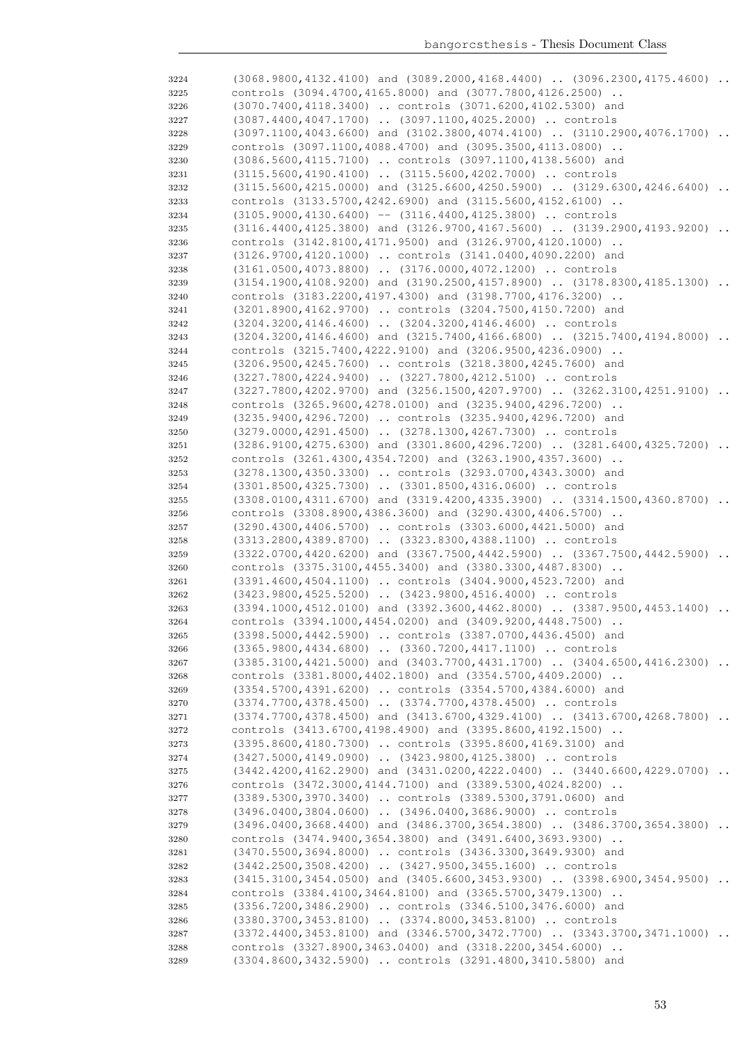| 3224 | $(3068.9800, 4132.4100)$ and $(3089.2000, 4168.4400)$ . $(3096.2300, 4175.4600)$ . |                      |
|------|------------------------------------------------------------------------------------|----------------------|
| 3225 | controls (3094.4700,4165.8000) and (3077.7800,4126.2500)                           |                      |
| 3226 | (3070.7400,4118.3400)  controls (3071.6200,4102.5300) and                          |                      |
| 3227 | (3087.4400,4047.1700)  (3097.1100,4025.2000)  controls                             |                      |
| 3228 | $(3097.1100, 4043.6600)$ and $(3102.3800, 4074.4100)$ . $(3110.2900, 4076.1700)$ . |                      |
| 3229 | controls (3097.1100,4088.4700) and (3095.3500,4113.0800)                           |                      |
| 3230 | (3086.5600,4115.7100)  controls (3097.1100,4138.5600) and                          |                      |
| 3231 | (3115.5600,4190.4100)  (3115.5600,4202.7000)  controls                             |                      |
|      |                                                                                    |                      |
| 3232 | (3115.5600,4215.0000) and (3125.6600,4250.5900)  (3129.6300,4246.6400)             |                      |
| 3233 | controls (3133.5700, 4242.6900) and (3115.5600, 4152.6100)                         |                      |
| 3234 | $(3105.9000, 4130.6400)$ -- $(3116.4400, 4125.3800)$ controls                      |                      |
| 3235 | (3116.4400,4125.3800) and (3126.9700,4167.5600)  (3139.2900,4193.9200)             |                      |
| 3236 | controls (3142.8100,4171.9500) and (3126.9700,4120.1000)                           |                      |
| 3237 | (3126.9700,4120.1000)  controls (3141.0400,4090.2200) and                          |                      |
| 3238 | $(3161.0500, 4073.8800)$ $(3176.0000, 4072.1200)$ controls                         |                      |
| 3239 | $(3154.1900, 4108.9200)$ and $(3190.2500, 4157.8900)$ $(3178.8300, 4185.1300)$     |                      |
| 3240 | controls (3183.2200,4197.4300) and (3198.7700,4176.3200)                           |                      |
| 3241 | (3201.8900,4162.9700)  controls (3204.7500,4150.7200) and                          |                      |
| 3242 | (3204.3200,4146.4600)  (3204.3200,4146.4600)  controls                             |                      |
| 3243 | $(3204.3200, 4146.4600)$ and $(3215.7400, 4166.6800)$ $(3215.7400, 4194.8000)$     |                      |
| 3244 | controls (3215.7400,4222.9100) and (3206.9500,4236.0900)                           |                      |
| 3245 | (3206.9500,4245.7600)  controls (3218.3800,4245.7600) and                          |                      |
| 3246 | (3227.7800,4224.9400)  (3227.7800,4212.5100)  controls                             |                      |
|      | $(3227.7800, 4202.9700)$ and $(3256.1500, 4207.9700)$ $(3262.3100, 4251.9100)$     |                      |
| 3247 |                                                                                    | $\cdot$ .            |
| 3248 | controls (3265.9600,4278.0100) and (3235.9400,4296.7200)                           |                      |
| 3249 | (3235.9400,4296.7200)  controls (3235.9400,4296.7200) and                          |                      |
| 3250 | (3279.0000, 4291.4500)  (3278.1300, 4267.7300)  controls                           |                      |
| 3251 | $(3286.9100, 4275.6300)$ and $(3301.8600, 4296.7200)$ $(3281.6400, 4325.7200)$     | $\cdot$ .            |
| 3252 | controls (3261.4300,4354.7200) and (3263.1900,4357.3600)                           |                      |
| 3253 | (3278.1300,4350.3300)  controls (3293.0700,4343.3000) and                          |                      |
| 3254 | (3301.8500,4325.7300)  (3301.8500,4316.0600)  controls                             |                      |
| 3255 | $(3308.0100, 4311.6700)$ and $(3319.4200, 4335.3900)$ $(3314.1500, 4360.8700)$     |                      |
| 3256 | controls (3308.8900,4386.3600) and (3290.4300,4406.5700)                           |                      |
| 3257 | (3290.4300,4406.5700)  controls (3303.6000,4421.5000) and                          |                      |
| 3258 | (3313.2800,4389.8700)  (3323.8300,4388.1100)  controls                             |                      |
| 3259 | $(3322.0700, 4420.6200)$ and $(3367.7500, 4442.5900)$ $(3367.7500, 4442.5900)$     | $\cdot \cdot$        |
| 3260 | controls (3375.3100,4455.3400) and (3380.3300,4487.8300)                           |                      |
| 3261 | (3391.4600,4504.1100)  controls (3404.9000,4523.7200) and                          |                      |
| 3262 | (3423.9800,4525.5200)  (3423.9800,4516.4000)  controls                             |                      |
| 3263 | (3394.1000,4512.0100) and (3392.3600,4462.8000)  (3387.9500,4453.1400)             | $\ddot{\phantom{0}}$ |
| 3264 | controls (3394.1000,4454.0200) and (3409.9200,4448.7500)                           |                      |
|      |                                                                                    |                      |
| 3265 | (3398.5000,4442.5900)  controls (3387.0700,4436.4500) and                          |                      |
| 3266 | (3365.9800,4434.6800)  (3360.7200,4417.1100)  controls                             |                      |
| 3267 | $(3385.3100, 4421.5000)$ and $(3403.7700, 4431.1700)$ $(3404.6500, 4416.2300)$     |                      |
| 3268 | controls (3381.8000,4402.1800) and (3354.5700,4409.2000)                           |                      |
| 3269 | (3354.5700,4391.6200)  controls (3354.5700,4384.6000) and                          |                      |
| 3270 | (3374.7700,4378.4500)  (3374.7700,4378.4500)  controls                             |                      |
| 3271 | $(3374.7700, 4378.4500)$ and $(3413.6700, 4329.4100)$ $(3413.6700, 4268.7800)$     |                      |
| 3272 | controls (3413.6700,4198.4900) and (3395.8600,4192.1500)                           |                      |
| 3273 | (3395.8600,4180.7300)  controls (3395.8600,4169.3100) and                          |                      |
| 3274 | (3427.5000,4149.0900)  (3423.9800,4125.3800)  controls                             |                      |
| 3275 | $(3442.4200, 4162.2900)$ and $(3431.0200, 4222.0400)$ $(3440.6600, 4229.0700)$     |                      |
| 3276 | controls (3472.3000, 4144.7100) and (3389.5300, 4024.8200)                         |                      |
| 3277 | (3389.5300,3970.3400)  controls (3389.5300,3791.0600) and                          |                      |
| 3278 | (3496.0400,3804.0600)  (3496.0400,3686.9000)  controls                             |                      |
| 3279 | (3496.0400,3668.4400) and (3486.3700,3654.3800)  (3486.3700,3654.3800)             |                      |
| 3280 | controls (3474.9400,3654.3800) and (3491.6400,3693.9300)                           |                      |
| 3281 | (3470.5500,3694.8000)  controls (3436.3300,3649.9300) and                          |                      |
|      | (3442.2500,3508.4200)  (3427.9500,3455.1600)  controls                             |                      |
| 3282 |                                                                                    |                      |
| 3283 | $(3415.3100, 3454.0500)$ and $(3405.6600, 3453.9300)$ $(3398.6900, 3454.9500)$     |                      |
| 3284 | controls (3384.4100,3464.8100) and (3365.5700,3479.1300)                           |                      |
| 3285 | (3356.7200,3486.2900)  controls (3346.5100,3476.6000) and                          |                      |
| 3286 | (3380.3700,3453.8100)  (3374.8000,3453.8100)  controls                             |                      |
| 3287 | (3372.4400,3453.8100) and (3346.5700,3472.7700)  (3343.3700,3471.1000)             |                      |
| 3288 | controls (3327.8900,3463.0400) and (3318.2200,3454.6000)                           |                      |
| 3289 | (3304.8600,3432.5900)  controls (3291.4800,3410.5800) and                          |                      |
|      |                                                                                    |                      |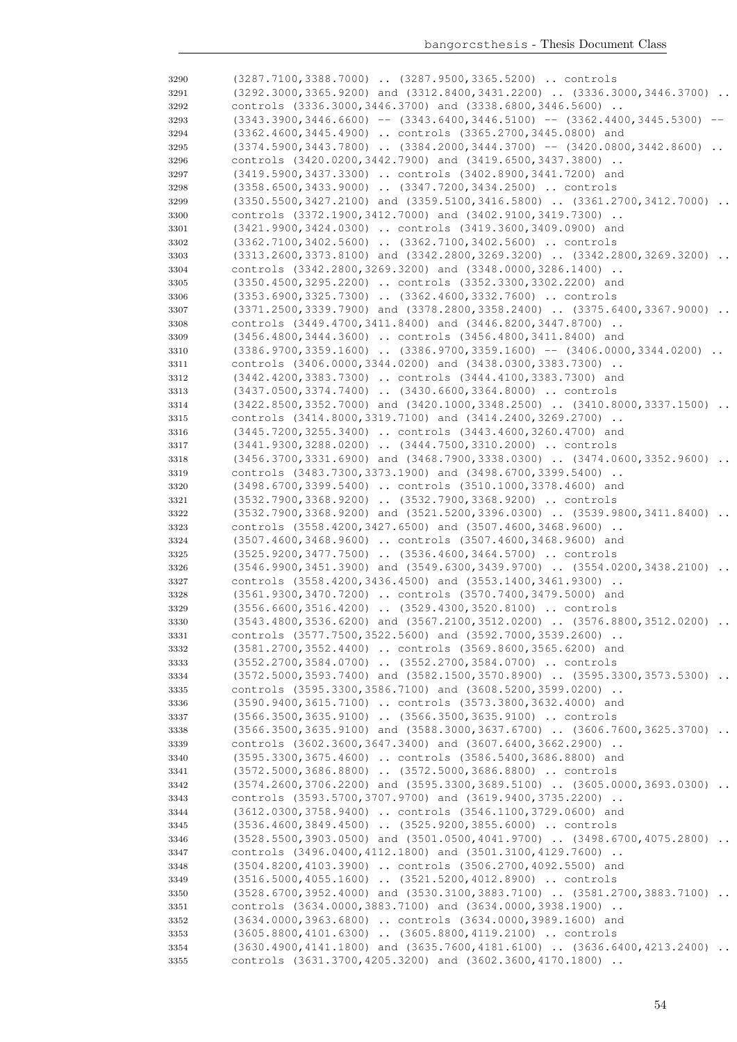| 3290         | (3287.7100,3388.7000)  (3287.9500,3365.5200)  controls                                                                             |
|--------------|------------------------------------------------------------------------------------------------------------------------------------|
| 3291         | $(3292.3000, 3365.9200)$ and $(3312.8400, 3431.2200)$ $(3336.3000, 3446.3700)$                                                     |
| 3292         | controls (3336.3000,3446.3700) and (3338.6800,3446.5600)                                                                           |
| 3293         | $(3343.3900, 3446.6600)$ -- $(3343.6400, 3446.5100)$ -- $(3362.4400, 3445.5300)$ --                                                |
| 3294         | (3362.4600,3445.4900)  controls (3365.2700,3445.0800) and                                                                          |
| 3295         | $(3374.5900, 3443.7800)$ $(3384.2000, 3444.3700)$ -- $(3420.0800, 3442.8600)$                                                      |
| 3296         | controls (3420.0200,3442.7900) and (3419.6500,3437.3800)                                                                           |
| 3297         | (3419.5900,3437.3300)  controls (3402.8900,3441.7200) and                                                                          |
|              |                                                                                                                                    |
| 3298         | (3358.6500,3433.9000)  (3347.7200,3434.2500)  controls                                                                             |
| 3299         | $(3350.5500, 3427.2100)$ and $(3359.5100, 3416.5800)$ $(3361.2700, 3412.7000)$                                                     |
| 3300         | controls (3372.1900, 3412.7000) and (3402.9100, 3419.7300)                                                                         |
| 3301         | (3421.9900,3424.0300)  controls (3419.3600,3409.0900) and                                                                          |
| 3302         | (3362.7100,3402.5600)  (3362.7100,3402.5600)  controls                                                                             |
| 3303         | $(3313.2600, 3373.8100)$ and $(3342.2800, 3269.3200)$ $(3342.2800, 3269.3200)$<br>$\ddots$                                         |
| 3304         | controls (3342.2800,3269.3200) and (3348.0000,3286.1400)                                                                           |
| 3305         | (3350.4500,3295.2200)  controls (3352.3300,3302.2200) and                                                                          |
| 3306         | (3353.6900,3325.7300)  (3362.4600,3332.7600)  controls                                                                             |
| 3307         | (3371.2500,3339.7900) and (3378.2800,3358.2400)  (3375.6400,3367.9000)                                                             |
| 3308         | controls (3449.4700,3411.8400) and (3446.8200,3447.8700)                                                                           |
| 3309         | (3456.4800,3444.3600)  controls (3456.4800,3411.8400) and                                                                          |
| 3310         | $(3386.9700, 3359.1600)$ $(3386.9700, 3359.1600)$ -- $(3406.0000, 3344.0200)$                                                      |
|              | controls (3406.0000, 3344.0200) and (3438.0300, 3383.7300)                                                                         |
| 3311         |                                                                                                                                    |
| 3312         | (3442.4200,3383.7300)  controls (3444.4100,3383.7300) and                                                                          |
| 3313         | (3437.0500, 3374.7400)  (3430.6600, 3364.8000)  controls                                                                           |
| 3314         | $(3422.8500, 3352.7000)$ and $(3420.1000, 3348.2500)$ $(3410.8000, 3337.1500)$<br>$\ddots$                                         |
| 3315         | controls (3414.8000,3319.7100) and (3414.2400,3269.2700)                                                                           |
| 3316         | (3445.7200,3255.3400)  controls (3443.4600,3260.4700) and                                                                          |
| 3317         | (3441.9300,3288.0200)  (3444.7500,3310.2000)  controls                                                                             |
| 3318         | $(3456.3700, 3331.6900)$ and $(3468.7900, 3338.0300)$ $(3474.0600, 3352.9600)$                                                     |
| 3319         | controls (3483.7300,3373.1900) and (3498.6700,3399.5400)                                                                           |
| 3320         | (3498.6700,3399.5400)  controls (3510.1000,3378.4600) and                                                                          |
| 3321         | (3532.7900,3368.9200)  (3532.7900,3368.9200)  controls                                                                             |
| 3322         | (3532.7900,3368.9200) and (3521.5200,3396.0300)  (3539.9800,3411.8400)                                                             |
| 3323         | controls (3558.4200,3427.6500) and (3507.4600,3468.9600)                                                                           |
| 3324         | (3507.4600,3468.9600)  controls (3507.4600,3468.9600) and                                                                          |
|              |                                                                                                                                    |
| 3325         | (3525.9200,3477.7500)  (3536.4600,3464.5700)  controls                                                                             |
| 3326         | (3546.9900,3451.3900) and (3549.6300,3439.9700)  (3554.0200,3438.2100)<br>$\ddots$                                                 |
| 3327         | controls (3558.4200,3436.4500) and (3553.1400,3461.9300)                                                                           |
| 3328         | (3561.9300,3470.7200)  controls (3570.7400,3479.5000) and                                                                          |
| 3329         | (3556.6600,3516.4200)  (3529.4300,3520.8100)  controls                                                                             |
| 3330         | $(3543.4800, 3536.6200)$ and $(3567.2100, 3512.0200)$ $(3576.8800, 3512.0200)$                                                     |
| 3331         | controls (3577.7500,3522.5600) and (3592.7000,3539.2600)                                                                           |
| 3332         | (3581.2700,3552.4400)  controls (3569.8600,3565.6200) and                                                                          |
| 3333         | (3552.2700,3584.0700)  (3552.2700,3584.0700)  controls                                                                             |
| 3334         | $(3572.5000, 3593.7400)$ and $(3582.1500, 3570.8900)$ $(3595.3300, 3573.5300)$<br>$\ddots$                                         |
| 3335         | controls (3595.3300,3586.7100) and (3608.5200,3599.0200)                                                                           |
| 3336         | (3590.9400,3615.7100)  controls (3573.3800,3632.4000) and                                                                          |
| 3337         |                                                                                                                                    |
| 3338         |                                                                                                                                    |
|              | (3566.3500,3635.9100)  (3566.3500,3635.9100)  controls                                                                             |
|              | $(3566.3500, 3635.9100)$ and $(3588.3000, 3637.6700)$ $(3606.7600, 3625.3700)$                                                     |
| 3339         | controls (3602.3600,3647.3400) and (3607.6400,3662.2900)                                                                           |
| 3340         | (3595.3300,3675.4600)  controls (3586.5400,3686.8800) and                                                                          |
| 3341         | (3572.5000,3686.8800)  (3572.5000,3686.8800)  controls                                                                             |
| 3342         | $(3574.2600, 3706.2200)$ and $(3595.3300, 3689.5100)$ $(3605.0000, 3693.0300)$<br>$\ddots$                                         |
| 3343         | controls (3593.5700,3707.9700) and (3619.9400,3735.2200)                                                                           |
| 3344         | (3612.0300,3758.9400)  controls (3546.1100,3729.0600) and                                                                          |
| 3345         | (3536.4600,3849.4500)  (3525.9200,3855.6000)  controls                                                                             |
| 3346         | $(3528.5500, 3903.0500)$ and $(3501.0500, 4041.9700)$ $(3498.6700, 4075.2800)$<br>$\cdots$                                         |
| 3347         | controls (3496.0400, 4112.1800) and (3501.3100, 4129.7600)                                                                         |
| 3348         | (3504.8200,4103.3900)  controls (3506.2700,4092.5500) and                                                                          |
| 3349         | (3516.5000,4055.1600)  (3521.5200,4012.8900)  controls                                                                             |
| 3350         | $(3528.6700, 3952.4000)$ and $(3530.3100, 3883.7100)$ $(3581.2700, 3883.7100)$                                                     |
| 3351         | controls (3634.0000, 3883.7100) and (3634.0000, 3938.1900)                                                                         |
| 3352         | (3634.0000,3963.6800)  controls (3634.0000,3989.1600) and                                                                          |
| 3353         |                                                                                                                                    |
|              | (3605.8800,4101.6300)  (3605.8800,4119.2100)  controls<br>$\ddots$                                                                 |
| 3354<br>3355 | (3630.4900,4141.1800) and (3635.7600,4181.6100)  (3636.6400,4213.2400)<br>controls (3631.3700,4205.3200) and (3602.3600,4170.1800) |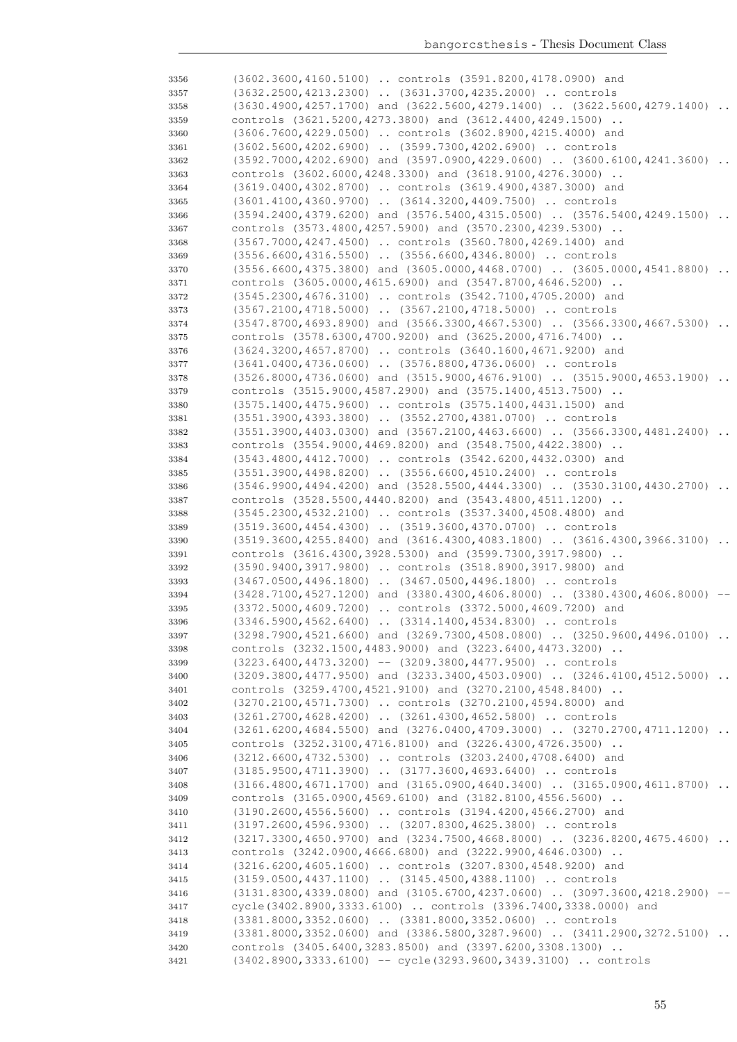| 3356 | (3602.3600,4160.5100)  controls (3591.8200,4178.0900) and                         |           |
|------|-----------------------------------------------------------------------------------|-----------|
| 3357 | (3632.2500,4213.2300)  (3631.3700,4235.2000)  controls                            |           |
| 3358 | $(3630.4900, 4257.1700)$ and $(3622.5600, 4279.1400)$ $(3622.5600, 4279.1400)$    |           |
|      | controls (3621.5200,4273.3800) and (3612.4400,4249.1500)                          |           |
| 3359 |                                                                                   |           |
| 3360 | (3606.7600,4229.0500)  controls (3602.8900,4215.4000) and                         |           |
| 3361 | (3602.5600,4202.6900)  (3599.7300,4202.6900)  controls                            |           |
| 3362 | $(3592.7000, 4202.6900)$ and $(3597.0900, 4229.0600)$ $(3600.6100, 4241.3600)$    |           |
| 3363 | controls (3602.6000, 4248.3300) and (3618.9100, 4276.3000)                        |           |
| 3364 | (3619.0400,4302.8700)  controls (3619.4900,4387.3000) and                         |           |
| 3365 | (3601.4100,4360.9700)  (3614.3200,4409.7500)  controls                            |           |
| 3366 | $(3594.2400, 4379.6200)$ and $(3576.5400, 4315.0500)$ $(3576.5400, 4249.1500)$    | $\ddots$  |
| 3367 | controls (3573.4800,4257.5900) and (3570.2300,4239.5300)                          |           |
|      |                                                                                   |           |
| 3368 | (3567.7000,4247.4500)  controls (3560.7800,4269.1400) and                         |           |
| 3369 | (3556.6600,4316.5500)  (3556.6600,4346.8000)  controls                            |           |
| 3370 | $(3556.6600, 4375.3800)$ and $(3605.0000, 4468.0700)$ $(3605.0000, 4541.8800)$    |           |
| 3371 | controls (3605.0000,4615.6900) and (3547.8700,4646.5200)                          |           |
| 3372 | (3545.2300,4676.3100)  controls (3542.7100,4705.2000) and                         |           |
| 3373 | (3567.2100,4718.5000)  (3567.2100,4718.5000)  controls                            |           |
| 3374 | $(3547.8700, 4693.8900)$ and $(3566.3300, 4667.5300)$ $(3566.3300, 4667.5300)$    |           |
| 3375 | controls (3578.6300,4700.9200) and (3625.2000,4716.7400)                          |           |
|      | (3624.3200,4657.8700)  controls (3640.1600,4671.9200) and                         |           |
| 3376 |                                                                                   |           |
| 3377 | (3641.0400,4736.0600)  (3576.8800,4736.0600)  controls                            |           |
| 3378 | $(3526.8000, 4736.0600)$ and $(3515.9000, 4676.9100)$ $(3515.9000, 4653.1900)$    | $\cdot$ . |
| 3379 | controls (3515.9000,4587.2900) and (3575.1400,4513.7500)                          |           |
| 3380 | (3575.1400,4475.9600)  controls (3575.1400,4431.1500) and                         |           |
| 3381 | (3551.3900,4393.3800)  (3552.2700,4381.0700)  controls                            |           |
| 3382 | $(3551.3900, 4403.0300)$ and $(3567.2100, 4463.6600)$ $(3566.3300, 4481.2400)$    |           |
| 3383 | controls (3554.9000,4469.8200) and (3548.7500,4422.3800)                          |           |
| 3384 | (3543.4800,4412.7000)  controls (3542.6200,4432.0300) and                         |           |
|      | (3551.3900,4498.8200)  (3556.6600,4510.2400)  controls                            |           |
| 3385 |                                                                                   |           |
| 3386 | $(3546.9900, 4494.4200)$ and $(3528.5500, 4444.3300)$ $(3530.3100, 4430.2700)$    |           |
| 3387 | controls (3528.5500,4440.8200) and (3543.4800,4511.1200)                          |           |
| 3388 | (3545.2300,4532.2100)  controls (3537.3400,4508.4800) and                         |           |
| 3389 | (3519.3600,4454.4300)  (3519.3600,4370.0700)  controls                            |           |
| 3390 | (3519.3600,4255.8400) and (3616.4300,4083.1800)  (3616.4300,3966.3100)            |           |
| 3391 | controls (3616.4300,3928.5300) and (3599.7300,3917.9800)                          |           |
| 3392 | (3590.9400,3917.9800)  controls (3518.8900,3917.9800) and                         |           |
| 3393 | (3467.0500,4496.1800)  (3467.0500,4496.1800)  controls                            |           |
| 3394 | $(3428.7100, 4527.1200)$ and $(3380.4300, 4606.8000)$ $(3380.4300, 4606.8000)$    |           |
| 3395 | (3372.5000,4609.7200)  controls (3372.5000,4609.7200) and                         |           |
| 3396 | (3346.5900,4562.6400)  (3314.1400,4534.8300)  controls                            |           |
|      | (3298.7900,4521.6600) and (3269.7300,4508.0800)  (3250.9600,4496.0100)            |           |
| 3397 |                                                                                   |           |
| 3398 | controls (3232.1500,4483.9000) and (3223.6400,4473.3200)                          |           |
| 3399 | $(3223.6400, 4473.3200)$ -- $(3209.3800, 4477.9500)$ controls                     |           |
| 3400 | (3209.3800,4477.9500) and (3233.3400,4503.0900)  (3246.4100,4512.5000)            |           |
| 3401 | controls (3259.4700,4521.9100) and (3270.2100,4548.8400)                          |           |
| 3402 | (3270.2100,4571.7300)  controls (3270.2100,4594.8000) and                         |           |
| 3403 | (3261.2700,4628.4200)  (3261.4300,4652.5800)  controls                            |           |
| 3404 | (3261.6200,4684.5500) and (3276.0400,4709.3000)  (3270.2700,4711.1200)            |           |
| 3405 | controls (3252.3100,4716.8100) and (3226.4300,4726.3500)                          |           |
| 3406 | (3212.6600,4732.5300)  controls (3203.2400,4708.6400) and                         |           |
| 3407 | (3185.9500,4711.3900)  (3177.3600,4693.6400)  controls                            |           |
|      | $(3166.4800, 4671.1700)$ and $(3165.0900, 4640.3400)$ $(3165.0900, 4611.8700)$    |           |
| 3408 |                                                                                   |           |
| 3409 | controls (3165.0900,4569.6100) and (3182.8100,4556.5600)                          |           |
| 3410 | (3190.2600,4556.5600)  controls (3194.4200,4566.2700) and                         |           |
| 3411 | (3197.2600,4596.9300)  (3207.8300,4625.3800)  controls                            |           |
| 3412 | (3217.3300,4650.9700) and (3234.7500,4668.8000)  (3236.8200,4675.4600)            |           |
| 3413 | controls (3242.0900,4666.6800) and (3222.9900,4646.0300)                          |           |
| 3414 | (3216.6200,4605.1600)  controls (3207.8300,4548.9200) and                         |           |
| 3415 | (3159.0500,4437.1100)  (3145.4500,4388.1100)  controls                            |           |
| 3416 | $(3131.8300, 4339.0800)$ and $(3105.6700, 4237.0600)$ $(3097.3600, 4218.2900)$ -- |           |
| 3417 | cycle (3402.8900, 3333.6100)  controls (3396.7400, 3338.0000) and                 |           |
|      | (3381.8000, 3352.0600)  (3381.8000, 3352.0600)  controls                          |           |
| 3418 |                                                                                   |           |
| 3419 | (3381.8000,3352.0600) and (3386.5800,3287.9600)  (3411.2900,3272.5100)            |           |
| 3420 | controls (3405.6400, 3283.8500) and (3397.6200, 3308.1300)                        |           |
| 3421 | (3402.8900, 3333.6100) -- cycle (3293.9600, 3439.3100)  controls                  |           |
|      |                                                                                   |           |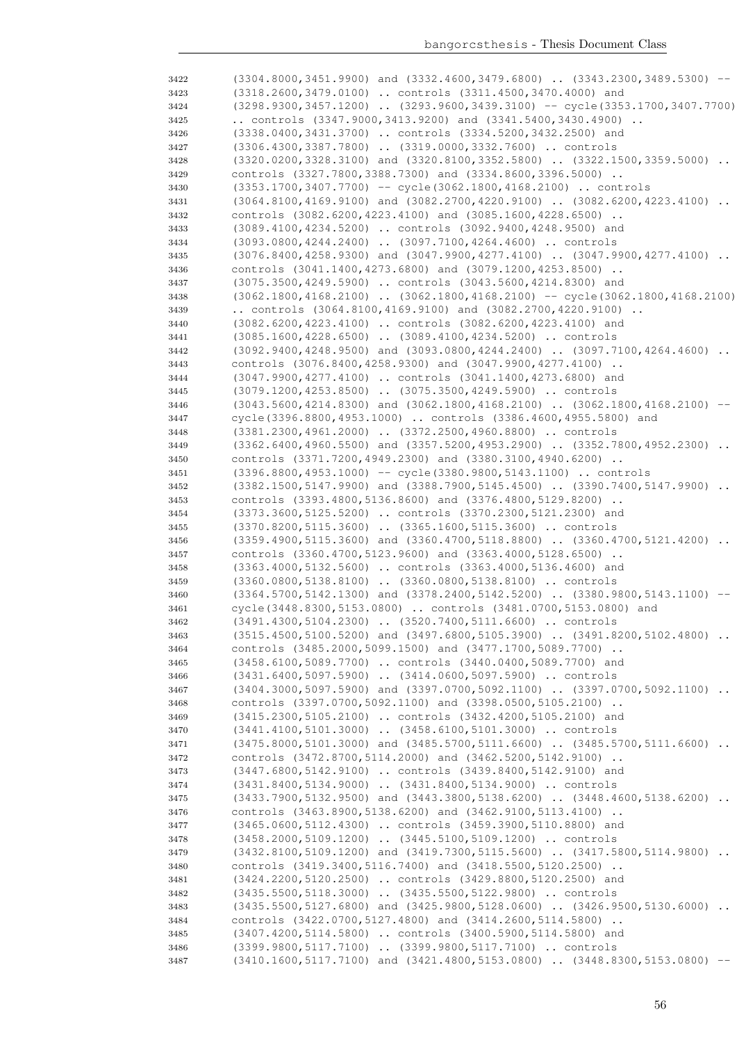| 3422 | (3304.8000,3451.9900) and (3332.4600,3479.6800)  (3343.2300,3489.5300) --           |      |
|------|-------------------------------------------------------------------------------------|------|
| 3423 | (3318.2600,3479.0100)  controls (3311.4500,3470.4000) and                           |      |
| 3424 | (3298.9300,3457.1200)  (3293.9600,3439.3100) -- cycle(3353.1700,3407.7700)          |      |
| 3425 | controls $(3347.9000, 3413.9200)$ and $(3341.5400, 3430.4900)$ .                    |      |
| 3426 | (3338.0400,3431.3700)  controls (3334.5200,3432.2500) and                           |      |
| 3427 | (3306.4300,3387.7800)  (3319.0000,3332.7600)  controls                              |      |
| 3428 | $(3320.0200, 3328.3100)$ and $(3320.8100, 3352.5800)$ $(3322.1500, 3359.5000)$      |      |
|      |                                                                                     |      |
| 3429 | controls (3327.7800,3388.7300) and (3334.8600,3396.5000)                            |      |
| 3430 | $(3353.1700, 3407.7700)$ -- cycle $(3062.1800, 4168.2100)$ controls                 |      |
| 3431 | (3064.8100,4169.9100) and (3082.2700,4220.9100)  (3082.6200,4223.4100)              |      |
| 3432 | controls (3082.6200, 4223.4100) and (3085.1600, 4228.6500)                          |      |
| 3433 | (3089.4100,4234.5200)  controls (3092.9400,4248.9500) and                           |      |
| 3434 | (3093.0800,4244.2400)  (3097.7100,4264.4600)  controls                              |      |
| 3435 | $(3076.8400, 4258.9300)$ and $(3047.9900, 4277.4100)$ $(3047.9900, 4277.4100)$      |      |
| 3436 | controls (3041.1400, 4273.6800) and (3079.1200, 4253.8500)                          |      |
| 3437 | (3075.3500,4249.5900)  controls (3043.5600,4214.8300) and                           |      |
| 3438 | $(3062.1800, 4168.2100)$ $(3062.1800, 4168.2100)$ -- cycle $(3062.1800, 4168.2100)$ |      |
| 3439 | controls $(3064.8100, 4169.9100)$ and $(3082.2700, 4220.9100)$ .                    |      |
| 3440 | (3082.6200,4223.4100)  controls (3082.6200,4223.4100) and                           |      |
| 3441 | (3085.1600,4228.6500)  (3089.4100,4234.5200)  controls                              |      |
|      | $(3092.9400, 4248.9500)$ and $(3093.0800, 4244.2400)$ . $(3097.7100, 4264.4600)$ .  |      |
| 3442 |                                                                                     |      |
| 3443 | controls (3076.8400,4258.9300) and (3047.9900,4277.4100)                            |      |
| 3444 | (3047.9900,4277.4100)  controls (3041.1400,4273.6800) and                           |      |
| 3445 | (3079.1200, 4253.8500)  (3075.3500, 4249.5900)  controls                            |      |
| 3446 | (3043.5600,4214.8300) and (3062.1800,4168.2100)  (3062.1800,4168.2100)              |      |
| 3447 | cycle(3396.8800,4953.1000)  controls (3386.4600,4955.5800) and                      |      |
| 3448 | (3381.2300,4961.2000)  (3372.2500,4960.8800)  controls                              |      |
| 3449 | $(3362.6400, 4960.5500)$ and $(3357.5200, 4953.2900)$ $(3352.7800, 4952.2300)$      |      |
| 3450 | controls (3371.7200,4949.2300) and (3380.3100,4940.6200)                            |      |
| 3451 | (3396.8800,4953.1000) -- cycle(3380.9800,5143.1100)  controls                       |      |
| 3452 | $(3382.1500, 5147.9900)$ and $(3388.7900, 5145.4500)$ $(3390.7400, 5147.9900)$      |      |
| 3453 | controls (3393.4800, 5136.8600) and (3376.4800, 5129.8200)                          |      |
| 3454 | (3373.3600,5125.5200)  controls (3370.2300,5121.2300) and                           |      |
| 3455 | (3370.8200,5115.3600)  (3365.1600,5115.3600)  controls                              |      |
| 3456 | $(3359.4900, 5115.3600)$ and $(3360.4700, 5118.8800)$ $(3360.4700, 5121.4200)$      |      |
|      | controls (3360.4700, 5123.9600) and (3363.4000, 5128.6500)                          |      |
| 3457 | (3363.4000,5132.5600)  controls (3363.4000,5136.4600) and                           |      |
| 3458 |                                                                                     |      |
| 3459 | (3360.0800,5138.8100)  (3360.0800,5138.8100)  controls                              |      |
| 3460 | (3364.5700,5142.1300) and (3378.2400,5142.5200)  (3380.9800,5143.1100)              | $--$ |
| 3461 | cycle (3448.8300, 5153.0800)  controls (3481.0700, 5153.0800) and                   |      |
| 3462 | (3491.4300,5104.2300)  (3520.7400,5111.6600)  controls                              |      |
| 3463 | (3515.4500,5100.5200) and (3497.6800,5105.3900)  (3491.8200,5102.4800)              |      |
| 3464 | controls (3485.2000,5099.1500) and (3477.1700,5089.7700)                            |      |
| 3465 | (3458.6100,5089.7700)  controls (3440.0400,5089.7700) and                           |      |
| 3466 | (3431.6400,5097.5900)  (3414.0600,5097.5900)  controls                              |      |
| 3467 | (3404.3000,5097.5900) and (3397.0700,5092.1100)  (3397.0700,5092.1100)              |      |
| 3468 | controls (3397.0700, 5092.1100) and (3398.0500, 5105.2100)                          |      |
| 3469 | (3415.2300,5105.2100)  controls (3432.4200,5105.2100) and                           |      |
| 3470 | (3441.4100,5101.3000)  (3458.6100,5101.3000)  controls                              |      |
| 3471 | (3475.8000,5101.3000) and (3485.5700,5111.6600)  (3485.5700,5111.6600)              |      |
| 3472 | controls (3472.8700,5114.2000) and (3462.5200,5142.9100)                            |      |
| 3473 | (3447.6800, 5142.9100)  controls (3439.8400, 5142.9100) and                         |      |
|      | (3431.8400,5134.9000)  (3431.8400,5134.9000)  controls                              |      |
| 3474 |                                                                                     |      |
| 3475 | (3433.7900,5132.9500) and (3443.3800,5138.6200)  (3448.4600,5138.6200)              |      |
| 3476 | controls (3463.8900, 5138.6200) and (3462.9100, 5113.4100)                          |      |
| 3477 | (3465.0600, 5112.4300)  controls (3459.3900, 5110.8800) and                         |      |
| 3478 | (3458.2000,5109.1200)  (3445.5100,5109.1200)  controls                              |      |
| 3479 | (3432.8100,5109.1200) and (3419.7300,5115.5600)  (3417.5800,5114.9800)              |      |
| 3480 | controls (3419.3400, 5116.7400) and (3418.5500, 5120.2500)                          |      |
| 3481 | (3424.2200, 5120.2500)  controls (3429.8800, 5120.2500) and                         |      |
| 3482 | (3435.5500,5118.3000)  (3435.5500,5122.9800)  controls                              |      |
| 3483 | (3435.5500,5127.6800) and (3425.9800,5128.0600)  (3426.9500,5130.6000)              |      |
| 3484 | controls (3422.0700, 5127.4800) and (3414.2600, 5114.5800)                          |      |
| 3485 | (3407.4200,5114.5800)  controls (3400.5900,5114.5800) and                           |      |
| 3486 | (3399.9800,5117.7100)  (3399.9800,5117.7100)  controls                              |      |
| 3487 | $(3410.1600, 5117.7100)$ and $(3421.4800, 5153.0800)$ $(3448.8300, 5153.0800)$ --   |      |
|      |                                                                                     |      |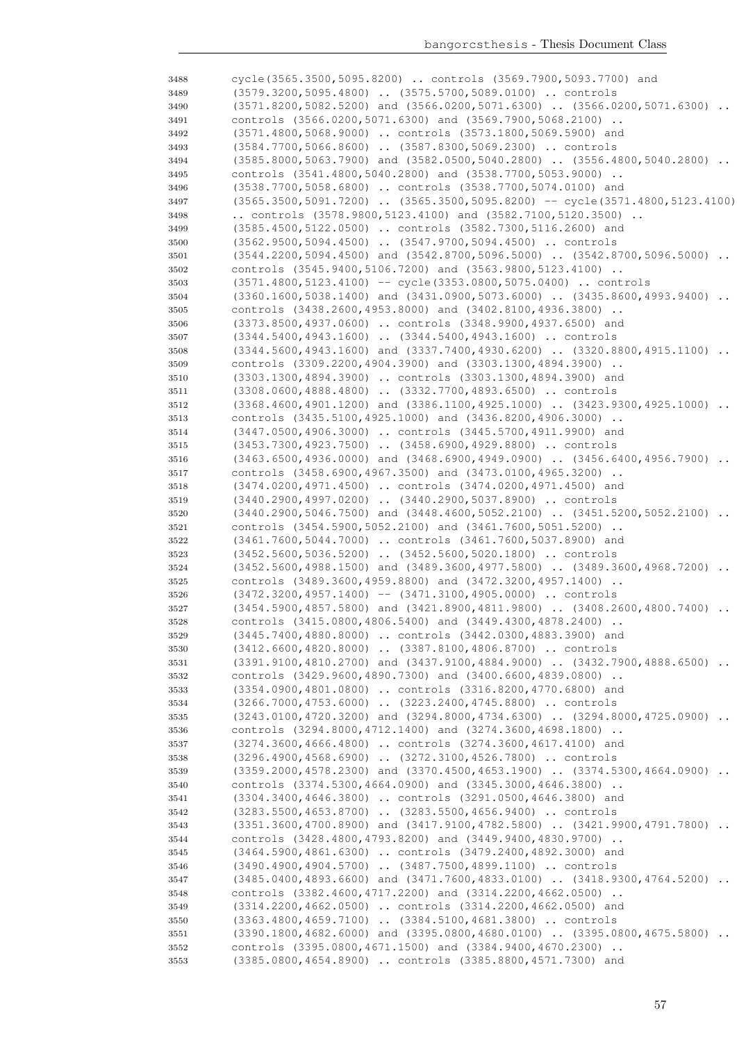| 3488 | cycle (3565.3500, 5095.8200)  controls (3569.7900, 5093.7700) and                   |           |
|------|-------------------------------------------------------------------------------------|-----------|
| 3489 | (3579.3200,5095.4800)  (3575.5700,5089.0100)  controls                              |           |
| 3490 | $(3571.8200, 5082.5200)$ and $(3566.0200, 5071.6300)$ $(3566.0200, 5071.6300)$      |           |
| 3491 | controls (3566.0200,5071.6300) and (3569.7900,5068.2100)                            |           |
| 3492 | (3571.4800,5068.9000)  controls (3573.1800,5069.5900) and                           |           |
| 3493 | (3584.7700,5066.8600)  (3587.8300,5069.2300)  controls                              |           |
| 3494 | $(3585.8000, 5063.7900)$ and $(3582.0500, 5040.2800)$ $(3556.4800, 5040.2800)$      |           |
| 3495 | controls (3541.4800,5040.2800) and (3538.7700,5053.9000)                            |           |
|      | (3538.7700,5058.6800)  controls (3538.7700,5074.0100) and                           |           |
| 3496 |                                                                                     |           |
| 3497 | $(3565.3500, 5091.7200)$ $(3565.3500, 5095.8200)$ -- cycle $(3571.4800, 5123.4100)$ |           |
| 3498 | controls $(3578.9800, 5123.4100)$ and $(3582.7100, 5120.3500)$                      |           |
| 3499 | (3585.4500,5122.0500)  controls (3582.7300,5116.2600) and                           |           |
| 3500 | (3562.9500,5094.4500)  (3547.9700,5094.4500)  controls                              |           |
| 3501 | (3544.2200,5094.4500) and (3542.8700,5096.5000)  (3542.8700,5096.5000)              | $\ddots$  |
| 3502 | controls (3545.9400,5106.7200) and (3563.9800,5123.4100)                            |           |
| 3503 | $(3571.4800, 5123.4100)$ -- cycle $(3353.0800, 5075.0400)$ controls                 |           |
| 3504 | $(3360.1600, 5038.1400)$ and $(3431.0900, 5073.6000)$ $(3435.8600, 4993.9400)$      |           |
| 3505 | controls (3438.2600,4953.8000) and (3402.8100,4936.3800)                            |           |
| 3506 | (3373.8500,4937.0600)  controls (3348.9900,4937.6500) and                           |           |
| 3507 | (3344.5400,4943.1600)  (3344.5400,4943.1600)  controls                              |           |
|      | $(3344.5600, 4943.1600)$ and $(3337.7400, 4930.6200)$ $(3320.8800, 4915.1100)$ .    |           |
| 3508 |                                                                                     |           |
| 3509 | controls (3309.2200,4904.3900) and (3303.1300,4894.3900)                            |           |
| 3510 | (3303.1300,4894.3900)  controls (3303.1300,4894.3900) and                           |           |
| 3511 | (3308.0600,4888.4800)  (3332.7700,4893.6500)  controls                              |           |
| 3512 | $(3368.4600, 4901.1200)$ and $(3386.1100, 4925.1000)$ $(3423.9300, 4925.1000)$      |           |
| 3513 | controls (3435.5100,4925.1000) and (3436.8200,4906.3000)                            |           |
| 3514 | (3447.0500,4906.3000)  controls (3445.5700,4911.9900) and                           |           |
| 3515 | (3453.7300,4923.7500)  (3458.6900,4929.8800)  controls                              |           |
| 3516 | $(3463.6500, 4936.0000)$ and $(3468.6900, 4949.0900)$ $(3456.6400, 4956.7900)$      | $\cdot$ . |
| 3517 | controls (3458.6900,4967.3500) and (3473.0100,4965.3200)                            |           |
| 3518 | (3474.0200,4971.4500)  controls (3474.0200,4971.4500) and                           |           |
| 3519 | (3440.2900,4997.0200)  (3440.2900,5037.8900)  controls                              |           |
| 3520 | $(3440.2900, 5046.7500)$ and $(3448.4600, 5052.2100)$ $(3451.5200, 5052.2100)$      |           |
|      | controls (3454.5900,5052.2100) and (3461.7600,5051.5200)                            |           |
| 3521 |                                                                                     |           |
| 3522 | (3461.7600,5044.7000)  controls (3461.7600,5037.8900) and                           |           |
| 3523 | (3452.5600,5036.5200)  (3452.5600,5020.1800)  controls                              |           |
| 3524 | $(3452.5600, 4988.1500)$ and $(3489.3600, 4977.5800)$ $(3489.3600, 4968.7200)$      |           |
| 3525 | controls (3489.3600,4959.8800) and (3472.3200,4957.1400)                            |           |
| 3526 | $(3472.3200, 4957.1400)$ -- $(3471.3100, 4905.0000)$ controls                       |           |
| 3527 | $(3454.5900, 4857.5800)$ and $(3421.8900, 4811.9800)$ $(3408.2600, 4800.7400)$      |           |
| 3528 | controls (3415.0800,4806.5400) and (3449.4300,4878.2400)                            |           |
| 3529 | (3445.7400,4880.8000)  controls (3442.0300,4883.3900) and                           |           |
| 3530 | (3412.6600,4820.8000)  (3387.8100,4806.8700)  controls                              |           |
| 3531 | (3391.9100,4810.2700) and (3437.9100,4884.9000)  (3432.7900,4888.6500)              |           |
| 3532 | controls (3429.9600,4890.7300) and (3400.6600,4839.0800)                            |           |
| 3533 | (3354.0900,4801.0800)  controls (3316.8200,4770.6800) and                           |           |
|      | (3266.7000,4753.6000)  (3223.2400,4745.8800)  controls                              |           |
| 3534 | (3243.0100,4720.3200) and (3294.8000,4734.6300)  (3294.8000,4725.0900)              |           |
| 3535 |                                                                                     |           |
| 3536 | controls (3294.8000,4712.1400) and (3274.3600,4698.1800)                            |           |
| 3537 | (3274.3600,4666.4800)  controls (3274.3600,4617.4100) and                           |           |
| 3538 | (3296.4900,4568.6900)  (3272.3100,4526.7800)  controls                              |           |
| 3539 | $(3359.2000, 4578.2300)$ and $(3370.4500, 4653.1900)$ $(3374.5300, 4664.0900)$      |           |
| 3540 | controls (3374.5300,4664.0900) and (3345.3000,4646.3800)                            |           |
| 3541 | (3304.3400,4646.3800)  controls (3291.0500,4646.3800) and                           |           |
| 3542 | (3283.5500,4653.8700)  (3283.5500,4656.9400)  controls                              |           |
| 3543 | (3351.3600,4700.8900) and (3417.9100,4782.5800)  (3421.9900,4791.7800)              |           |
| 3544 | controls (3428.4800,4793.8200) and (3449.9400,4830.9700)                            |           |
| 3545 | (3464.5900,4861.6300)  controls (3479.2400,4892.3000) and                           |           |
| 3546 | (3490.4900,4904.5700)  (3487.7500,4899.1100)  controls                              |           |
|      | $(3485.0400, 4893.6600)$ and $(3471.7600, 4833.0100)$ $(3418.9300, 4764.5200)$      |           |
| 3547 |                                                                                     |           |
| 3548 | controls (3382.4600,4717.2200) and (3314.2200,4662.0500)                            |           |
| 3549 | (3314.2200,4662.0500)  controls (3314.2200,4662.0500) and                           |           |
| 3550 | (3363.4800,4659.7100)  (3384.5100,4681.3800)  controls                              |           |
| 3551 | $(3390.1800, 4682.6000)$ and $(3395.0800, 4680.0100)$ $(3395.0800, 4675.5800)$      |           |
| 3552 | controls (3395.0800,4671.1500) and (3384.9400,4670.2300)                            |           |
| 3553 | (3385.0800,4654.8900)  controls (3385.8800,4571.7300) and                           |           |
|      |                                                                                     |           |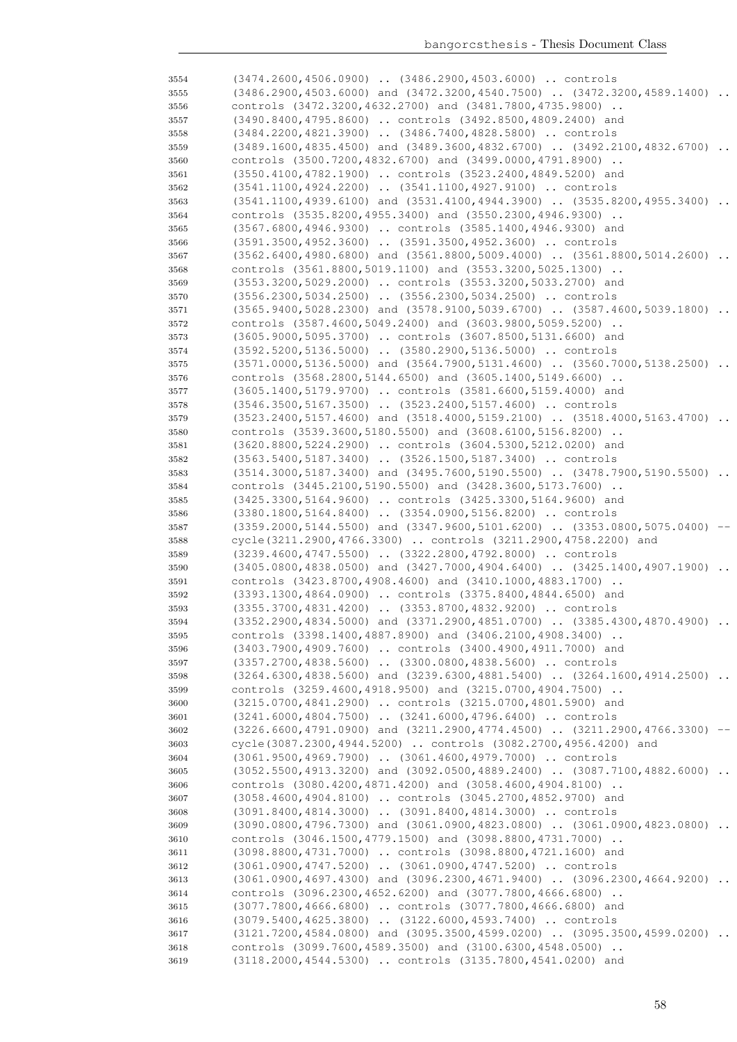| 3554 | (3474.2600,4506.0900)  (3486.2900,4503.6000)  controls                                                                                     |          |
|------|--------------------------------------------------------------------------------------------------------------------------------------------|----------|
| 3555 | (3486.2900,4503.6000) and (3472.3200,4540.7500)  (3472.3200,4589.1400)                                                                     | $\cdots$ |
| 3556 | controls (3472.3200,4632.2700) and (3481.7800,4735.9800)                                                                                   |          |
| 3557 | (3490.8400,4795.8600)  controls (3492.8500,4809.2400) and                                                                                  |          |
| 3558 | (3484.2200,4821.3900)  (3486.7400,4828.5800)  controls                                                                                     |          |
| 3559 | (3489.1600,4835.4500) and (3489.3600,4832.6700)  (3492.2100,4832.6700)                                                                     |          |
| 3560 | controls (3500.7200,4832.6700) and (3499.0000,4791.8900)                                                                                   |          |
| 3561 | (3550.4100,4782.1900)  controls (3523.2400,4849.5200) and                                                                                  |          |
| 3562 | (3541.1100,4924.2200)  (3541.1100,4927.9100)  controls                                                                                     |          |
| 3563 | $(3541.1100, 4939.6100)$ and $(3531.4100, 4944.3900)$ $(3535.8200, 4955.3400)$                                                             |          |
| 3564 | controls (3535.8200,4955.3400) and (3550.2300,4946.9300)                                                                                   |          |
| 3565 | (3567.6800,4946.9300)  controls (3585.1400,4946.9300) and                                                                                  |          |
| 3566 | (3591.3500,4952.3600)  (3591.3500,4952.3600)  controls                                                                                     |          |
| 3567 | $(3562.6400, 4980.6800)$ and $(3561.8800, 5009.4000)$ $(3561.8800, 5014.2600)$                                                             |          |
| 3568 | controls (3561.8800,5019.1100) and (3553.3200,5025.1300)                                                                                   |          |
| 3569 | (3553.3200,5029.2000)  controls (3553.3200,5033.2700) and                                                                                  |          |
| 3570 | (3556.2300,5034.2500)  (3556.2300,5034.2500)  controls                                                                                     |          |
| 3571 | (3565.9400,5028.2300) and (3578.9100,5039.6700)  (3587.4600,5039.1800)                                                                     |          |
| 3572 | controls (3587.4600,5049.2400) and (3603.9800,5059.5200)                                                                                   |          |
| 3573 | (3605.9000,5095.3700)  controls (3607.8500,5131.6600) and                                                                                  |          |
| 3574 | (3592.5200,5136.5000)  (3580.2900,5136.5000)  controls                                                                                     |          |
| 3575 | $(3571.0000, 5136.5000)$ and $(3564.7900, 5131.4600)$ $(3560.7000, 5138.2500)$                                                             |          |
| 3576 | controls (3568.2800, 5144.6500) and (3605.1400, 5149.6600)                                                                                 |          |
| 3577 | (3605.1400,5179.9700)  controls (3581.6600,5159.4000) and                                                                                  |          |
| 3578 | (3546.3500,5167.3500)  (3523.2400,5157.4600)  controls                                                                                     |          |
| 3579 | (3523.2400,5157.4600) and (3518.4000,5159.2100)  (3518.4000,5163.4700)                                                                     |          |
| 3580 | controls (3539.3600,5180.5500) and (3608.6100,5156.8200)                                                                                   |          |
| 3581 | (3620.8800,5224.2900)  controls (3604.5300,5212.0200) and                                                                                  |          |
| 3582 | (3563.5400,5187.3400)  (3526.1500,5187.3400)  controls                                                                                     |          |
| 3583 | (3514.3000,5187.3400) and (3495.7600,5190.5500)  (3478.7900,5190.5500)                                                                     |          |
| 3584 | controls (3445.2100,5190.5500) and (3428.3600,5173.7600)                                                                                   |          |
| 3585 | (3425.3300,5164.9600)  controls (3425.3300,5164.9600) and                                                                                  |          |
| 3586 | (3380.1800,5164.8400)  (3354.0900,5156.8200)  controls                                                                                     |          |
| 3587 | (3359.2000,5144.5500) and (3347.9600,5101.6200)  (3353.0800,5075.0400)                                                                     | $-\,-$   |
| 3588 | cycle(3211.2900,4766.3300)  controls (3211.2900,4758.2200) and                                                                             |          |
| 3589 | (3239.4600,4747.5500)  (3322.2800,4792.8000)  controls                                                                                     |          |
| 3590 | $(3405.0800, 4838.0500)$ and $(3427.7000, 4904.6400)$ $(3425.1400, 4907.1900)$                                                             |          |
| 3591 | controls (3423.8700,4908.4600) and (3410.1000,4883.1700)                                                                                   |          |
| 3592 | (3393.1300,4864.0900)  controls (3375.8400,4844.6500) and                                                                                  |          |
| 3593 | (3355.3700,4831.4200)  (3353.8700,4832.9200)  controls                                                                                     |          |
| 3594 | (3352.2900,4834.5000) and (3371.2900,4851.0700)  (3385.4300,4870.4900)                                                                     |          |
| 3595 | controls (3398.1400,4887.8900) and (3406.2100,4908.3400)                                                                                   |          |
| 3596 | (3403.7900,4909.7600)  controls (3400.4900,4911.7000) and                                                                                  |          |
| 3597 | (3357.2700,4838.5600)  (3300.0800,4838.5600)  controls                                                                                     |          |
| 3598 | (3264.6300,4838.5600) and (3239.6300,4881.5400)  (3264.1600,4914.2500)                                                                     |          |
| 3599 | controls (3259.4600,4918.9500) and (3215.0700,4904.7500)                                                                                   |          |
| 3600 | (3215.0700,4841.2900)  controls (3215.0700,4801.5900) and                                                                                  |          |
| 3601 | $(3241.6000, 4804.7500)$ $(3241.6000, 4796.6400)$ controls                                                                                 |          |
| 3602 | (3226.6600,4791.0900) and (3211.2900,4774.4500)  (3211.2900,4766.3300) --                                                                  |          |
| 3603 | cycle(3087.2300,4944.5200)  controls (3082.2700,4956.4200) and                                                                             |          |
| 3604 | (3061.9500,4969.7900)  (3061.4600,4979.7000)  controls                                                                                     |          |
| 3605 | (3052.5500,4913.3200) and (3092.0500,4889.2400)  (3087.7100,4882.6000)                                                                     |          |
| 3606 | controls (3080.4200,4871.4200) and (3058.4600,4904.8100)                                                                                   |          |
| 3607 | (3058.4600,4904.8100)  controls (3045.2700,4852.9700) and                                                                                  |          |
| 3608 | (3091.8400,4814.3000)  (3091.8400,4814.3000)  controls                                                                                     |          |
| 3609 | (3090.0800,4796.7300) and (3061.0900,4823.0800)  (3061.0900,4823.0800)                                                                     |          |
| 3610 | controls (3046.1500, 4779.1500) and (3098.8800, 4731.7000)                                                                                 |          |
| 3611 | (3098.8800,4731.7000)  controls (3098.8800,4721.1600) and                                                                                  |          |
| 3612 | (3061.0900,4747.5200)  (3061.0900,4747.5200)  controls                                                                                     |          |
| 3613 | $(3061.0900, 4697.4300)$ and $(3096.2300, 4671.9400)$ $(3096.2300, 4664.9200)$                                                             |          |
| 3614 | controls (3096.2300,4652.6200) and (3077.7800,4666.6800)                                                                                   |          |
| 3615 | (3077.7800,4666.6800)  controls (3077.7800,4666.6800) and                                                                                  |          |
| 3616 | (3079.5400,4625.3800)  (3122.6000,4593.7400)  controls                                                                                     |          |
| 3617 | $(3121.7200, 4584.0800)$ and $(3095.3500, 4599.0200)$ $(3095.3500, 4599.0200)$<br>controls (3099.7600,4589.3500) and (3100.6300,4548.0500) |          |
| 3618 | (3118.2000,4544.5300)  controls (3135.7800,4541.0200) and                                                                                  |          |
| 3619 |                                                                                                                                            |          |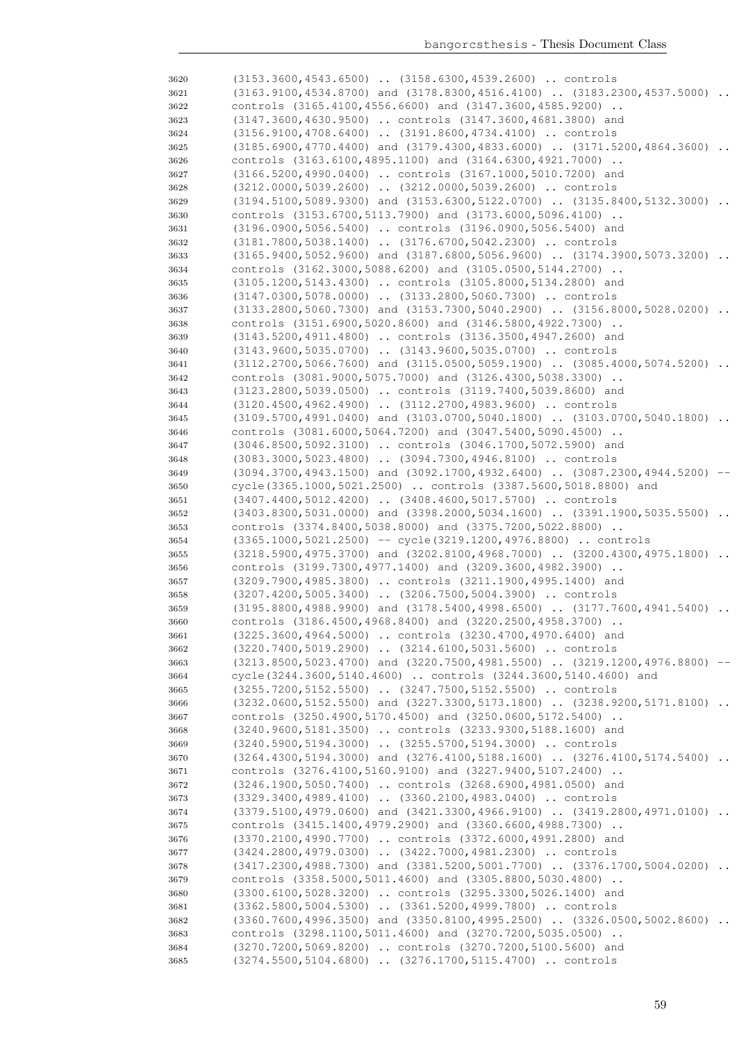| 3620         | $(3153.3600, 4543.6500)$ $(3158.6300, 4539.2600)$ controls                                                                         |           |
|--------------|------------------------------------------------------------------------------------------------------------------------------------|-----------|
| 3621         | $(3163.9100, 4534.8700)$ and $(3178.8300, 4516.4100)$ $(3183.2300, 4537.5000)$                                                     |           |
| 3622         | controls (3165.4100,4556.6600) and (3147.3600,4585.9200)                                                                           |           |
| 3623         | (3147.3600,4630.9500)  controls (3147.3600,4681.3800) and                                                                          |           |
| 3624         | (3156.9100,4708.6400)  (3191.8600,4734.4100)  controls                                                                             |           |
| 3625         | (3185.6900,4770.4400) and (3179.4300,4833.6000)  (3171.5200,4864.3600)                                                             | $\ddots$  |
| 3626         | controls (3163.6100,4895.1100) and (3164.6300,4921.7000)                                                                           |           |
| 3627         | (3166.5200,4990.0400)  controls (3167.1000,5010.7200) and                                                                          |           |
| 3628         | (3212.0000,5039.2600)  (3212.0000,5039.2600)  controls                                                                             |           |
| 3629         | $(3194.5100, 5089.9300)$ and $(3153.6300, 5122.0700)$ $(3135.8400, 5132.3000)$                                                     |           |
| 3630         | controls (3153.6700, 5113.7900) and (3173.6000, 5096.4100)                                                                         |           |
| 3631         | (3196.0900,5056.5400)  controls (3196.0900,5056.5400) and                                                                          |           |
| 3632         | (3181.7800,5038.1400)  (3176.6700,5042.2300)  controls                                                                             |           |
| 3633         | $(3165.9400, 5052.9600)$ and $(3187.6800, 5056.9600)$ $(3174.3900, 5073.3200)$                                                     |           |
| 3634         | controls (3162.3000,5088.6200) and (3105.0500,5144.2700)                                                                           |           |
| 3635         | (3105.1200,5143.4300)  controls (3105.8000,5134.2800) and                                                                          |           |
| 3636         | (3147.0300,5078.0000)  (3133.2800,5060.7300)  controls                                                                             |           |
| 3637         | (3133.2800,5060.7300) and (3153.7300,5040.2900)  (3156.8000,5028.0200)                                                             | $\ddots$  |
| 3638         | controls (3151.6900,5020.8600) and (3146.5800,4922.7300)                                                                           |           |
| 3639         | (3143.5200,4911.4800)  controls (3136.3500,4947.2600) and                                                                          |           |
| 3640         | $(3143.9600, 5035.0700)$ $(3143.9600, 5035.0700)$ controls                                                                         |           |
| 3641         | $(3112.2700, 5066.7600)$ and $(3115.0500, 5059.1900)$ $(3085.4000, 5074.5200)$                                                     | $\cdot$ . |
| 3642         | controls (3081.9000,5075.7000) and (3126.4300,5038.3300)<br>(3123.2800,5039.0500)  controls (3119.7400,5039.8600) and              |           |
| 3643<br>3644 | (3120.4500,4962.4900)  (3112.2700,4983.9600)  controls                                                                             |           |
| 3645         | (3109.5700,4991.0400) and (3103.0700,5040.1800)  (3103.0700,5040.1800)                                                             |           |
| 3646         | controls (3081.6000,5064.7200) and (3047.5400,5090.4500)                                                                           |           |
| 3647         | (3046.8500,5092.3100)  controls (3046.1700,5072.5900) and                                                                          |           |
| 3648         | $(3083.3000, 5023.4800)$ $(3094.7300, 4946.8100)$ controls                                                                         |           |
| 3649         | (3094.3700,4943.1500) and (3092.1700,4932.6400)  (3087.2300,4944.5200)                                                             |           |
| 3650         | cycle(3365.1000,5021.2500)  controls (3387.5600,5018.8800) and                                                                     |           |
| 3651         | (3407.4400,5012.4200)  (3408.4600,5017.5700)  controls                                                                             |           |
| 3652         | $(3403.8300, 5031.0000)$ and $(3398.2000, 5034.1600)$ $(3391.1900, 5035.5500)$                                                     | $\ddots$  |
| 3653         | controls (3374.8400,5038.8000) and (3375.7200,5022.8800)                                                                           |           |
| 3654         | (3365.1000,5021.2500) -- cycle(3219.1200,4976.8800)  controls                                                                      |           |
| 3655         | $(3218.5900, 4975.3700)$ and $(3202.8100, 4968.7000)$ . $(3200.4300, 4975.1800)$ .                                                 |           |
| 3656         | controls (3199.7300,4977.1400) and (3209.3600,4982.3900)                                                                           |           |
| 3657         | (3209.7900,4985.3800)  controls (3211.1900,4995.1400) and                                                                          |           |
| 3658         | (3207.4200,5005.3400)  (3206.7500,5004.3900)  controls                                                                             |           |
| 3659         | $(3195.8800, 4988.9900)$ and $(3178.5400, 4998.6500)$ $(3177.7600, 4941.5400)$                                                     |           |
| 3660         | controls (3186.4500,4968.8400) and (3220.2500,4958.3700)<br>(3225.3600,4964.5000)  controls (3230.4700,4970.6400) and              |           |
| 3661<br>3662 | (3220.7400,5019.2900)  (3214.6100,5031.5600)  controls                                                                             |           |
| 3663         | (3213.8500,5023.4700) and (3220.7500,4981.5500)  (3219.1200,4976.8800) --                                                          |           |
| 3664         | cycle (3244.3600, 5140.4600)  controls (3244.3600, 5140.4600) and                                                                  |           |
| 3665         | (3255.7200,5152.5500)  (3247.7500,5152.5500)  controls                                                                             |           |
| 3666         | (3232.0600,5152.5500) and (3227.3300,5173.1800)  (3238.9200,5171.8100)                                                             |           |
| 3667         | controls (3250.4900,5170.4500) and (3250.0600,5172.5400)                                                                           |           |
| 3668         | (3240.9600,5181.3500)  controls (3233.9300,5188.1600) and                                                                          |           |
| 3669         | (3240.5900,5194.3000)  (3255.5700,5194.3000)  controls                                                                             |           |
| 3670         | (3264.4300,5194.3000) and (3276.4100,5188.1600)  (3276.4100,5174.5400)                                                             |           |
| 3671         | controls (3276.4100,5160.9100) and (3227.9400,5107.2400)                                                                           |           |
| 3672         | (3246.1900,5050.7400)  controls (3268.6900,4981.0500) and                                                                          |           |
| 3673         | (3329.3400,4989.4100)  (3360.2100,4983.0400)  controls                                                                             |           |
| 3674         | (3379.5100,4979.0600) and (3421.3300,4966.9100)  (3419.2800,4971.0100)                                                             |           |
| 3675         | controls (3415.1400,4979.2900) and (3360.6600,4988.7300)                                                                           |           |
| 3676         | (3370.2100,4990.7700)  controls (3372.6000,4991.2800) and                                                                          |           |
| 3677         | (3424.2800,4979.0300)  (3422.7000,4981.2300)  controls                                                                             |           |
| 3678         | (3417.2300,4988.7300) and (3381.5200,5001.7700)  (3376.1700,5004.0200)                                                             |           |
| 3679         | controls (3358.5000,5011.4600) and (3305.8800,5030.4800)                                                                           |           |
| 3680         | (3300.6100,5028.3200)  controls (3295.3300,5026.1400) and                                                                          |           |
| 3681         | (3362.5800,5004.5300)  (3361.5200,4999.7800)  controls                                                                             |           |
| 3682         | (3360.7600,4996.3500) and (3350.8100,4995.2500)  (3326.0500,5002.8600)<br>controls (3298.1100,5011.4600) and (3270.7200,5035.0500) |           |
| 3683         | (3270.7200,5069.8200)  controls (3270.7200,5100.5600) and                                                                          |           |
| 3684<br>3685 | (3274.5500,5104.6800)  (3276.1700,5115.4700)  controls                                                                             |           |
|              |                                                                                                                                    |           |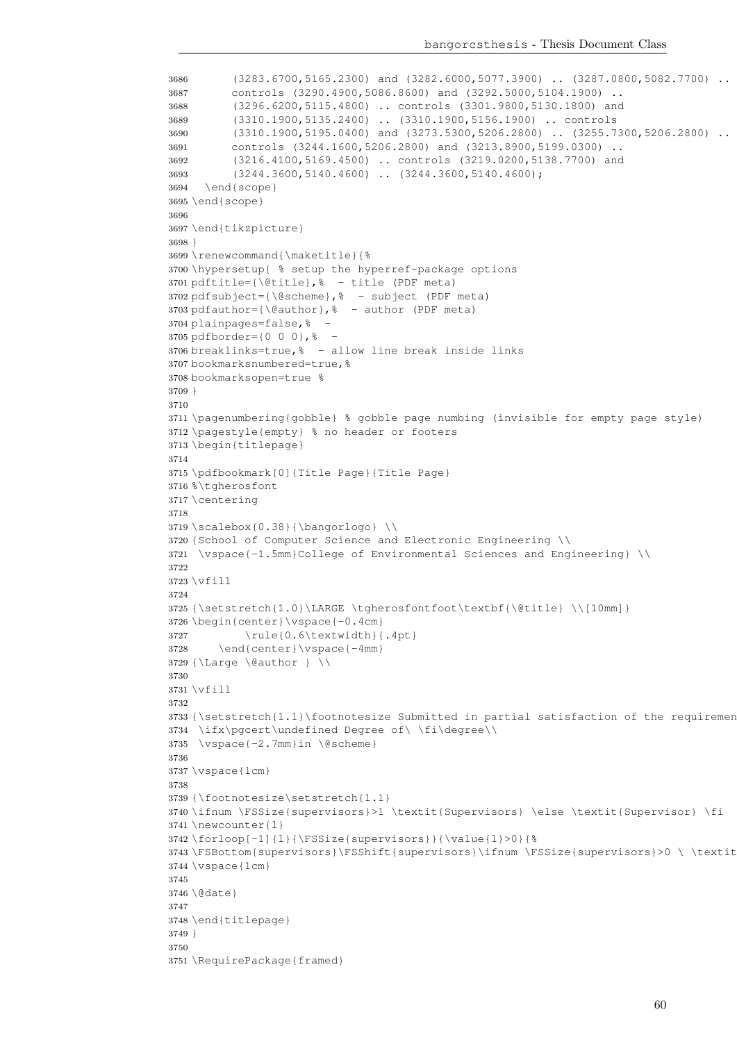bangorcsthesis - Thesis Document Class

```
3686 (3283.6700,5165.2300) and (3282.6000,5077.3900) .. (3287.0800,5082.7700) ..
3687 controls (3290.4900,5086.8600) and (3292.5000,5104.1900) ..
3688 (3296.6200,5115.4800) .. controls (3301.9800,5130.1800) and
3689 (3310.1900,5135.2400) .. (3310.1900,5156.1900) .. controls
3690 (3310.1900,5195.0400) and (3273.5300,5206.2800) .. (3255.7300,5206.2800) ..
3691 controls (3244.1600,5206.2800) and (3213.8900,5199.0300) ..
3692 (3216.4100,5169.4500) .. controls (3219.0200,5138.7700) and
3693 (3244.3600,5140.4600) .. (3244.3600,5140.4600);
3694 \end{scope}
3695 \end{scope}
3696
3697 \end{tikzpicture}
3698 }
3699 \renewcommand{\maketitle}{%
3700 \hypersetup{ % setup the hyperref-package options
3701 pdftitle={\@title},% - title (PDF meta)
3702 pdfsubject={\@scheme}, \frac{1}{6} - subject (PDF meta)
3703 pdfauthor={\@author}, \frac{1}{6} - author (PDF meta)
3704 plainpages=false,% -
3705 pdfborder={0 0 0},% -
3706 breaklinks=true,% - allow line break inside links
3707 bookmarksnumbered=true,%
3708 bookmarksopen=true %
3709 }
3710
3711 \pagenumbering{gobble} % gobble page numbing (invisible for empty page style)
3712 \pagestyle{empty} % no header or footers
3713 \begin{titlepage}
3714
3715 \pdfbookmark[0]{Title Page}{Title Page}
3716 \text{\textdegree} taherosfont
3717 \centering
3718
3719 \scalebox{0.38}{\bangorloq} \ \3720 {School of Computer Science and Electronic Engineering \\
3721 \vspace{-1.5mm}College of Environmental Sciences and Engineering} \\
3722
3723 \forall x \in 113724
3725 {\setstretch{1.0}\LARGE \tgherosfontfoot\textbf{\@title} \\[10mm]}
3726 \begin{center}\vspace{-0.4cm}
3727 \rule{0.6\textwidth}{.4pt}
3728 \end{center}\vspace{-4mm}
3729 {\Large \@author } \\
3730
3731 \vfill
3732
3733 {\setstretch{1.1}\footnotesize Submitted in partial satisfaction of the requiremen
3734 \ifx\pgcert\undefined Degree of\ \fi\degree\\
3735 \vspace{-2.7mm}in \@scheme}
3736
3737 \vspace{1cm}
3738
3739 {\footnotesize\setstretch{1.1}
3740 \ifnum \FSSize{supervisors}>1 \textit{Supervisors} \else \textit{Supervisor} \fi
3741 \newcounter{l}
3742 \forloop[-1]{l}{\FSSize{supervisors}}{\value{l}>0}{%
3743 \FSBottom{supervisors}\FSShift{supervisors}\ifnum \FSSize{supervisors}>0 \ \textit{and} \fi}
3744 \vspace{1cm}
3745
3746 \@date}
3747
3748 \end{titlepage}
3749 }
3750
3751 \RequirePackage{framed}
```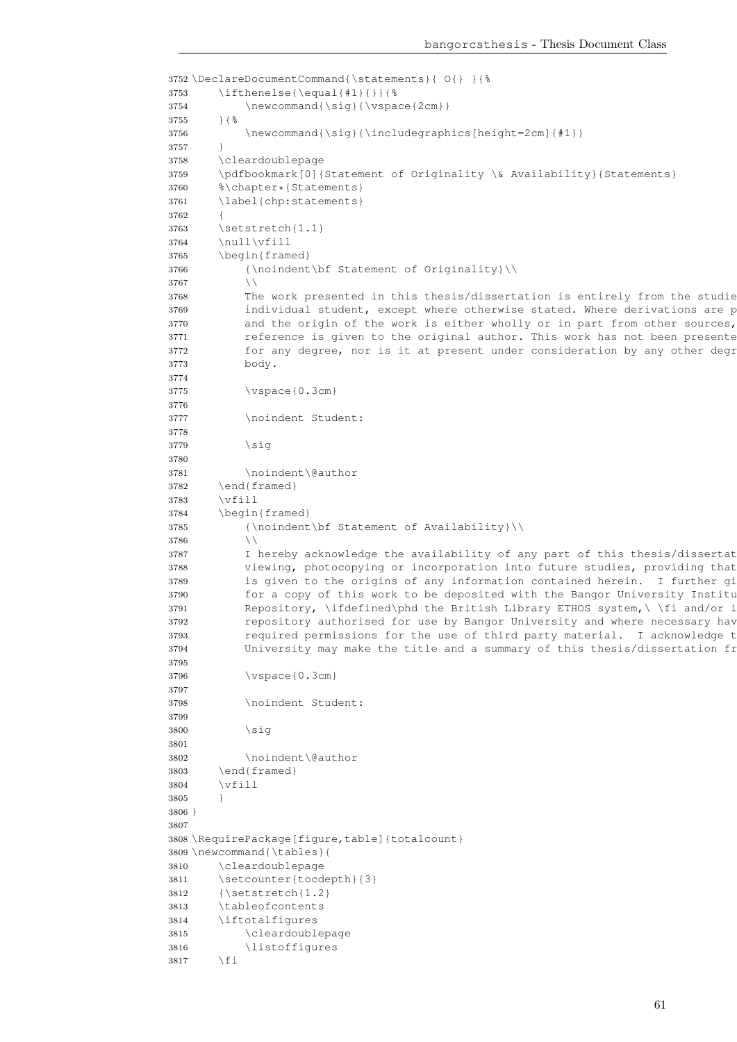```
3752 \DeclareDocumentCommand{\statements}{ O{} }{%
3753 \ifthenelse{\equal{#1}{}}{ \3754 \newcommand{\sig}{\vspace{2cm}}
3755 }{%
3756 \newcommand{\sig}{\includegraphics[height=2cm]{#1}}
3757 }
3758 \cleardoublepage
3759 \pdfbookmark[0]{Statement of Originality \& Availability}{Statements}
3760 %\chapter*{Statements}
3761 \label{chp:statements}
3762 {
3763 \setstretch{1.1}
3764 \null\vfill
3765 \begin{framed}
3766 {\noindent\bf Statement of Originality}\\
3767 \\
3768 The work presented in this thesis/dissertation is entirely from the studie
3769 individual student, except where otherwise stated. Where derivations are presented.
3770 and the origin of the work is either wholly or in part from other sources,
3771 reference is given to the original author. This work has not been presented
3772 for any degree, nor is it at present under consideration by any other degree
3773 body.
3774
3775 \vspace{0.3cm}
3776
3777 \noindent Student:
3778
3779 \simeq3780
3781 \noindent\@author
3782 \end{framed}
3783 \vfill
3784 \begin{framed}
3785 {\noindent\bf Statement of Availability}\\
3786 \\
3787 I hereby acknowledge the availability of any part of this thesis/dissertat
3788 viewing, photocopying or incorporation into future studies, providing that
3789 is given to the origins of any information contained herein. I further gi
3790 for a copy of this work to be deposited with the Bangor University Institutional Digital Digital Digital Digital Digital Digital Digital Digital Digital Digital Digital Digital Digital Digital Digital Digital Digital 
3791 Repository, \ifdefined\phd the British Library ETHOS system, \ \fi and/or in
3792 repository authorised for use by Bangor University and where necessary have
3793 required permissions for the use of third party material. I acknowledge that
3794 University may make the title and a summary of this thesis/dissertation fr
3795
3796 \vspace{0.3cm}
3797
3798 \noindent Student:
3799
3800 \sqrt{31}3801
3802 \noindent\@author
3803 \end{framed}
3804 \vfill
3805 }
3806 }
3807
3808 \RequirePackage[figure,table]{totalcount}
3809 \newcommand{\tables}{
3810 \cleardoublepage
3811 \setcounter{tocdepth}{3}
3812 {\setstretch{1.2}
3813 \tableofcontents
3814 \iftotalfigures
3815 \cleardoublepage
3816 \listoffigures
3817 \fi
```